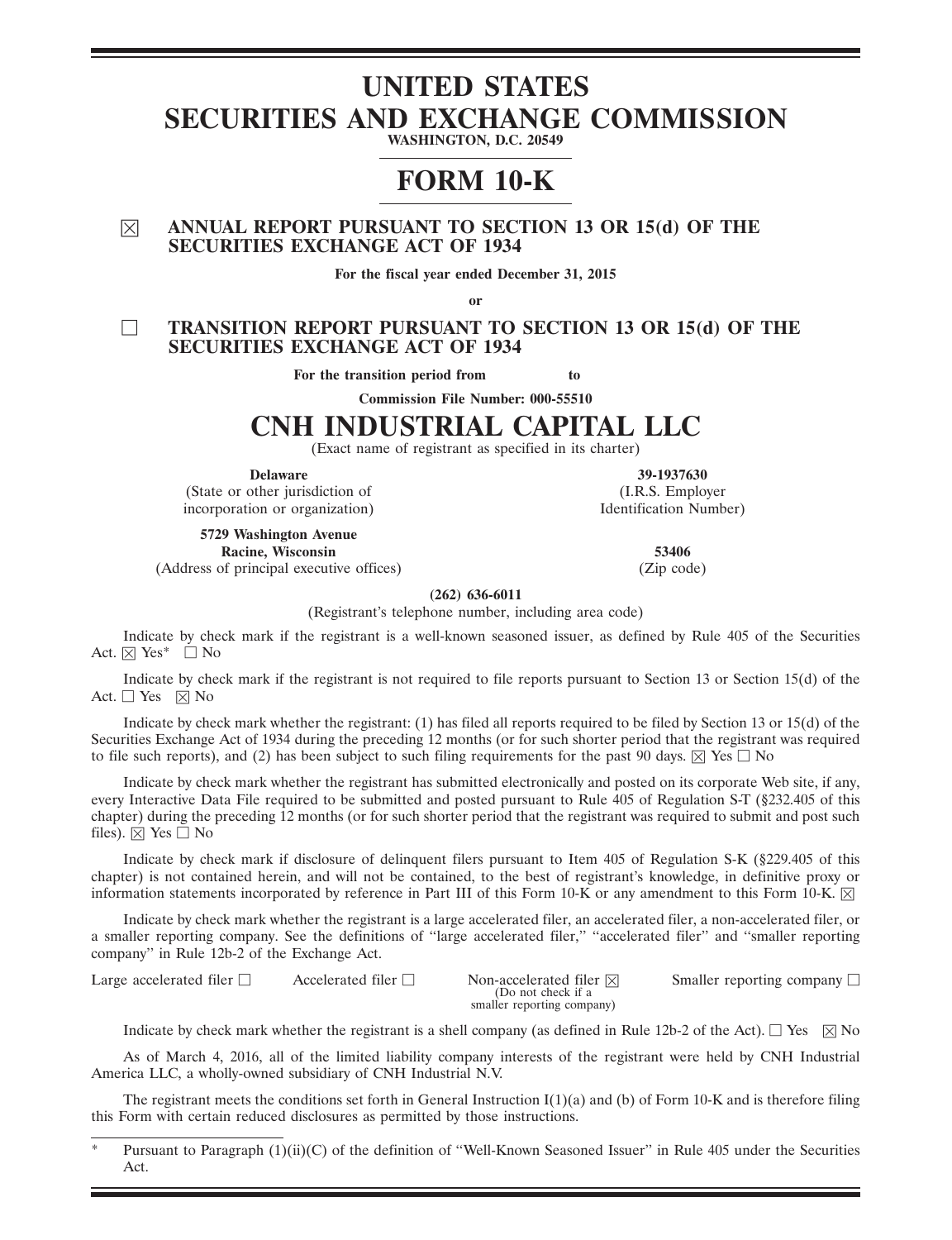# **UNITED STATES SECURITIES AND EXCHANGE COMMISSION**

**WASHINGTON, D.C. 20549**

# **FORM 10-K**

## **ANNUAL REPORT PURSUANT TO SECTION 13 OR 15(d) OF THE SECURITIES EXCHANGE ACT OF 1934**

**For the fiscal year ended December 31, 2015**

**or**

#### $\Box$  **TRANSITION REPORT PURSUANT TO SECTION 13 OR 15(d) OF THE SECURITIES EXCHANGE ACT OF 1934**

**For the transition period from to** 

**Commission File Number: 000-55510**

## **CNH INDUSTRIAL CAPITAL LLC**

(Exact name of registrant as specified in its charter)

**Delaware 39-1937630**

(State or other jurisdiction of the component of the component of the component of the component of the component of the component of the component of the component of the component of the component of the component of the incorporation or organization)

**5729 Washington Avenue** Racine, Wisconsin 53406 (Address of principal executive offices) (Zip code)

**(262) 636-6011** (Registrant's telephone number, including area code)

Indicate by check mark if the registrant is a well-known seasoned issuer, as defined by Rule 405 of the Securities Act.  $\boxtimes$  Yes\*  $\Box$  No

Indicate by check mark if the registrant is not required to file reports pursuant to Section 13 or Section 15(d) of the Act.  $\square$  Yes  $\boxtimes$  No

Indicate by check mark whether the registrant: (1) has filed all reports required to be filed by Section 13 or 15(d) of the Securities Exchange Act of 1934 during the preceding 12 months (or for such shorter period that the registrant was required to file such reports), and (2) has been subject to such filing requirements for the past 90 days.  $\boxtimes$  Yes  $\Box$  No

Indicate by check mark whether the registrant has submitted electronically and posted on its corporate Web site, if any, every Interactive Data File required to be submitted and posted pursuant to Rule 405 of Regulation S-T (§232.405 of this chapter) during the preceding 12 months (or for such shorter period that the registrant was required to submit and post such files).  $\boxtimes$  Yes  $\Box$  No

Indicate by check mark if disclosure of delinquent filers pursuant to Item 405 of Regulation S-K (§229.405 of this chapter) is not contained herein, and will not be contained, to the best of registrant's knowledge, in definitive proxy or information statements incorporated by reference in Part III of this Form 10-K or any amendment to this Form 10-K.  $\boxtimes$ 

Indicate by check mark whether the registrant is a large accelerated filer, an accelerated filer, a non-accelerated filer, or a smaller reporting company. See the definitions of ''large accelerated filer,'' ''accelerated filer'' and ''smaller reporting company'' in Rule 12b-2 of the Exchange Act.

Large accelerated filer  $\Box$ Accelerated filer  $\Box$  $\Box$  Non-accelerated filer  $\boxtimes$  Smaller reporting company  $\Box$ Non-accelerated filer  $\times$ <br>(Do not check if a smaller reporting company)

Indicate by check mark whether the registrant is a shell company (as defined in Rule 12b-2 of the Act).  $\Box$  Yes  $\boxtimes$  No

As of March 4, 2016, all of the limited liability company interests of the registrant were held by CNH Industrial America LLC, a wholly-owned subsidiary of CNH Industrial N.V.

The registrant meets the conditions set forth in General Instruction  $I(1)(a)$  and (b) of Form 10-K and is therefore filing this Form with certain reduced disclosures as permitted by those instructions.

Pursuant to Paragraph (1)(ii)(C) of the definition of "Well-Known Seasoned Issuer" in Rule 405 under the Securities Act.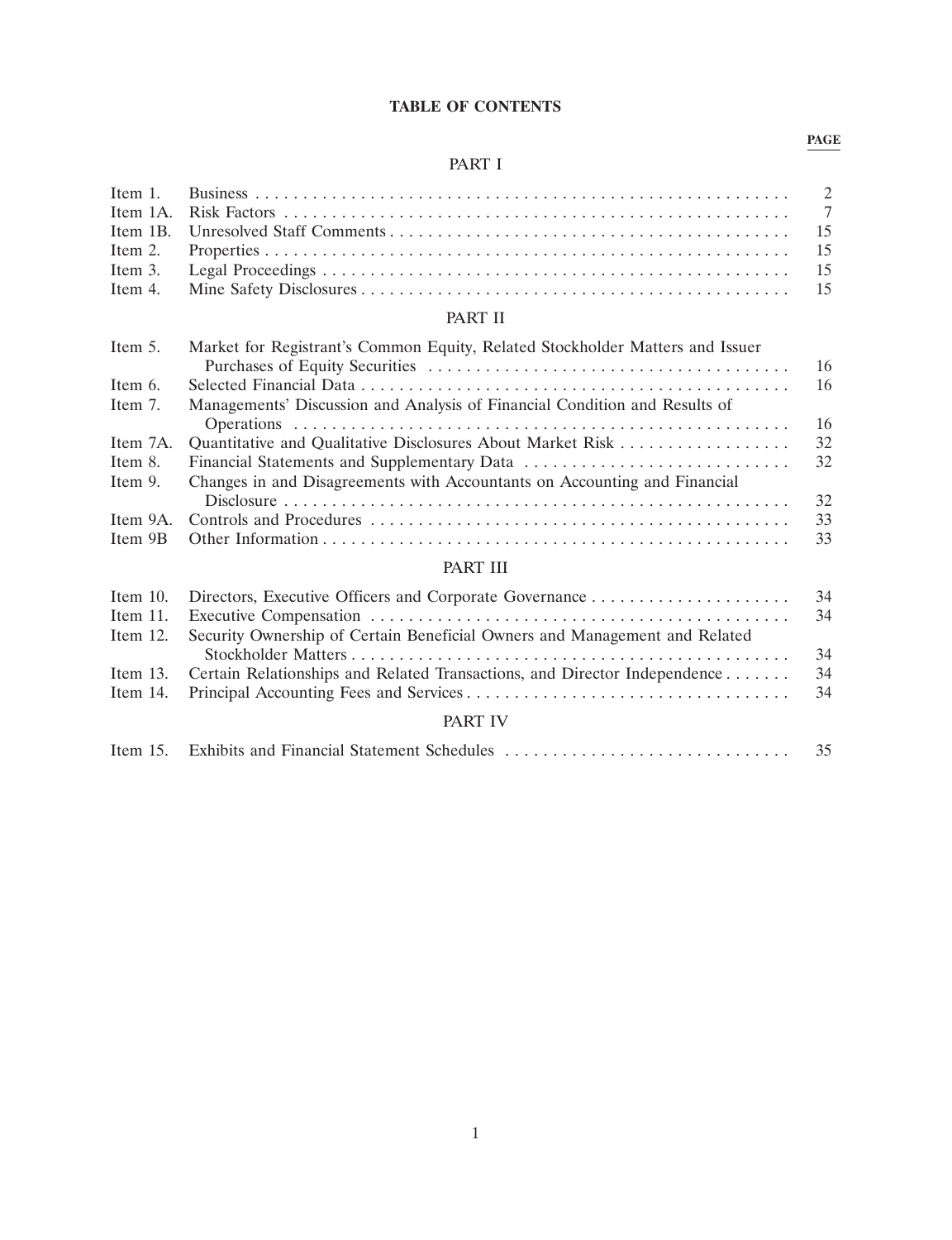## **TABLE OF CONTENTS**

## **PAGE**

## PART I

## PART II

| Item 5.   | Market for Registrant's Common Equity, Related Stockholder Matters and Issuer |     |
|-----------|-------------------------------------------------------------------------------|-----|
|           |                                                                               | -16 |
| Item 6.   |                                                                               | -16 |
| Item 7.   | Managements' Discussion and Analysis of Financial Condition and Results of    |     |
|           |                                                                               | -16 |
| Item 7A.  |                                                                               | 32  |
| Item 8.   |                                                                               |     |
| Item $9.$ | Changes in and Disagreements with Accountants on Accounting and Financial     |     |
|           |                                                                               | -32 |
| Item 9A.  |                                                                               | -33 |
|           |                                                                               |     |

## PART III

| Item 12. Security Ownership of Certain Beneficial Owners and Management and Related |      |
|-------------------------------------------------------------------------------------|------|
|                                                                                     |      |
| Item 13. Certain Relationships and Related Transactions, and Director Independence  | - 34 |
|                                                                                     |      |
| <b>PART IV</b>                                                                      |      |

| Item 15. Exhibits and Financial Statement Schedules |  |
|-----------------------------------------------------|--|
|-----------------------------------------------------|--|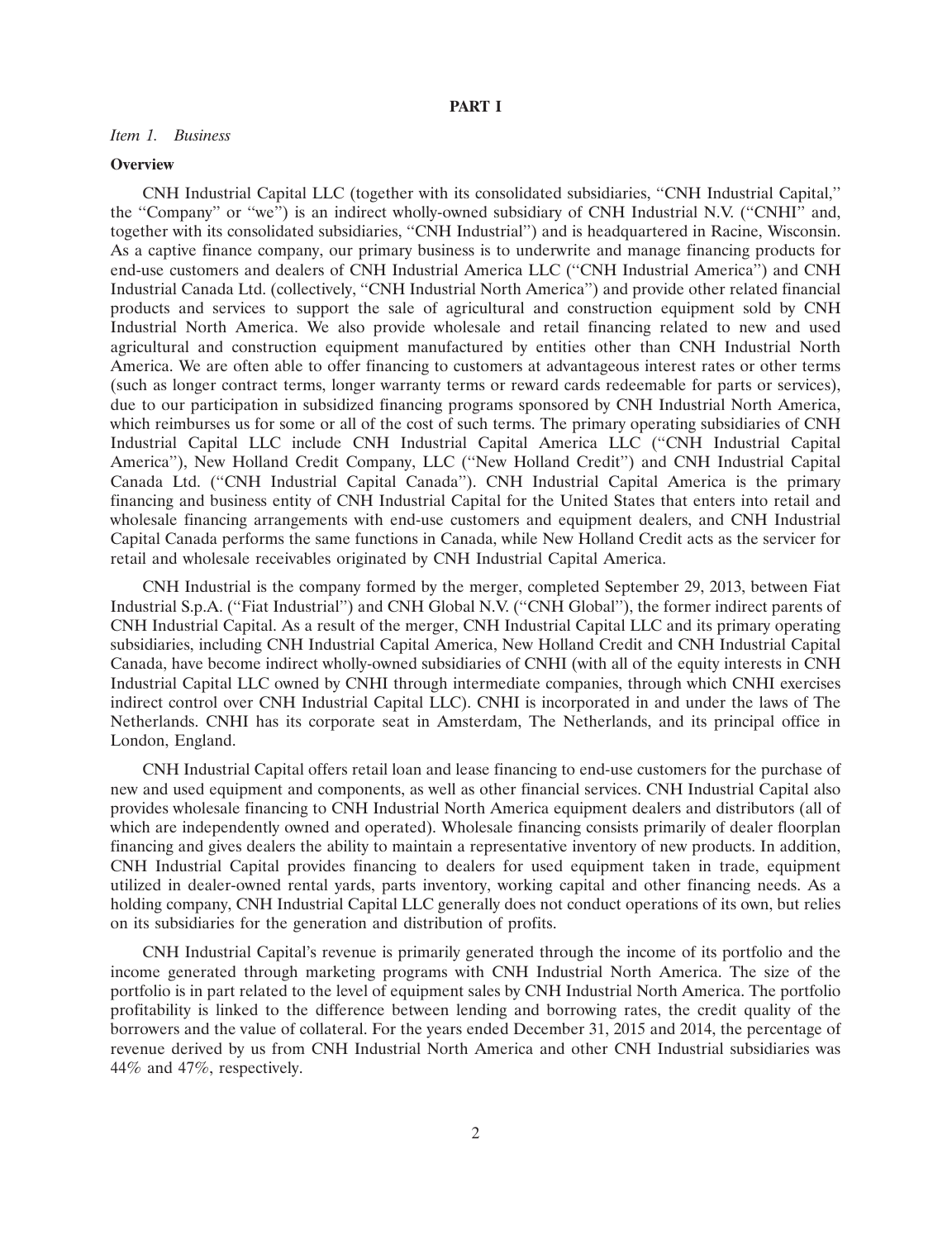## **PART I**

#### *Item 1. Business*

#### **Overview**

CNH Industrial Capital LLC (together with its consolidated subsidiaries, ''CNH Industrial Capital,'' the ''Company'' or ''we'') is an indirect wholly-owned subsidiary of CNH Industrial N.V. (''CNHI'' and, together with its consolidated subsidiaries, ''CNH Industrial'') and is headquartered in Racine, Wisconsin. As a captive finance company, our primary business is to underwrite and manage financing products for end-use customers and dealers of CNH Industrial America LLC (''CNH Industrial America'') and CNH Industrial Canada Ltd. (collectively, ''CNH Industrial North America'') and provide other related financial products and services to support the sale of agricultural and construction equipment sold by CNH Industrial North America. We also provide wholesale and retail financing related to new and used agricultural and construction equipment manufactured by entities other than CNH Industrial North America. We are often able to offer financing to customers at advantageous interest rates or other terms (such as longer contract terms, longer warranty terms or reward cards redeemable for parts or services), due to our participation in subsidized financing programs sponsored by CNH Industrial North America, which reimburses us for some or all of the cost of such terms. The primary operating subsidiaries of CNH Industrial Capital LLC include CNH Industrial Capital America LLC (''CNH Industrial Capital America''), New Holland Credit Company, LLC (''New Holland Credit'') and CNH Industrial Capital Canada Ltd. (''CNH Industrial Capital Canada''). CNH Industrial Capital America is the primary financing and business entity of CNH Industrial Capital for the United States that enters into retail and wholesale financing arrangements with end-use customers and equipment dealers, and CNH Industrial Capital Canada performs the same functions in Canada, while New Holland Credit acts as the servicer for retail and wholesale receivables originated by CNH Industrial Capital America.

CNH Industrial is the company formed by the merger, completed September 29, 2013, between Fiat Industrial S.p.A. (''Fiat Industrial'') and CNH Global N.V. (''CNH Global''), the former indirect parents of CNH Industrial Capital. As a result of the merger, CNH Industrial Capital LLC and its primary operating subsidiaries, including CNH Industrial Capital America, New Holland Credit and CNH Industrial Capital Canada, have become indirect wholly-owned subsidiaries of CNHI (with all of the equity interests in CNH Industrial Capital LLC owned by CNHI through intermediate companies, through which CNHI exercises indirect control over CNH Industrial Capital LLC). CNHI is incorporated in and under the laws of The Netherlands. CNHI has its corporate seat in Amsterdam, The Netherlands, and its principal office in London, England.

CNH Industrial Capital offers retail loan and lease financing to end-use customers for the purchase of new and used equipment and components, as well as other financial services. CNH Industrial Capital also provides wholesale financing to CNH Industrial North America equipment dealers and distributors (all of which are independently owned and operated). Wholesale financing consists primarily of dealer floorplan financing and gives dealers the ability to maintain a representative inventory of new products. In addition, CNH Industrial Capital provides financing to dealers for used equipment taken in trade, equipment utilized in dealer-owned rental yards, parts inventory, working capital and other financing needs. As a holding company, CNH Industrial Capital LLC generally does not conduct operations of its own, but relies on its subsidiaries for the generation and distribution of profits.

CNH Industrial Capital's revenue is primarily generated through the income of its portfolio and the income generated through marketing programs with CNH Industrial North America. The size of the portfolio is in part related to the level of equipment sales by CNH Industrial North America. The portfolio profitability is linked to the difference between lending and borrowing rates, the credit quality of the borrowers and the value of collateral. For the years ended December 31, 2015 and 2014, the percentage of revenue derived by us from CNH Industrial North America and other CNH Industrial subsidiaries was 44% and 47%, respectively.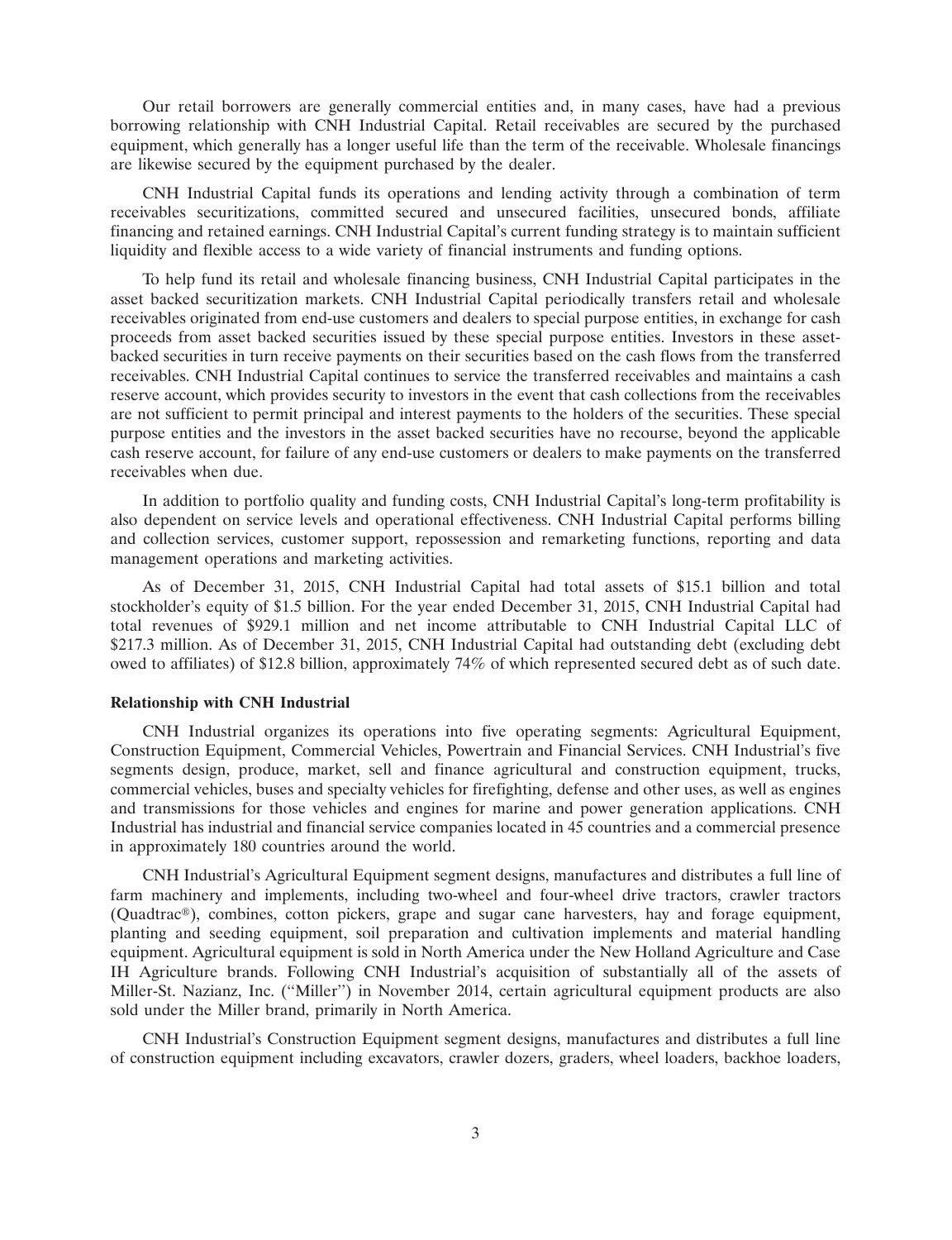Our retail borrowers are generally commercial entities and, in many cases, have had a previous borrowing relationship with CNH Industrial Capital. Retail receivables are secured by the purchased equipment, which generally has a longer useful life than the term of the receivable. Wholesale financings are likewise secured by the equipment purchased by the dealer.

CNH Industrial Capital funds its operations and lending activity through a combination of term receivables securitizations, committed secured and unsecured facilities, unsecured bonds, affiliate financing and retained earnings. CNH Industrial Capital's current funding strategy is to maintain sufficient liquidity and flexible access to a wide variety of financial instruments and funding options.

To help fund its retail and wholesale financing business, CNH Industrial Capital participates in the asset backed securitization markets. CNH Industrial Capital periodically transfers retail and wholesale receivables originated from end-use customers and dealers to special purpose entities, in exchange for cash proceeds from asset backed securities issued by these special purpose entities. Investors in these assetbacked securities in turn receive payments on their securities based on the cash flows from the transferred receivables. CNH Industrial Capital continues to service the transferred receivables and maintains a cash reserve account, which provides security to investors in the event that cash collections from the receivables are not sufficient to permit principal and interest payments to the holders of the securities. These special purpose entities and the investors in the asset backed securities have no recourse, beyond the applicable cash reserve account, for failure of any end-use customers or dealers to make payments on the transferred receivables when due.

In addition to portfolio quality and funding costs, CNH Industrial Capital's long-term profitability is also dependent on service levels and operational effectiveness. CNH Industrial Capital performs billing and collection services, customer support, repossession and remarketing functions, reporting and data management operations and marketing activities.

As of December 31, 2015, CNH Industrial Capital had total assets of \$15.1 billion and total stockholder's equity of \$1.5 billion. For the year ended December 31, 2015, CNH Industrial Capital had total revenues of \$929.1 million and net income attributable to CNH Industrial Capital LLC of \$217.3 million. As of December 31, 2015, CNH Industrial Capital had outstanding debt (excluding debt owed to affiliates) of \$12.8 billion, approximately 74% of which represented secured debt as of such date.

#### **Relationship with CNH Industrial**

CNH Industrial organizes its operations into five operating segments: Agricultural Equipment, Construction Equipment, Commercial Vehicles, Powertrain and Financial Services. CNH Industrial's five segments design, produce, market, sell and finance agricultural and construction equipment, trucks, commercial vehicles, buses and specialty vehicles for firefighting, defense and other uses, as well as engines and transmissions for those vehicles and engines for marine and power generation applications. CNH Industrial has industrial and financial service companies located in 45 countries and a commercial presence in approximately 180 countries around the world.

CNH Industrial's Agricultural Equipment segment designs, manufactures and distributes a full line of farm machinery and implements, including two-wheel and four-wheel drive tractors, crawler tractors (Quadtrac<sup>®</sup>), combines, cotton pickers, grape and sugar cane harvesters, hay and forage equipment, planting and seeding equipment, soil preparation and cultivation implements and material handling equipment. Agricultural equipment is sold in North America under the New Holland Agriculture and Case IH Agriculture brands. Following CNH Industrial's acquisition of substantially all of the assets of Miller-St. Nazianz, Inc. ("Miller") in November 2014, certain agricultural equipment products are also sold under the Miller brand, primarily in North America.

CNH Industrial's Construction Equipment segment designs, manufactures and distributes a full line of construction equipment including excavators, crawler dozers, graders, wheel loaders, backhoe loaders,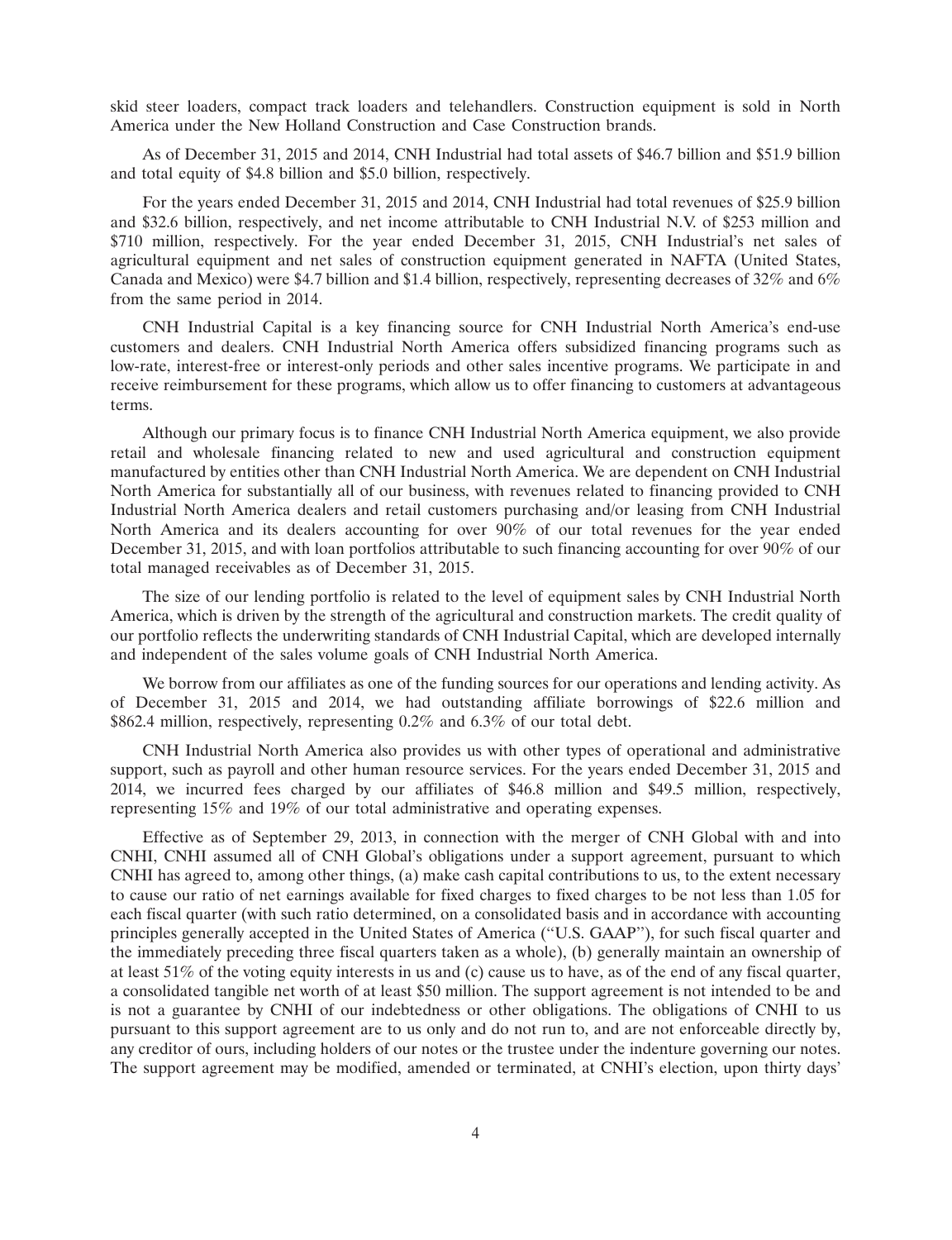skid steer loaders, compact track loaders and telehandlers. Construction equipment is sold in North America under the New Holland Construction and Case Construction brands.

As of December 31, 2015 and 2014, CNH Industrial had total assets of \$46.7 billion and \$51.9 billion and total equity of \$4.8 billion and \$5.0 billion, respectively.

For the years ended December 31, 2015 and 2014, CNH Industrial had total revenues of \$25.9 billion and \$32.6 billion, respectively, and net income attributable to CNH Industrial N.V. of \$253 million and \$710 million, respectively. For the year ended December 31, 2015, CNH Industrial's net sales of agricultural equipment and net sales of construction equipment generated in NAFTA (United States, Canada and Mexico) were \$4.7 billion and \$1.4 billion, respectively, representing decreases of 32% and 6% from the same period in 2014.

CNH Industrial Capital is a key financing source for CNH Industrial North America's end-use customers and dealers. CNH Industrial North America offers subsidized financing programs such as low-rate, interest-free or interest-only periods and other sales incentive programs. We participate in and receive reimbursement for these programs, which allow us to offer financing to customers at advantageous terms.

Although our primary focus is to finance CNH Industrial North America equipment, we also provide retail and wholesale financing related to new and used agricultural and construction equipment manufactured by entities other than CNH Industrial North America. We are dependent on CNH Industrial North America for substantially all of our business, with revenues related to financing provided to CNH Industrial North America dealers and retail customers purchasing and/or leasing from CNH Industrial North America and its dealers accounting for over  $90\%$  of our total revenues for the year ended December 31, 2015, and with loan portfolios attributable to such financing accounting for over 90% of our total managed receivables as of December 31, 2015.

The size of our lending portfolio is related to the level of equipment sales by CNH Industrial North America, which is driven by the strength of the agricultural and construction markets. The credit quality of our portfolio reflects the underwriting standards of CNH Industrial Capital, which are developed internally and independent of the sales volume goals of CNH Industrial North America.

We borrow from our affiliates as one of the funding sources for our operations and lending activity. As of December 31, 2015 and 2014, we had outstanding affiliate borrowings of \$22.6 million and \$862.4 million, respectively, representing 0.2% and 6.3% of our total debt.

CNH Industrial North America also provides us with other types of operational and administrative support, such as payroll and other human resource services. For the years ended December 31, 2015 and 2014, we incurred fees charged by our affiliates of \$46.8 million and \$49.5 million, respectively, representing 15% and 19% of our total administrative and operating expenses.

Effective as of September 29, 2013, in connection with the merger of CNH Global with and into CNHI, CNHI assumed all of CNH Global's obligations under a support agreement, pursuant to which CNHI has agreed to, among other things, (a) make cash capital contributions to us, to the extent necessary to cause our ratio of net earnings available for fixed charges to fixed charges to be not less than 1.05 for each fiscal quarter (with such ratio determined, on a consolidated basis and in accordance with accounting principles generally accepted in the United States of America ("U.S. GAAP"), for such fiscal quarter and the immediately preceding three fiscal quarters taken as a whole), (b) generally maintain an ownership of at least 51% of the voting equity interests in us and (c) cause us to have, as of the end of any fiscal quarter, a consolidated tangible net worth of at least \$50 million. The support agreement is not intended to be and is not a guarantee by CNHI of our indebtedness or other obligations. The obligations of CNHI to us pursuant to this support agreement are to us only and do not run to, and are not enforceable directly by, any creditor of ours, including holders of our notes or the trustee under the indenture governing our notes. The support agreement may be modified, amended or terminated, at CNHI's election, upon thirty days'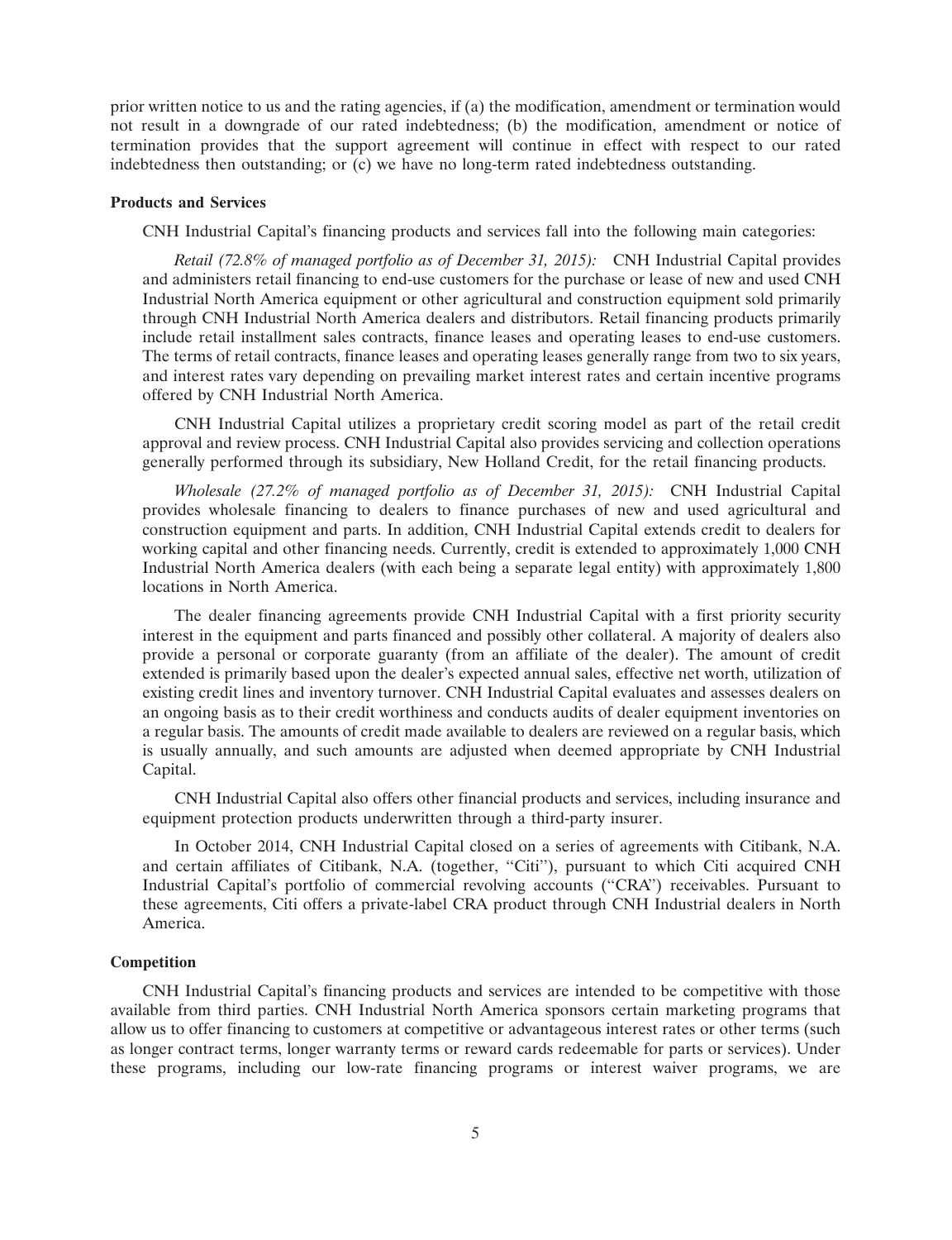prior written notice to us and the rating agencies, if (a) the modification, amendment or termination would not result in a downgrade of our rated indebtedness; (b) the modification, amendment or notice of termination provides that the support agreement will continue in effect with respect to our rated indebtedness then outstanding; or (c) we have no long-term rated indebtedness outstanding.

#### **Products and Services**

CNH Industrial Capital's financing products and services fall into the following main categories:

*Retail (72.8% of managed portfolio as of December 31, 2015):* CNH Industrial Capital provides and administers retail financing to end-use customers for the purchase or lease of new and used CNH Industrial North America equipment or other agricultural and construction equipment sold primarily through CNH Industrial North America dealers and distributors. Retail financing products primarily include retail installment sales contracts, finance leases and operating leases to end-use customers. The terms of retail contracts, finance leases and operating leases generally range from two to six years, and interest rates vary depending on prevailing market interest rates and certain incentive programs offered by CNH Industrial North America.

CNH Industrial Capital utilizes a proprietary credit scoring model as part of the retail credit approval and review process. CNH Industrial Capital also provides servicing and collection operations generally performed through its subsidiary, New Holland Credit, for the retail financing products.

*Wholesale (27.2% of managed portfolio as of December 31, 2015):* CNH Industrial Capital provides wholesale financing to dealers to finance purchases of new and used agricultural and construction equipment and parts. In addition, CNH Industrial Capital extends credit to dealers for working capital and other financing needs. Currently, credit is extended to approximately 1,000 CNH Industrial North America dealers (with each being a separate legal entity) with approximately 1,800 locations in North America.

The dealer financing agreements provide CNH Industrial Capital with a first priority security interest in the equipment and parts financed and possibly other collateral. A majority of dealers also provide a personal or corporate guaranty (from an affiliate of the dealer). The amount of credit extended is primarily based upon the dealer's expected annual sales, effective net worth, utilization of existing credit lines and inventory turnover. CNH Industrial Capital evaluates and assesses dealers on an ongoing basis as to their credit worthiness and conducts audits of dealer equipment inventories on a regular basis. The amounts of credit made available to dealers are reviewed on a regular basis, which is usually annually, and such amounts are adjusted when deemed appropriate by CNH Industrial Capital.

CNH Industrial Capital also offers other financial products and services, including insurance and equipment protection products underwritten through a third-party insurer.

In October 2014, CNH Industrial Capital closed on a series of agreements with Citibank, N.A. and certain affiliates of Citibank, N.A. (together, ''Citi''), pursuant to which Citi acquired CNH Industrial Capital's portfolio of commercial revolving accounts (''CRA'') receivables. Pursuant to these agreements, Citi offers a private-label CRA product through CNH Industrial dealers in North America.

#### **Competition**

CNH Industrial Capital's financing products and services are intended to be competitive with those available from third parties. CNH Industrial North America sponsors certain marketing programs that allow us to offer financing to customers at competitive or advantageous interest rates or other terms (such as longer contract terms, longer warranty terms or reward cards redeemable for parts or services). Under these programs, including our low-rate financing programs or interest waiver programs, we are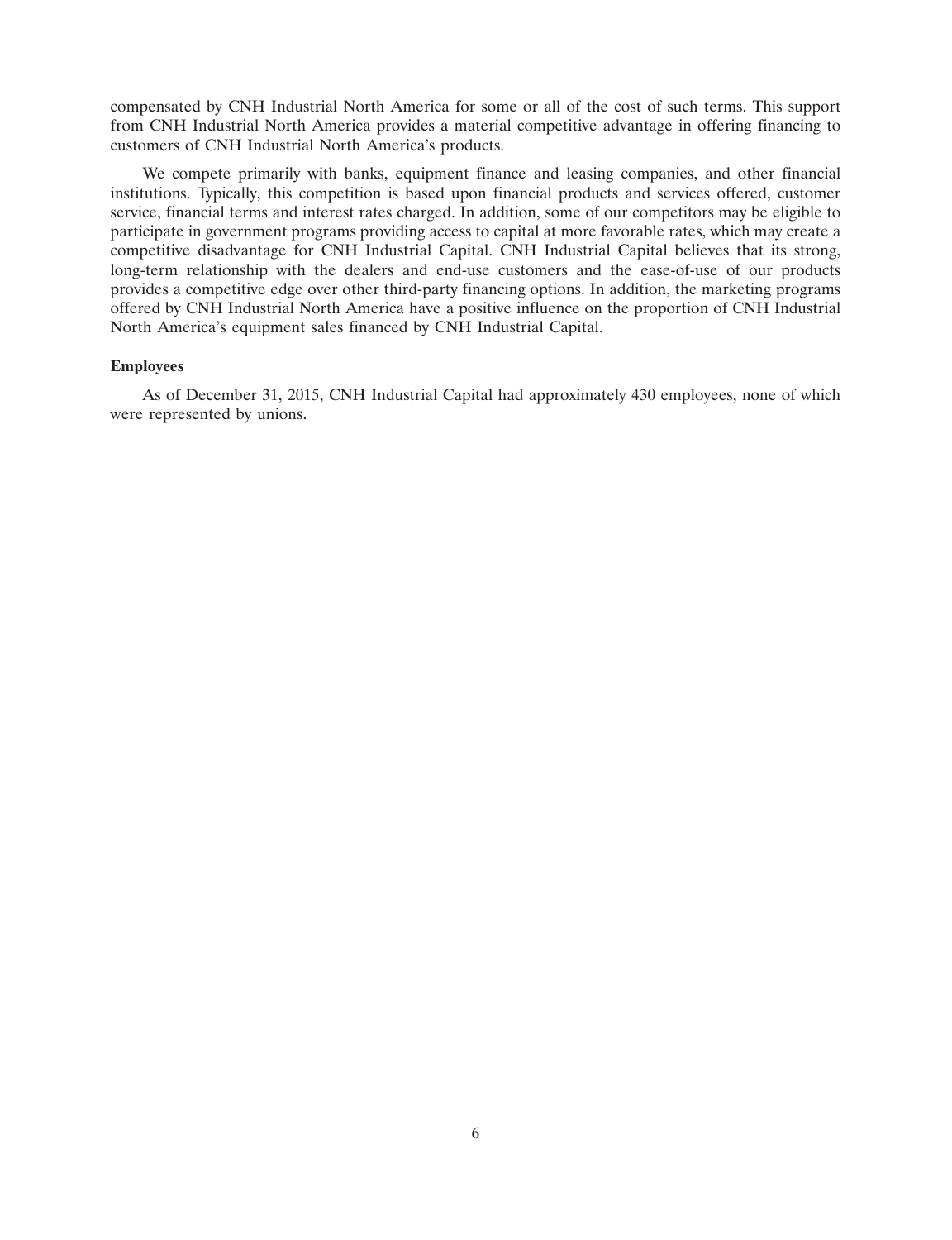compensated by CNH Industrial North America for some or all of the cost of such terms. This support from CNH Industrial North America provides a material competitive advantage in offering financing to customers of CNH Industrial North America's products.

We compete primarily with banks, equipment finance and leasing companies, and other financial institutions. Typically, this competition is based upon financial products and services offered, customer service, financial terms and interest rates charged. In addition, some of our competitors may be eligible to participate in government programs providing access to capital at more favorable rates, which may create a competitive disadvantage for CNH Industrial Capital. CNH Industrial Capital believes that its strong, long-term relationship with the dealers and end-use customers and the ease-of-use of our products provides a competitive edge over other third-party financing options. In addition, the marketing programs offered by CNH Industrial North America have a positive influence on the proportion of CNH Industrial North America's equipment sales financed by CNH Industrial Capital.

#### **Employees**

As of December 31, 2015, CNH Industrial Capital had approximately 430 employees, none of which were represented by unions.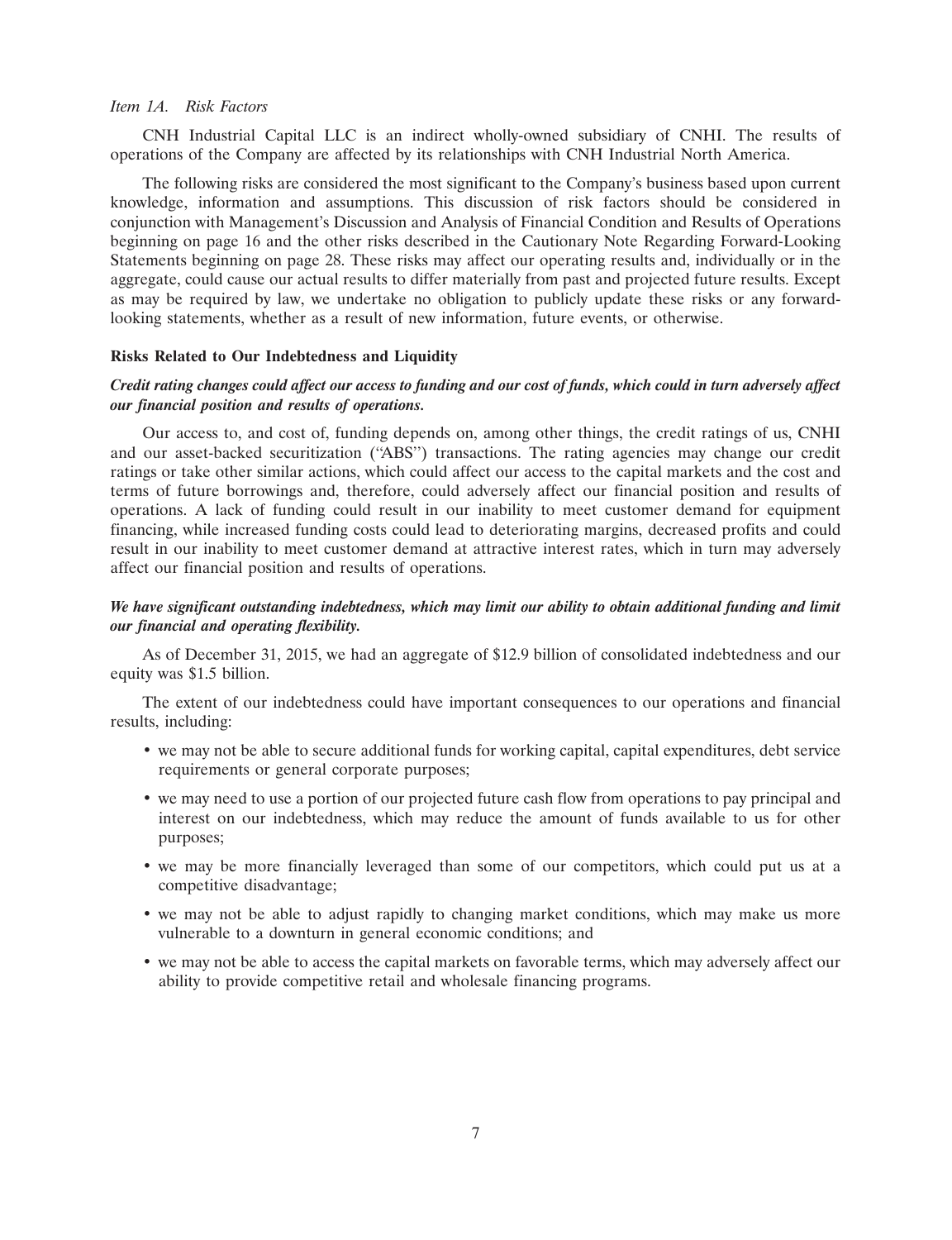## *Item 1A. Risk Factors*

CNH Industrial Capital LLC is an indirect wholly-owned subsidiary of CNHI. The results of operations of the Company are affected by its relationships with CNH Industrial North America.

The following risks are considered the most significant to the Company's business based upon current knowledge, information and assumptions. This discussion of risk factors should be considered in conjunction with Management's Discussion and Analysis of Financial Condition and Results of Operations beginning on page 16 and the other risks described in the Cautionary Note Regarding Forward-Looking Statements beginning on page 28. These risks may affect our operating results and, individually or in the aggregate, could cause our actual results to differ materially from past and projected future results. Except as may be required by law, we undertake no obligation to publicly update these risks or any forwardlooking statements, whether as a result of new information, future events, or otherwise.

## **Risks Related to Our Indebtedness and Liquidity**

## *Credit rating changes could affect our access to funding and our cost of funds, which could in turn adversely affect our financial position and results of operations.*

Our access to, and cost of, funding depends on, among other things, the credit ratings of us, CNHI and our asset-backed securitization (''ABS'') transactions. The rating agencies may change our credit ratings or take other similar actions, which could affect our access to the capital markets and the cost and terms of future borrowings and, therefore, could adversely affect our financial position and results of operations. A lack of funding could result in our inability to meet customer demand for equipment financing, while increased funding costs could lead to deteriorating margins, decreased profits and could result in our inability to meet customer demand at attractive interest rates, which in turn may adversely affect our financial position and results of operations.

## *We have significant outstanding indebtedness, which may limit our ability to obtain additional funding and limit our financial and operating flexibility.*

As of December 31, 2015, we had an aggregate of \$12.9 billion of consolidated indebtedness and our equity was \$1.5 billion.

The extent of our indebtedness could have important consequences to our operations and financial results, including:

- we may not be able to secure additional funds for working capital, capital expenditures, debt service requirements or general corporate purposes;
- we may need to use a portion of our projected future cash flow from operations to pay principal and interest on our indebtedness, which may reduce the amount of funds available to us for other purposes;
- we may be more financially leveraged than some of our competitors, which could put us at a competitive disadvantage;
- we may not be able to adjust rapidly to changing market conditions, which may make us more vulnerable to a downturn in general economic conditions; and
- we may not be able to access the capital markets on favorable terms, which may adversely affect our ability to provide competitive retail and wholesale financing programs.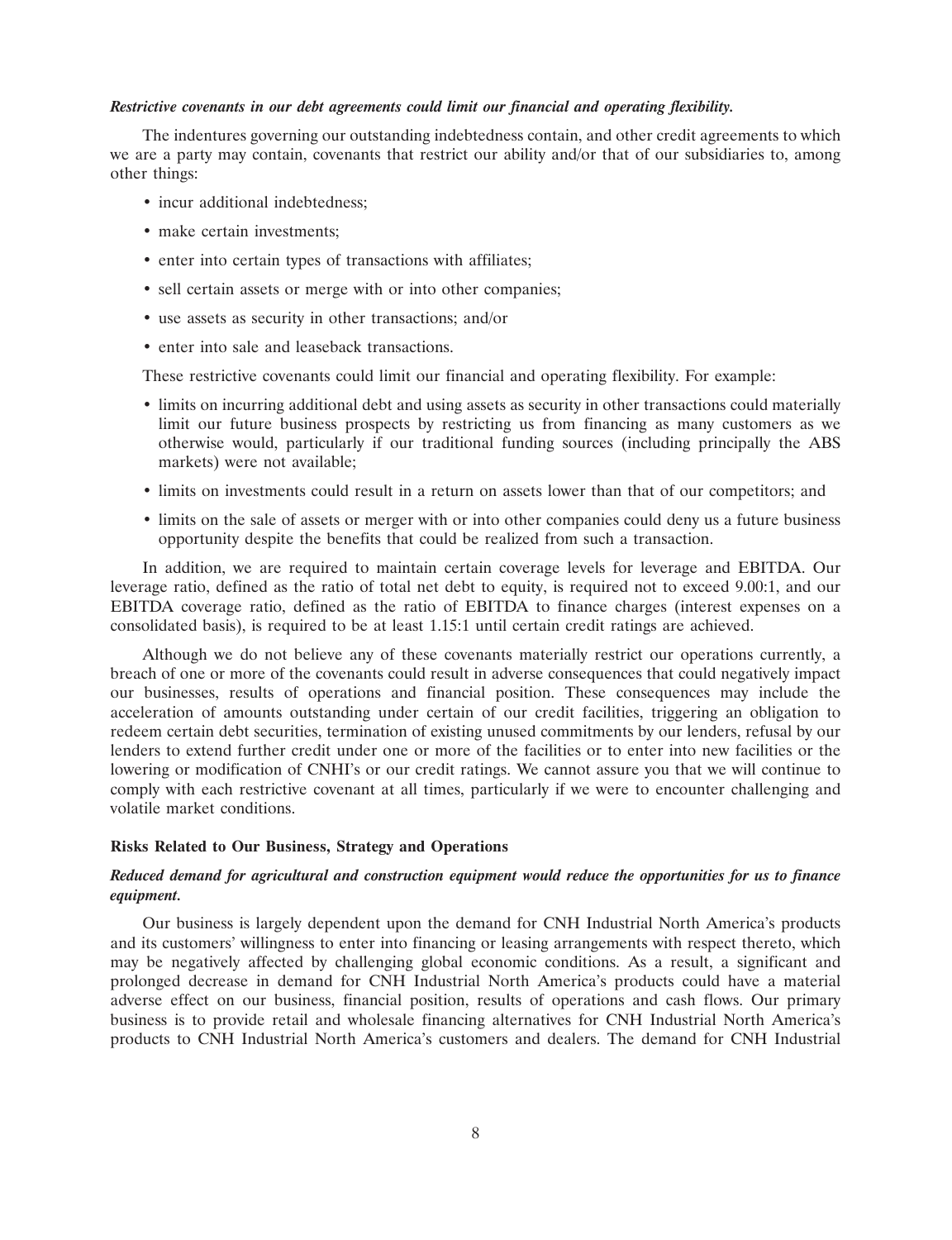#### *Restrictive covenants in our debt agreements could limit our financial and operating flexibility.*

The indentures governing our outstanding indebtedness contain, and other credit agreements to which we are a party may contain, covenants that restrict our ability and/or that of our subsidiaries to, among other things:

- incur additional indebtedness:
- make certain investments:
- enter into certain types of transactions with affiliates;
- sell certain assets or merge with or into other companies;
- use assets as security in other transactions; and/or
- enter into sale and leaseback transactions.

These restrictive covenants could limit our financial and operating flexibility. For example:

- limits on incurring additional debt and using assets as security in other transactions could materially limit our future business prospects by restricting us from financing as many customers as we otherwise would, particularly if our traditional funding sources (including principally the ABS markets) were not available;
- limits on investments could result in a return on assets lower than that of our competitors; and
- limits on the sale of assets or merger with or into other companies could deny us a future business opportunity despite the benefits that could be realized from such a transaction.

In addition, we are required to maintain certain coverage levels for leverage and EBITDA. Our leverage ratio, defined as the ratio of total net debt to equity, is required not to exceed 9.00:1, and our EBITDA coverage ratio, defined as the ratio of EBITDA to finance charges (interest expenses on a consolidated basis), is required to be at least 1.15:1 until certain credit ratings are achieved.

Although we do not believe any of these covenants materially restrict our operations currently, a breach of one or more of the covenants could result in adverse consequences that could negatively impact our businesses, results of operations and financial position. These consequences may include the acceleration of amounts outstanding under certain of our credit facilities, triggering an obligation to redeem certain debt securities, termination of existing unused commitments by our lenders, refusal by our lenders to extend further credit under one or more of the facilities or to enter into new facilities or the lowering or modification of CNHI's or our credit ratings. We cannot assure you that we will continue to comply with each restrictive covenant at all times, particularly if we were to encounter challenging and volatile market conditions.

#### **Risks Related to Our Business, Strategy and Operations**

## *Reduced demand for agricultural and construction equipment would reduce the opportunities for us to finance equipment.*

Our business is largely dependent upon the demand for CNH Industrial North America's products and its customers' willingness to enter into financing or leasing arrangements with respect thereto, which may be negatively affected by challenging global economic conditions. As a result, a significant and prolonged decrease in demand for CNH Industrial North America's products could have a material adverse effect on our business, financial position, results of operations and cash flows. Our primary business is to provide retail and wholesale financing alternatives for CNH Industrial North America's products to CNH Industrial North America's customers and dealers. The demand for CNH Industrial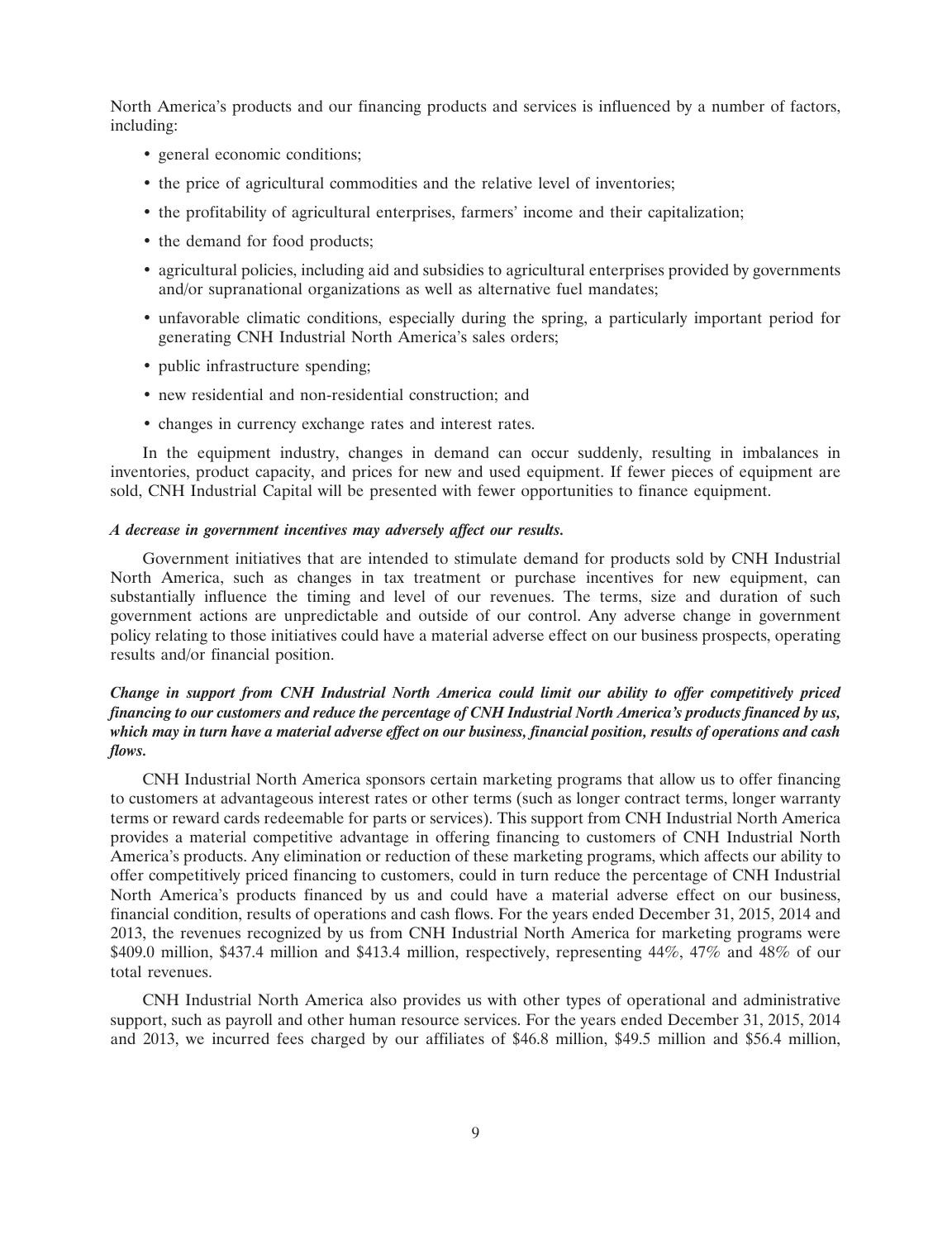North America's products and our financing products and services is influenced by a number of factors, including:

- general economic conditions;
- the price of agricultural commodities and the relative level of inventories;
- the profitability of agricultural enterprises, farmers' income and their capitalization;
- the demand for food products;
- agricultural policies, including aid and subsidies to agricultural enterprises provided by governments and/or supranational organizations as well as alternative fuel mandates;
- unfavorable climatic conditions, especially during the spring, a particularly important period for generating CNH Industrial North America's sales orders;
- public infrastructure spending;
- new residential and non-residential construction; and
- changes in currency exchange rates and interest rates.

In the equipment industry, changes in demand can occur suddenly, resulting in imbalances in inventories, product capacity, and prices for new and used equipment. If fewer pieces of equipment are sold, CNH Industrial Capital will be presented with fewer opportunities to finance equipment.

#### *A decrease in government incentives may adversely affect our results.*

Government initiatives that are intended to stimulate demand for products sold by CNH Industrial North America, such as changes in tax treatment or purchase incentives for new equipment, can substantially influence the timing and level of our revenues. The terms, size and duration of such government actions are unpredictable and outside of our control. Any adverse change in government policy relating to those initiatives could have a material adverse effect on our business prospects, operating results and/or financial position.

## *Change in support from CNH Industrial North America could limit our ability to offer competitively priced financing to our customers and reduce the percentage of CNH Industrial North America's products financed by us, which may in turn have a material adverse effect on our business, financial position, results of operations and cash flows.*

CNH Industrial North America sponsors certain marketing programs that allow us to offer financing to customers at advantageous interest rates or other terms (such as longer contract terms, longer warranty terms or reward cards redeemable for parts or services). This support from CNH Industrial North America provides a material competitive advantage in offering financing to customers of CNH Industrial North America's products. Any elimination or reduction of these marketing programs, which affects our ability to offer competitively priced financing to customers, could in turn reduce the percentage of CNH Industrial North America's products financed by us and could have a material adverse effect on our business, financial condition, results of operations and cash flows. For the years ended December 31, 2015, 2014 and 2013, the revenues recognized by us from CNH Industrial North America for marketing programs were \$409.0 million, \$437.4 million and \$413.4 million, respectively, representing 44%, 47% and 48% of our total revenues.

CNH Industrial North America also provides us with other types of operational and administrative support, such as payroll and other human resource services. For the years ended December 31, 2015, 2014 and 2013, we incurred fees charged by our affiliates of \$46.8 million, \$49.5 million and \$56.4 million,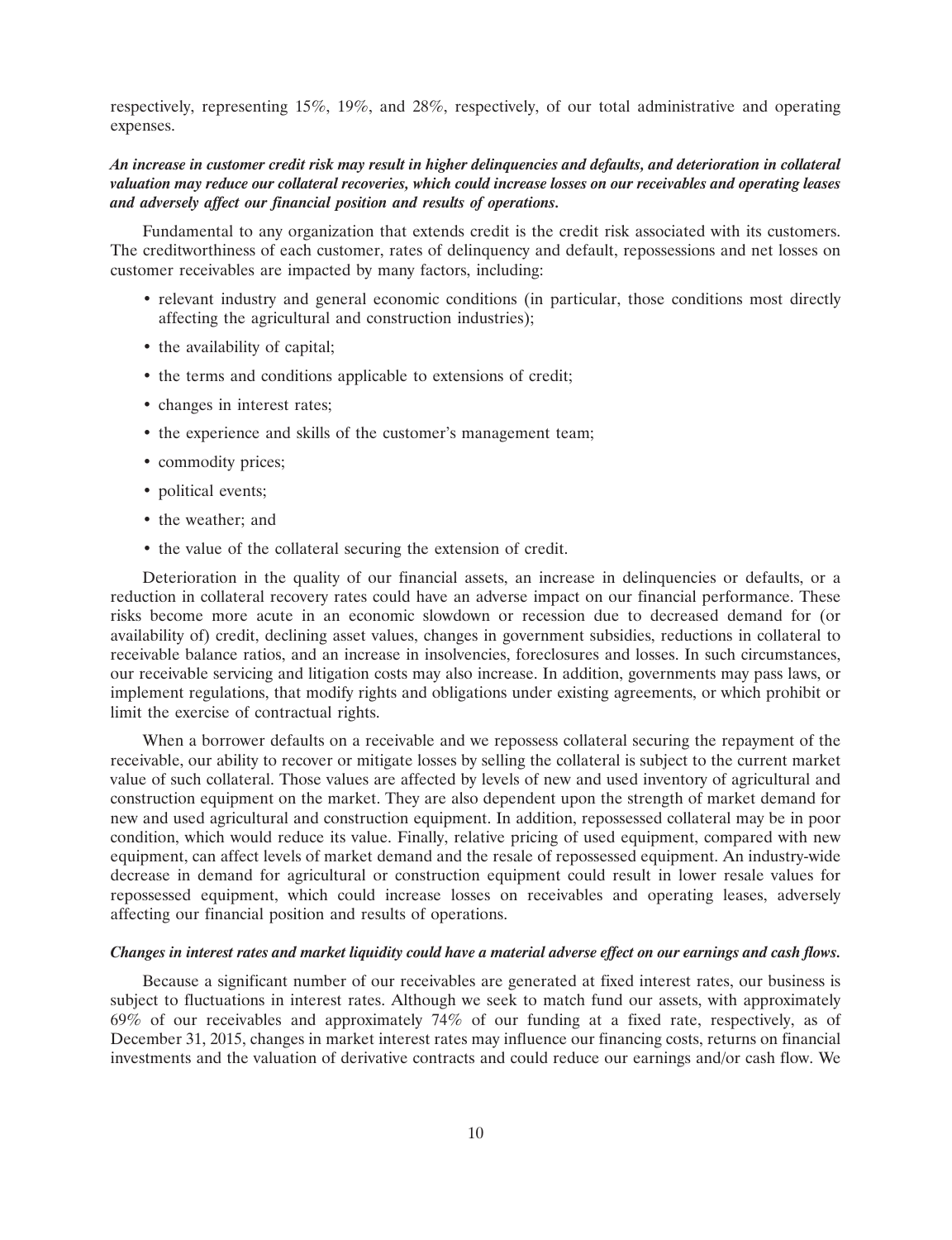respectively, representing 15%, 19%, and 28%, respectively, of our total administrative and operating expenses.

## *An increase in customer credit risk may result in higher delinquencies and defaults, and deterioration in collateral valuation may reduce our collateral recoveries, which could increase losses on our receivables and operating leases and adversely affect our financial position and results of operations.*

Fundamental to any organization that extends credit is the credit risk associated with its customers. The creditworthiness of each customer, rates of delinquency and default, repossessions and net losses on customer receivables are impacted by many factors, including:

- relevant industry and general economic conditions (in particular, those conditions most directly affecting the agricultural and construction industries);
- the availability of capital;
- the terms and conditions applicable to extensions of credit;
- changes in interest rates;
- the experience and skills of the customer's management team;
- commodity prices;
- political events;
- the weather; and
- the value of the collateral securing the extension of credit.

Deterioration in the quality of our financial assets, an increase in delinquencies or defaults, or a reduction in collateral recovery rates could have an adverse impact on our financial performance. These risks become more acute in an economic slowdown or recession due to decreased demand for (or availability of) credit, declining asset values, changes in government subsidies, reductions in collateral to receivable balance ratios, and an increase in insolvencies, foreclosures and losses. In such circumstances, our receivable servicing and litigation costs may also increase. In addition, governments may pass laws, or implement regulations, that modify rights and obligations under existing agreements, or which prohibit or limit the exercise of contractual rights.

When a borrower defaults on a receivable and we repossess collateral securing the repayment of the receivable, our ability to recover or mitigate losses by selling the collateral is subject to the current market value of such collateral. Those values are affected by levels of new and used inventory of agricultural and construction equipment on the market. They are also dependent upon the strength of market demand for new and used agricultural and construction equipment. In addition, repossessed collateral may be in poor condition, which would reduce its value. Finally, relative pricing of used equipment, compared with new equipment, can affect levels of market demand and the resale of repossessed equipment. An industry-wide decrease in demand for agricultural or construction equipment could result in lower resale values for repossessed equipment, which could increase losses on receivables and operating leases, adversely affecting our financial position and results of operations.

#### *Changes in interest rates and market liquidity could have a material adverse effect on our earnings and cash flows.*

Because a significant number of our receivables are generated at fixed interest rates, our business is subject to fluctuations in interest rates. Although we seek to match fund our assets, with approximately 69% of our receivables and approximately 74% of our funding at a fixed rate, respectively, as of December 31, 2015, changes in market interest rates may influence our financing costs, returns on financial investments and the valuation of derivative contracts and could reduce our earnings and/or cash flow. We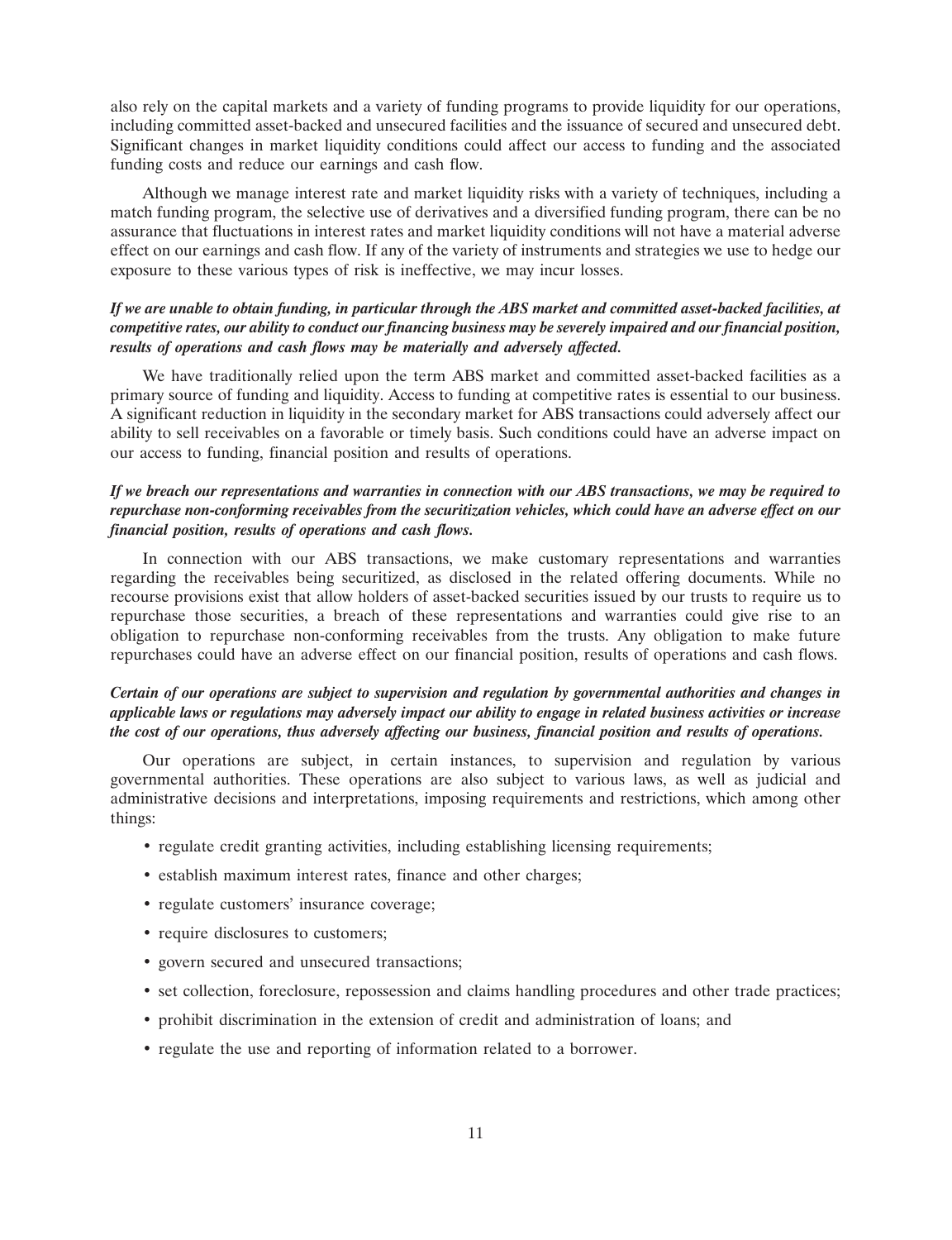also rely on the capital markets and a variety of funding programs to provide liquidity for our operations, including committed asset-backed and unsecured facilities and the issuance of secured and unsecured debt. Significant changes in market liquidity conditions could affect our access to funding and the associated funding costs and reduce our earnings and cash flow.

Although we manage interest rate and market liquidity risks with a variety of techniques, including a match funding program, the selective use of derivatives and a diversified funding program, there can be no assurance that fluctuations in interest rates and market liquidity conditions will not have a material adverse effect on our earnings and cash flow. If any of the variety of instruments and strategies we use to hedge our exposure to these various types of risk is ineffective, we may incur losses.

## *If we are unable to obtain funding, in particular through the ABS market and committed asset-backed facilities, at competitive rates, our ability to conduct our financing business may be severely impaired and our financial position, results of operations and cash flows may be materially and adversely affected.*

We have traditionally relied upon the term ABS market and committed asset-backed facilities as a primary source of funding and liquidity. Access to funding at competitive rates is essential to our business. A significant reduction in liquidity in the secondary market for ABS transactions could adversely affect our ability to sell receivables on a favorable or timely basis. Such conditions could have an adverse impact on our access to funding, financial position and results of operations.

## *If we breach our representations and warranties in connection with our ABS transactions, we may be required to repurchase non-conforming receivables from the securitization vehicles, which could have an adverse effect on our financial position, results of operations and cash flows.*

In connection with our ABS transactions, we make customary representations and warranties regarding the receivables being securitized, as disclosed in the related offering documents. While no recourse provisions exist that allow holders of asset-backed securities issued by our trusts to require us to repurchase those securities, a breach of these representations and warranties could give rise to an obligation to repurchase non-conforming receivables from the trusts. Any obligation to make future repurchases could have an adverse effect on our financial position, results of operations and cash flows.

## *Certain of our operations are subject to supervision and regulation by governmental authorities and changes in applicable laws or regulations may adversely impact our ability to engage in related business activities or increase the cost of our operations, thus adversely affecting our business, financial position and results of operations.*

Our operations are subject, in certain instances, to supervision and regulation by various governmental authorities. These operations are also subject to various laws, as well as judicial and administrative decisions and interpretations, imposing requirements and restrictions, which among other things:

- regulate credit granting activities, including establishing licensing requirements;
- establish maximum interest rates, finance and other charges;
- regulate customers' insurance coverage;
- require disclosures to customers;
- govern secured and unsecured transactions;
- set collection, foreclosure, repossession and claims handling procedures and other trade practices;
- prohibit discrimination in the extension of credit and administration of loans; and
- regulate the use and reporting of information related to a borrower.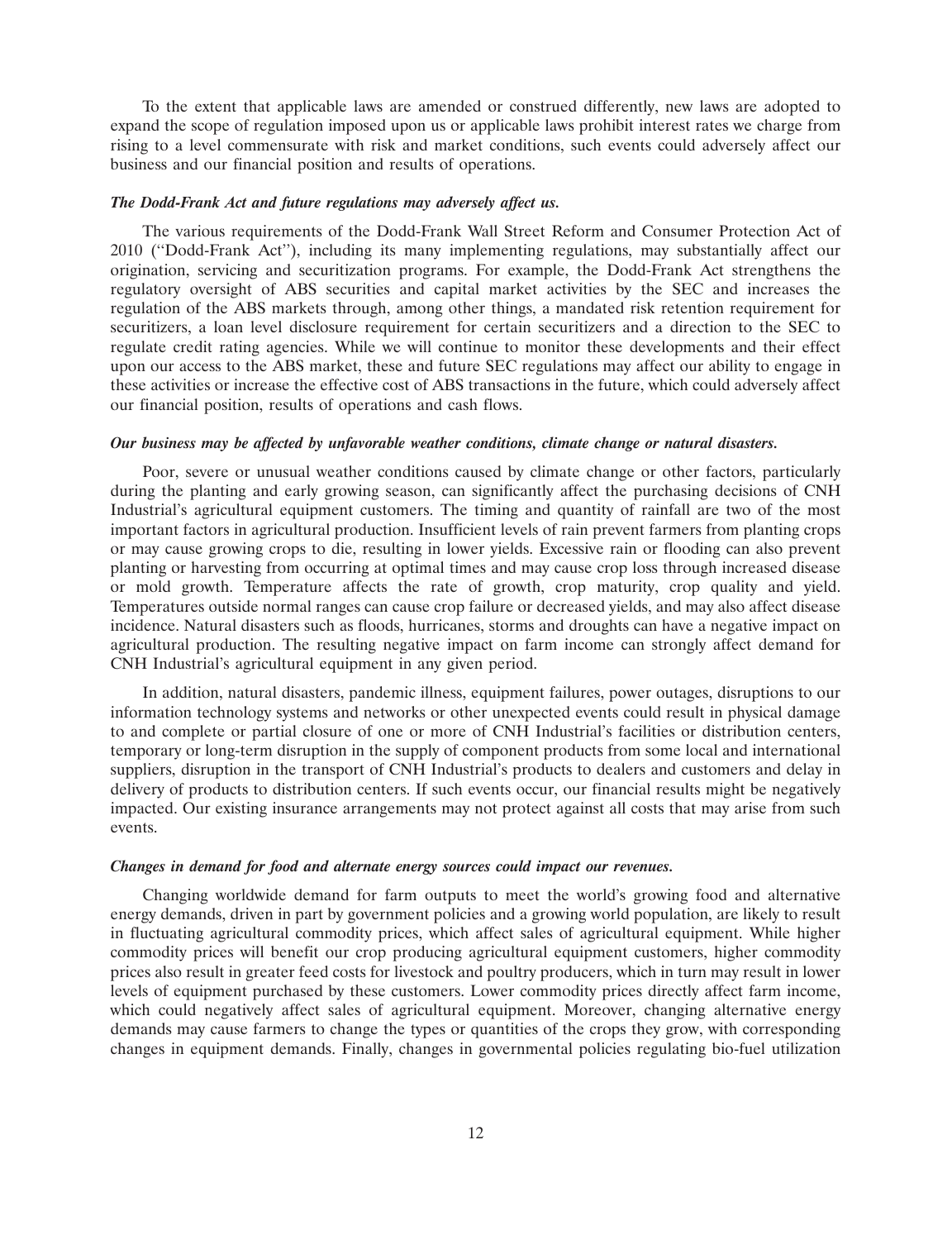To the extent that applicable laws are amended or construed differently, new laws are adopted to expand the scope of regulation imposed upon us or applicable laws prohibit interest rates we charge from rising to a level commensurate with risk and market conditions, such events could adversely affect our business and our financial position and results of operations.

#### *The Dodd-Frank Act and future regulations may adversely affect us.*

The various requirements of the Dodd-Frank Wall Street Reform and Consumer Protection Act of 2010 (''Dodd-Frank Act''), including its many implementing regulations, may substantially affect our origination, servicing and securitization programs. For example, the Dodd-Frank Act strengthens the regulatory oversight of ABS securities and capital market activities by the SEC and increases the regulation of the ABS markets through, among other things, a mandated risk retention requirement for securitizers, a loan level disclosure requirement for certain securitizers and a direction to the SEC to regulate credit rating agencies. While we will continue to monitor these developments and their effect upon our access to the ABS market, these and future SEC regulations may affect our ability to engage in these activities or increase the effective cost of ABS transactions in the future, which could adversely affect our financial position, results of operations and cash flows.

#### *Our business may be affected by unfavorable weather conditions, climate change or natural disasters.*

Poor, severe or unusual weather conditions caused by climate change or other factors, particularly during the planting and early growing season, can significantly affect the purchasing decisions of CNH Industrial's agricultural equipment customers. The timing and quantity of rainfall are two of the most important factors in agricultural production. Insufficient levels of rain prevent farmers from planting crops or may cause growing crops to die, resulting in lower yields. Excessive rain or flooding can also prevent planting or harvesting from occurring at optimal times and may cause crop loss through increased disease or mold growth. Temperature affects the rate of growth, crop maturity, crop quality and yield. Temperatures outside normal ranges can cause crop failure or decreased yields, and may also affect disease incidence. Natural disasters such as floods, hurricanes, storms and droughts can have a negative impact on agricultural production. The resulting negative impact on farm income can strongly affect demand for CNH Industrial's agricultural equipment in any given period.

In addition, natural disasters, pandemic illness, equipment failures, power outages, disruptions to our information technology systems and networks or other unexpected events could result in physical damage to and complete or partial closure of one or more of CNH Industrial's facilities or distribution centers, temporary or long-term disruption in the supply of component products from some local and international suppliers, disruption in the transport of CNH Industrial's products to dealers and customers and delay in delivery of products to distribution centers. If such events occur, our financial results might be negatively impacted. Our existing insurance arrangements may not protect against all costs that may arise from such events.

#### *Changes in demand for food and alternate energy sources could impact our revenues.*

Changing worldwide demand for farm outputs to meet the world's growing food and alternative energy demands, driven in part by government policies and a growing world population, are likely to result in fluctuating agricultural commodity prices, which affect sales of agricultural equipment. While higher commodity prices will benefit our crop producing agricultural equipment customers, higher commodity prices also result in greater feed costs for livestock and poultry producers, which in turn may result in lower levels of equipment purchased by these customers. Lower commodity prices directly affect farm income, which could negatively affect sales of agricultural equipment. Moreover, changing alternative energy demands may cause farmers to change the types or quantities of the crops they grow, with corresponding changes in equipment demands. Finally, changes in governmental policies regulating bio-fuel utilization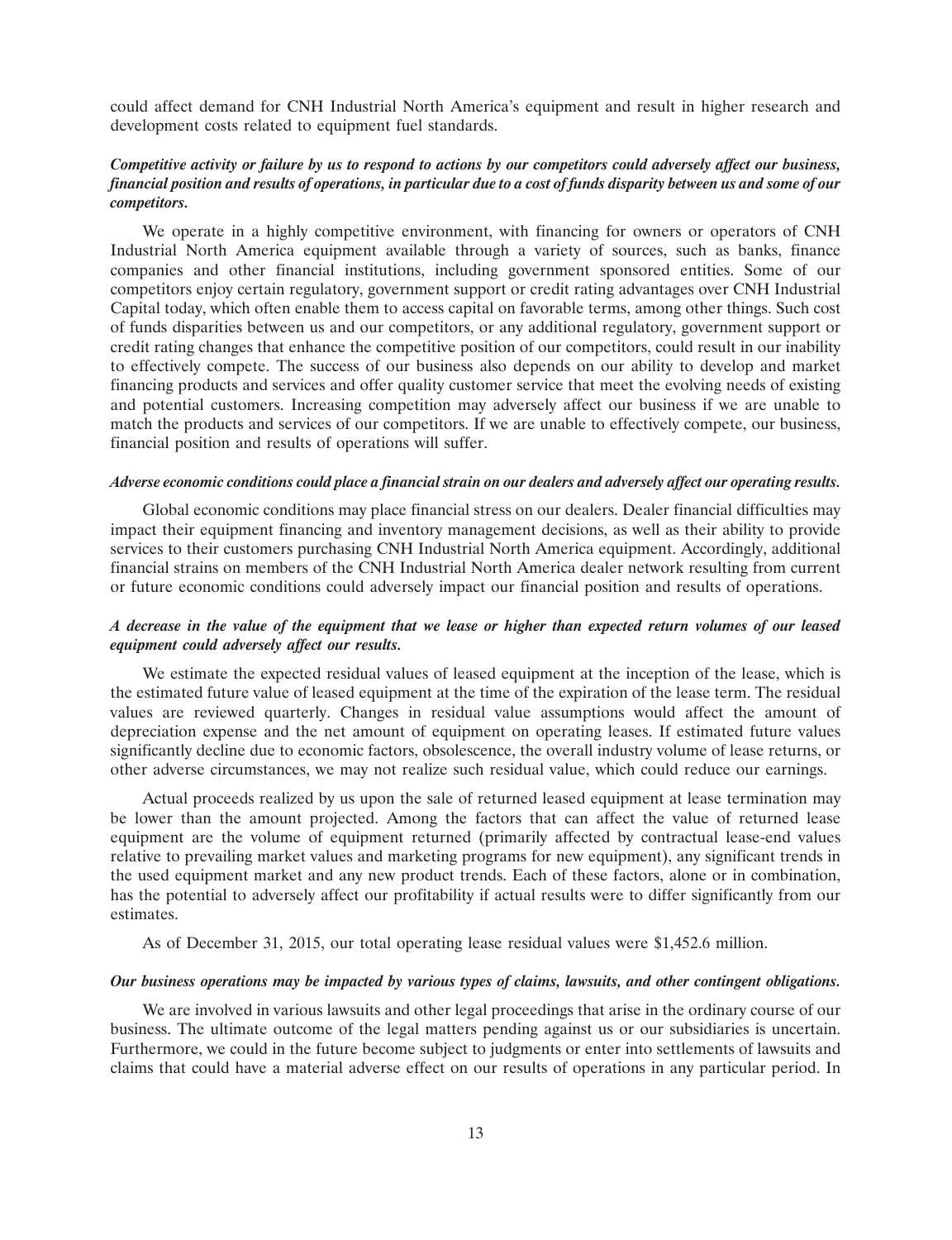could affect demand for CNH Industrial North America's equipment and result in higher research and development costs related to equipment fuel standards.

## *Competitive activity or failure by us to respond to actions by our competitors could adversely affect our business, financial position and results of operations, in particular due to a cost of funds disparity between us and some of our competitors.*

We operate in a highly competitive environment, with financing for owners or operators of CNH Industrial North America equipment available through a variety of sources, such as banks, finance companies and other financial institutions, including government sponsored entities. Some of our competitors enjoy certain regulatory, government support or credit rating advantages over CNH Industrial Capital today, which often enable them to access capital on favorable terms, among other things. Such cost of funds disparities between us and our competitors, or any additional regulatory, government support or credit rating changes that enhance the competitive position of our competitors, could result in our inability to effectively compete. The success of our business also depends on our ability to develop and market financing products and services and offer quality customer service that meet the evolving needs of existing and potential customers. Increasing competition may adversely affect our business if we are unable to match the products and services of our competitors. If we are unable to effectively compete, our business, financial position and results of operations will suffer.

## *Adverse economic conditions could place a financial strain on our dealers and adversely affect our operating results.*

Global economic conditions may place financial stress on our dealers. Dealer financial difficulties may impact their equipment financing and inventory management decisions, as well as their ability to provide services to their customers purchasing CNH Industrial North America equipment. Accordingly, additional financial strains on members of the CNH Industrial North America dealer network resulting from current or future economic conditions could adversely impact our financial position and results of operations.

## *A decrease in the value of the equipment that we lease or higher than expected return volumes of our leased equipment could adversely affect our results.*

We estimate the expected residual values of leased equipment at the inception of the lease, which is the estimated future value of leased equipment at the time of the expiration of the lease term. The residual values are reviewed quarterly. Changes in residual value assumptions would affect the amount of depreciation expense and the net amount of equipment on operating leases. If estimated future values significantly decline due to economic factors, obsolescence, the overall industry volume of lease returns, or other adverse circumstances, we may not realize such residual value, which could reduce our earnings.

Actual proceeds realized by us upon the sale of returned leased equipment at lease termination may be lower than the amount projected. Among the factors that can affect the value of returned lease equipment are the volume of equipment returned (primarily affected by contractual lease-end values relative to prevailing market values and marketing programs for new equipment), any significant trends in the used equipment market and any new product trends. Each of these factors, alone or in combination, has the potential to adversely affect our profitability if actual results were to differ significantly from our estimates.

As of December 31, 2015, our total operating lease residual values were \$1,452.6 million.

## *Our business operations may be impacted by various types of claims, lawsuits, and other contingent obligations.*

We are involved in various lawsuits and other legal proceedings that arise in the ordinary course of our business. The ultimate outcome of the legal matters pending against us or our subsidiaries is uncertain. Furthermore, we could in the future become subject to judgments or enter into settlements of lawsuits and claims that could have a material adverse effect on our results of operations in any particular period. In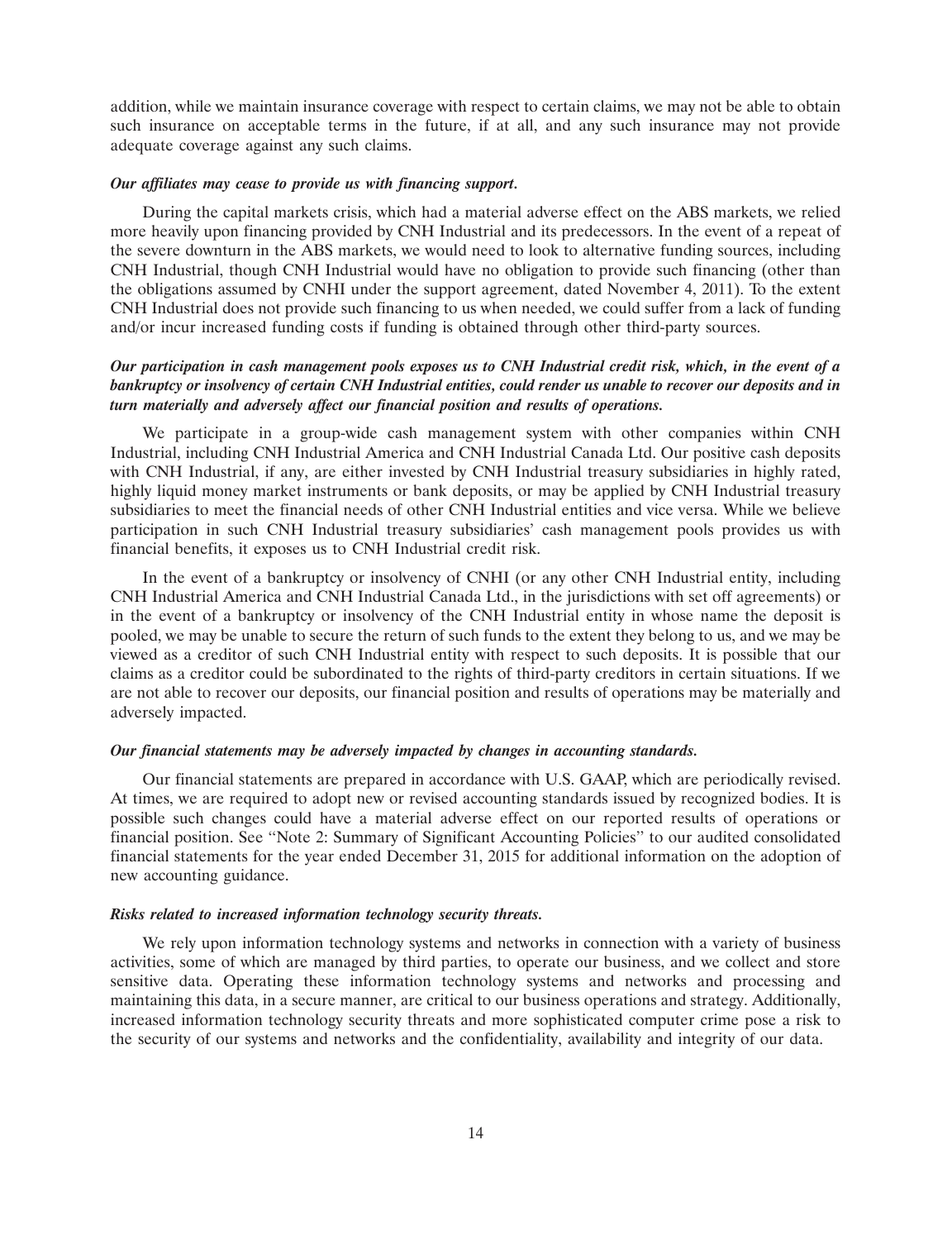addition, while we maintain insurance coverage with respect to certain claims, we may not be able to obtain such insurance on acceptable terms in the future, if at all, and any such insurance may not provide adequate coverage against any such claims.

#### *Our affiliates may cease to provide us with financing support.*

During the capital markets crisis, which had a material adverse effect on the ABS markets, we relied more heavily upon financing provided by CNH Industrial and its predecessors. In the event of a repeat of the severe downturn in the ABS markets, we would need to look to alternative funding sources, including CNH Industrial, though CNH Industrial would have no obligation to provide such financing (other than the obligations assumed by CNHI under the support agreement, dated November 4, 2011). To the extent CNH Industrial does not provide such financing to us when needed, we could suffer from a lack of funding and/or incur increased funding costs if funding is obtained through other third-party sources.

## *Our participation in cash management pools exposes us to CNH Industrial credit risk, which, in the event of a bankruptcy or insolvency of certain CNH Industrial entities, could render us unable to recover our deposits and in turn materially and adversely affect our financial position and results of operations.*

We participate in a group-wide cash management system with other companies within CNH Industrial, including CNH Industrial America and CNH Industrial Canada Ltd. Our positive cash deposits with CNH Industrial, if any, are either invested by CNH Industrial treasury subsidiaries in highly rated, highly liquid money market instruments or bank deposits, or may be applied by CNH Industrial treasury subsidiaries to meet the financial needs of other CNH Industrial entities and vice versa. While we believe participation in such CNH Industrial treasury subsidiaries' cash management pools provides us with financial benefits, it exposes us to CNH Industrial credit risk.

In the event of a bankruptcy or insolvency of CNHI (or any other CNH Industrial entity, including CNH Industrial America and CNH Industrial Canada Ltd., in the jurisdictions with set off agreements) or in the event of a bankruptcy or insolvency of the CNH Industrial entity in whose name the deposit is pooled, we may be unable to secure the return of such funds to the extent they belong to us, and we may be viewed as a creditor of such CNH Industrial entity with respect to such deposits. It is possible that our claims as a creditor could be subordinated to the rights of third-party creditors in certain situations. If we are not able to recover our deposits, our financial position and results of operations may be materially and adversely impacted.

#### *Our financial statements may be adversely impacted by changes in accounting standards.*

Our financial statements are prepared in accordance with U.S. GAAP, which are periodically revised. At times, we are required to adopt new or revised accounting standards issued by recognized bodies. It is possible such changes could have a material adverse effect on our reported results of operations or financial position. See ''Note 2: Summary of Significant Accounting Policies'' to our audited consolidated financial statements for the year ended December 31, 2015 for additional information on the adoption of new accounting guidance.

### *Risks related to increased information technology security threats.*

We rely upon information technology systems and networks in connection with a variety of business activities, some of which are managed by third parties, to operate our business, and we collect and store sensitive data. Operating these information technology systems and networks and processing and maintaining this data, in a secure manner, are critical to our business operations and strategy. Additionally, increased information technology security threats and more sophisticated computer crime pose a risk to the security of our systems and networks and the confidentiality, availability and integrity of our data.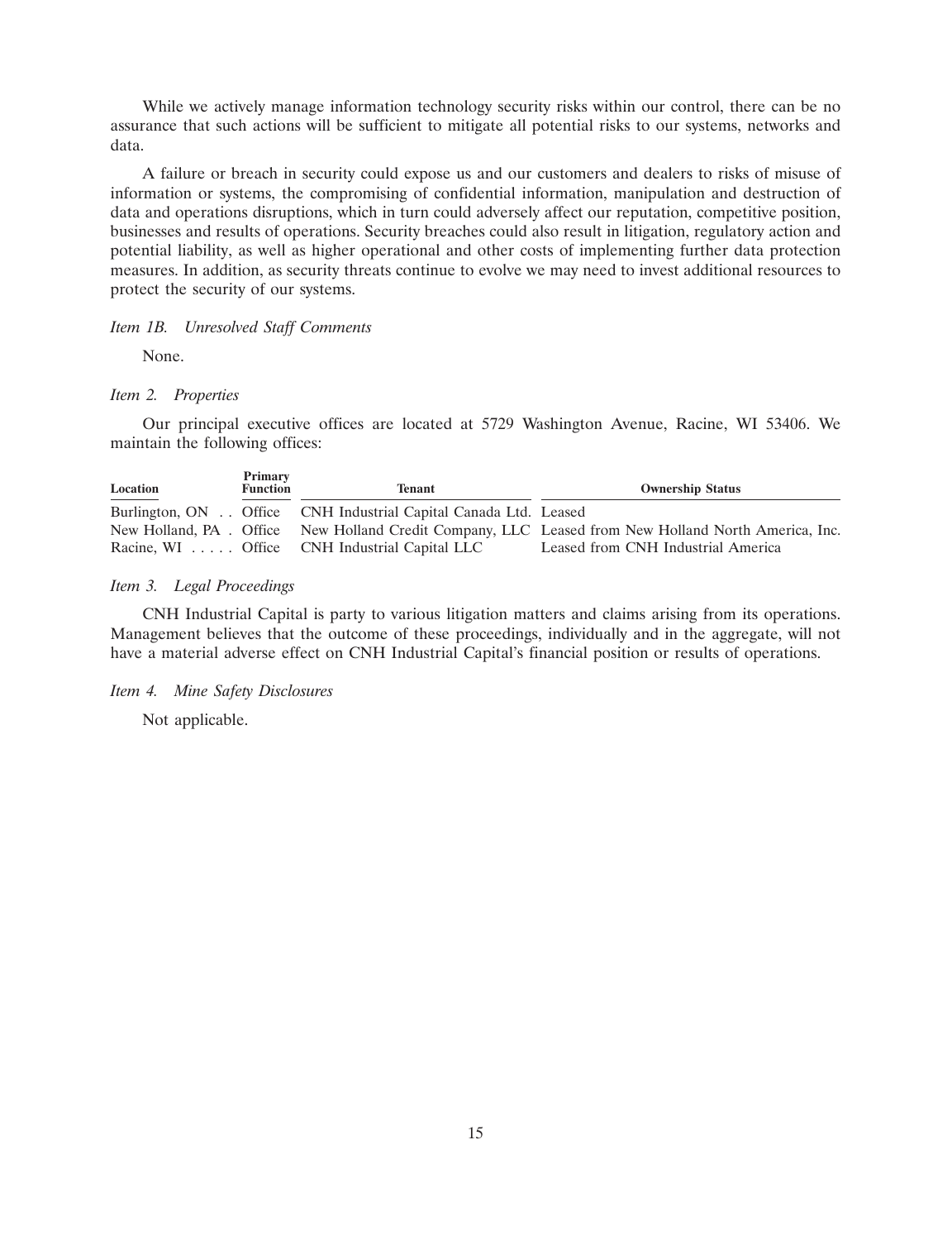While we actively manage information technology security risks within our control, there can be no assurance that such actions will be sufficient to mitigate all potential risks to our systems, networks and data.

A failure or breach in security could expose us and our customers and dealers to risks of misuse of information or systems, the compromising of confidential information, manipulation and destruction of data and operations disruptions, which in turn could adversely affect our reputation, competitive position, businesses and results of operations. Security breaches could also result in litigation, regulatory action and potential liability, as well as higher operational and other costs of implementing further data protection measures. In addition, as security threats continue to evolve we may need to invest additional resources to protect the security of our systems.

#### *Item 1B. Unresolved Staff Comments*

None.

## *Item 2. Properties*

Our principal executive offices are located at 5729 Washington Avenue, Racine, WI 53406. We maintain the following offices:

| Location | <b>Primary</b><br><b>Function</b> | Tenant                                                          | <b>Ownership Status</b>                                                                             |
|----------|-----------------------------------|-----------------------------------------------------------------|-----------------------------------------------------------------------------------------------------|
|          |                                   | Burlington, ON Office CNH Industrial Capital Canada Ltd. Leased |                                                                                                     |
|          |                                   |                                                                 | New Holland, PA. Office New Holland Credit Company, LLC Leased from New Holland North America, Inc. |
|          |                                   | Racine, WI Office CNH Industrial Capital LLC                    | Leased from CNH Industrial America                                                                  |

#### *Item 3. Legal Proceedings*

CNH Industrial Capital is party to various litigation matters and claims arising from its operations. Management believes that the outcome of these proceedings, individually and in the aggregate, will not have a material adverse effect on CNH Industrial Capital's financial position or results of operations.

#### *Item 4. Mine Safety Disclosures*

Not applicable.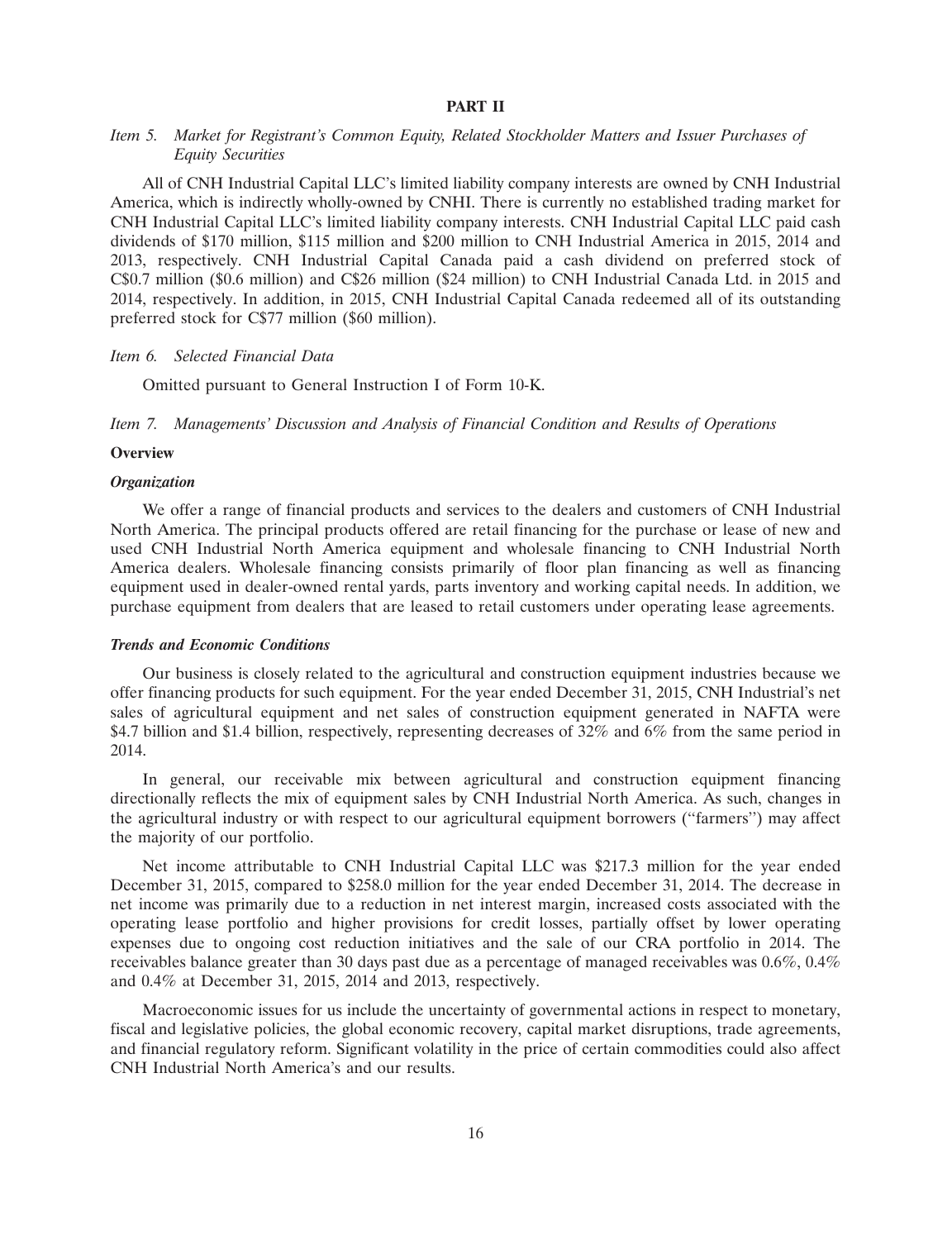#### **PART II**

## *Item 5. Market for Registrant's Common Equity, Related Stockholder Matters and Issuer Purchases of Equity Securities*

All of CNH Industrial Capital LLC's limited liability company interests are owned by CNH Industrial America, which is indirectly wholly-owned by CNHI. There is currently no established trading market for CNH Industrial Capital LLC's limited liability company interests. CNH Industrial Capital LLC paid cash dividends of \$170 million, \$115 million and \$200 million to CNH Industrial America in 2015, 2014 and 2013, respectively. CNH Industrial Capital Canada paid a cash dividend on preferred stock of C\$0.7 million (\$0.6 million) and C\$26 million (\$24 million) to CNH Industrial Canada Ltd. in 2015 and 2014, respectively. In addition, in 2015, CNH Industrial Capital Canada redeemed all of its outstanding preferred stock for C\$77 million (\$60 million).

#### *Item 6. Selected Financial Data*

Omitted pursuant to General Instruction I of Form 10-K.

#### *Item 7. Managements' Discussion and Analysis of Financial Condition and Results of Operations*

#### **Overview**

#### *Organization*

We offer a range of financial products and services to the dealers and customers of CNH Industrial North America. The principal products offered are retail financing for the purchase or lease of new and used CNH Industrial North America equipment and wholesale financing to CNH Industrial North America dealers. Wholesale financing consists primarily of floor plan financing as well as financing equipment used in dealer-owned rental yards, parts inventory and working capital needs. In addition, we purchase equipment from dealers that are leased to retail customers under operating lease agreements.

#### *Trends and Economic Conditions*

Our business is closely related to the agricultural and construction equipment industries because we offer financing products for such equipment. For the year ended December 31, 2015, CNH Industrial's net sales of agricultural equipment and net sales of construction equipment generated in NAFTA were \$4.7 billion and \$1.4 billion, respectively, representing decreases of 32% and 6% from the same period in 2014.

In general, our receivable mix between agricultural and construction equipment financing directionally reflects the mix of equipment sales by CNH Industrial North America. As such, changes in the agricultural industry or with respect to our agricultural equipment borrowers (''farmers'') may affect the majority of our portfolio.

Net income attributable to CNH Industrial Capital LLC was \$217.3 million for the year ended December 31, 2015, compared to \$258.0 million for the year ended December 31, 2014. The decrease in net income was primarily due to a reduction in net interest margin, increased costs associated with the operating lease portfolio and higher provisions for credit losses, partially offset by lower operating expenses due to ongoing cost reduction initiatives and the sale of our CRA portfolio in 2014. The receivables balance greater than 30 days past due as a percentage of managed receivables was 0.6%, 0.4% and 0.4% at December 31, 2015, 2014 and 2013, respectively.

Macroeconomic issues for us include the uncertainty of governmental actions in respect to monetary, fiscal and legislative policies, the global economic recovery, capital market disruptions, trade agreements, and financial regulatory reform. Significant volatility in the price of certain commodities could also affect CNH Industrial North America's and our results.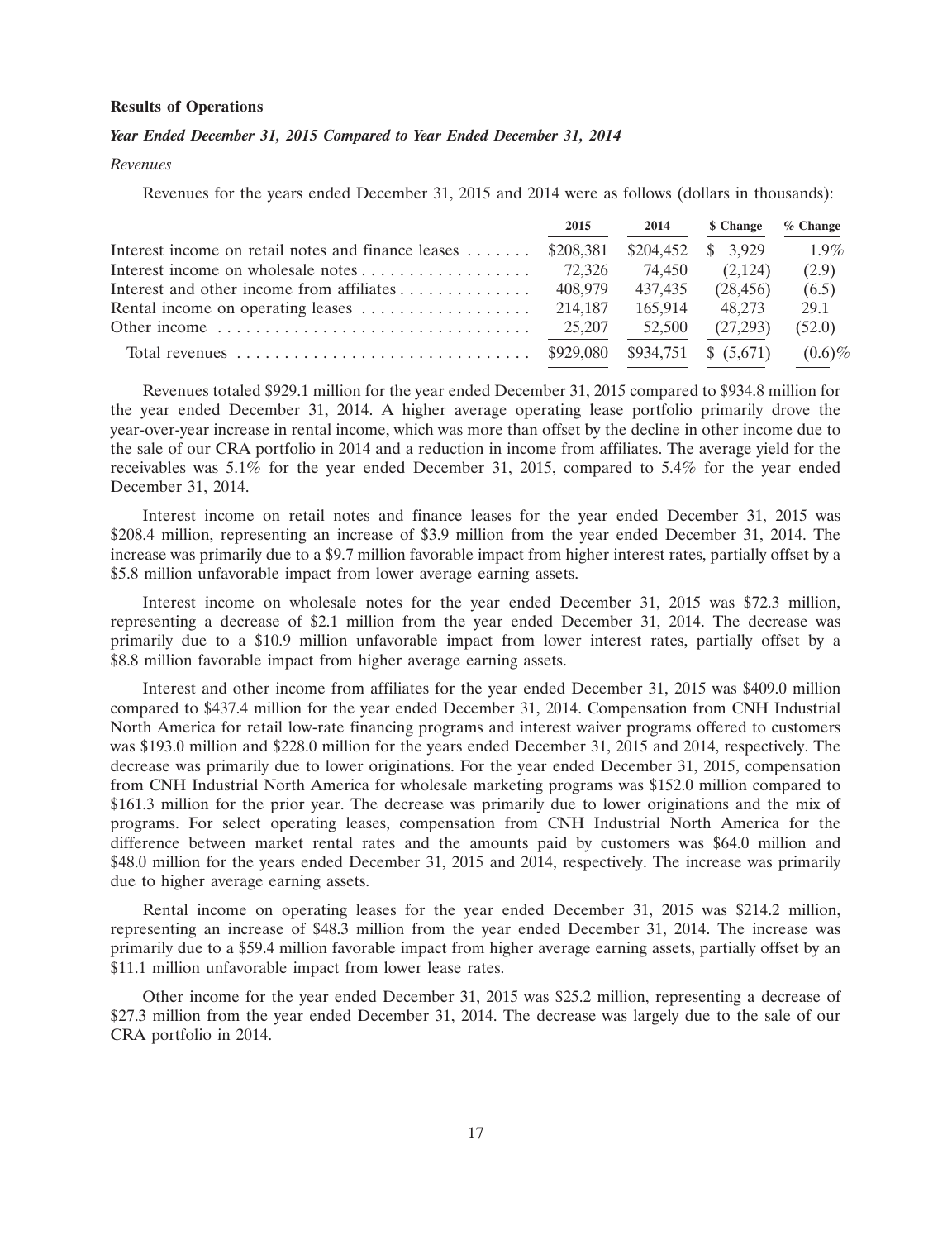#### **Results of Operations**

#### *Year Ended December 31, 2015 Compared to Year Ended December 31, 2014*

#### *Revenues*

Revenues for the years ended December 31, 2015 and 2014 were as follows (dollars in thousands):

|                                                                     | 2015      | 2014      | \$ Change  | $%$ Change |
|---------------------------------------------------------------------|-----------|-----------|------------|------------|
| Interest income on retail notes and finance leases $\dots \dots$    | \$208,381 | \$204,452 | \$3.929    | $1.9\%$    |
|                                                                     | 72.326    | 74.450    | (2.124)    | (2.9)      |
| Interest and other income from affiliates $\dots \dots \dots \dots$ | 408,979   | 437.435   | (28, 456)  | (6.5)      |
| Rental income on operating leases                                   | 214,187   | 165,914   | 48.273     | 29.1       |
| Other income                                                        | 25,207    | 52,500    | (27,293)   | (52.0)     |
|                                                                     |           | \$934,751 | \$ (5,671) | $(0.6)\%$  |

Revenues totaled \$929.1 million for the year ended December 31, 2015 compared to \$934.8 million for the year ended December 31, 2014. A higher average operating lease portfolio primarily drove the year-over-year increase in rental income, which was more than offset by the decline in other income due to the sale of our CRA portfolio in 2014 and a reduction in income from affiliates. The average yield for the receivables was  $5.1\%$  for the year ended December 31, 2015, compared to  $5.4\%$  for the year ended December 31, 2014.

Interest income on retail notes and finance leases for the year ended December 31, 2015 was \$208.4 million, representing an increase of \$3.9 million from the year ended December 31, 2014. The increase was primarily due to a \$9.7 million favorable impact from higher interest rates, partially offset by a \$5.8 million unfavorable impact from lower average earning assets.

Interest income on wholesale notes for the year ended December 31, 2015 was \$72.3 million, representing a decrease of \$2.1 million from the year ended December 31, 2014. The decrease was primarily due to a \$10.9 million unfavorable impact from lower interest rates, partially offset by a \$8.8 million favorable impact from higher average earning assets.

Interest and other income from affiliates for the year ended December 31, 2015 was \$409.0 million compared to \$437.4 million for the year ended December 31, 2014. Compensation from CNH Industrial North America for retail low-rate financing programs and interest waiver programs offered to customers was \$193.0 million and \$228.0 million for the years ended December 31, 2015 and 2014, respectively. The decrease was primarily due to lower originations. For the year ended December 31, 2015, compensation from CNH Industrial North America for wholesale marketing programs was \$152.0 million compared to \$161.3 million for the prior year. The decrease was primarily due to lower originations and the mix of programs. For select operating leases, compensation from CNH Industrial North America for the difference between market rental rates and the amounts paid by customers was \$64.0 million and \$48.0 million for the years ended December 31, 2015 and 2014, respectively. The increase was primarily due to higher average earning assets.

Rental income on operating leases for the year ended December 31, 2015 was \$214.2 million, representing an increase of \$48.3 million from the year ended December 31, 2014. The increase was primarily due to a \$59.4 million favorable impact from higher average earning assets, partially offset by an \$11.1 million unfavorable impact from lower lease rates.

Other income for the year ended December 31, 2015 was \$25.2 million, representing a decrease of \$27.3 million from the year ended December 31, 2014. The decrease was largely due to the sale of our CRA portfolio in 2014.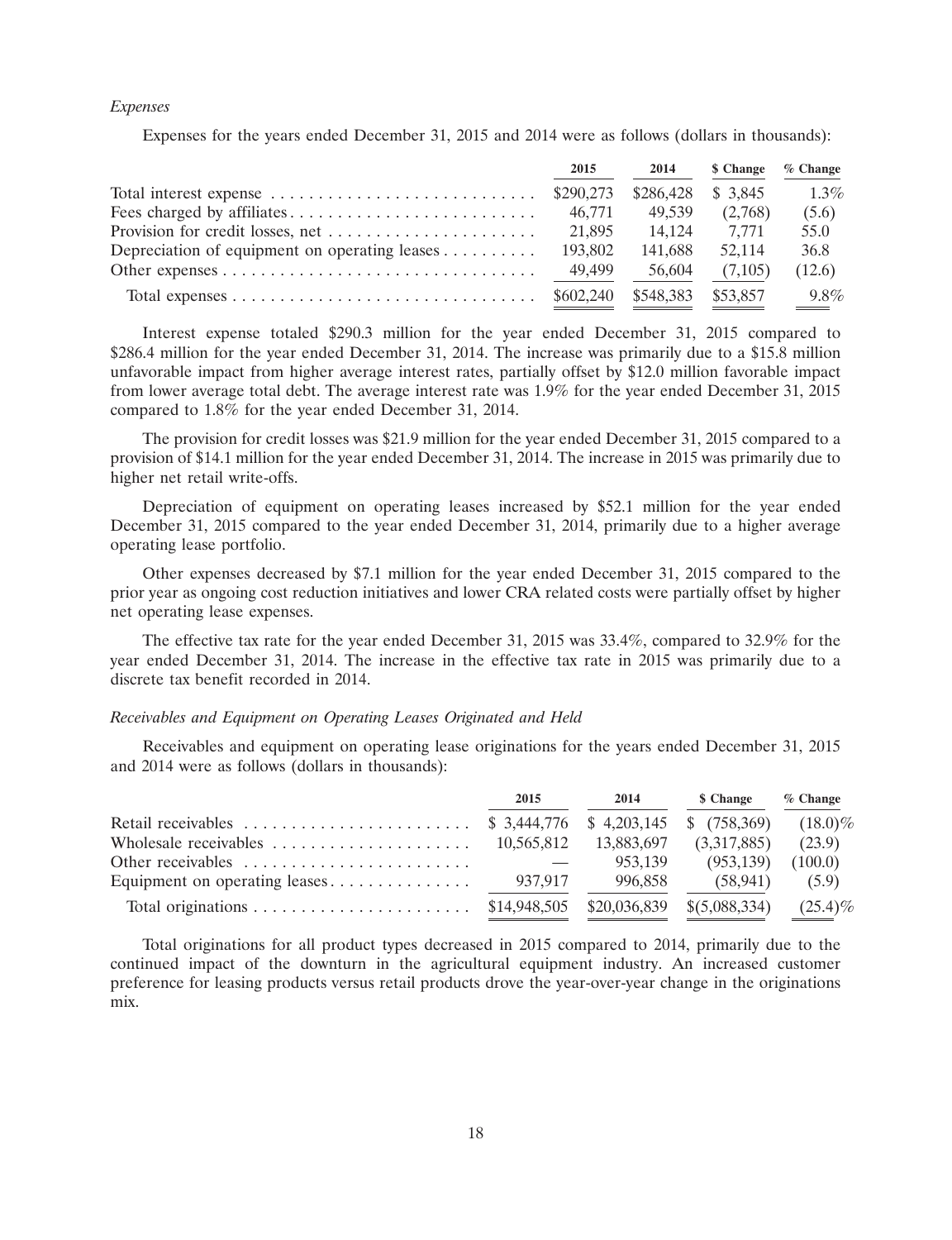#### *Expenses*

Expenses for the years ended December 31, 2015 and 2014 were as follows (dollars in thousands):

|                                                                                     | 2015    | 2014      | \$ Change | $%$ Change |
|-------------------------------------------------------------------------------------|---------|-----------|-----------|------------|
| Total interest expense $\ldots \ldots \ldots \ldots \ldots \ldots \ldots$ \$290,273 |         | \$286,428 | \$3.845   | $1.3\%$    |
|                                                                                     | 46.771  | 49.539    | (2,768)   | (5.6)      |
|                                                                                     | 21.895  | 14.124    | 7.771     | 55.0       |
| Depreciation of equipment on operating leases                                       | 193,802 | 141.688   | 52,114    | 36.8       |
|                                                                                     | 49.499  | 56,604    | (7,105)   | (12.6)     |
|                                                                                     |         | \$548,383 | \$53.857  | 9.8%       |

Interest expense totaled \$290.3 million for the year ended December 31, 2015 compared to \$286.4 million for the year ended December 31, 2014. The increase was primarily due to a \$15.8 million unfavorable impact from higher average interest rates, partially offset by \$12.0 million favorable impact from lower average total debt. The average interest rate was 1.9% for the year ended December 31, 2015 compared to 1.8% for the year ended December 31, 2014.

The provision for credit losses was \$21.9 million for the year ended December 31, 2015 compared to a provision of \$14.1 million for the year ended December 31, 2014. The increase in 2015 was primarily due to higher net retail write-offs.

Depreciation of equipment on operating leases increased by \$52.1 million for the year ended December 31, 2015 compared to the year ended December 31, 2014, primarily due to a higher average operating lease portfolio.

Other expenses decreased by \$7.1 million for the year ended December 31, 2015 compared to the prior year as ongoing cost reduction initiatives and lower CRA related costs were partially offset by higher net operating lease expenses.

The effective tax rate for the year ended December 31, 2015 was 33.4%, compared to 32.9% for the year ended December 31, 2014. The increase in the effective tax rate in 2015 was primarily due to a discrete tax benefit recorded in 2014.

#### *Receivables and Equipment on Operating Leases Originated and Held*

Receivables and equipment on operating lease originations for the years ended December 31, 2015 and 2014 were as follows (dollars in thousands):

|                                                                    | 2015       | 2014       | \$ Change   | $%$ Change |
|--------------------------------------------------------------------|------------|------------|-------------|------------|
|                                                                    |            |            |             | $(18.0)\%$ |
| Wholesale receivables $\dots\dots\dots\dots\dots\dots\dots$        | 10.565.812 | 13.883.697 | (3,317,885) | (23.9)     |
| Other receivables $\ldots, \ldots, \ldots, \ldots, \ldots, \ldots$ |            | 953.139    | (953, 139)  | (100.0)    |
| Equipment on operating leases                                      | 937,917    | 996,858    | (58, 941)   | (5.9)      |
|                                                                    |            |            |             | $(25.4)\%$ |

Total originations for all product types decreased in 2015 compared to 2014, primarily due to the continued impact of the downturn in the agricultural equipment industry. An increased customer preference for leasing products versus retail products drove the year-over-year change in the originations mix.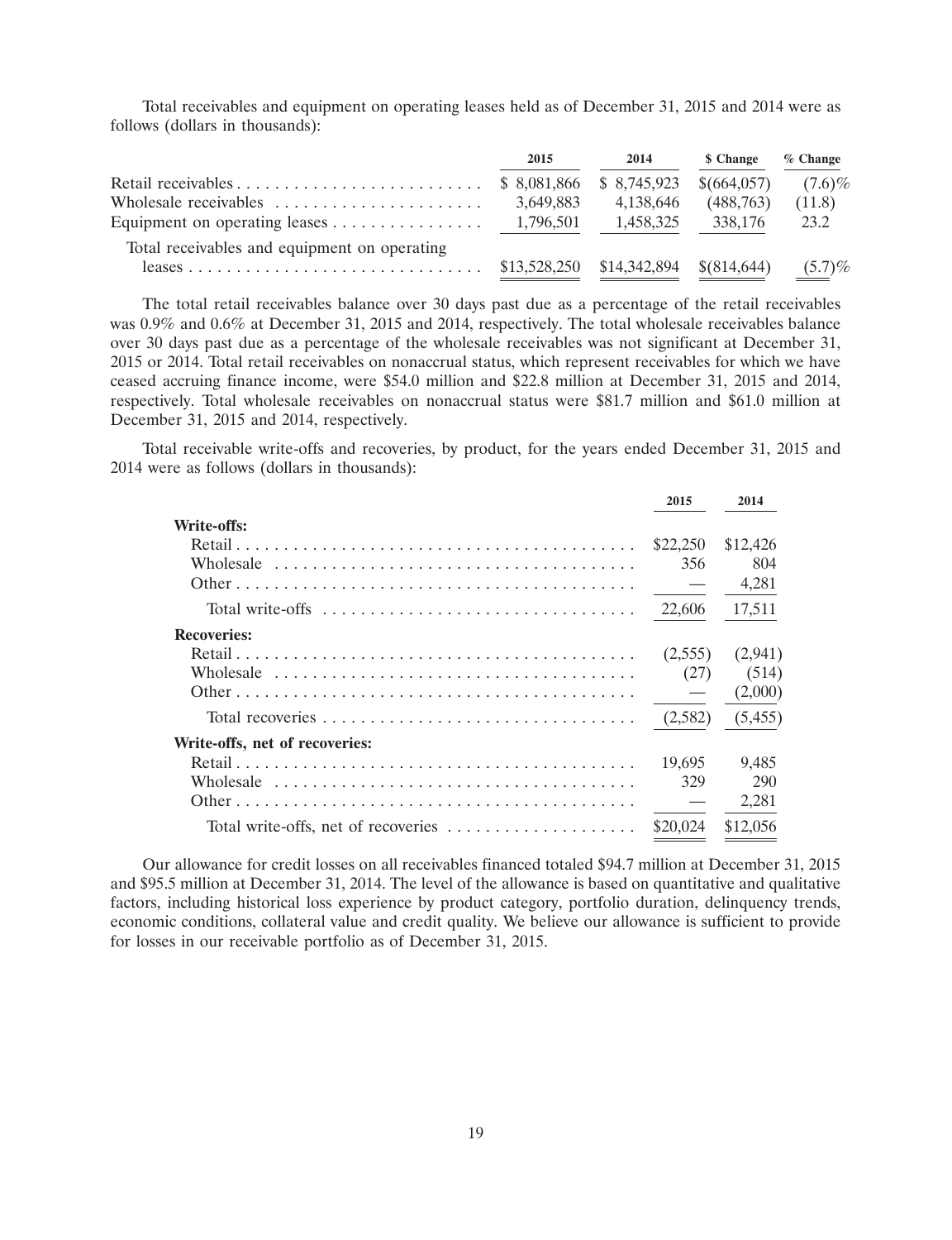|                                                                | 2015      | 2014                                     | \$ Change   | $%$ Change |
|----------------------------------------------------------------|-----------|------------------------------------------|-------------|------------|
|                                                                |           | \$ 8.745.923                             | \$(664,057) | $(7.6)\%$  |
| Wholesale receivables $\ldots, \ldots, \ldots, \ldots, \ldots$ | 3.649.883 | 4,138,646                                | (488, 763)  | (11.8)     |
| Equipment on operating leases $\dots \dots \dots \dots \dots$  | 1,796,501 | 1,458,325                                | 338,176     | 23.2       |
| Total receivables and equipment on operating                   |           |                                          |             |            |
|                                                                |           | $$13,528,250$ $$14,342,894$ $$(814,644)$ |             | $(5.7)\%$  |

Total receivables and equipment on operating leases held as of December 31, 2015 and 2014 were as follows (dollars in thousands):

The total retail receivables balance over 30 days past due as a percentage of the retail receivables was 0.9% and 0.6% at December 31, 2015 and 2014, respectively. The total wholesale receivables balance over 30 days past due as a percentage of the wholesale receivables was not significant at December 31, 2015 or 2014. Total retail receivables on nonaccrual status, which represent receivables for which we have ceased accruing finance income, were \$54.0 million and \$22.8 million at December 31, 2015 and 2014, respectively. Total wholesale receivables on nonaccrual status were \$81.7 million and \$61.0 million at December 31, 2015 and 2014, respectively.

Total receivable write-offs and recoveries, by product, for the years ended December 31, 2015 and 2014 were as follows (dollars in thousands):

|                                     | 2015     | 2014     |
|-------------------------------------|----------|----------|
| Write-offs:                         |          |          |
|                                     | \$22,250 | \$12,426 |
|                                     | 356      | 804      |
|                                     |          | 4,281    |
|                                     | 22,606   | 17,511   |
| <b>Recoveries:</b>                  |          |          |
|                                     | (2,555)  | (2,941)  |
|                                     | (27)     | (514)    |
|                                     |          | (2,000)  |
|                                     | (2,582)  | (5,455)  |
| Write-offs, net of recoveries:      |          |          |
|                                     | 19,695   | 9,485    |
|                                     | 329      | 290      |
|                                     |          | 2,281    |
| Total write-offs, net of recoveries | \$20,024 | \$12,056 |

Our allowance for credit losses on all receivables financed totaled \$94.7 million at December 31, 2015 and \$95.5 million at December 31, 2014. The level of the allowance is based on quantitative and qualitative factors, including historical loss experience by product category, portfolio duration, delinquency trends, economic conditions, collateral value and credit quality. We believe our allowance is sufficient to provide for losses in our receivable portfolio as of December 31, 2015.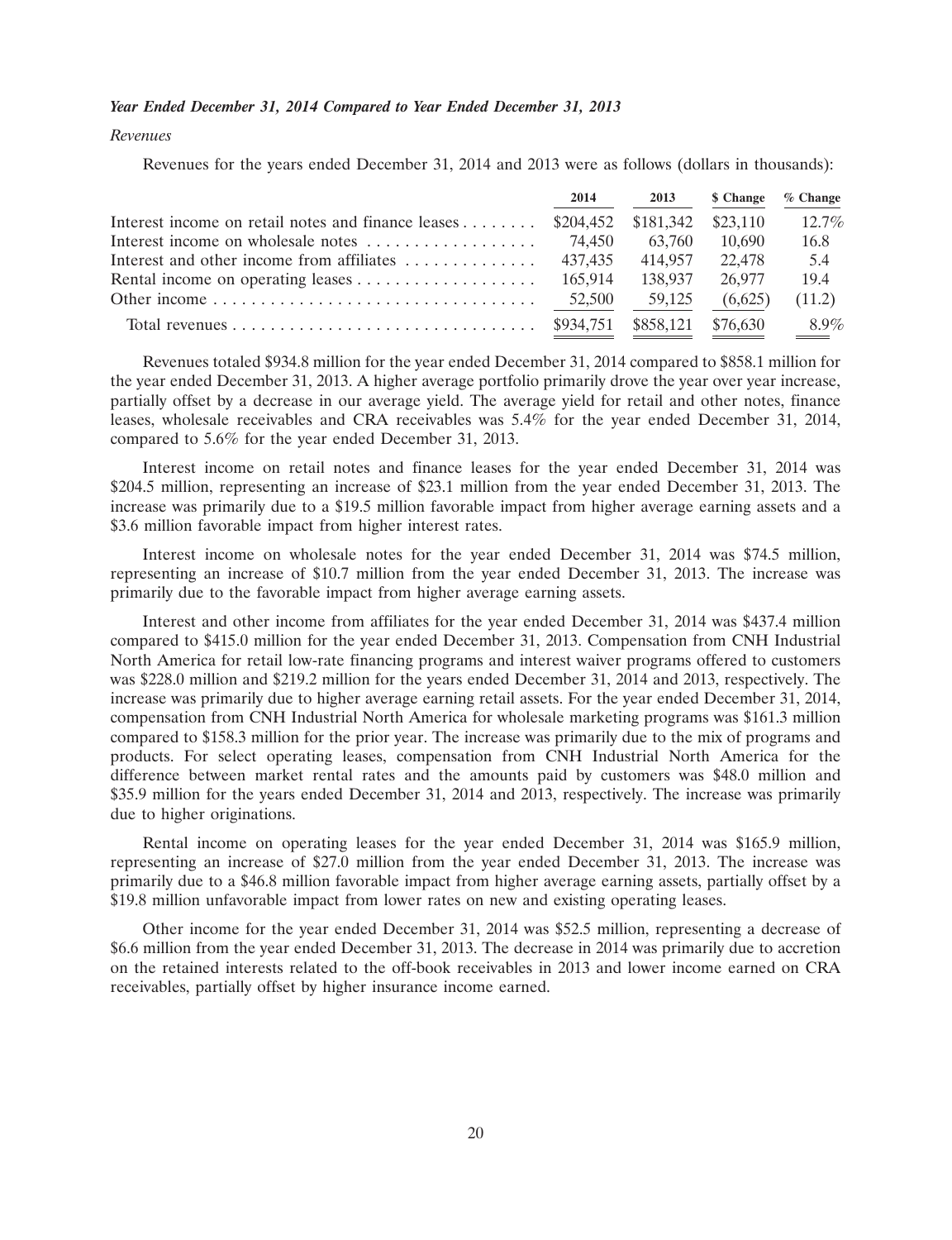#### *Year Ended December 31, 2014 Compared to Year Ended December 31, 2013*

#### *Revenues*

Revenues for the years ended December 31, 2014 and 2013 were as follows (dollars in thousands):

|                                                              | 2014    | 2013      | \$ Change | $%$ Change |
|--------------------------------------------------------------|---------|-----------|-----------|------------|
| Interest income on retail notes and finance leases \$204,452 |         | \$181,342 | \$23,110  | 12.7%      |
| Interest income on wholesale notes                           | 74.450  | 63.760    | 10.690    | 16.8       |
| Interest and other income from affiliates                    | 437,435 | 414.957   | 22,478    | 5.4        |
|                                                              | 165,914 | 138.937   | 26,977    | 19.4       |
|                                                              | 52,500  | 59,125    | (6,625)   | (11.2)     |
|                                                              |         | \$858,121 | \$76,630  | 8.9%       |

Revenues totaled \$934.8 million for the year ended December 31, 2014 compared to \$858.1 million for the year ended December 31, 2013. A higher average portfolio primarily drove the year over year increase, partially offset by a decrease in our average yield. The average yield for retail and other notes, finance leases, wholesale receivables and CRA receivables was 5.4% for the year ended December 31, 2014, compared to 5.6% for the year ended December 31, 2013.

Interest income on retail notes and finance leases for the year ended December 31, 2014 was \$204.5 million, representing an increase of \$23.1 million from the year ended December 31, 2013. The increase was primarily due to a \$19.5 million favorable impact from higher average earning assets and a \$3.6 million favorable impact from higher interest rates.

Interest income on wholesale notes for the year ended December 31, 2014 was \$74.5 million, representing an increase of \$10.7 million from the year ended December 31, 2013. The increase was primarily due to the favorable impact from higher average earning assets.

Interest and other income from affiliates for the year ended December 31, 2014 was \$437.4 million compared to \$415.0 million for the year ended December 31, 2013. Compensation from CNH Industrial North America for retail low-rate financing programs and interest waiver programs offered to customers was \$228.0 million and \$219.2 million for the years ended December 31, 2014 and 2013, respectively. The increase was primarily due to higher average earning retail assets. For the year ended December 31, 2014, compensation from CNH Industrial North America for wholesale marketing programs was \$161.3 million compared to \$158.3 million for the prior year. The increase was primarily due to the mix of programs and products. For select operating leases, compensation from CNH Industrial North America for the difference between market rental rates and the amounts paid by customers was \$48.0 million and \$35.9 million for the years ended December 31, 2014 and 2013, respectively. The increase was primarily due to higher originations.

Rental income on operating leases for the year ended December 31, 2014 was \$165.9 million, representing an increase of \$27.0 million from the year ended December 31, 2013. The increase was primarily due to a \$46.8 million favorable impact from higher average earning assets, partially offset by a \$19.8 million unfavorable impact from lower rates on new and existing operating leases.

Other income for the year ended December 31, 2014 was \$52.5 million, representing a decrease of \$6.6 million from the year ended December 31, 2013. The decrease in 2014 was primarily due to accretion on the retained interests related to the off-book receivables in 2013 and lower income earned on CRA receivables, partially offset by higher insurance income earned.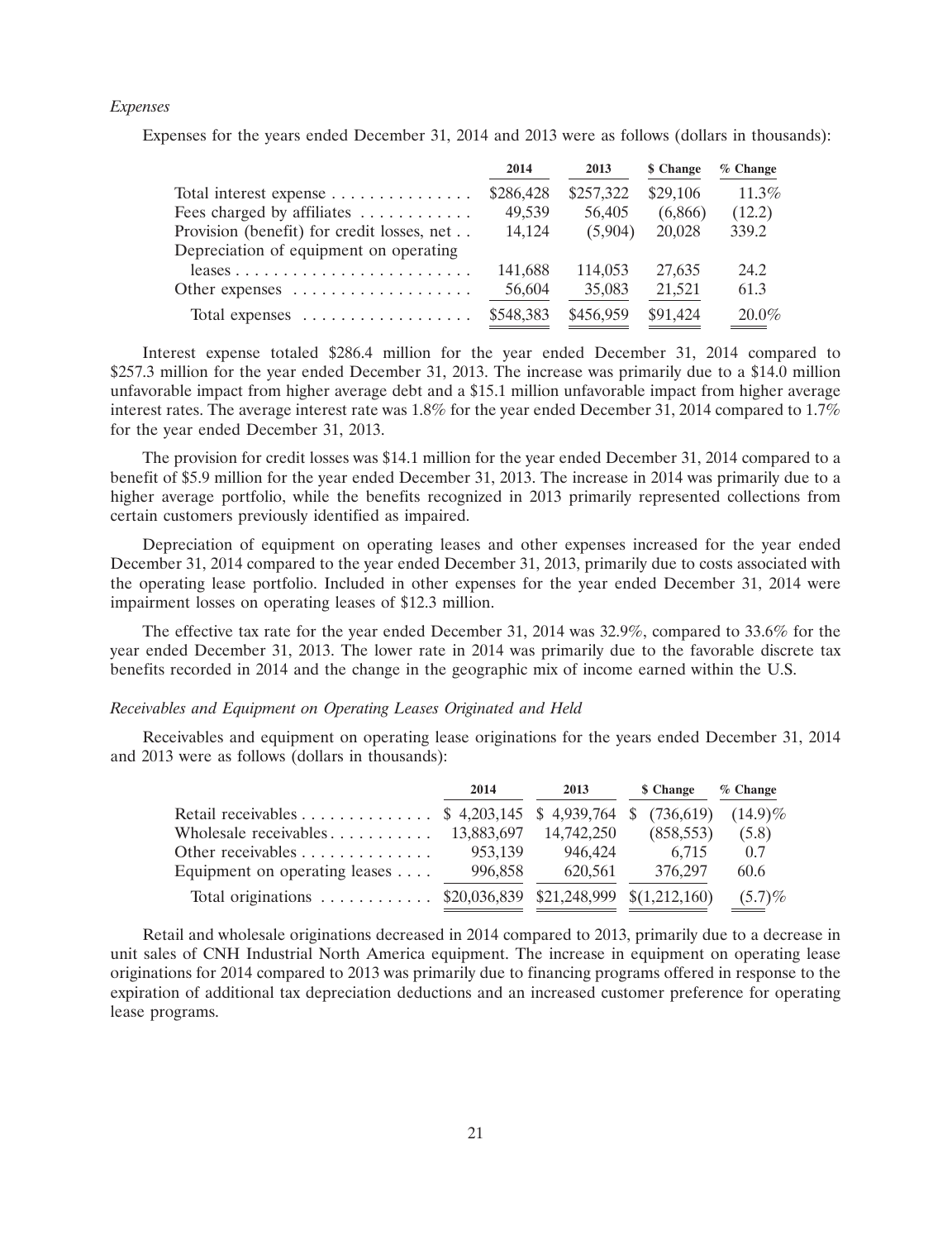#### *Expenses*

Expenses for the years ended December 31, 2014 and 2013 were as follows (dollars in thousands):

|                                                      | 2014      | 2013      | \$ Change | $%$ Change |
|------------------------------------------------------|-----------|-----------|-----------|------------|
| Total interest expense                               | \$286,428 | \$257,322 | \$29,106  | 11.3%      |
| Fees charged by affiliates                           | 49,539    | 56,405    | (6,866)   | (12.2)     |
| Provision (benefit) for credit losses, net           | 14.124    | (5,904)   | 20,028    | 339.2      |
| Depreciation of equipment on operating               |           |           |           |            |
| leases                                               | 141,688   | 114,053   | 27,635    | 24.2       |
| Other expenses $\dots \dots \dots \dots \dots \dots$ | 56,604    | 35,083    | 21,521    | 61.3       |
| Total expenses $\dots \dots \dots \dots \dots$       | \$548,383 | \$456,959 | \$91,424  | $20.0\%$   |

Interest expense totaled \$286.4 million for the year ended December 31, 2014 compared to \$257.3 million for the year ended December 31, 2013. The increase was primarily due to a \$14.0 million unfavorable impact from higher average debt and a \$15.1 million unfavorable impact from higher average interest rates. The average interest rate was 1.8% for the year ended December 31, 2014 compared to 1.7% for the year ended December 31, 2013.

The provision for credit losses was \$14.1 million for the year ended December 31, 2014 compared to a benefit of \$5.9 million for the year ended December 31, 2013. The increase in 2014 was primarily due to a higher average portfolio, while the benefits recognized in 2013 primarily represented collections from certain customers previously identified as impaired.

Depreciation of equipment on operating leases and other expenses increased for the year ended December 31, 2014 compared to the year ended December 31, 2013, primarily due to costs associated with the operating lease portfolio. Included in other expenses for the year ended December 31, 2014 were impairment losses on operating leases of \$12.3 million.

The effective tax rate for the year ended December 31, 2014 was 32.9%, compared to 33.6% for the year ended December 31, 2013. The lower rate in 2014 was primarily due to the favorable discrete tax benefits recorded in 2014 and the change in the geographic mix of income earned within the U.S.

## *Receivables and Equipment on Operating Leases Originated and Held*

Receivables and equipment on operating lease originations for the years ended December 31, 2014 and 2013 were as follows (dollars in thousands):

|                                                             | 2014       | 2013       | \$ Change  | $%$ Change |
|-------------------------------------------------------------|------------|------------|------------|------------|
| Retail receivables \$ 4,203,145 \$ 4,939,764 \$ $(736,619)$ |            |            |            | $(14.9)\%$ |
| Wholesale receivables                                       | 13,883,697 | 14,742,250 | (858, 553) | (5.8)      |
| Other receivables $\dots \dots \dots \dots$                 | 953.139    | 946,424    | 6.715      | 0.7        |
| Equipment on operating leases $\dots$                       | 996,858    | 620,561    | 376,297    | 60.6       |
| Total originations \$20,036,839 \$21,248,999 \$(1,212,160)  |            |            |            | $(5.7)\%$  |

Retail and wholesale originations decreased in 2014 compared to 2013, primarily due to a decrease in unit sales of CNH Industrial North America equipment. The increase in equipment on operating lease originations for 2014 compared to 2013 was primarily due to financing programs offered in response to the expiration of additional tax depreciation deductions and an increased customer preference for operating lease programs.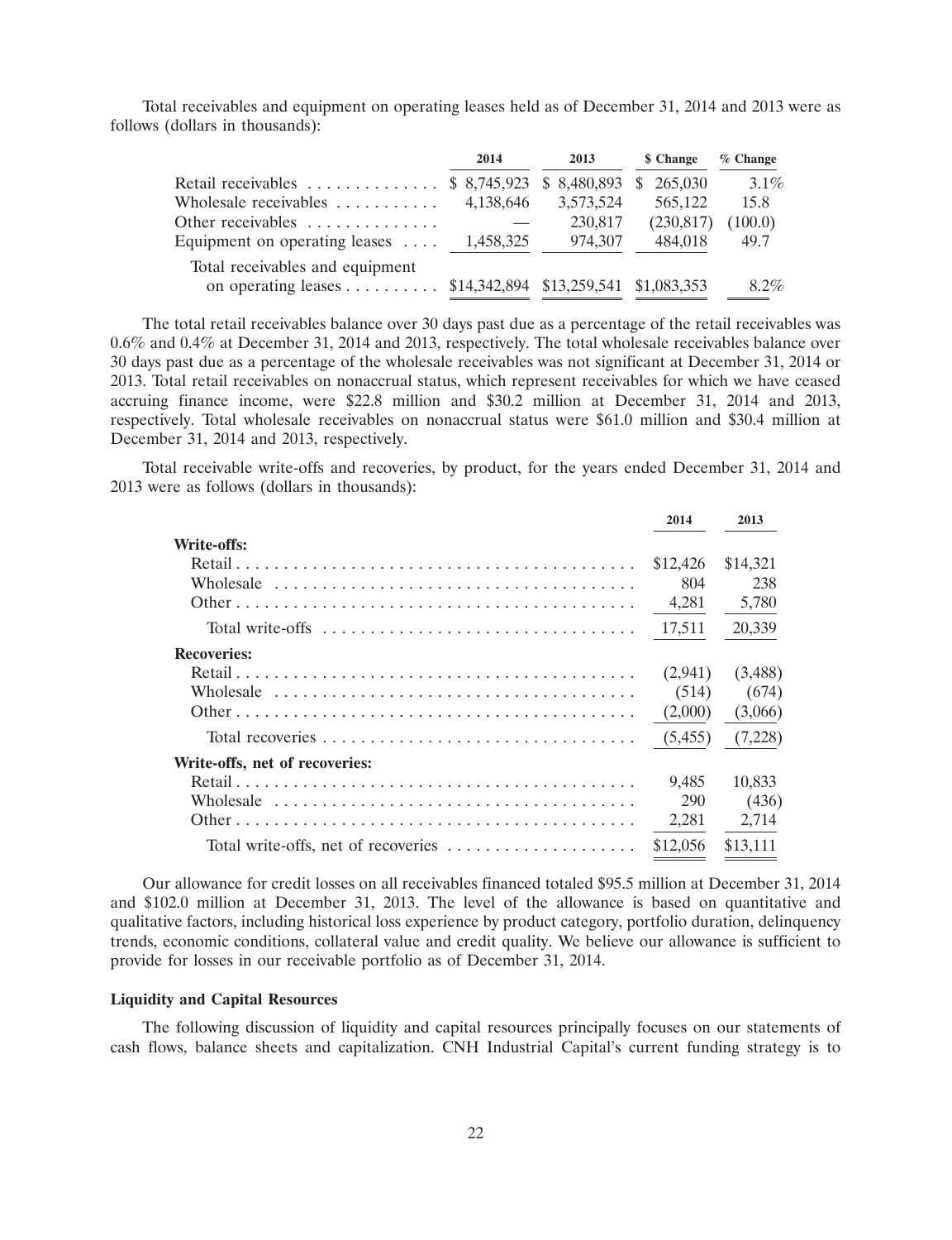|                                                           | 2014      | 2013         | \$ Change               | $%$ Change |
|-----------------------------------------------------------|-----------|--------------|-------------------------|------------|
| Retail receivables $\dots \dots \dots \dots$ \$ 8,745,923 |           | \$ 8,480,893 | 265,030<br><sup>S</sup> | $3.1\%$    |
| Wholesale receivables                                     | 4,138,646 | 3,573,524    | 565,122                 | 15.8       |
| Other receivables $\dots\dots\dots\dots\dots$             |           | 230,817      | (230, 817)              | (100.0)    |
| Equipment on operating leases $\dots$                     | 1,458,325 | 974,307      | 484,018                 | 49.7       |
| Total receivables and equipment                           |           |              |                         |            |
| on operating leases \$14,342,894 \$13,259,541 \$1,083,353 |           |              |                         | 8.2%       |

Total receivables and equipment on operating leases held as of December 31, 2014 and 2013 were as follows (dollars in thousands):

The total retail receivables balance over 30 days past due as a percentage of the retail receivables was 0.6% and 0.4% at December 31, 2014 and 2013, respectively. The total wholesale receivables balance over 30 days past due as a percentage of the wholesale receivables was not significant at December 31, 2014 or 2013. Total retail receivables on nonaccrual status, which represent receivables for which we have ceased accruing finance income, were \$22.8 million and \$30.2 million at December 31, 2014 and 2013, respectively. Total wholesale receivables on nonaccrual status were \$61.0 million and \$30.4 million at December 31, 2014 and 2013, respectively.

Total receivable write-offs and recoveries, by product, for the years ended December 31, 2014 and 2013 were as follows (dollars in thousands):

|                                                                                            | 2014     | 2013     |
|--------------------------------------------------------------------------------------------|----------|----------|
| Write-offs:                                                                                |          |          |
|                                                                                            | \$12,426 | \$14,321 |
|                                                                                            | 804      | 238      |
|                                                                                            | 4,281    | 5,780    |
| Total write-offs $\dots \dots \dots \dots \dots \dots \dots \dots \dots \dots \dots \dots$ | 17,511   | 20,339   |
| <b>Recoveries:</b>                                                                         |          |          |
|                                                                                            | (2,941)  | (3,488)  |
|                                                                                            | (514)    | (674)    |
|                                                                                            | (2,000)  | (3,066)  |
|                                                                                            | (5,455)  | (7,228)  |
| Write-offs, net of recoveries:                                                             |          |          |
|                                                                                            | 9.485    | 10.833   |
|                                                                                            | 290      | (436)    |
|                                                                                            | 2,281    | 2,714    |
| Total write-offs, net of recoveries                                                        | \$12,056 | \$13,111 |

Our allowance for credit losses on all receivables financed totaled \$95.5 million at December 31, 2014 and \$102.0 million at December 31, 2013. The level of the allowance is based on quantitative and qualitative factors, including historical loss experience by product category, portfolio duration, delinquency trends, economic conditions, collateral value and credit quality. We believe our allowance is sufficient to provide for losses in our receivable portfolio as of December 31, 2014.

#### **Liquidity and Capital Resources**

The following discussion of liquidity and capital resources principally focuses on our statements of cash flows, balance sheets and capitalization. CNH Industrial Capital's current funding strategy is to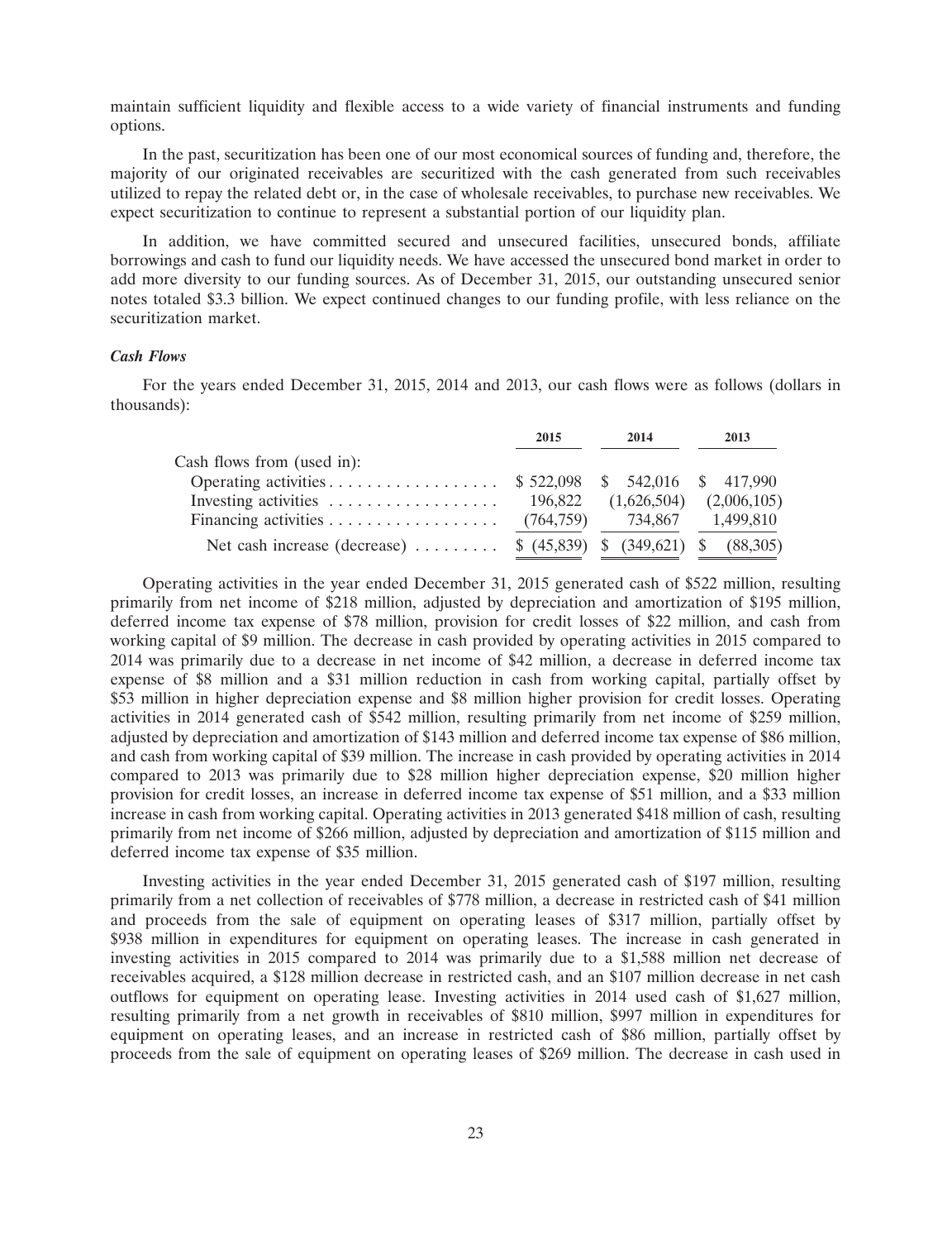maintain sufficient liquidity and flexible access to a wide variety of financial instruments and funding options.

In the past, securitization has been one of our most economical sources of funding and, therefore, the majority of our originated receivables are securitized with the cash generated from such receivables utilized to repay the related debt or, in the case of wholesale receivables, to purchase new receivables. We expect securitization to continue to represent a substantial portion of our liquidity plan.

In addition, we have committed secured and unsecured facilities, unsecured bonds, affiliate borrowings and cash to fund our liquidity needs. We have accessed the unsecured bond market in order to add more diversity to our funding sources. As of December 31, 2015, our outstanding unsecured senior notes totaled \$3.3 billion. We expect continued changes to our funding profile, with less reliance on the securitization market.

## *Cash Flows*

For the years ended December 31, 2015, 2014 and 2013, our cash flows were as follows (dollars in thousands):

|                                                                    | 2015       | 2014        | 2013        |
|--------------------------------------------------------------------|------------|-------------|-------------|
| Cash flows from (used in):                                         |            |             |             |
|                                                                    |            |             |             |
| Investing activities $\dots \dots \dots \dots \dots$               | 196,822    | (1,626,504) | (2,006,105) |
|                                                                    | (764, 759) | 734,867     | 1,499,810   |
| Net cash increase (decrease)  \$ (45,839) \$ (349,621) \$ (88,305) |            |             |             |

Operating activities in the year ended December 31, 2015 generated cash of \$522 million, resulting primarily from net income of \$218 million, adjusted by depreciation and amortization of \$195 million, deferred income tax expense of \$78 million, provision for credit losses of \$22 million, and cash from working capital of \$9 million. The decrease in cash provided by operating activities in 2015 compared to 2014 was primarily due to a decrease in net income of \$42 million, a decrease in deferred income tax expense of \$8 million and a \$31 million reduction in cash from working capital, partially offset by \$53 million in higher depreciation expense and \$8 million higher provision for credit losses. Operating activities in 2014 generated cash of \$542 million, resulting primarily from net income of \$259 million, adjusted by depreciation and amortization of \$143 million and deferred income tax expense of \$86 million, and cash from working capital of \$39 million. The increase in cash provided by operating activities in 2014 compared to 2013 was primarily due to \$28 million higher depreciation expense, \$20 million higher provision for credit losses, an increase in deferred income tax expense of \$51 million, and a \$33 million increase in cash from working capital. Operating activities in 2013 generated \$418 million of cash, resulting primarily from net income of \$266 million, adjusted by depreciation and amortization of \$115 million and deferred income tax expense of \$35 million.

Investing activities in the year ended December 31, 2015 generated cash of \$197 million, resulting primarily from a net collection of receivables of \$778 million, a decrease in restricted cash of \$41 million and proceeds from the sale of equipment on operating leases of \$317 million, partially offset by \$938 million in expenditures for equipment on operating leases. The increase in cash generated in investing activities in 2015 compared to 2014 was primarily due to a \$1,588 million net decrease of receivables acquired, a \$128 million decrease in restricted cash, and an \$107 million decrease in net cash outflows for equipment on operating lease. Investing activities in 2014 used cash of \$1,627 million, resulting primarily from a net growth in receivables of \$810 million, \$997 million in expenditures for equipment on operating leases, and an increase in restricted cash of \$86 million, partially offset by proceeds from the sale of equipment on operating leases of \$269 million. The decrease in cash used in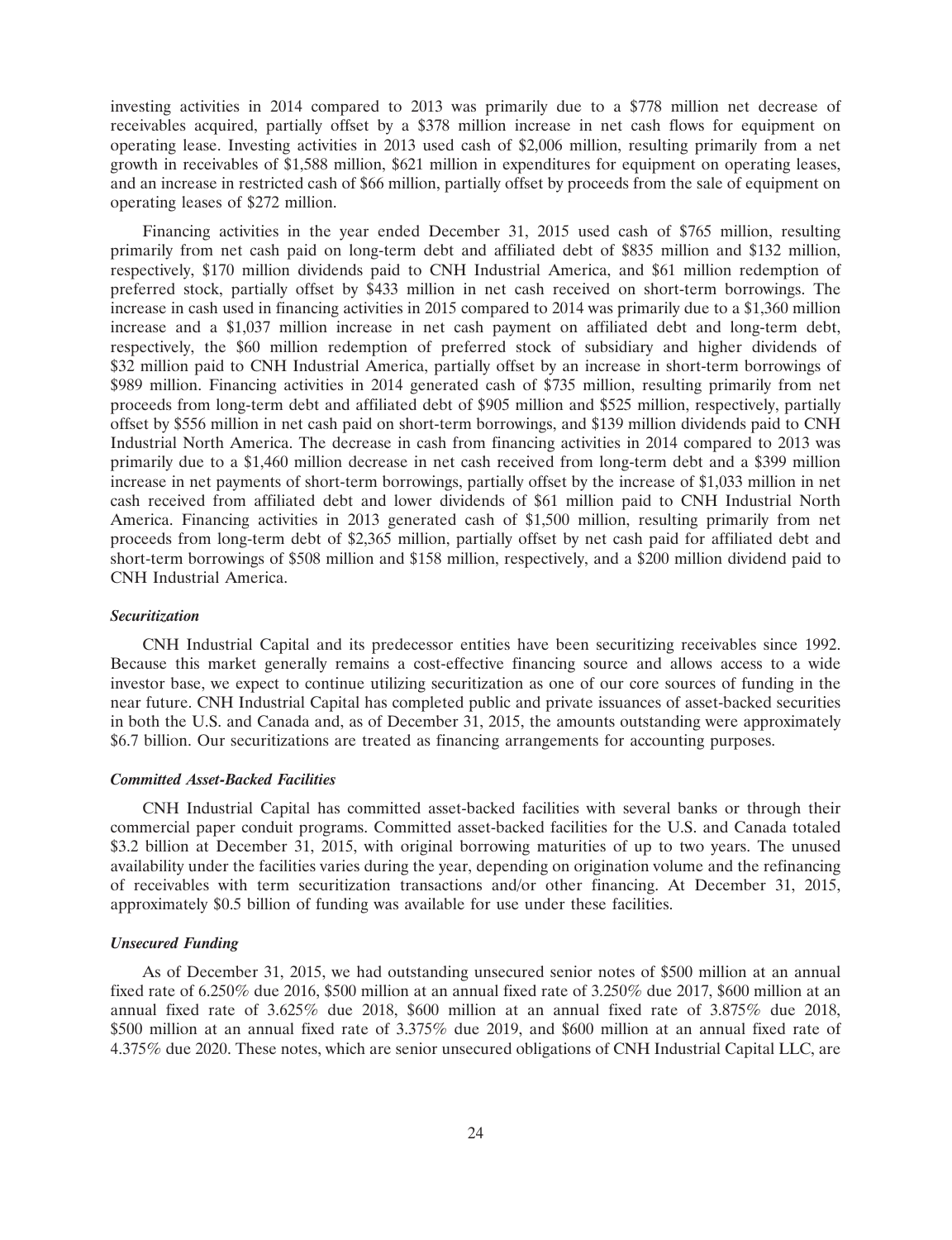investing activities in 2014 compared to 2013 was primarily due to a \$778 million net decrease of receivables acquired, partially offset by a \$378 million increase in net cash flows for equipment on operating lease. Investing activities in 2013 used cash of \$2,006 million, resulting primarily from a net growth in receivables of \$1,588 million, \$621 million in expenditures for equipment on operating leases, and an increase in restricted cash of \$66 million, partially offset by proceeds from the sale of equipment on operating leases of \$272 million.

Financing activities in the year ended December 31, 2015 used cash of \$765 million, resulting primarily from net cash paid on long-term debt and affiliated debt of \$835 million and \$132 million, respectively, \$170 million dividends paid to CNH Industrial America, and \$61 million redemption of preferred stock, partially offset by \$433 million in net cash received on short-term borrowings. The increase in cash used in financing activities in 2015 compared to 2014 was primarily due to a \$1,360 million increase and a \$1,037 million increase in net cash payment on affiliated debt and long-term debt, respectively, the \$60 million redemption of preferred stock of subsidiary and higher dividends of \$32 million paid to CNH Industrial America, partially offset by an increase in short-term borrowings of \$989 million. Financing activities in 2014 generated cash of \$735 million, resulting primarily from net proceeds from long-term debt and affiliated debt of \$905 million and \$525 million, respectively, partially offset by \$556 million in net cash paid on short-term borrowings, and \$139 million dividends paid to CNH Industrial North America. The decrease in cash from financing activities in 2014 compared to 2013 was primarily due to a \$1,460 million decrease in net cash received from long-term debt and a \$399 million increase in net payments of short-term borrowings, partially offset by the increase of \$1,033 million in net cash received from affiliated debt and lower dividends of \$61 million paid to CNH Industrial North America. Financing activities in 2013 generated cash of \$1,500 million, resulting primarily from net proceeds from long-term debt of \$2,365 million, partially offset by net cash paid for affiliated debt and short-term borrowings of \$508 million and \$158 million, respectively, and a \$200 million dividend paid to CNH Industrial America.

#### *Securitization*

CNH Industrial Capital and its predecessor entities have been securitizing receivables since 1992. Because this market generally remains a cost-effective financing source and allows access to a wide investor base, we expect to continue utilizing securitization as one of our core sources of funding in the near future. CNH Industrial Capital has completed public and private issuances of asset-backed securities in both the U.S. and Canada and, as of December 31, 2015, the amounts outstanding were approximately \$6.7 billion. Our securitizations are treated as financing arrangements for accounting purposes.

#### *Committed Asset-Backed Facilities*

CNH Industrial Capital has committed asset-backed facilities with several banks or through their commercial paper conduit programs. Committed asset-backed facilities for the U.S. and Canada totaled \$3.2 billion at December 31, 2015, with original borrowing maturities of up to two years. The unused availability under the facilities varies during the year, depending on origination volume and the refinancing of receivables with term securitization transactions and/or other financing. At December 31, 2015, approximately \$0.5 billion of funding was available for use under these facilities.

#### *Unsecured Funding*

As of December 31, 2015, we had outstanding unsecured senior notes of \$500 million at an annual fixed rate of 6.250% due 2016, \$500 million at an annual fixed rate of 3.250% due 2017, \$600 million at an annual fixed rate of 3.625% due 2018, \$600 million at an annual fixed rate of 3.875% due 2018, \$500 million at an annual fixed rate of 3.375% due 2019, and \$600 million at an annual fixed rate of 4.375% due 2020. These notes, which are senior unsecured obligations of CNH Industrial Capital LLC, are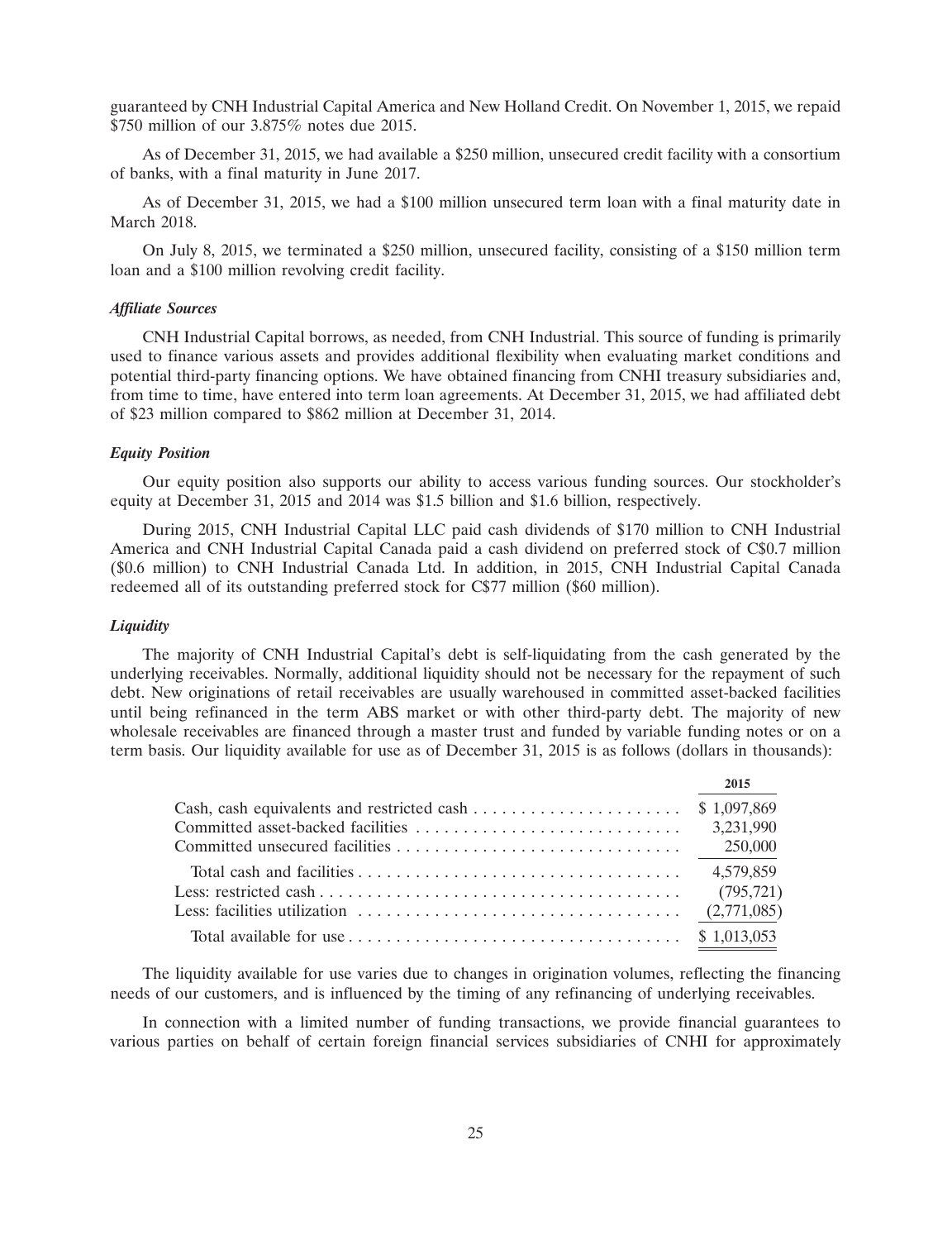guaranteed by CNH Industrial Capital America and New Holland Credit. On November 1, 2015, we repaid \$750 million of our 3.875% notes due 2015.

As of December 31, 2015, we had available a \$250 million, unsecured credit facility with a consortium of banks, with a final maturity in June 2017.

As of December 31, 2015, we had a \$100 million unsecured term loan with a final maturity date in March 2018.

On July 8, 2015, we terminated a \$250 million, unsecured facility, consisting of a \$150 million term loan and a \$100 million revolving credit facility.

#### *Affiliate Sources*

CNH Industrial Capital borrows, as needed, from CNH Industrial. This source of funding is primarily used to finance various assets and provides additional flexibility when evaluating market conditions and potential third-party financing options. We have obtained financing from CNHI treasury subsidiaries and, from time to time, have entered into term loan agreements. At December 31, 2015, we had affiliated debt of \$23 million compared to \$862 million at December 31, 2014.

#### *Equity Position*

Our equity position also supports our ability to access various funding sources. Our stockholder's equity at December 31, 2015 and 2014 was \$1.5 billion and \$1.6 billion, respectively.

During 2015, CNH Industrial Capital LLC paid cash dividends of \$170 million to CNH Industrial America and CNH Industrial Capital Canada paid a cash dividend on preferred stock of C\$0.7 million (\$0.6 million) to CNH Industrial Canada Ltd. In addition, in 2015, CNH Industrial Capital Canada redeemed all of its outstanding preferred stock for C\$77 million (\$60 million).

#### *Liquidity*

The majority of CNH Industrial Capital's debt is self-liquidating from the cash generated by the underlying receivables. Normally, additional liquidity should not be necessary for the repayment of such debt. New originations of retail receivables are usually warehoused in committed asset-backed facilities until being refinanced in the term ABS market or with other third-party debt. The majority of new wholesale receivables are financed through a master trust and funded by variable funding notes or on a term basis. Our liquidity available for use as of December 31, 2015 is as follows (dollars in thousands):

|                                                                                                          | 2015      |
|----------------------------------------------------------------------------------------------------------|-----------|
|                                                                                                          |           |
|                                                                                                          |           |
|                                                                                                          |           |
|                                                                                                          | 4,579,859 |
|                                                                                                          |           |
| Less: facilities utilization $\dots \dots \dots \dots \dots \dots \dots \dots \dots \dots$ (2,771,085)   |           |
| Total available for use $\dots \dots \dots \dots \dots \dots \dots \dots \dots \dots \dots$ \$ 1,013,053 |           |

The liquidity available for use varies due to changes in origination volumes, reflecting the financing needs of our customers, and is influenced by the timing of any refinancing of underlying receivables.

In connection with a limited number of funding transactions, we provide financial guarantees to various parties on behalf of certain foreign financial services subsidiaries of CNHI for approximately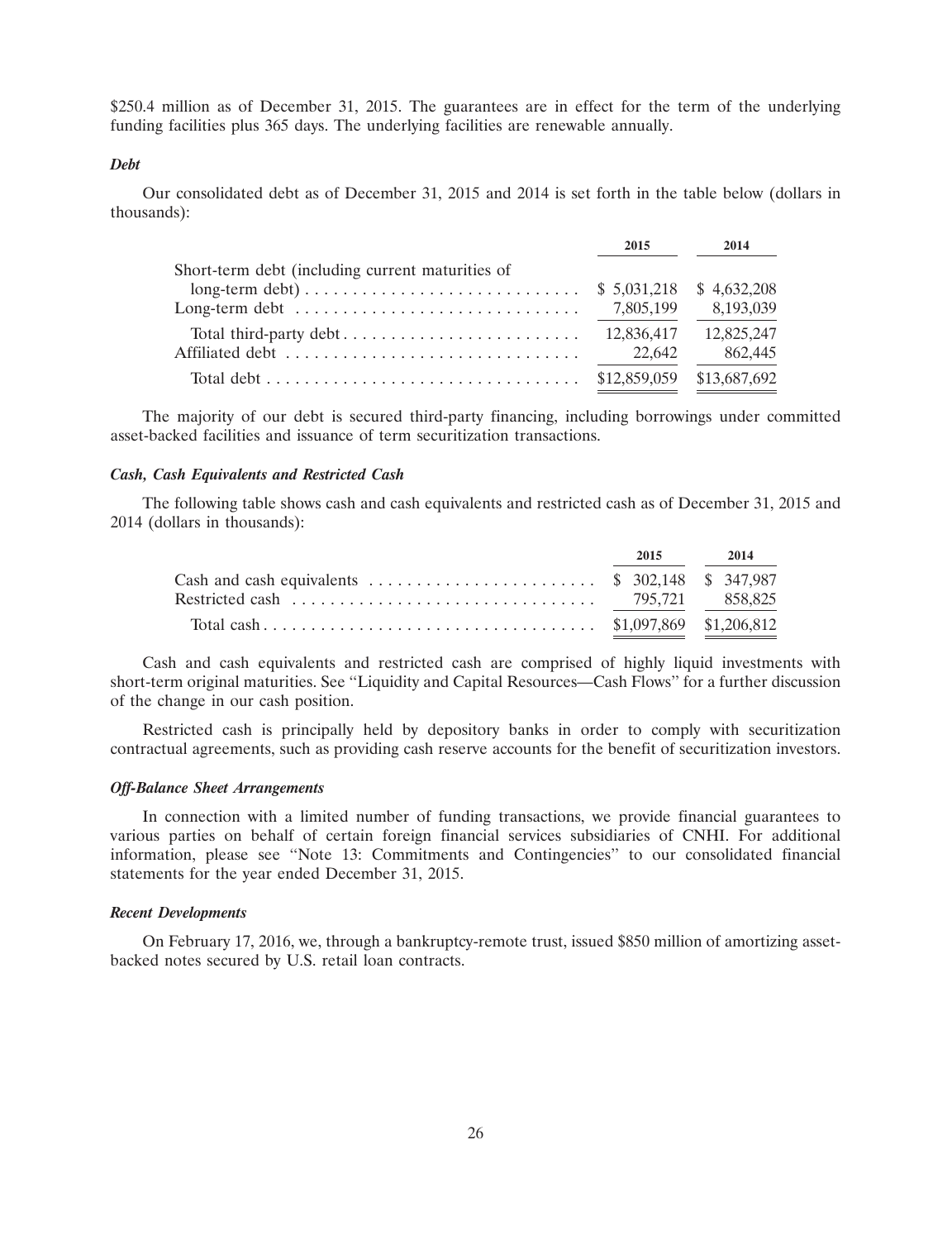\$250.4 million as of December 31, 2015. The guarantees are in effect for the term of the underlying funding facilities plus 365 days. The underlying facilities are renewable annually.

#### *Debt*

Our consolidated debt as of December 31, 2015 and 2014 is set forth in the table below (dollars in thousands):

|                                                                               | 2015       | 2014        |
|-------------------------------------------------------------------------------|------------|-------------|
| Short-term debt (including current maturities of                              |            |             |
|                                                                               |            | \$4,632,208 |
| Long-term debt $\dots\dots\dots\dots\dots\dots\dots\dots\dots\dots\dots\dots$ | 7,805,199  | 8,193,039   |
|                                                                               | 12,836,417 | 12,825,247  |
|                                                                               | 22,642     | 862,445     |
|                                                                               |            |             |

The majority of our debt is secured third-party financing, including borrowings under committed asset-backed facilities and issuance of term securitization transactions.

#### *Cash, Cash Equivalents and Restricted Cash*

The following table shows cash and cash equivalents and restricted cash as of December 31, 2015 and 2014 (dollars in thousands):

| 2015 2014 |  |
|-----------|--|
|           |  |
|           |  |
|           |  |

Cash and cash equivalents and restricted cash are comprised of highly liquid investments with short-term original maturities. See ''Liquidity and Capital Resources—Cash Flows'' for a further discussion of the change in our cash position.

Restricted cash is principally held by depository banks in order to comply with securitization contractual agreements, such as providing cash reserve accounts for the benefit of securitization investors.

#### *Off-Balance Sheet Arrangements*

In connection with a limited number of funding transactions, we provide financial guarantees to various parties on behalf of certain foreign financial services subsidiaries of CNHI. For additional information, please see ''Note 13: Commitments and Contingencies'' to our consolidated financial statements for the year ended December 31, 2015.

#### *Recent Developments*

On February 17, 2016, we, through a bankruptcy-remote trust, issued \$850 million of amortizing assetbacked notes secured by U.S. retail loan contracts.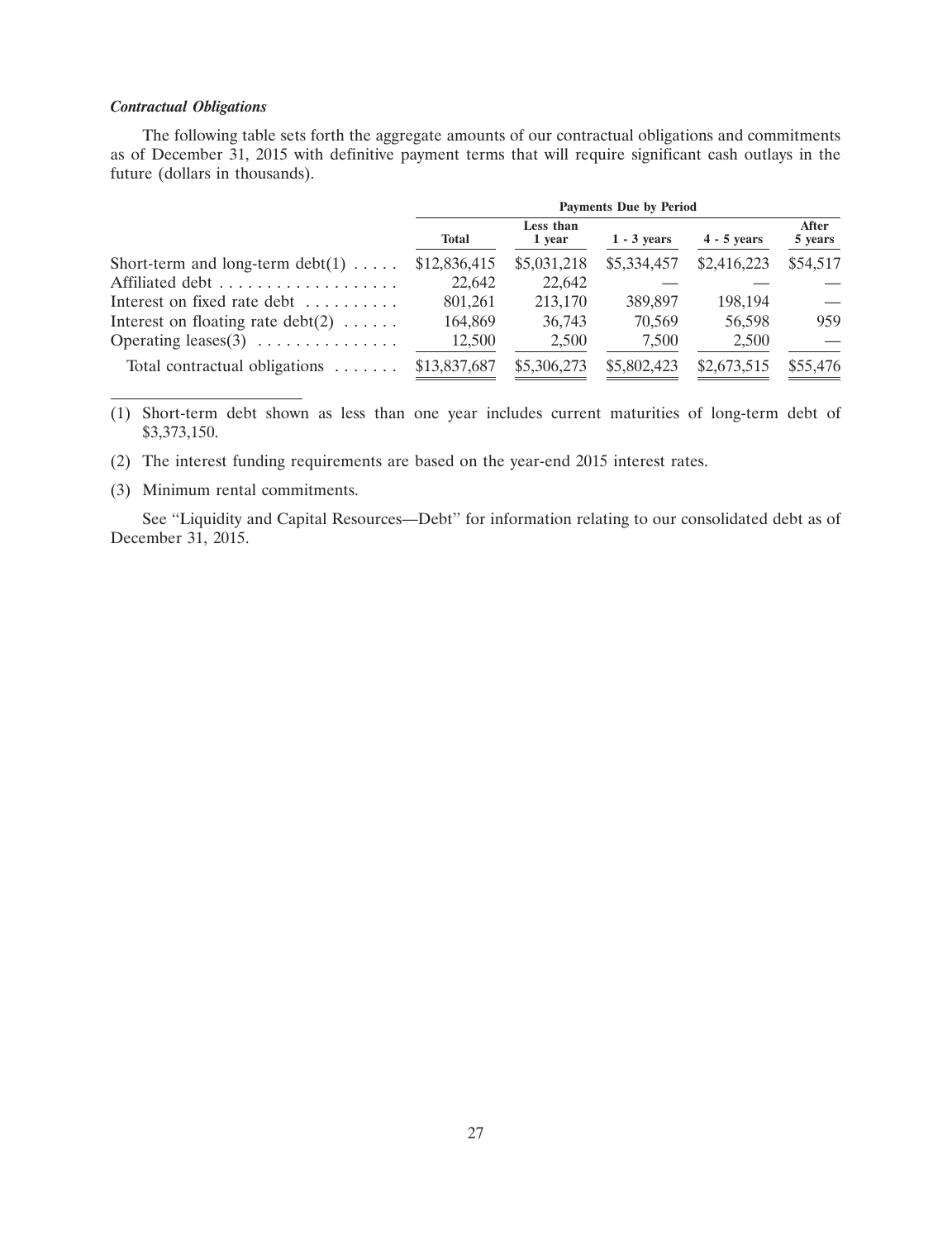## *Contractual Obligations*

The following table sets forth the aggregate amounts of our contractual obligations and commitments as of December 31, 2015 with definitive payment terms that will require significant cash outlays in the future (dollars in thousands).

|                                               | <b>Payments Due by Period</b> |                     |               |               |                  |
|-----------------------------------------------|-------------------------------|---------------------|---------------|---------------|------------------|
|                                               | <b>Total</b>                  | Less than<br>1 year | $1 - 3$ years | $4 - 5$ years | After<br>5 years |
| Short-term and long-term $\text{debt}(1)$     | \$12,836,415                  | \$5,031,218         | \$5,334,457   | \$2,416,223   | \$54,517         |
|                                               | 22,642                        | 22,642              |               |               |                  |
| Interest on fixed rate debt $\dots\dots\dots$ | 801,261                       | 213,170             | 389,897       | 198.194       |                  |
| Interest on floating rate $det(2)$            | 164,869                       | 36,743              | 70,569        | 56,598        | 959              |
| Operating leases $(3)$                        | 12,500                        | 2,500               | 7,500         | 2,500         |                  |
| Total contractual obligations                 | \$13,837,687                  | \$5,306,273         | \$5,802,423   | \$2,673,515   | \$55,476         |

(1) Short-term debt shown as less than one year includes current maturities of long-term debt of \$3,373,150.

(2) The interest funding requirements are based on the year-end 2015 interest rates.

(3) Minimum rental commitments.

See ''Liquidity and Capital Resources—Debt'' for information relating to our consolidated debt as of December 31, 2015.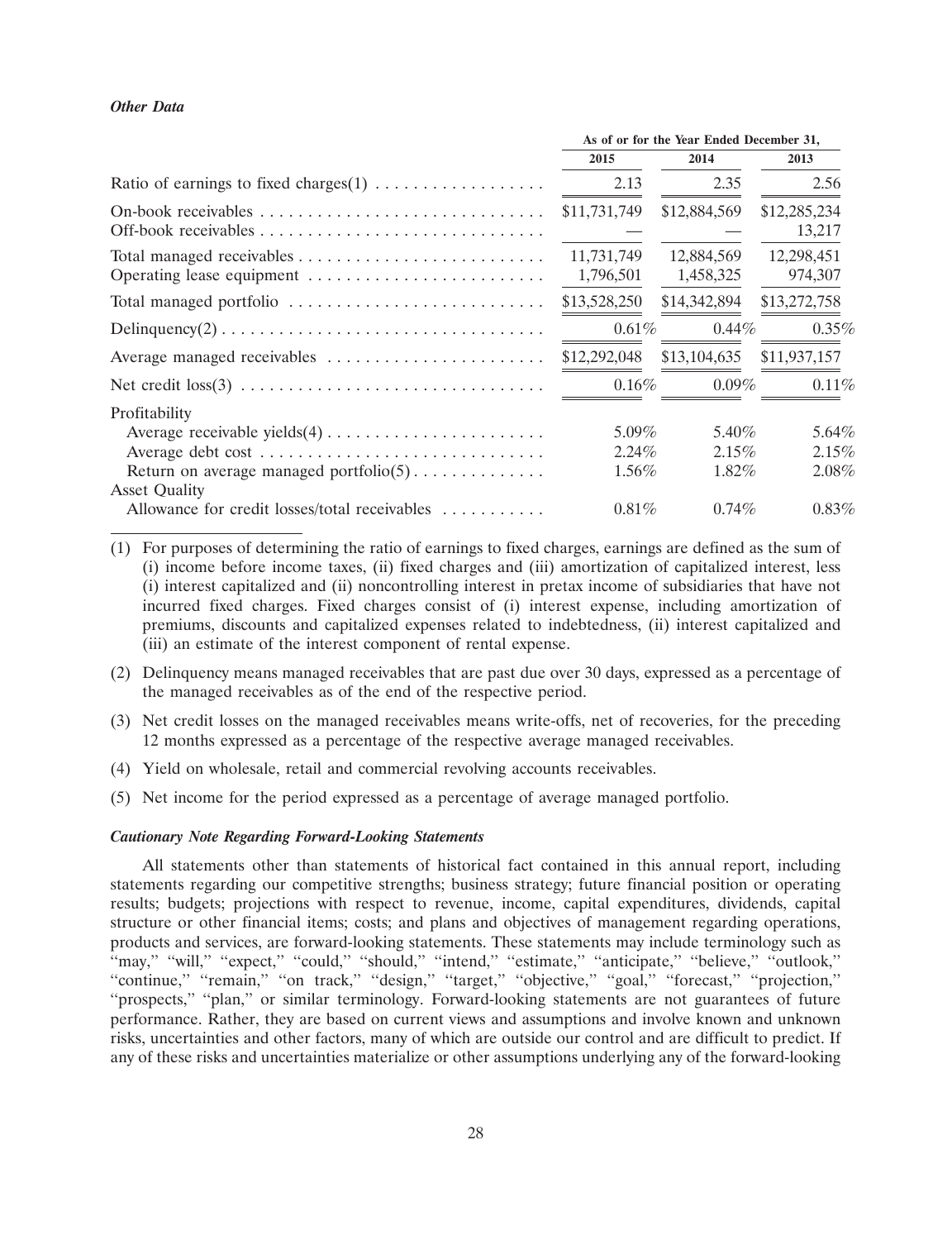#### *Other Data*

|                                                                                        | As of or for the Year Ended December 31, |                                |                            |
|----------------------------------------------------------------------------------------|------------------------------------------|--------------------------------|----------------------------|
|                                                                                        | 2015                                     | 2014                           | 2013                       |
|                                                                                        | 2.13                                     | 2.35                           | 2.56                       |
|                                                                                        | \$11,731,749                             | \$12,884,569                   | \$12,285,234<br>13,217     |
| Operating lease equipment                                                              | 11,731,749<br>1,796,501                  | 12,884,569<br>1,458,325        | 12,298,451<br>974,307      |
|                                                                                        | \$13,528,250                             | \$14,342,894                   | \$13,272,758               |
| $Delinquency(2) \ldots \ldots \ldots \ldots \ldots \ldots \ldots \ldots \ldots \ldots$ | $0.61\%$                                 | $0.44\%$                       | $0.35\%$                   |
|                                                                                        | \$12,292,048                             | \$13,104,635                   | \$11,937,157               |
|                                                                                        | $0.16\%$                                 | $0.09\%$                       | 0.11%                      |
| Profitability<br>Return on average managed portfolio(5)<br><b>Asset Quality</b>        | $5.09\%$<br>$2.24\%$<br>$1.56\%$         | 5.40\%<br>$2.15\%$<br>$1.82\%$ | 5.64%<br>2.15%<br>$2.08\%$ |
| Allowance for credit losses/total receivables                                          | $0.81\%$                                 | $0.74\%$                       | 0.83%                      |

(1) For purposes of determining the ratio of earnings to fixed charges, earnings are defined as the sum of (i) income before income taxes, (ii) fixed charges and (iii) amortization of capitalized interest, less (i) interest capitalized and (ii) noncontrolling interest in pretax income of subsidiaries that have not incurred fixed charges. Fixed charges consist of (i) interest expense, including amortization of premiums, discounts and capitalized expenses related to indebtedness, (ii) interest capitalized and (iii) an estimate of the interest component of rental expense.

- (2) Delinquency means managed receivables that are past due over 30 days, expressed as a percentage of the managed receivables as of the end of the respective period.
- (3) Net credit losses on the managed receivables means write-offs, net of recoveries, for the preceding 12 months expressed as a percentage of the respective average managed receivables.
- (4) Yield on wholesale, retail and commercial revolving accounts receivables.
- (5) Net income for the period expressed as a percentage of average managed portfolio.

#### *Cautionary Note Regarding Forward-Looking Statements*

All statements other than statements of historical fact contained in this annual report, including statements regarding our competitive strengths; business strategy; future financial position or operating results; budgets; projections with respect to revenue, income, capital expenditures, dividends, capital structure or other financial items; costs; and plans and objectives of management regarding operations, products and services, are forward-looking statements. These statements may include terminology such as "may," "will," "expect," "could," "should," "intend," "estimate," "anticipate," "believe," "outlook," "continue," "remain," "on track," "design," "target," "objective," "goal," "forecast," "projection," "prospects," "plan," or similar terminology. Forward-looking statements are not guarantees of future performance. Rather, they are based on current views and assumptions and involve known and unknown risks, uncertainties and other factors, many of which are outside our control and are difficult to predict. If any of these risks and uncertainties materialize or other assumptions underlying any of the forward-looking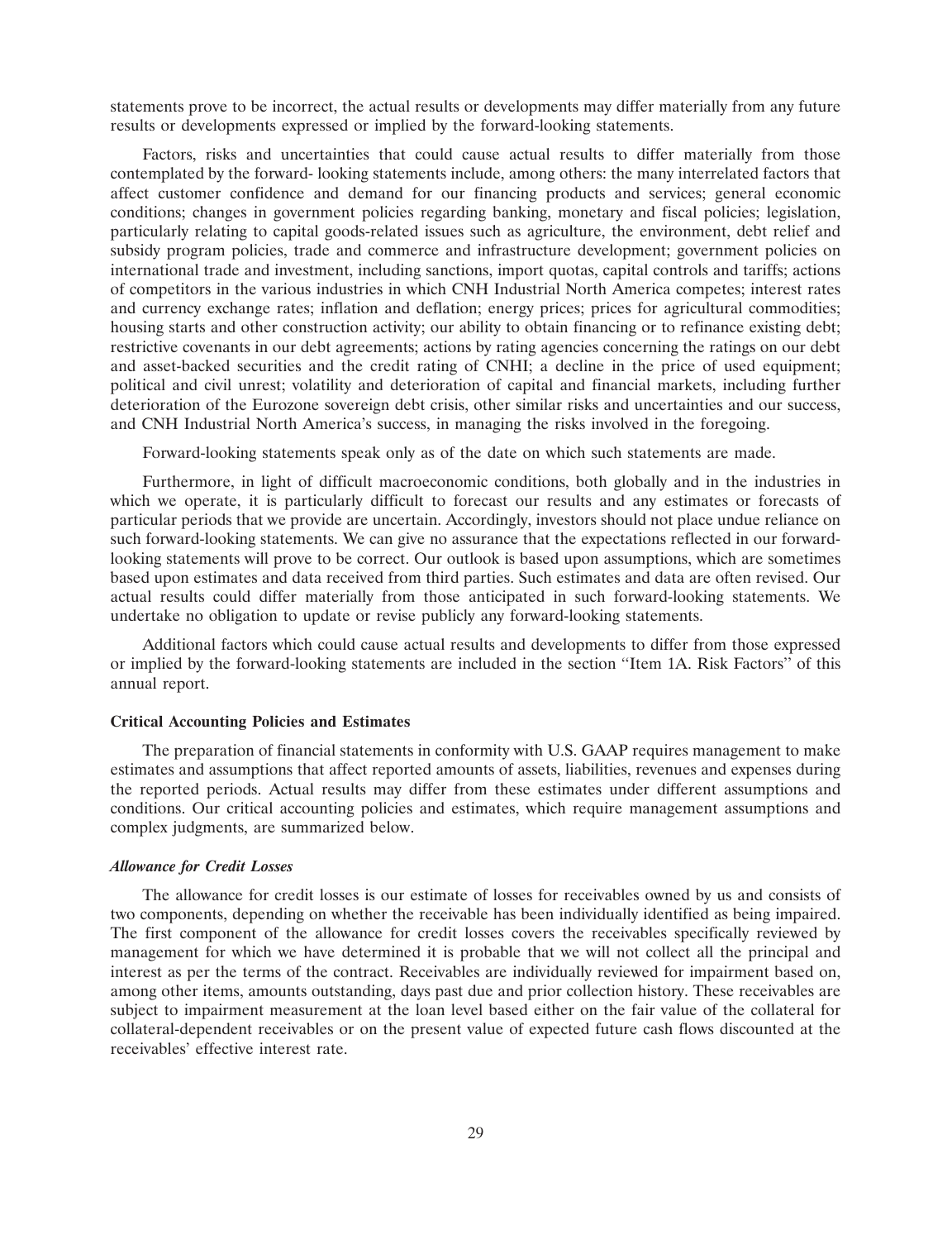statements prove to be incorrect, the actual results or developments may differ materially from any future results or developments expressed or implied by the forward-looking statements.

Factors, risks and uncertainties that could cause actual results to differ materially from those contemplated by the forward- looking statements include, among others: the many interrelated factors that affect customer confidence and demand for our financing products and services; general economic conditions; changes in government policies regarding banking, monetary and fiscal policies; legislation, particularly relating to capital goods-related issues such as agriculture, the environment, debt relief and subsidy program policies, trade and commerce and infrastructure development; government policies on international trade and investment, including sanctions, import quotas, capital controls and tariffs; actions of competitors in the various industries in which CNH Industrial North America competes; interest rates and currency exchange rates; inflation and deflation; energy prices; prices for agricultural commodities; housing starts and other construction activity; our ability to obtain financing or to refinance existing debt; restrictive covenants in our debt agreements; actions by rating agencies concerning the ratings on our debt and asset-backed securities and the credit rating of CNHI; a decline in the price of used equipment; political and civil unrest; volatility and deterioration of capital and financial markets, including further deterioration of the Eurozone sovereign debt crisis, other similar risks and uncertainties and our success, and CNH Industrial North America's success, in managing the risks involved in the foregoing.

Forward-looking statements speak only as of the date on which such statements are made.

Furthermore, in light of difficult macroeconomic conditions, both globally and in the industries in which we operate, it is particularly difficult to forecast our results and any estimates or forecasts of particular periods that we provide are uncertain. Accordingly, investors should not place undue reliance on such forward-looking statements. We can give no assurance that the expectations reflected in our forwardlooking statements will prove to be correct. Our outlook is based upon assumptions, which are sometimes based upon estimates and data received from third parties. Such estimates and data are often revised. Our actual results could differ materially from those anticipated in such forward-looking statements. We undertake no obligation to update or revise publicly any forward-looking statements.

Additional factors which could cause actual results and developments to differ from those expressed or implied by the forward-looking statements are included in the section ''Item 1A. Risk Factors'' of this annual report.

#### **Critical Accounting Policies and Estimates**

The preparation of financial statements in conformity with U.S. GAAP requires management to make estimates and assumptions that affect reported amounts of assets, liabilities, revenues and expenses during the reported periods. Actual results may differ from these estimates under different assumptions and conditions. Our critical accounting policies and estimates, which require management assumptions and complex judgments, are summarized below.

#### *Allowance for Credit Losses*

The allowance for credit losses is our estimate of losses for receivables owned by us and consists of two components, depending on whether the receivable has been individually identified as being impaired. The first component of the allowance for credit losses covers the receivables specifically reviewed by management for which we have determined it is probable that we will not collect all the principal and interest as per the terms of the contract. Receivables are individually reviewed for impairment based on, among other items, amounts outstanding, days past due and prior collection history. These receivables are subject to impairment measurement at the loan level based either on the fair value of the collateral for collateral-dependent receivables or on the present value of expected future cash flows discounted at the receivables' effective interest rate.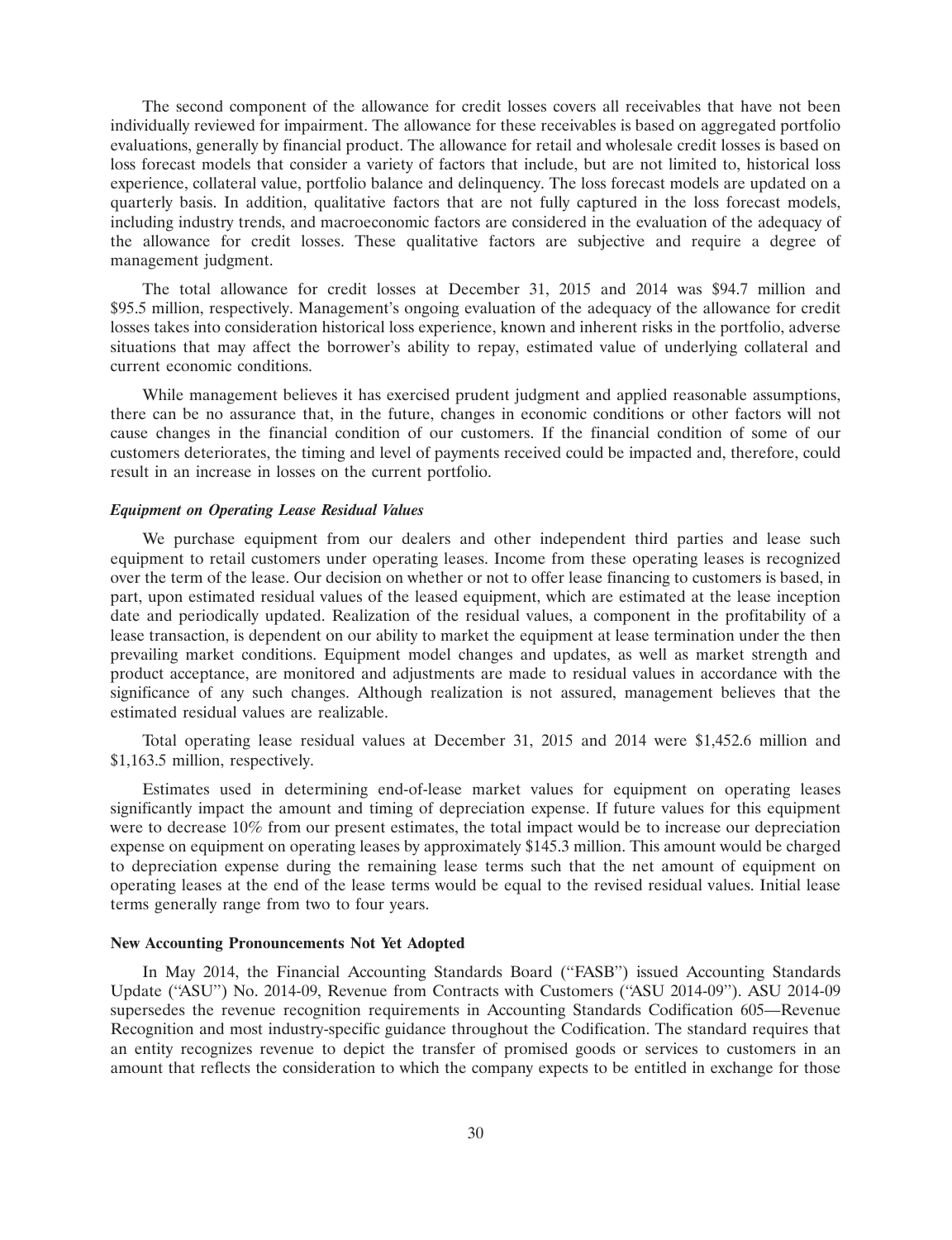The second component of the allowance for credit losses covers all receivables that have not been individually reviewed for impairment. The allowance for these receivables is based on aggregated portfolio evaluations, generally by financial product. The allowance for retail and wholesale credit losses is based on loss forecast models that consider a variety of factors that include, but are not limited to, historical loss experience, collateral value, portfolio balance and delinquency. The loss forecast models are updated on a quarterly basis. In addition, qualitative factors that are not fully captured in the loss forecast models, including industry trends, and macroeconomic factors are considered in the evaluation of the adequacy of the allowance for credit losses. These qualitative factors are subjective and require a degree of management judgment.

The total allowance for credit losses at December 31, 2015 and 2014 was \$94.7 million and \$95.5 million, respectively. Management's ongoing evaluation of the adequacy of the allowance for credit losses takes into consideration historical loss experience, known and inherent risks in the portfolio, adverse situations that may affect the borrower's ability to repay, estimated value of underlying collateral and current economic conditions.

While management believes it has exercised prudent judgment and applied reasonable assumptions, there can be no assurance that, in the future, changes in economic conditions or other factors will not cause changes in the financial condition of our customers. If the financial condition of some of our customers deteriorates, the timing and level of payments received could be impacted and, therefore, could result in an increase in losses on the current portfolio.

#### *Equipment on Operating Lease Residual Values*

We purchase equipment from our dealers and other independent third parties and lease such equipment to retail customers under operating leases. Income from these operating leases is recognized over the term of the lease. Our decision on whether or not to offer lease financing to customers is based, in part, upon estimated residual values of the leased equipment, which are estimated at the lease inception date and periodically updated. Realization of the residual values, a component in the profitability of a lease transaction, is dependent on our ability to market the equipment at lease termination under the then prevailing market conditions. Equipment model changes and updates, as well as market strength and product acceptance, are monitored and adjustments are made to residual values in accordance with the significance of any such changes. Although realization is not assured, management believes that the estimated residual values are realizable.

Total operating lease residual values at December 31, 2015 and 2014 were \$1,452.6 million and \$1,163.5 million, respectively.

Estimates used in determining end-of-lease market values for equipment on operating leases significantly impact the amount and timing of depreciation expense. If future values for this equipment were to decrease 10% from our present estimates, the total impact would be to increase our depreciation expense on equipment on operating leases by approximately \$145.3 million. This amount would be charged to depreciation expense during the remaining lease terms such that the net amount of equipment on operating leases at the end of the lease terms would be equal to the revised residual values. Initial lease terms generally range from two to four years.

#### **New Accounting Pronouncements Not Yet Adopted**

In May 2014, the Financial Accounting Standards Board (''FASB'') issued Accounting Standards Update (''ASU'') No. 2014-09, Revenue from Contracts with Customers (''ASU 2014-09''). ASU 2014-09 supersedes the revenue recognition requirements in Accounting Standards Codification 605—Revenue Recognition and most industry-specific guidance throughout the Codification. The standard requires that an entity recognizes revenue to depict the transfer of promised goods or services to customers in an amount that reflects the consideration to which the company expects to be entitled in exchange for those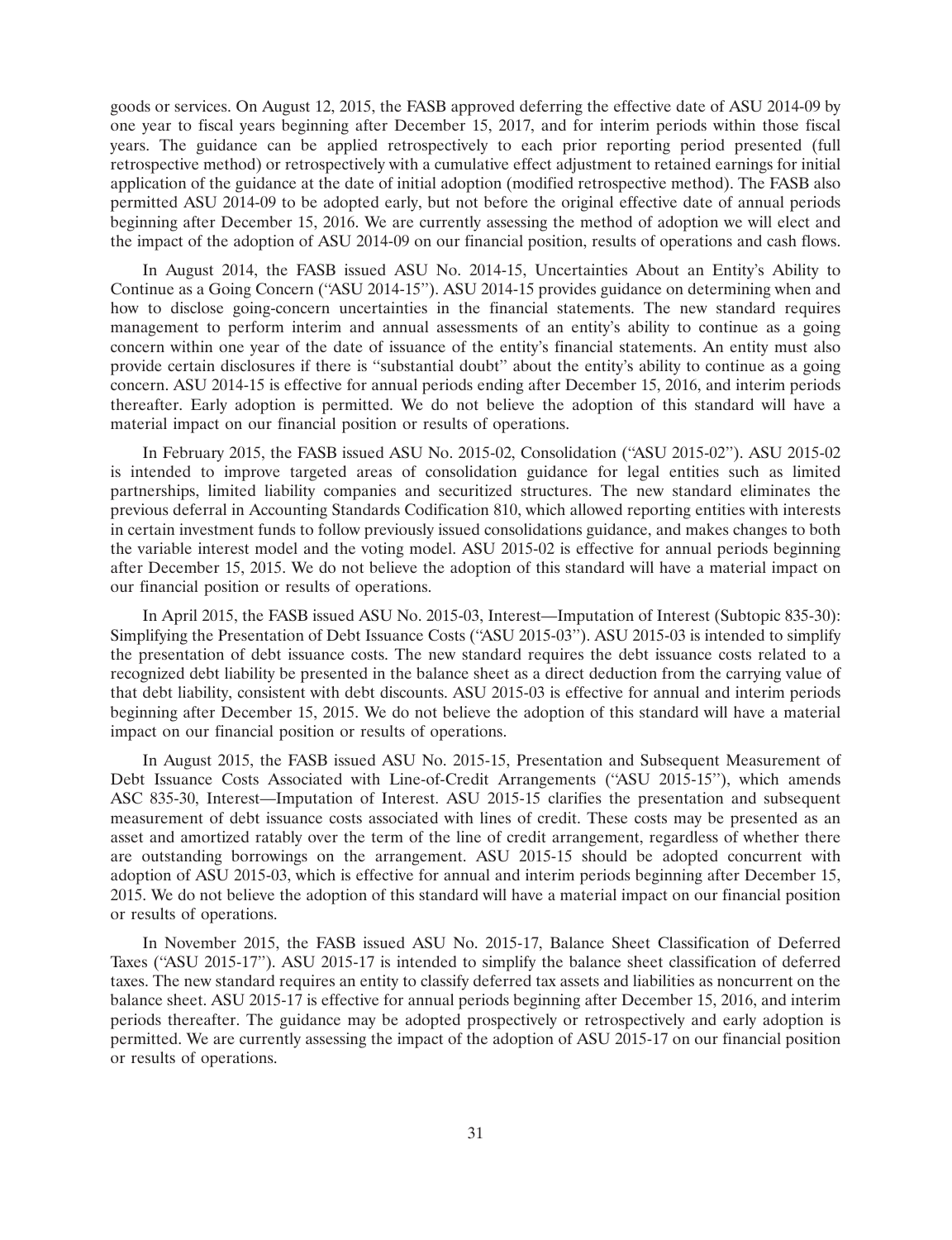goods or services. On August 12, 2015, the FASB approved deferring the effective date of ASU 2014-09 by one year to fiscal years beginning after December 15, 2017, and for interim periods within those fiscal years. The guidance can be applied retrospectively to each prior reporting period presented (full retrospective method) or retrospectively with a cumulative effect adjustment to retained earnings for initial application of the guidance at the date of initial adoption (modified retrospective method). The FASB also permitted ASU 2014-09 to be adopted early, but not before the original effective date of annual periods beginning after December 15, 2016. We are currently assessing the method of adoption we will elect and the impact of the adoption of ASU 2014-09 on our financial position, results of operations and cash flows.

In August 2014, the FASB issued ASU No. 2014-15, Uncertainties About an Entity's Ability to Continue as a Going Concern (''ASU 2014-15''). ASU 2014-15 provides guidance on determining when and how to disclose going-concern uncertainties in the financial statements. The new standard requires management to perform interim and annual assessments of an entity's ability to continue as a going concern within one year of the date of issuance of the entity's financial statements. An entity must also provide certain disclosures if there is ''substantial doubt'' about the entity's ability to continue as a going concern. ASU 2014-15 is effective for annual periods ending after December 15, 2016, and interim periods thereafter. Early adoption is permitted. We do not believe the adoption of this standard will have a material impact on our financial position or results of operations.

In February 2015, the FASB issued ASU No. 2015-02, Consolidation (''ASU 2015-02''). ASU 2015-02 is intended to improve targeted areas of consolidation guidance for legal entities such as limited partnerships, limited liability companies and securitized structures. The new standard eliminates the previous deferral in Accounting Standards Codification 810, which allowed reporting entities with interests in certain investment funds to follow previously issued consolidations guidance, and makes changes to both the variable interest model and the voting model. ASU 2015-02 is effective for annual periods beginning after December 15, 2015. We do not believe the adoption of this standard will have a material impact on our financial position or results of operations.

In April 2015, the FASB issued ASU No. 2015-03, Interest—Imputation of Interest (Subtopic 835-30): Simplifying the Presentation of Debt Issuance Costs ("ASU 2015-03"). ASU 2015-03 is intended to simplify the presentation of debt issuance costs. The new standard requires the debt issuance costs related to a recognized debt liability be presented in the balance sheet as a direct deduction from the carrying value of that debt liability, consistent with debt discounts. ASU 2015-03 is effective for annual and interim periods beginning after December 15, 2015. We do not believe the adoption of this standard will have a material impact on our financial position or results of operations.

In August 2015, the FASB issued ASU No. 2015-15, Presentation and Subsequent Measurement of Debt Issuance Costs Associated with Line-of-Credit Arrangements (''ASU 2015-15''), which amends ASC 835-30, Interest—Imputation of Interest. ASU 2015-15 clarifies the presentation and subsequent measurement of debt issuance costs associated with lines of credit. These costs may be presented as an asset and amortized ratably over the term of the line of credit arrangement, regardless of whether there are outstanding borrowings on the arrangement. ASU 2015-15 should be adopted concurrent with adoption of ASU 2015-03, which is effective for annual and interim periods beginning after December 15, 2015. We do not believe the adoption of this standard will have a material impact on our financial position or results of operations.

In November 2015, the FASB issued ASU No. 2015-17, Balance Sheet Classification of Deferred Taxes (''ASU 2015-17''). ASU 2015-17 is intended to simplify the balance sheet classification of deferred taxes. The new standard requires an entity to classify deferred tax assets and liabilities as noncurrent on the balance sheet. ASU 2015-17 is effective for annual periods beginning after December 15, 2016, and interim periods thereafter. The guidance may be adopted prospectively or retrospectively and early adoption is permitted. We are currently assessing the impact of the adoption of ASU 2015-17 on our financial position or results of operations.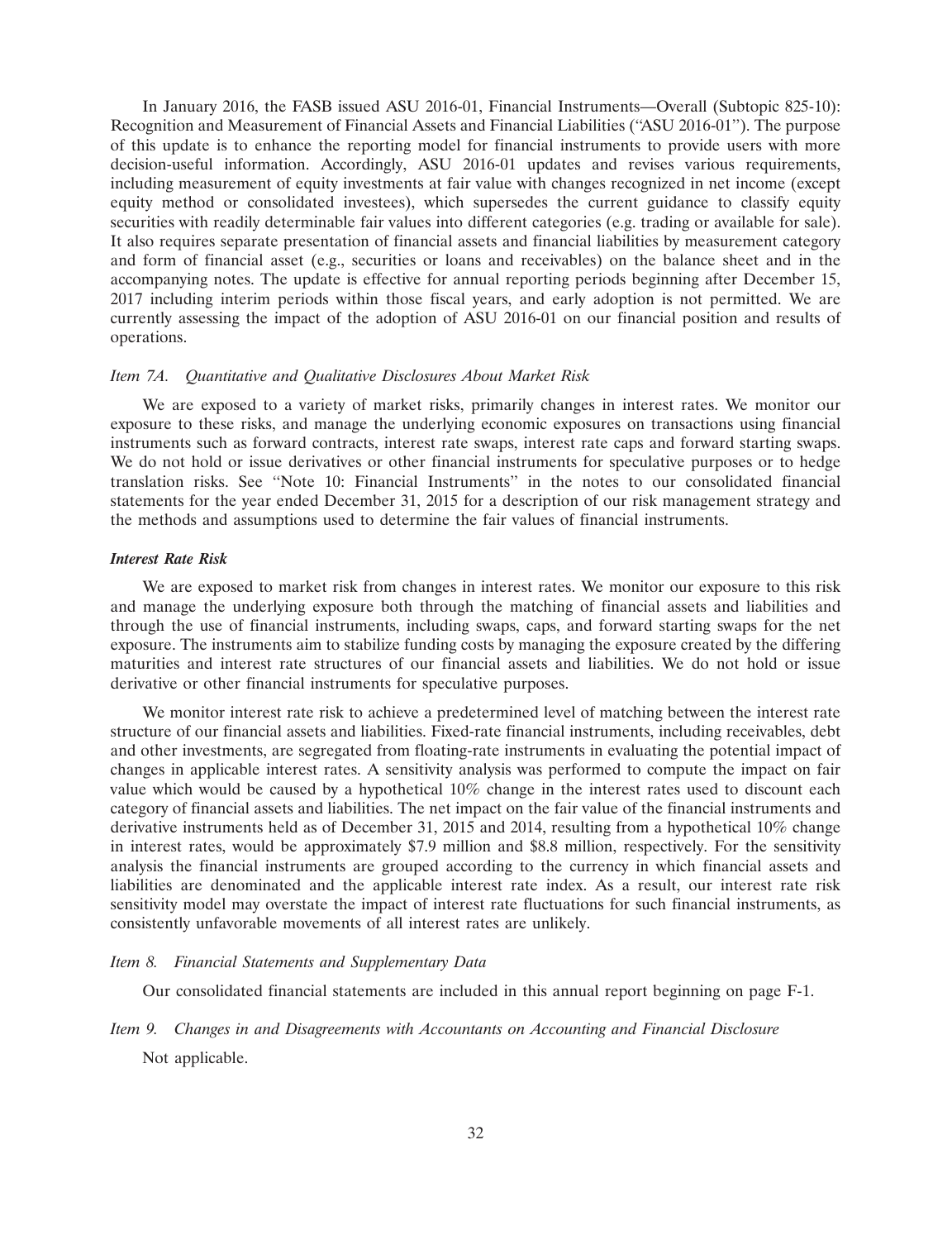In January 2016, the FASB issued ASU 2016-01, Financial Instruments—Overall (Subtopic 825-10): Recognition and Measurement of Financial Assets and Financial Liabilities (''ASU 2016-01''). The purpose of this update is to enhance the reporting model for financial instruments to provide users with more decision-useful information. Accordingly, ASU 2016-01 updates and revises various requirements, including measurement of equity investments at fair value with changes recognized in net income (except equity method or consolidated investees), which supersedes the current guidance to classify equity securities with readily determinable fair values into different categories (e.g. trading or available for sale). It also requires separate presentation of financial assets and financial liabilities by measurement category and form of financial asset (e.g., securities or loans and receivables) on the balance sheet and in the accompanying notes. The update is effective for annual reporting periods beginning after December 15, 2017 including interim periods within those fiscal years, and early adoption is not permitted. We are currently assessing the impact of the adoption of ASU 2016-01 on our financial position and results of operations.

#### *Item 7A. Quantitative and Qualitative Disclosures About Market Risk*

We are exposed to a variety of market risks, primarily changes in interest rates. We monitor our exposure to these risks, and manage the underlying economic exposures on transactions using financial instruments such as forward contracts, interest rate swaps, interest rate caps and forward starting swaps. We do not hold or issue derivatives or other financial instruments for speculative purposes or to hedge translation risks. See ''Note 10: Financial Instruments'' in the notes to our consolidated financial statements for the year ended December 31, 2015 for a description of our risk management strategy and the methods and assumptions used to determine the fair values of financial instruments.

#### *Interest Rate Risk*

We are exposed to market risk from changes in interest rates. We monitor our exposure to this risk and manage the underlying exposure both through the matching of financial assets and liabilities and through the use of financial instruments, including swaps, caps, and forward starting swaps for the net exposure. The instruments aim to stabilize funding costs by managing the exposure created by the differing maturities and interest rate structures of our financial assets and liabilities. We do not hold or issue derivative or other financial instruments for speculative purposes.

We monitor interest rate risk to achieve a predetermined level of matching between the interest rate structure of our financial assets and liabilities. Fixed-rate financial instruments, including receivables, debt and other investments, are segregated from floating-rate instruments in evaluating the potential impact of changes in applicable interest rates. A sensitivity analysis was performed to compute the impact on fair value which would be caused by a hypothetical 10% change in the interest rates used to discount each category of financial assets and liabilities. The net impact on the fair value of the financial instruments and derivative instruments held as of December 31, 2015 and 2014, resulting from a hypothetical 10% change in interest rates, would be approximately \$7.9 million and \$8.8 million, respectively. For the sensitivity analysis the financial instruments are grouped according to the currency in which financial assets and liabilities are denominated and the applicable interest rate index. As a result, our interest rate risk sensitivity model may overstate the impact of interest rate fluctuations for such financial instruments, as consistently unfavorable movements of all interest rates are unlikely.

#### *Item 8. Financial Statements and Supplementary Data*

Our consolidated financial statements are included in this annual report beginning on page F-1.

*Item 9. Changes in and Disagreements with Accountants on Accounting and Financial Disclosure* Not applicable.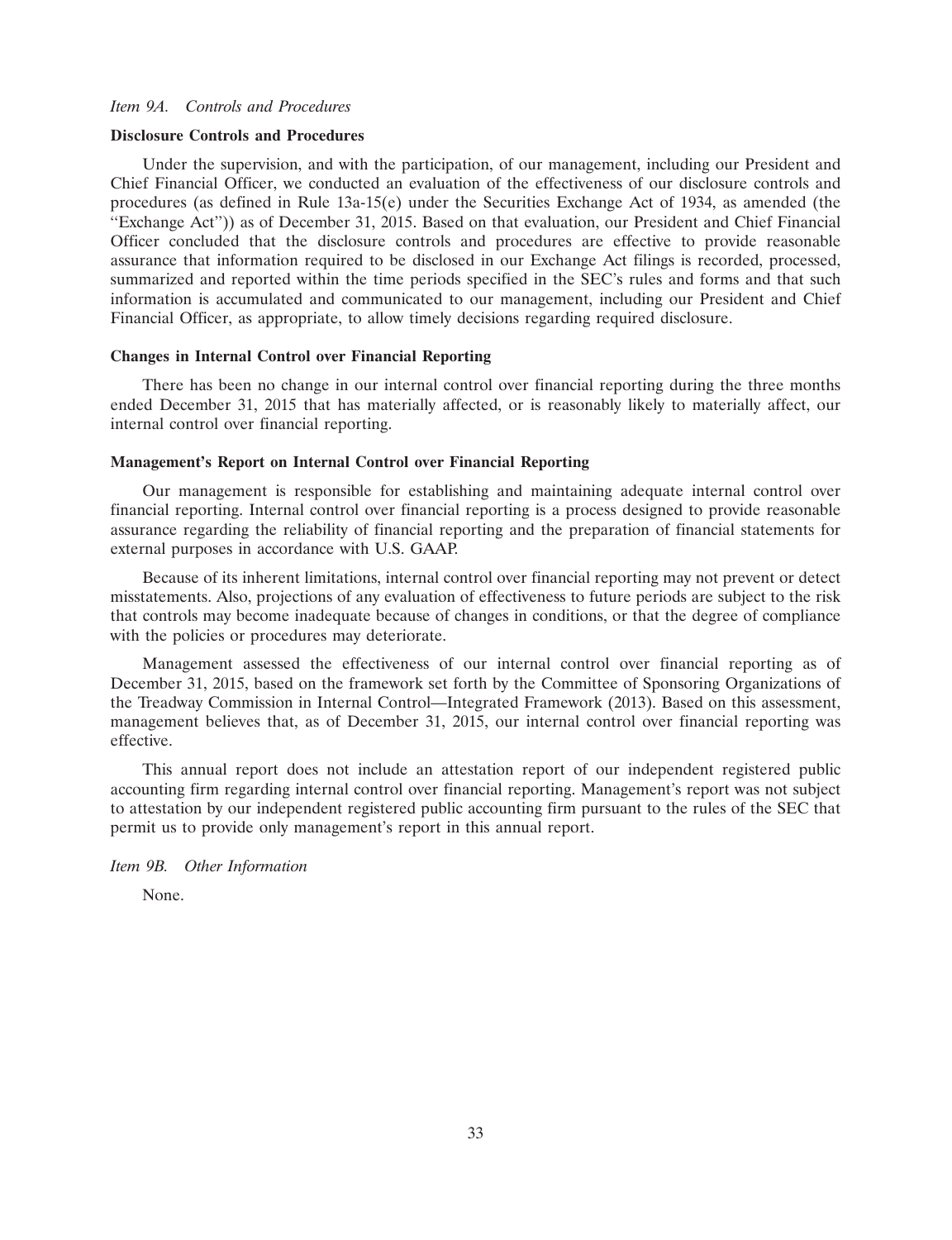## *Item 9A. Controls and Procedures*

#### **Disclosure Controls and Procedures**

Under the supervision, and with the participation, of our management, including our President and Chief Financial Officer, we conducted an evaluation of the effectiveness of our disclosure controls and procedures (as defined in Rule 13a-15(e) under the Securities Exchange Act of 1934, as amended (the ''Exchange Act'')) as of December 31, 2015. Based on that evaluation, our President and Chief Financial Officer concluded that the disclosure controls and procedures are effective to provide reasonable assurance that information required to be disclosed in our Exchange Act filings is recorded, processed, summarized and reported within the time periods specified in the SEC's rules and forms and that such information is accumulated and communicated to our management, including our President and Chief Financial Officer, as appropriate, to allow timely decisions regarding required disclosure.

## **Changes in Internal Control over Financial Reporting**

There has been no change in our internal control over financial reporting during the three months ended December 31, 2015 that has materially affected, or is reasonably likely to materially affect, our internal control over financial reporting.

#### **Management's Report on Internal Control over Financial Reporting**

Our management is responsible for establishing and maintaining adequate internal control over financial reporting. Internal control over financial reporting is a process designed to provide reasonable assurance regarding the reliability of financial reporting and the preparation of financial statements for external purposes in accordance with U.S. GAAP.

Because of its inherent limitations, internal control over financial reporting may not prevent or detect misstatements. Also, projections of any evaluation of effectiveness to future periods are subject to the risk that controls may become inadequate because of changes in conditions, or that the degree of compliance with the policies or procedures may deteriorate.

Management assessed the effectiveness of our internal control over financial reporting as of December 31, 2015, based on the framework set forth by the Committee of Sponsoring Organizations of the Treadway Commission in Internal Control—Integrated Framework (2013). Based on this assessment, management believes that, as of December 31, 2015, our internal control over financial reporting was effective.

This annual report does not include an attestation report of our independent registered public accounting firm regarding internal control over financial reporting. Management's report was not subject to attestation by our independent registered public accounting firm pursuant to the rules of the SEC that permit us to provide only management's report in this annual report.

*Item 9B. Other Information*

None.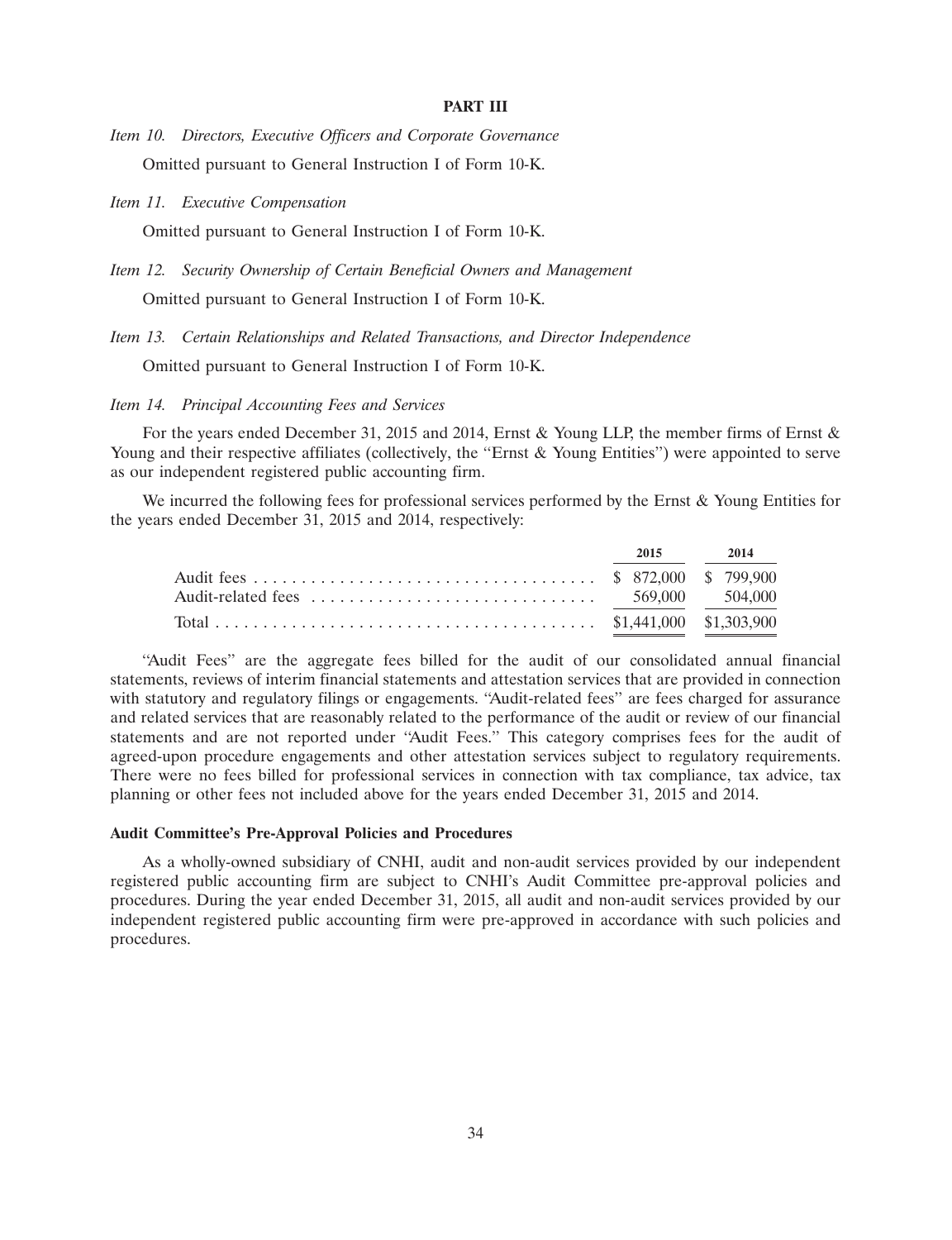#### **PART III**

*Item 10. Directors, Executive Officers and Corporate Governance* Omitted pursuant to General Instruction I of Form 10-K.

*Item 11. Executive Compensation*

Omitted pursuant to General Instruction I of Form 10-K.

*Item 12. Security Ownership of Certain Beneficial Owners and Management* Omitted pursuant to General Instruction I of Form 10-K.

*Item 13. Certain Relationships and Related Transactions, and Director Independence*

Omitted pursuant to General Instruction I of Form 10-K.

*Item 14. Principal Accounting Fees and Services*

For the years ended December 31, 2015 and 2014, Ernst & Young LLP, the member firms of Ernst & Young and their respective affiliates (collectively, the "Ernst & Young Entities") were appointed to serve as our independent registered public accounting firm.

We incurred the following fees for professional services performed by the Ernst & Young Entities for the years ended December 31, 2015 and 2014, respectively:

| 2015 2014 |  |
|-----------|--|
|           |  |
|           |  |
|           |  |

''Audit Fees'' are the aggregate fees billed for the audit of our consolidated annual financial statements, reviews of interim financial statements and attestation services that are provided in connection with statutory and regulatory filings or engagements. "Audit-related fees" are fees charged for assurance and related services that are reasonably related to the performance of the audit or review of our financial statements and are not reported under ''Audit Fees.'' This category comprises fees for the audit of agreed-upon procedure engagements and other attestation services subject to regulatory requirements. There were no fees billed for professional services in connection with tax compliance, tax advice, tax planning or other fees not included above for the years ended December 31, 2015 and 2014.

#### **Audit Committee's Pre-Approval Policies and Procedures**

As a wholly-owned subsidiary of CNHI, audit and non-audit services provided by our independent registered public accounting firm are subject to CNHI's Audit Committee pre-approval policies and procedures. During the year ended December 31, 2015, all audit and non-audit services provided by our independent registered public accounting firm were pre-approved in accordance with such policies and procedures.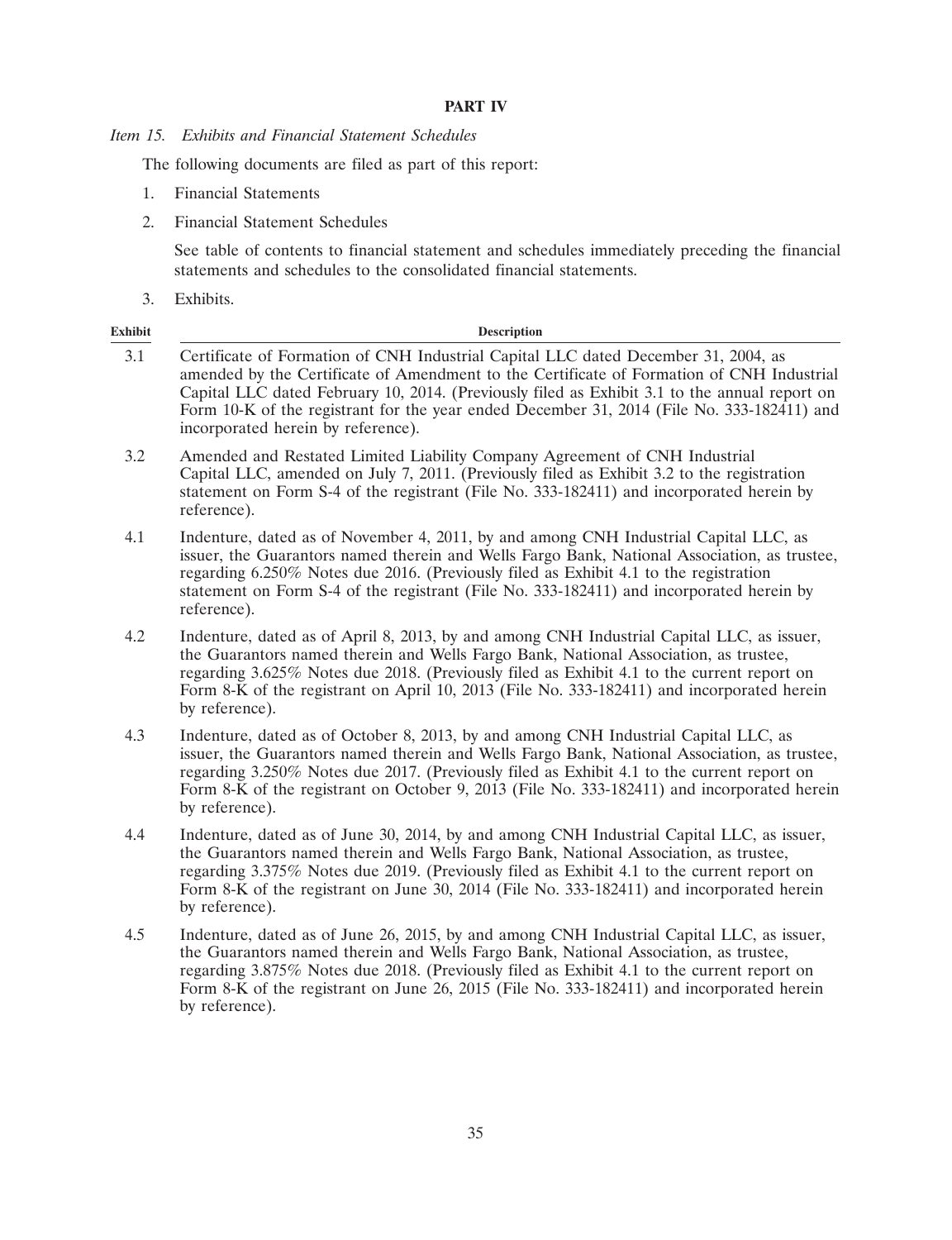## **PART IV**

## *Item 15. Exhibits and Financial Statement Schedules*

The following documents are filed as part of this report:

- 1. Financial Statements
- 2. Financial Statement Schedules

See table of contents to financial statement and schedules immediately preceding the financial statements and schedules to the consolidated financial statements.

3. Exhibits.

| Exhibit | <b>Description</b>                                                                                                                                                                                                                                                                                                                                                                                                   |
|---------|----------------------------------------------------------------------------------------------------------------------------------------------------------------------------------------------------------------------------------------------------------------------------------------------------------------------------------------------------------------------------------------------------------------------|
| 3.1     | Certificate of Formation of CNH Industrial Capital LLC dated December 31, 2004, as<br>amended by the Certificate of Amendment to the Certificate of Formation of CNH Industrial<br>Capital LLC dated February 10, 2014. (Previously filed as Exhibit 3.1 to the annual report on<br>Form 10-K of the registrant for the year ended December 31, 2014 (File No. 333-182411) and<br>incorporated herein by reference). |
| 3.2     | Amended and Restated Limited Liability Company Agreement of CNH Industrial<br>Capital LLC, amended on July 7, 2011. (Previously filed as Exhibit 3.2 to the registration<br>statement on Form S-4 of the registrant (File No. 333-182411) and incorporated herein by<br>reference).                                                                                                                                  |
| 4.1     | Indenture, dated as of November 4, 2011, by and among CNH Industrial Capital LLC, as<br>issuer, the Guarantors named therein and Wells Fargo Bank, National Association, as trustee,<br>regarding 6.250% Notes due 2016. (Previously filed as Exhibit 4.1 to the registration<br>statement on Form S-4 of the registrant (File No. 333-182411) and incorporated herein by<br>reference).                             |
| 4.2     | Indenture, dated as of April 8, 2013, by and among CNH Industrial Capital LLC, as issuer,<br>the Guarantors named therein and Wells Fargo Bank, National Association, as trustee,<br>regarding 3.625% Notes due 2018. (Previously filed as Exhibit 4.1 to the current report on<br>Form 8-K of the registrant on April 10, 2013 (File No. 333-182411) and incorporated herein<br>by reference).                      |
| 4.3     | Indenture, dated as of October 8, 2013, by and among CNH Industrial Capital LLC, as                                                                                                                                                                                                                                                                                                                                  |

- issuer, the Guarantors named therein and Wells Fargo Bank, National Association, as trustee, regarding 3.250% Notes due 2017. (Previously filed as Exhibit 4.1 to the current report on Form 8-K of the registrant on October 9, 2013 (File No. 333-182411) and incorporated herein by reference).
- 4.4 Indenture, dated as of June 30, 2014, by and among CNH Industrial Capital LLC, as issuer, the Guarantors named therein and Wells Fargo Bank, National Association, as trustee, regarding 3.375% Notes due 2019. (Previously filed as Exhibit 4.1 to the current report on Form 8-K of the registrant on June 30, 2014 (File No. 333-182411) and incorporated herein by reference).
- 4.5 Indenture, dated as of June 26, 2015, by and among CNH Industrial Capital LLC, as issuer, the Guarantors named therein and Wells Fargo Bank, National Association, as trustee, regarding 3.875% Notes due 2018. (Previously filed as Exhibit 4.1 to the current report on Form 8-K of the registrant on June 26, 2015 (File No. 333-182411) and incorporated herein by reference).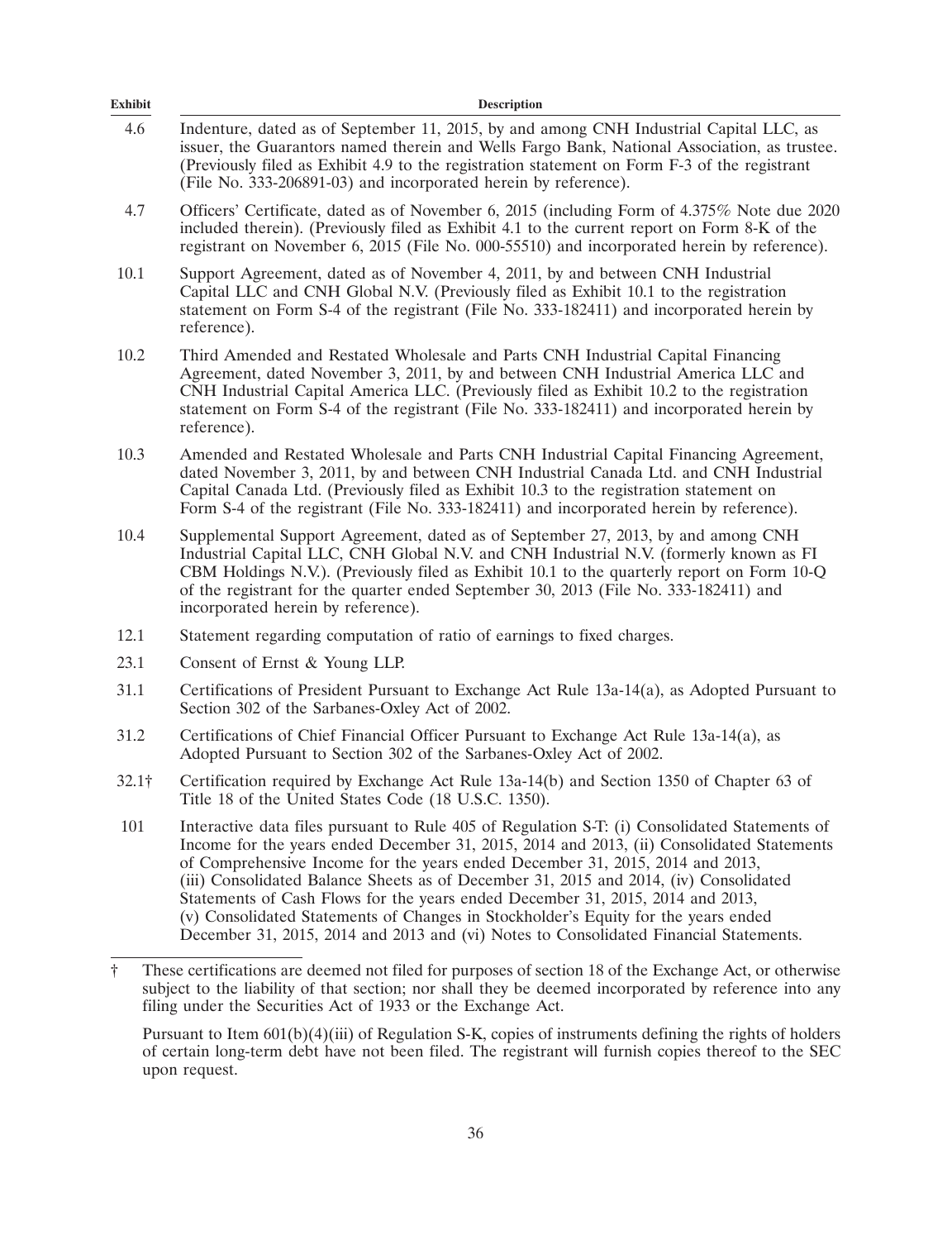| Exhibit   | <b>Description</b>                                                                                                                                                                                                                                                                                                                                                                                                                                                                                                                                                                                                                    |
|-----------|---------------------------------------------------------------------------------------------------------------------------------------------------------------------------------------------------------------------------------------------------------------------------------------------------------------------------------------------------------------------------------------------------------------------------------------------------------------------------------------------------------------------------------------------------------------------------------------------------------------------------------------|
| 4.6       | Indenture, dated as of September 11, 2015, by and among CNH Industrial Capital LLC, as<br>issuer, the Guarantors named therein and Wells Fargo Bank, National Association, as trustee.<br>(Previously filed as Exhibit 4.9 to the registration statement on Form F-3 of the registrant<br>(File No. 333-206891-03) and incorporated herein by reference).                                                                                                                                                                                                                                                                             |
| 4.7       | Officers' Certificate, dated as of November 6, 2015 (including Form of 4.375% Note due 2020<br>included therein). (Previously filed as Exhibit 4.1 to the current report on Form 8-K of the<br>registrant on November 6, 2015 (File No. 000-55510) and incorporated herein by reference).                                                                                                                                                                                                                                                                                                                                             |
| 10.1      | Support Agreement, dated as of November 4, 2011, by and between CNH Industrial<br>Capital LLC and CNH Global N.V. (Previously filed as Exhibit 10.1 to the registration<br>statement on Form S-4 of the registrant (File No. 333-182411) and incorporated herein by<br>reference).                                                                                                                                                                                                                                                                                                                                                    |
| 10.2      | Third Amended and Restated Wholesale and Parts CNH Industrial Capital Financing<br>Agreement, dated November 3, 2011, by and between CNH Industrial America LLC and<br>CNH Industrial Capital America LLC. (Previously filed as Exhibit 10.2 to the registration<br>statement on Form S-4 of the registrant (File No. 333-182411) and incorporated herein by<br>reference).                                                                                                                                                                                                                                                           |
| 10.3      | Amended and Restated Wholesale and Parts CNH Industrial Capital Financing Agreement,<br>dated November 3, 2011, by and between CNH Industrial Canada Ltd. and CNH Industrial<br>Capital Canada Ltd. (Previously filed as Exhibit 10.3 to the registration statement on<br>Form S-4 of the registrant (File No. 333-182411) and incorporated herein by reference).                                                                                                                                                                                                                                                                     |
| 10.4      | Supplemental Support Agreement, dated as of September 27, 2013, by and among CNH<br>Industrial Capital LLC, CNH Global N.V. and CNH Industrial N.V. (formerly known as FI<br>CBM Holdings N.V.). (Previously filed as Exhibit 10.1 to the quarterly report on Form 10-Q<br>of the registrant for the quarter ended September 30, 2013 (File No. 333-182411) and<br>incorporated herein by reference).                                                                                                                                                                                                                                 |
| 12.1      | Statement regarding computation of ratio of earnings to fixed charges.                                                                                                                                                                                                                                                                                                                                                                                                                                                                                                                                                                |
| 23.1      | Consent of Ernst & Young LLP.                                                                                                                                                                                                                                                                                                                                                                                                                                                                                                                                                                                                         |
| 31.1      | Certifications of President Pursuant to Exchange Act Rule 13a-14(a), as Adopted Pursuant to<br>Section 302 of the Sarbanes-Oxley Act of 2002.                                                                                                                                                                                                                                                                                                                                                                                                                                                                                         |
| 31.2      | Certifications of Chief Financial Officer Pursuant to Exchange Act Rule 13a-14(a), as<br>Adopted Pursuant to Section 302 of the Sarbanes-Oxley Act of 2002.                                                                                                                                                                                                                                                                                                                                                                                                                                                                           |
| $32.1$ †  | Certification required by Exchange Act Rule 13a-14(b) and Section 1350 of Chapter 63 of<br>Title 18 of the United States Code (18 U.S.C. 1350).                                                                                                                                                                                                                                                                                                                                                                                                                                                                                       |
| 101       | Interactive data files pursuant to Rule 405 of Regulation S-T: (i) Consolidated Statements of<br>Income for the years ended December 31, 2015, 2014 and 2013, (ii) Consolidated Statements<br>of Comprehensive Income for the years ended December 31, 2015, 2014 and 2013,<br>(iii) Consolidated Balance Sheets as of December 31, 2015 and 2014, (iv) Consolidated<br>Statements of Cash Flows for the years ended December 31, 2015, 2014 and 2013,<br>(v) Consolidated Statements of Changes in Stockholder's Equity for the years ended<br>December 31, 2015, 2014 and 2013 and (vi) Notes to Consolidated Financial Statements. |
| $\dagger$ | These certifications are deemed not filed for purposes of section 18 of the Exchange Act, or otherwise<br>subject to the liability of that section; nor shall they be deemed incorporated by reference into any<br>filing under the Securities Act of 1933 or the Exchange Act.                                                                                                                                                                                                                                                                                                                                                       |
|           | Pursuant to Item $601(b)(4)(iii)$ of Regulation S-K, copies of instruments defining the rights of holders<br>of certain long-term debt have not been filed. The registrant will furnish copies thereof to the SEC<br>upon request.                                                                                                                                                                                                                                                                                                                                                                                                    |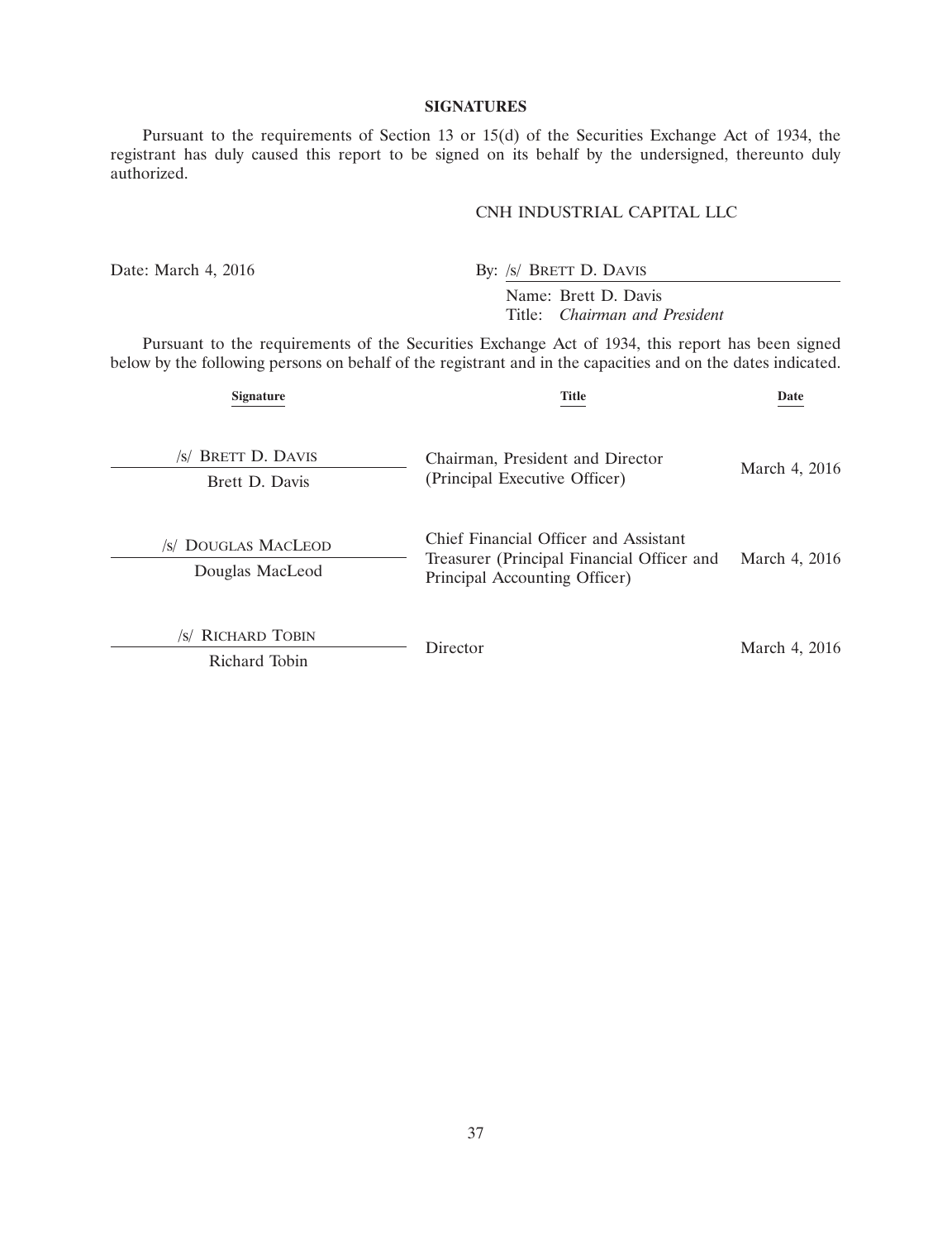#### **SIGNATURES**

Pursuant to the requirements of Section 13 or 15(d) of the Securities Exchange Act of 1934, the registrant has duly caused this report to be signed on its behalf by the undersigned, thereunto duly authorized.

### CNH INDUSTRIAL CAPITAL LLC

Date: March 4, 2016 By: /s/ BRETT D. DAVIS

Name: Brett D. Davis Title: *Chairman and President*

Pursuant to the requirements of the Securities Exchange Act of 1934, this report has been signed below by the following persons on behalf of the registrant and in the capacities and on the dates indicated.

| <b>Signature</b>                       | <b>Title</b>                                                                                                         |               |
|----------------------------------------|----------------------------------------------------------------------------------------------------------------------|---------------|
| /s/ BRETT D. DAVIS<br>Brett D. Davis   | Chairman, President and Director<br>(Principal Executive Officer)                                                    | March 4, 2016 |
| /s/ DOUGLAS MACLEOD<br>Douglas MacLeod | Chief Financial Officer and Assistant<br>Treasurer (Principal Financial Officer and<br>Principal Accounting Officer) | March 4, 2016 |
| /s/ RICHARD TOBIN<br>Richard Tobin     | Director                                                                                                             | March 4, 2016 |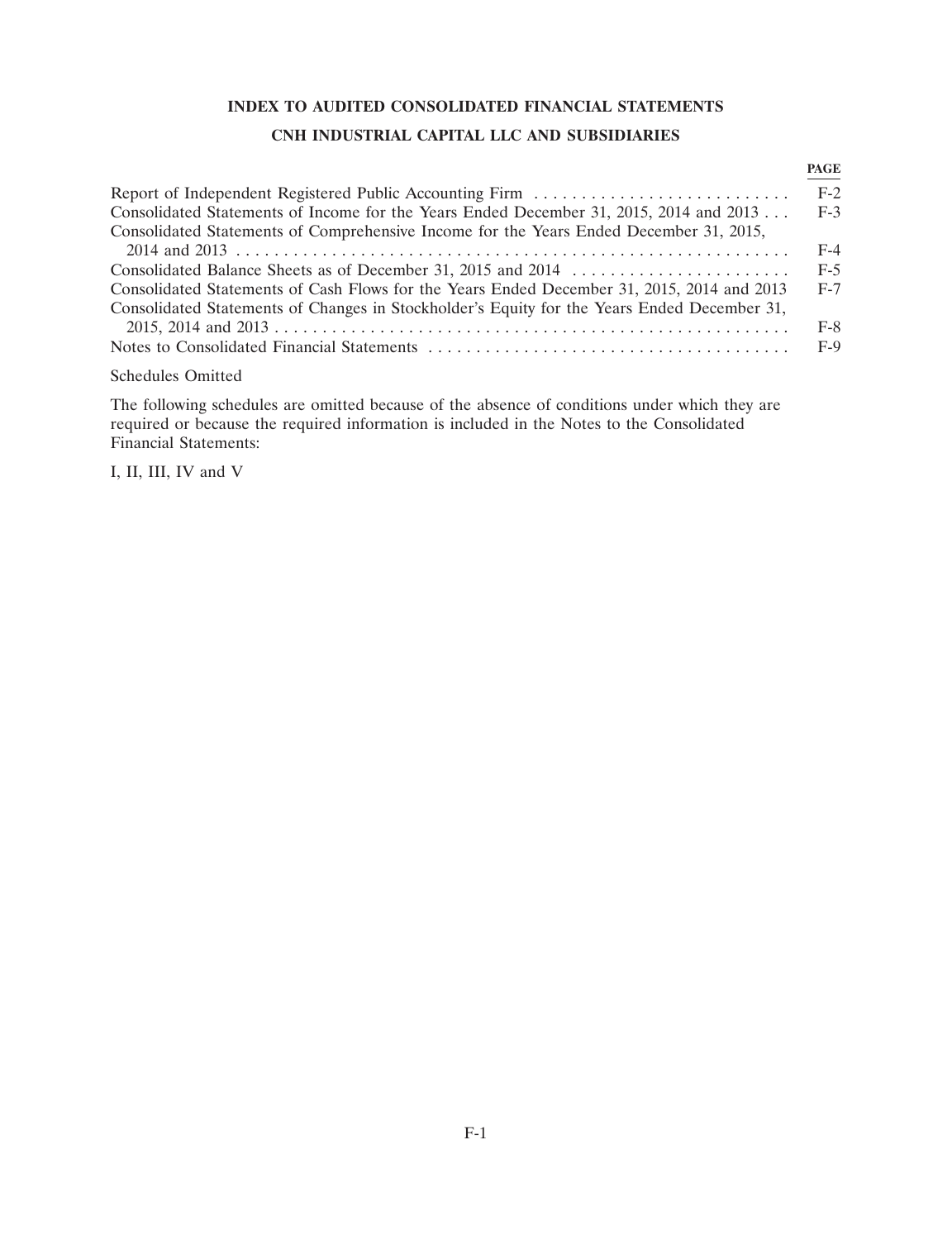### **INDEX TO AUDITED CONSOLIDATED FINANCIAL STATEMENTS**

### **CNH INDUSTRIAL CAPITAL LLC AND SUBSIDIARIES**

| v. |
|----|
|----|

| Report of Independent Registered Public Accounting Firm                                     | $F-2$ |
|---------------------------------------------------------------------------------------------|-------|
| Consolidated Statements of Income for the Years Ended December 31, 2015, 2014 and 2013      | $F-3$ |
| Consolidated Statements of Comprehensive Income for the Years Ended December 31, 2015,      |       |
|                                                                                             | $F-4$ |
| Consolidated Balance Sheets as of December 31, 2015 and 2014                                | $F-5$ |
| Consolidated Statements of Cash Flows for the Years Ended December 31, 2015, 2014 and 2013  | $F-7$ |
| Consolidated Statements of Changes in Stockholder's Equity for the Years Ended December 31, |       |
|                                                                                             | $F-8$ |
|                                                                                             | $F-9$ |
|                                                                                             |       |

### Schedules Omitted

The following schedules are omitted because of the absence of conditions under which they are required or because the required information is included in the Notes to the Consolidated Financial Statements:

I, II, III, IV and V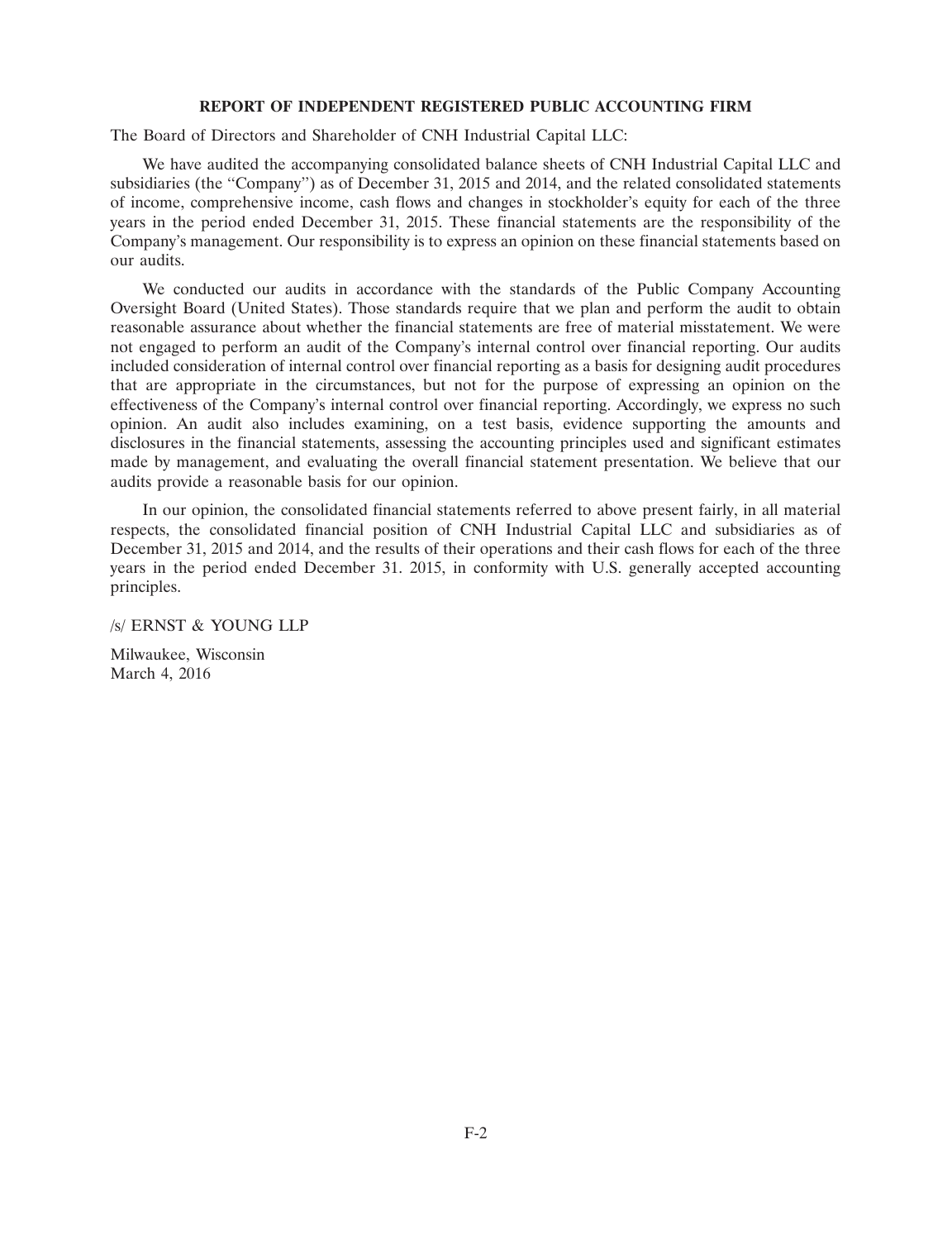#### **REPORT OF INDEPENDENT REGISTERED PUBLIC ACCOUNTING FIRM**

The Board of Directors and Shareholder of CNH Industrial Capital LLC:

We have audited the accompanying consolidated balance sheets of CNH Industrial Capital LLC and subsidiaries (the "Company") as of December 31, 2015 and 2014, and the related consolidated statements of income, comprehensive income, cash flows and changes in stockholder's equity for each of the three years in the period ended December 31, 2015. These financial statements are the responsibility of the Company's management. Our responsibility is to express an opinion on these financial statements based on our audits.

We conducted our audits in accordance with the standards of the Public Company Accounting Oversight Board (United States). Those standards require that we plan and perform the audit to obtain reasonable assurance about whether the financial statements are free of material misstatement. We were not engaged to perform an audit of the Company's internal control over financial reporting. Our audits included consideration of internal control over financial reporting as a basis for designing audit procedures that are appropriate in the circumstances, but not for the purpose of expressing an opinion on the effectiveness of the Company's internal control over financial reporting. Accordingly, we express no such opinion. An audit also includes examining, on a test basis, evidence supporting the amounts and disclosures in the financial statements, assessing the accounting principles used and significant estimates made by management, and evaluating the overall financial statement presentation. We believe that our audits provide a reasonable basis for our opinion.

In our opinion, the consolidated financial statements referred to above present fairly, in all material respects, the consolidated financial position of CNH Industrial Capital LLC and subsidiaries as of December 31, 2015 and 2014, and the results of their operations and their cash flows for each of the three years in the period ended December 31. 2015, in conformity with U.S. generally accepted accounting principles.

/s/ ERNST & YOUNG LLP

Milwaukee, Wisconsin March 4, 2016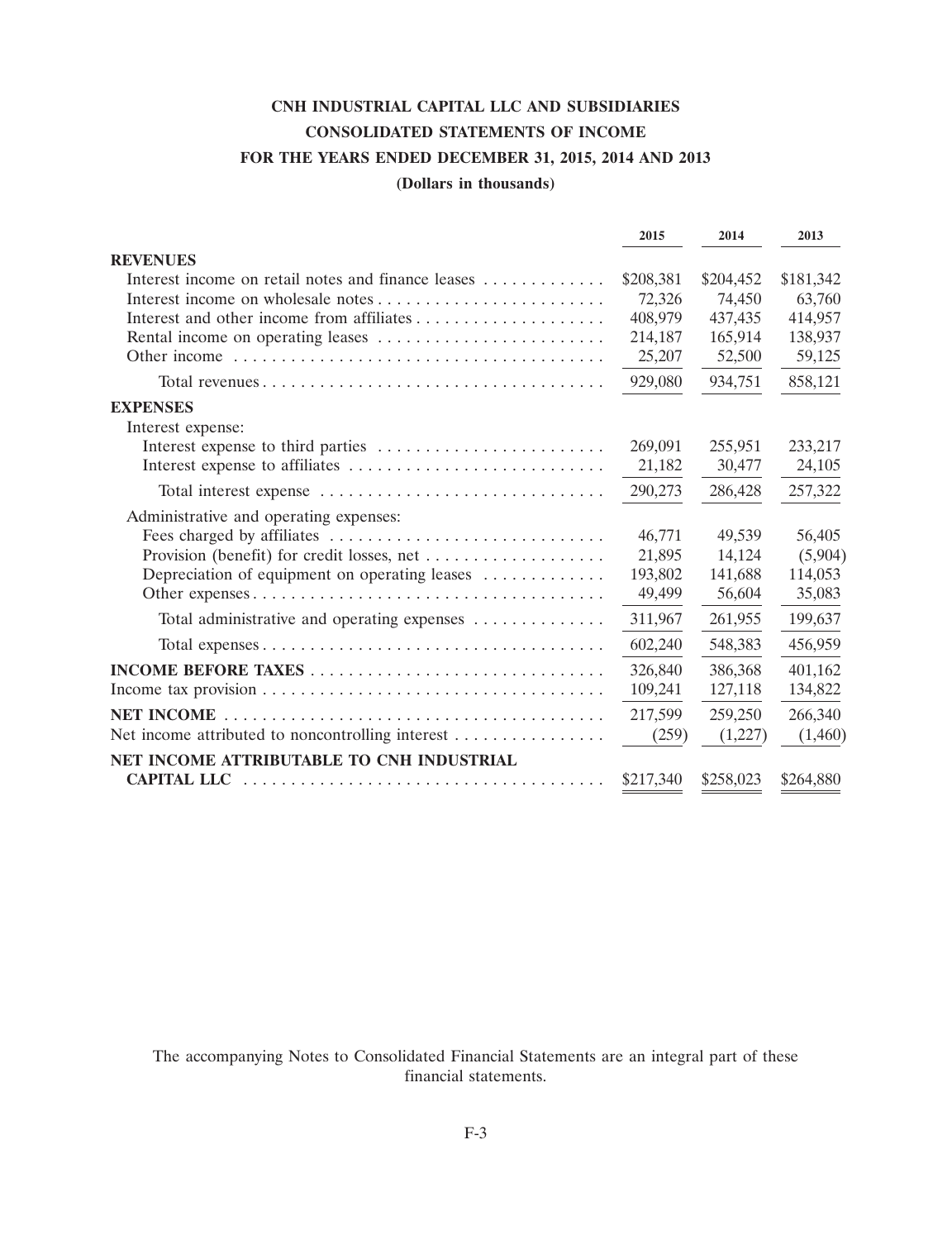# **CNH INDUSTRIAL CAPITAL LLC AND SUBSIDIARIES CONSOLIDATED STATEMENTS OF INCOME FOR THE YEARS ENDED DECEMBER 31, 2015, 2014 AND 2013 (Dollars in thousands)**

|                                                                                                | 2015      | 2014      | 2013      |
|------------------------------------------------------------------------------------------------|-----------|-----------|-----------|
| <b>REVENUES</b>                                                                                |           |           |           |
| Interest income on retail notes and finance leases                                             | \$208,381 | \$204,452 | \$181,342 |
|                                                                                                | 72,326    | 74,450    | 63,760    |
|                                                                                                | 408,979   | 437,435   | 414,957   |
|                                                                                                | 214,187   | 165,914   | 138,937   |
|                                                                                                | 25,207    | 52,500    | 59,125    |
| Total revenues $\dots \dots \dots \dots \dots \dots \dots \dots \dots \dots \dots \dots \dots$ | 929,080   | 934,751   | 858,121   |
| <b>EXPENSES</b>                                                                                |           |           |           |
| Interest expense:                                                                              |           |           |           |
|                                                                                                | 269,091   | 255,951   | 233,217   |
| Interest expense to affiliates                                                                 | 21,182    | 30,477    | 24,105    |
| Total interest expense                                                                         | 290,273   | 286,428   | 257,322   |
| Administrative and operating expenses:                                                         |           |           |           |
|                                                                                                | 46,771    | 49,539    | 56,405    |
|                                                                                                | 21,895    | 14,124    | (5,904)   |
| Depreciation of equipment on operating leases                                                  | 193,802   | 141,688   | 114,053   |
|                                                                                                | 49,499    | 56,604    | 35,083    |
| Total administrative and operating expenses                                                    | 311,967   | 261,955   | 199,637   |
|                                                                                                | 602,240   | 548,383   | 456,959   |
|                                                                                                | 326,840   | 386,368   | 401,162   |
|                                                                                                | 109,241   | 127,118   | 134,822   |
|                                                                                                | 217,599   | 259,250   | 266,340   |
| Net income attributed to noncontrolling interest                                               | (259)     | (1,227)   | (1,460)   |
| NET INCOME ATTRIBUTABLE TO CNH INDUSTRIAL                                                      |           |           |           |
|                                                                                                | \$217,340 | \$258,023 | \$264,880 |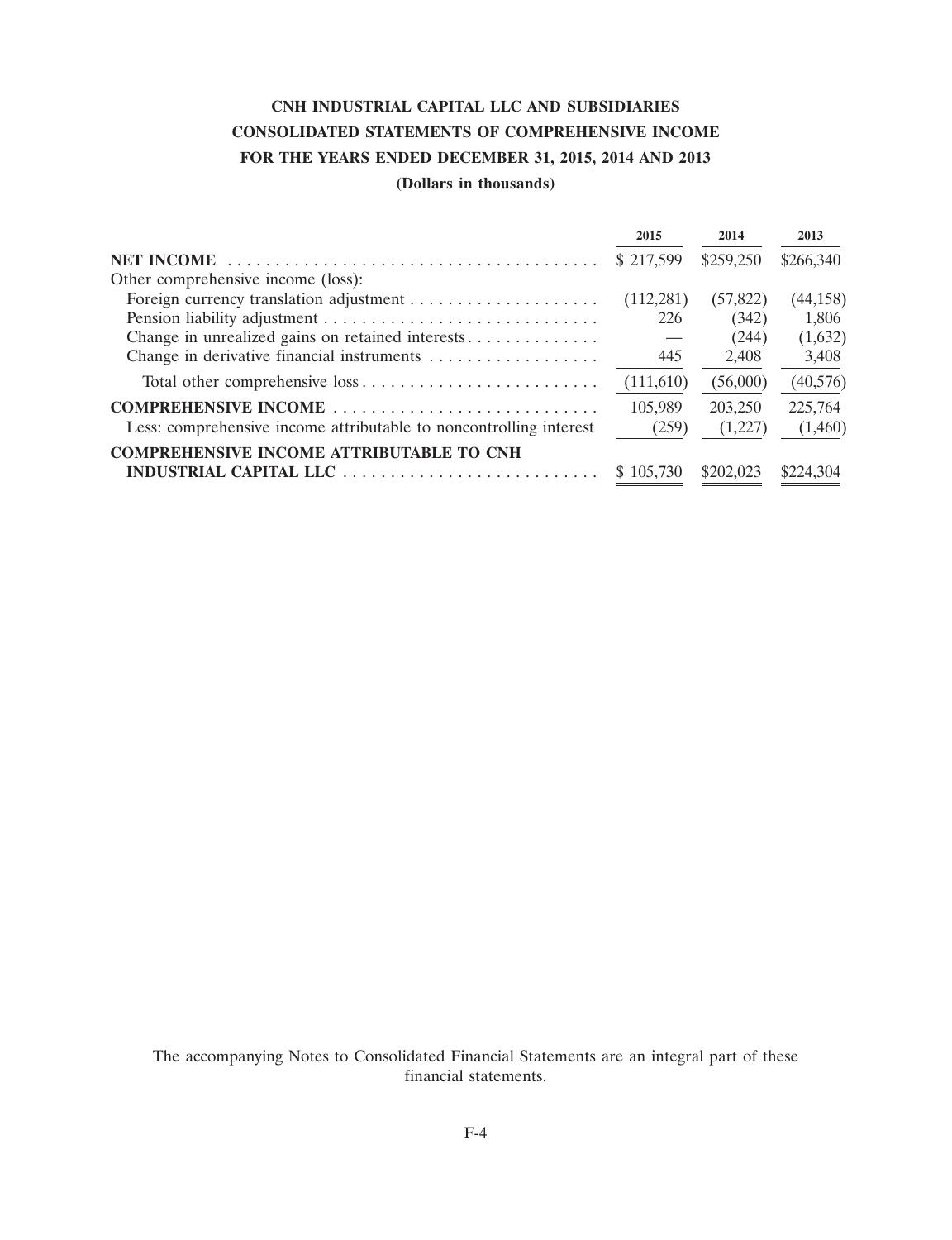# **CNH INDUSTRIAL CAPITAL LLC AND SUBSIDIARIES CONSOLIDATED STATEMENTS OF COMPREHENSIVE INCOME FOR THE YEARS ENDED DECEMBER 31, 2015, 2014 AND 2013 (Dollars in thousands)**

|                                                                    | 2015      | 2014      | 2013      |
|--------------------------------------------------------------------|-----------|-----------|-----------|
|                                                                    | \$217,599 | \$259,250 | \$266,340 |
| Other comprehensive income (loss):                                 |           |           |           |
|                                                                    | (112,281) | (57, 822) | (44, 158) |
|                                                                    | 226       | (342)     | 1,806     |
| Change in unrealized gains on retained interests                   |           | (244)     | (1,632)   |
| Change in derivative financial instruments                         | 445       | 2,408     | 3,408     |
|                                                                    | (111,610) | (56,000)  | (40, 576) |
| COMPREHENSIVE INCOME                                               | 105,989   | 203,250   | 225,764   |
| Less: comprehensive income attributable to noncontrolling interest | (259)     | (1,227)   | (1,460)   |
| <b>COMPREHENSIVE INCOME ATTRIBUTABLE TO CNH</b>                    |           |           |           |
|                                                                    | \$105,730 | \$202,023 | \$224,304 |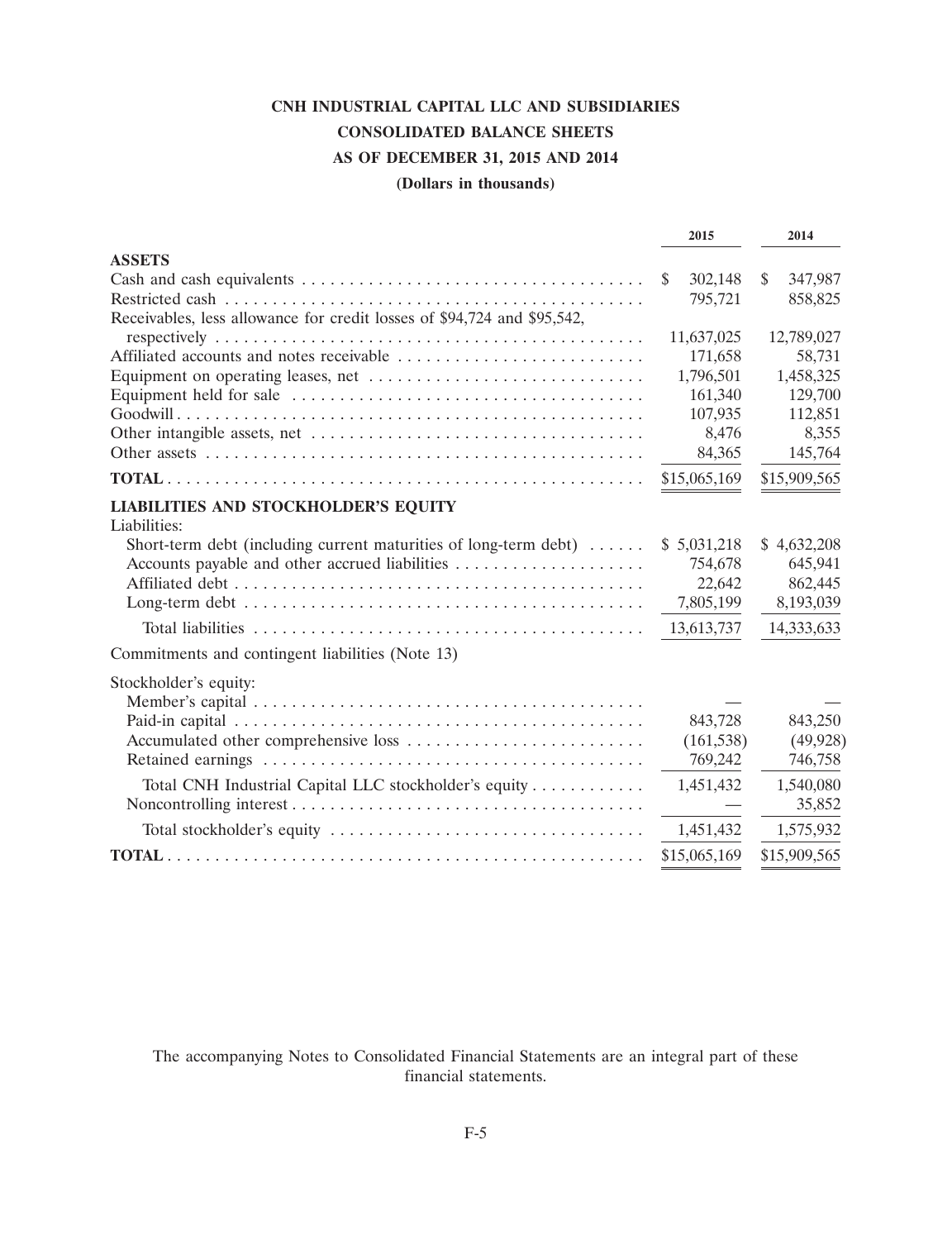# **CNH INDUSTRIAL CAPITAL LLC AND SUBSIDIARIES CONSOLIDATED BALANCE SHEETS AS OF DECEMBER 31, 2015 AND 2014 (Dollars in thousands)**

|                                                                            | 2015         | 2014          |
|----------------------------------------------------------------------------|--------------|---------------|
| <b>ASSETS</b>                                                              |              |               |
|                                                                            | 302,148<br>S | \$<br>347,987 |
|                                                                            | 795,721      | 858,825       |
| Receivables, less allowance for credit losses of \$94,724 and \$95,542,    |              |               |
|                                                                            | 11,637,025   | 12,789,027    |
|                                                                            | 171,658      | 58,731        |
|                                                                            | 1,796,501    | 1,458,325     |
|                                                                            | 161,340      | 129,700       |
|                                                                            | 107,935      | 112,851       |
|                                                                            | 8,476        | 8,355         |
|                                                                            | 84,365       | 145,764       |
|                                                                            | \$15,065,169 | \$15,909,565  |
| <b>LIABILITIES AND STOCKHOLDER'S EQUITY</b><br>Liabilities:                |              |               |
| Short-term debt (including current maturities of long-term debt) $\dots$ . | \$5,031,218  | \$4,632,208   |
| Accounts payable and other accrued liabilities                             | 754,678      | 645,941       |
|                                                                            | 22,642       | 862,445       |
|                                                                            | 7,805,199    | 8,193,039     |
|                                                                            | 13,613,737   | 14,333,633    |
| Commitments and contingent liabilities (Note 13)                           |              |               |
| Stockholder's equity:                                                      |              |               |
|                                                                            |              |               |
|                                                                            | 843,728      | 843,250       |
|                                                                            | (161, 538)   | (49, 928)     |
|                                                                            | 769,242      | 746,758       |
| Total CNH Industrial Capital LLC stockholder's equity                      | 1,451,432    | 1,540,080     |
|                                                                            |              | 35,852        |
|                                                                            | 1,451,432    | 1,575,932     |
|                                                                            | \$15,065,169 | \$15,909,565  |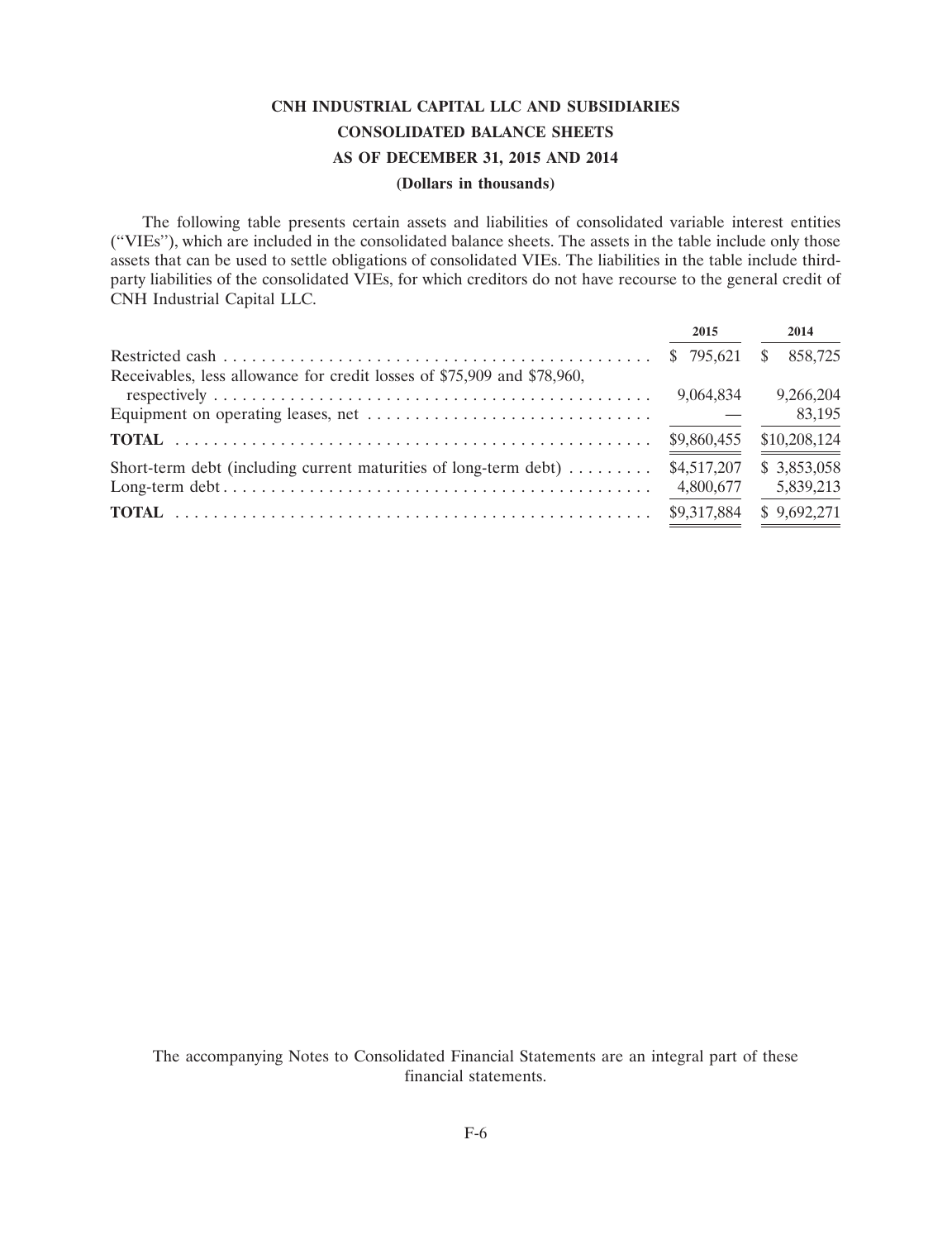# **CNH INDUSTRIAL CAPITAL LLC AND SUBSIDIARIES CONSOLIDATED BALANCE SHEETS AS OF DECEMBER 31, 2015 AND 2014 (Dollars in thousands)**

The following table presents certain assets and liabilities of consolidated variable interest entities (''VIEs''), which are included in the consolidated balance sheets. The assets in the table include only those assets that can be used to settle obligations of consolidated VIEs. The liabilities in the table include thirdparty liabilities of the consolidated VIEs, for which creditors do not have recourse to the general credit of CNH Industrial Capital LLC.

|                                                                                                                          | 2015        | 2014                     |
|--------------------------------------------------------------------------------------------------------------------------|-------------|--------------------------|
| Receivables, less allowance for credit losses of \$75,909 and \$78,960,                                                  | \$ 795,621  | 858,725<br><sup>\$</sup> |
|                                                                                                                          | 9,064,834   | 9,266,204                |
| Equipment on operating leases, net $\dots \dots \dots \dots \dots \dots \dots \dots \dots \dots \dots \dots \dots \dots$ |             | 83,195                   |
|                                                                                                                          |             | \$10,208,124             |
| Short-term debt (including current maturities of long-term debt) $\dots \dots$                                           | \$4,517,207 | \$3,853,058              |
|                                                                                                                          | 4,800,677   | 5,839,213                |
|                                                                                                                          |             | \$9,692,271              |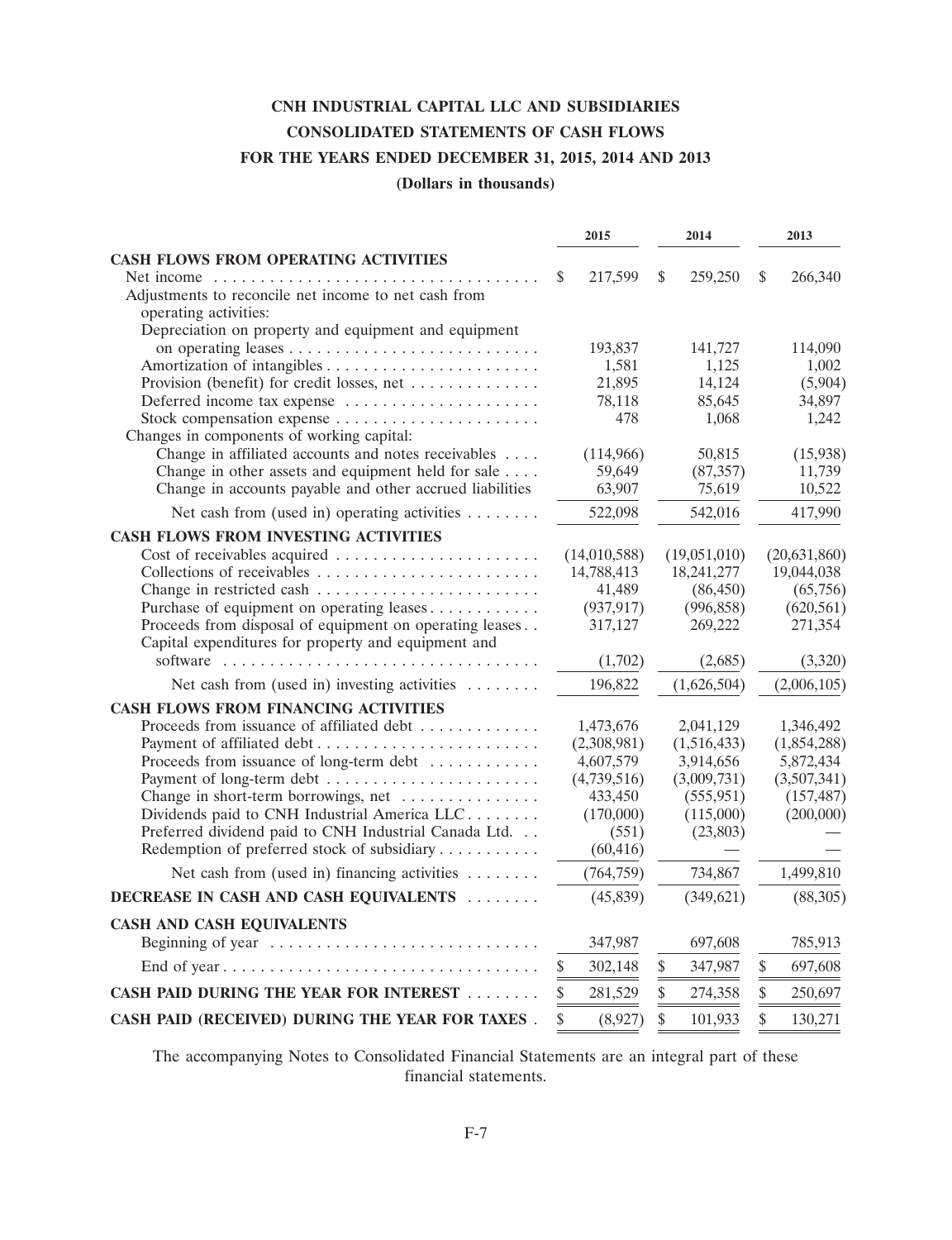# **CNH INDUSTRIAL CAPITAL LLC AND SUBSIDIARIES CONSOLIDATED STATEMENTS OF CASH FLOWS FOR THE YEARS ENDED DECEMBER 31, 2015, 2014 AND 2013**

### **(Dollars in thousands)**

|                                                                                                  |    | 2015          | 2014            | 2013          |
|--------------------------------------------------------------------------------------------------|----|---------------|-----------------|---------------|
| <b>CASH FLOWS FROM OPERATING ACTIVITIES</b>                                                      |    |               |                 |               |
| Net income $\ldots \ldots \ldots \ldots \ldots \ldots \ldots \ldots \ldots \ldots$               | S. | 217,599       | \$<br>259,250   | \$<br>266,340 |
| Adjustments to reconcile net income to net cash from                                             |    |               |                 |               |
| operating activities:                                                                            |    |               |                 |               |
| Depreciation on property and equipment and equipment                                             |    |               |                 |               |
|                                                                                                  |    | 193,837       | 141,727         | 114,090       |
|                                                                                                  |    | 1,581         | 1,125           | 1,002         |
| Provision (benefit) for credit losses, net                                                       |    | 21,895        | 14,124          | (5,904)       |
| Deferred income tax expense                                                                      |    | 78,118<br>478 | 85,645<br>1,068 | 34,897        |
|                                                                                                  |    |               |                 | 1,242         |
| Changes in components of working capital:<br>Change in affiliated accounts and notes receivables |    | (114,966)     | 50,815          | (15,938)      |
| Change in other assets and equipment held for sale                                               |    | 59,649        | (87, 357)       | 11,739        |
| Change in accounts payable and other accrued liabilities                                         |    | 63,907        | 75,619          | 10,522        |
|                                                                                                  |    |               |                 |               |
| Net cash from (used in) operating activities                                                     |    | 522,098       | 542,016         | 417,990       |
| CASH FLOWS FROM INVESTING ACTIVITIES                                                             |    |               |                 |               |
| Cost of receivables acquired                                                                     |    | (14,010,588)  | (19,051,010)    | (20,631,860)  |
|                                                                                                  |    | 14,788,413    | 18,241,277      | 19,044,038    |
|                                                                                                  |    | 41,489        | (86, 450)       | (65,756)      |
| Purchase of equipment on operating leases                                                        |    | (937, 917)    | (996, 858)      | (620, 561)    |
| Proceeds from disposal of equipment on operating leases                                          |    | 317,127       | 269,222         | 271,354       |
| Capital expenditures for property and equipment and                                              |    |               |                 |               |
|                                                                                                  |    | (1,702)       | (2,685)         | (3,320)       |
| Net cash from (used in) investing activities $\dots \dots$                                       |    | 196,822       | (1,626,504)     | (2,006,105)   |
| <b>CASH FLOWS FROM FINANCING ACTIVITIES</b>                                                      |    |               |                 |               |
| Proceeds from issuance of affiliated debt                                                        |    | 1,473,676     | 2,041,129       | 1,346,492     |
|                                                                                                  |    | (2,308,981)   | (1,516,433)     | (1,854,288)   |
| Proceeds from issuance of long-term debt                                                         |    | 4,607,579     | 3,914,656       | 5,872,434     |
| Payment of long-term debt                                                                        |    | (4,739,516)   | (3,009,731)     | (3,507,341)   |
| Change in short-term borrowings, net                                                             |    | 433,450       | (555, 951)      | (157, 487)    |
| Dividends paid to CNH Industrial America LLC                                                     |    | (170,000)     | (115,000)       | (200,000)     |
| Preferred dividend paid to CNH Industrial Canada Ltd.                                            |    | (551)         | (23,803)        |               |
| Redemption of preferred stock of subsidiary                                                      |    | (60, 416)     |                 |               |
| Net cash from (used in) financing activities $\dots \dots$                                       |    | (764, 759)    | 734,867         | 1,499,810     |
| DECREASE IN CASH AND CASH EQUIVALENTS                                                            |    | (45,839)      | (349, 621)      | (88,305)      |
| <b>CASH AND CASH EQUIVALENTS</b>                                                                 |    |               |                 |               |
| Beginning of year                                                                                |    | 347,987       | 697,608         | 785,913       |
| End of year                                                                                      |    | 302,148       | \$<br>347,987   | \$<br>697,608 |
| CASH PAID DURING THE YEAR FOR INTEREST                                                           | \$ | 281,529       | \$<br>274,358   | \$<br>250,697 |
| CASH PAID (RECEIVED) DURING THE YEAR FOR TAXES.                                                  | \$ | (8,927)       | \$<br>101,933   | \$<br>130,271 |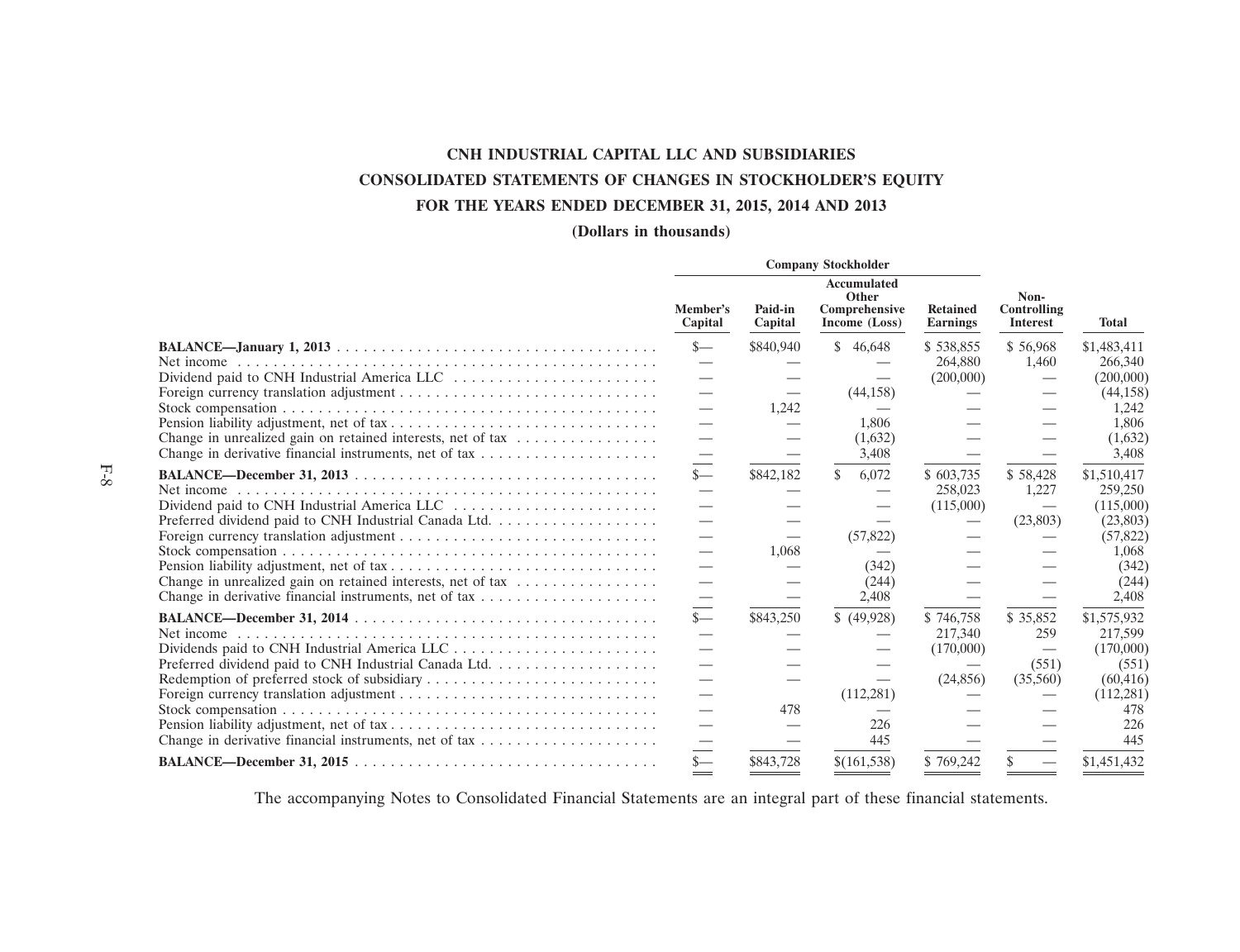# **CNH INDUSTRIAL CAPITAL LLC AND SUBSIDIARIESCONSOLIDATED STATEMENTS OF CHANGES IN STOCKHOLDER'S EQUITY FOR THE YEARS ENDED DECEMBER 31, 2015, 2014 AND 2013**

### **(Dollars in thousands)**

|                                                                                                                    |                     | <b>Company Stockholder</b> |                                                               |                                    |                                 |             |
|--------------------------------------------------------------------------------------------------------------------|---------------------|----------------------------|---------------------------------------------------------------|------------------------------------|---------------------------------|-------------|
|                                                                                                                    | Member's<br>Capital | Paid-in<br>Capital         | <b>Accumulated</b><br>Other<br>Comprehensive<br>Income (Loss) | <b>Retained</b><br><b>Earnings</b> | Non-<br>Controlling<br>Interest | Total       |
|                                                                                                                    | $s-$                | \$840,940                  | 46,648<br>\$                                                  | \$538,855                          | \$56,968                        | \$1,483,411 |
| Net income $\dots \dots \dots \dots \dots \dots \dots \dots \dots \dots \dots \dots \dots \dots \dots \dots \dots$ |                     |                            |                                                               | 264,880                            | 1,460                           | 266,340     |
|                                                                                                                    |                     |                            |                                                               | (200,000)                          |                                 | (200,000)   |
|                                                                                                                    |                     |                            | (44, 158)                                                     |                                    |                                 | (44, 158)   |
|                                                                                                                    |                     | 1,242                      |                                                               |                                    |                                 | 1,242       |
|                                                                                                                    |                     |                            | 1.806                                                         |                                    |                                 | 1,806       |
| Change in unrealized gain on retained interests, net of tax                                                        |                     |                            | (1,632)                                                       |                                    |                                 | (1,632)     |
|                                                                                                                    |                     |                            | 3,408                                                         |                                    |                                 | 3,408       |
|                                                                                                                    | $s-$                | \$842,182                  | 6,072                                                         | \$603,735                          | \$58,428                        | \$1,510,417 |
| Net income $\dots \dots \dots \dots \dots \dots \dots \dots \dots \dots \dots \dots \dots \dots \dots \dots \dots$ |                     |                            |                                                               | 258,023                            | 1,227                           | 259,250     |
|                                                                                                                    |                     |                            |                                                               | (115,000)                          |                                 | (115,000)   |
|                                                                                                                    |                     |                            |                                                               |                                    | (23,803)                        | (23,803)    |
|                                                                                                                    |                     |                            | (57, 822)                                                     |                                    |                                 | (57, 822)   |
|                                                                                                                    |                     | 1,068                      |                                                               |                                    |                                 | 1,068       |
|                                                                                                                    |                     |                            | (342)                                                         |                                    |                                 | (342)       |
| Change in unrealized gain on retained interests, net of tax                                                        |                     |                            | (244)                                                         |                                    |                                 | (244)       |
|                                                                                                                    |                     |                            | 2,408                                                         |                                    |                                 | 2,408       |
|                                                                                                                    | $S-$                | \$843,250                  | \$ (49,928)                                                   | \$746,758                          | \$35,852                        | \$1,575,932 |
|                                                                                                                    |                     |                            |                                                               | 217,340                            | 259                             | 217,599     |
|                                                                                                                    |                     |                            |                                                               | (170,000)                          |                                 | (170,000)   |
|                                                                                                                    |                     |                            |                                                               |                                    | (551)                           | (551)       |
|                                                                                                                    |                     |                            |                                                               | (24, 856)                          | (35,560)                        | (60, 416)   |
|                                                                                                                    |                     |                            | (112,281)                                                     |                                    |                                 | (112, 281)  |
|                                                                                                                    |                     | 478                        |                                                               |                                    |                                 | 478         |
|                                                                                                                    |                     |                            | 226                                                           |                                    |                                 | 226         |
| Change in derivative financial instruments, net of tax                                                             |                     |                            | 445                                                           |                                    |                                 | 445         |
|                                                                                                                    | $\frac{\ }{s-}$     | \$843,728                  | \$(161,538)                                                   | \$769,242                          | \$                              | \$1,451,432 |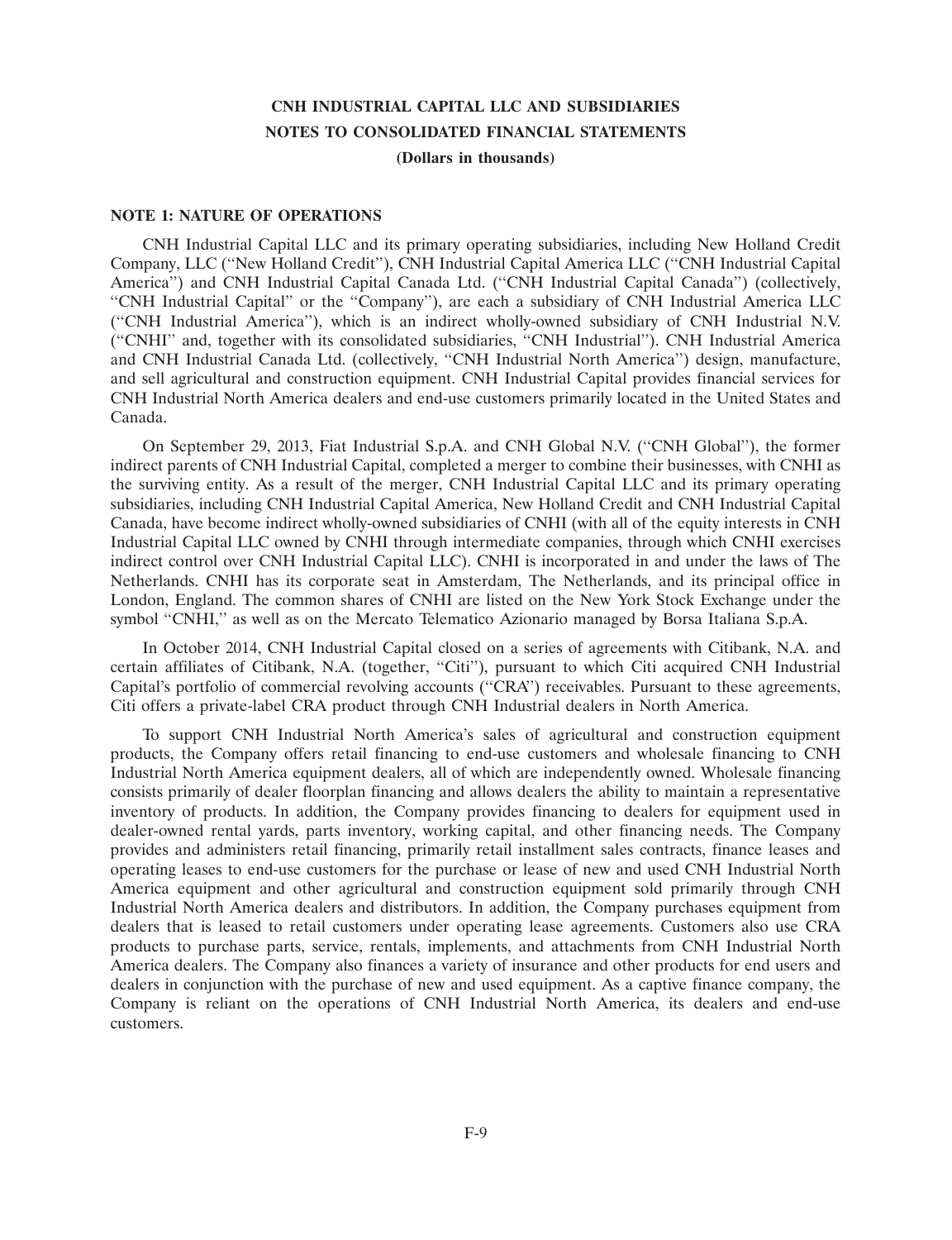#### **NOTE 1: NATURE OF OPERATIONS**

CNH Industrial Capital LLC and its primary operating subsidiaries, including New Holland Credit Company, LLC (''New Holland Credit''), CNH Industrial Capital America LLC (''CNH Industrial Capital America") and CNH Industrial Capital Canada Ltd. ("CNH Industrial Capital Canada") (collectively, "CNH Industrial Capital" or the "Company"), are each a subsidiary of CNH Industrial America LLC (''CNH Industrial America''), which is an indirect wholly-owned subsidiary of CNH Industrial N.V. (''CNHI'' and, together with its consolidated subsidiaries, ''CNH Industrial''). CNH Industrial America and CNH Industrial Canada Ltd. (collectively, ''CNH Industrial North America'') design, manufacture, and sell agricultural and construction equipment. CNH Industrial Capital provides financial services for CNH Industrial North America dealers and end-use customers primarily located in the United States and Canada.

On September 29, 2013, Fiat Industrial S.p.A. and CNH Global N.V. (''CNH Global''), the former indirect parents of CNH Industrial Capital, completed a merger to combine their businesses, with CNHI as the surviving entity. As a result of the merger, CNH Industrial Capital LLC and its primary operating subsidiaries, including CNH Industrial Capital America, New Holland Credit and CNH Industrial Capital Canada, have become indirect wholly-owned subsidiaries of CNHI (with all of the equity interests in CNH Industrial Capital LLC owned by CNHI through intermediate companies, through which CNHI exercises indirect control over CNH Industrial Capital LLC). CNHI is incorporated in and under the laws of The Netherlands. CNHI has its corporate seat in Amsterdam, The Netherlands, and its principal office in London, England. The common shares of CNHI are listed on the New York Stock Exchange under the symbol "CNHI," as well as on the Mercato Telematico Azionario managed by Borsa Italiana S.p.A.

In October 2014, CNH Industrial Capital closed on a series of agreements with Citibank, N.A. and certain affiliates of Citibank, N.A. (together, "Citi"), pursuant to which Citi acquired CNH Industrial Capital's portfolio of commercial revolving accounts ("CRA") receivables. Pursuant to these agreements, Citi offers a private-label CRA product through CNH Industrial dealers in North America.

To support CNH Industrial North America's sales of agricultural and construction equipment products, the Company offers retail financing to end-use customers and wholesale financing to CNH Industrial North America equipment dealers, all of which are independently owned. Wholesale financing consists primarily of dealer floorplan financing and allows dealers the ability to maintain a representative inventory of products. In addition, the Company provides financing to dealers for equipment used in dealer-owned rental yards, parts inventory, working capital, and other financing needs. The Company provides and administers retail financing, primarily retail installment sales contracts, finance leases and operating leases to end-use customers for the purchase or lease of new and used CNH Industrial North America equipment and other agricultural and construction equipment sold primarily through CNH Industrial North America dealers and distributors. In addition, the Company purchases equipment from dealers that is leased to retail customers under operating lease agreements. Customers also use CRA products to purchase parts, service, rentals, implements, and attachments from CNH Industrial North America dealers. The Company also finances a variety of insurance and other products for end users and dealers in conjunction with the purchase of new and used equipment. As a captive finance company, the Company is reliant on the operations of CNH Industrial North America, its dealers and end-use customers.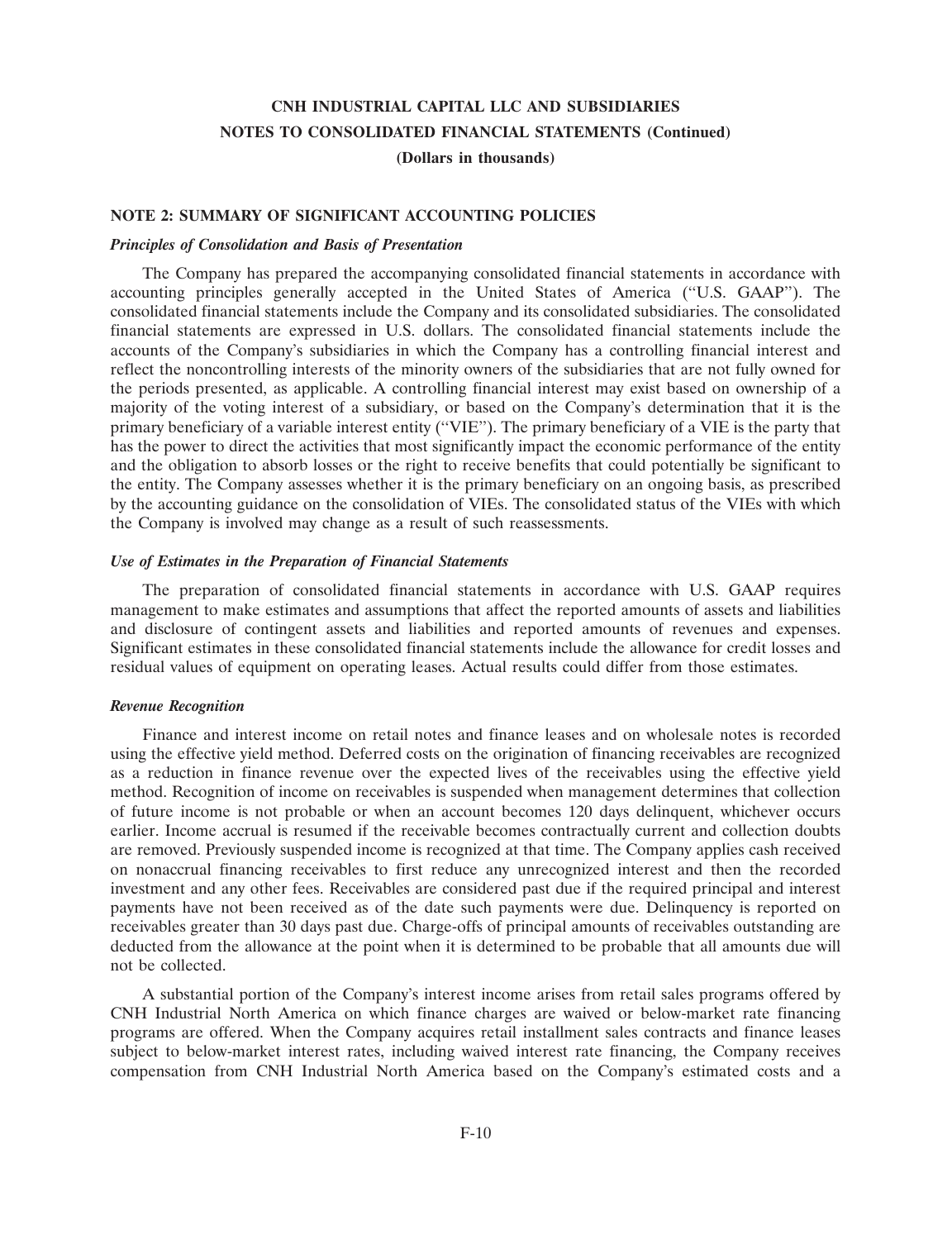### **NOTE 2: SUMMARY OF SIGNIFICANT ACCOUNTING POLICIES**

### *Principles of Consolidation and Basis of Presentation*

The Company has prepared the accompanying consolidated financial statements in accordance with accounting principles generally accepted in the United States of America (''U.S. GAAP''). The consolidated financial statements include the Company and its consolidated subsidiaries. The consolidated financial statements are expressed in U.S. dollars. The consolidated financial statements include the accounts of the Company's subsidiaries in which the Company has a controlling financial interest and reflect the noncontrolling interests of the minority owners of the subsidiaries that are not fully owned for the periods presented, as applicable. A controlling financial interest may exist based on ownership of a majority of the voting interest of a subsidiary, or based on the Company's determination that it is the primary beneficiary of a variable interest entity (''VIE''). The primary beneficiary of a VIE is the party that has the power to direct the activities that most significantly impact the economic performance of the entity and the obligation to absorb losses or the right to receive benefits that could potentially be significant to the entity. The Company assesses whether it is the primary beneficiary on an ongoing basis, as prescribed by the accounting guidance on the consolidation of VIEs. The consolidated status of the VIEs with which the Company is involved may change as a result of such reassessments.

#### *Use of Estimates in the Preparation of Financial Statements*

The preparation of consolidated financial statements in accordance with U.S. GAAP requires management to make estimates and assumptions that affect the reported amounts of assets and liabilities and disclosure of contingent assets and liabilities and reported amounts of revenues and expenses. Significant estimates in these consolidated financial statements include the allowance for credit losses and residual values of equipment on operating leases. Actual results could differ from those estimates.

#### *Revenue Recognition*

Finance and interest income on retail notes and finance leases and on wholesale notes is recorded using the effective yield method. Deferred costs on the origination of financing receivables are recognized as a reduction in finance revenue over the expected lives of the receivables using the effective yield method. Recognition of income on receivables is suspended when management determines that collection of future income is not probable or when an account becomes 120 days delinquent, whichever occurs earlier. Income accrual is resumed if the receivable becomes contractually current and collection doubts are removed. Previously suspended income is recognized at that time. The Company applies cash received on nonaccrual financing receivables to first reduce any unrecognized interest and then the recorded investment and any other fees. Receivables are considered past due if the required principal and interest payments have not been received as of the date such payments were due. Delinquency is reported on receivables greater than 30 days past due. Charge-offs of principal amounts of receivables outstanding are deducted from the allowance at the point when it is determined to be probable that all amounts due will not be collected.

A substantial portion of the Company's interest income arises from retail sales programs offered by CNH Industrial North America on which finance charges are waived or below-market rate financing programs are offered. When the Company acquires retail installment sales contracts and finance leases subject to below-market interest rates, including waived interest rate financing, the Company receives compensation from CNH Industrial North America based on the Company's estimated costs and a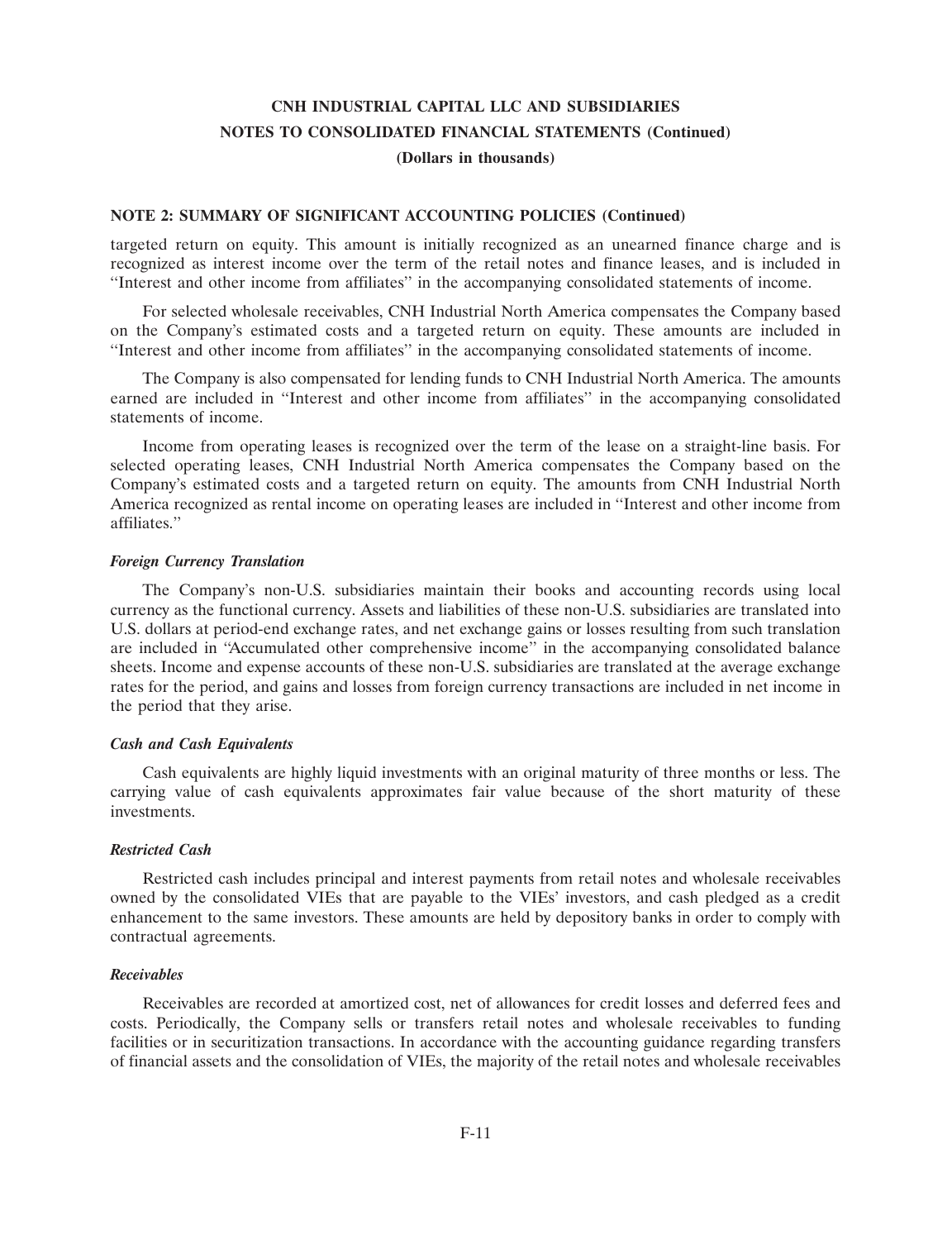### **NOTE 2: SUMMARY OF SIGNIFICANT ACCOUNTING POLICIES (Continued)**

targeted return on equity. This amount is initially recognized as an unearned finance charge and is recognized as interest income over the term of the retail notes and finance leases, and is included in ''Interest and other income from affiliates'' in the accompanying consolidated statements of income.

For selected wholesale receivables, CNH Industrial North America compensates the Company based on the Company's estimated costs and a targeted return on equity. These amounts are included in ''Interest and other income from affiliates'' in the accompanying consolidated statements of income.

The Company is also compensated for lending funds to CNH Industrial North America. The amounts earned are included in ''Interest and other income from affiliates'' in the accompanying consolidated statements of income.

Income from operating leases is recognized over the term of the lease on a straight-line basis. For selected operating leases, CNH Industrial North America compensates the Company based on the Company's estimated costs and a targeted return on equity. The amounts from CNH Industrial North America recognized as rental income on operating leases are included in ''Interest and other income from affiliates.''

#### *Foreign Currency Translation*

The Company's non-U.S. subsidiaries maintain their books and accounting records using local currency as the functional currency. Assets and liabilities of these non-U.S. subsidiaries are translated into U.S. dollars at period-end exchange rates, and net exchange gains or losses resulting from such translation are included in ''Accumulated other comprehensive income'' in the accompanying consolidated balance sheets. Income and expense accounts of these non-U.S. subsidiaries are translated at the average exchange rates for the period, and gains and losses from foreign currency transactions are included in net income in the period that they arise.

#### *Cash and Cash Equivalents*

Cash equivalents are highly liquid investments with an original maturity of three months or less. The carrying value of cash equivalents approximates fair value because of the short maturity of these investments.

### *Restricted Cash*

Restricted cash includes principal and interest payments from retail notes and wholesale receivables owned by the consolidated VIEs that are payable to the VIEs' investors, and cash pledged as a credit enhancement to the same investors. These amounts are held by depository banks in order to comply with contractual agreements.

#### *Receivables*

Receivables are recorded at amortized cost, net of allowances for credit losses and deferred fees and costs. Periodically, the Company sells or transfers retail notes and wholesale receivables to funding facilities or in securitization transactions. In accordance with the accounting guidance regarding transfers of financial assets and the consolidation of VIEs, the majority of the retail notes and wholesale receivables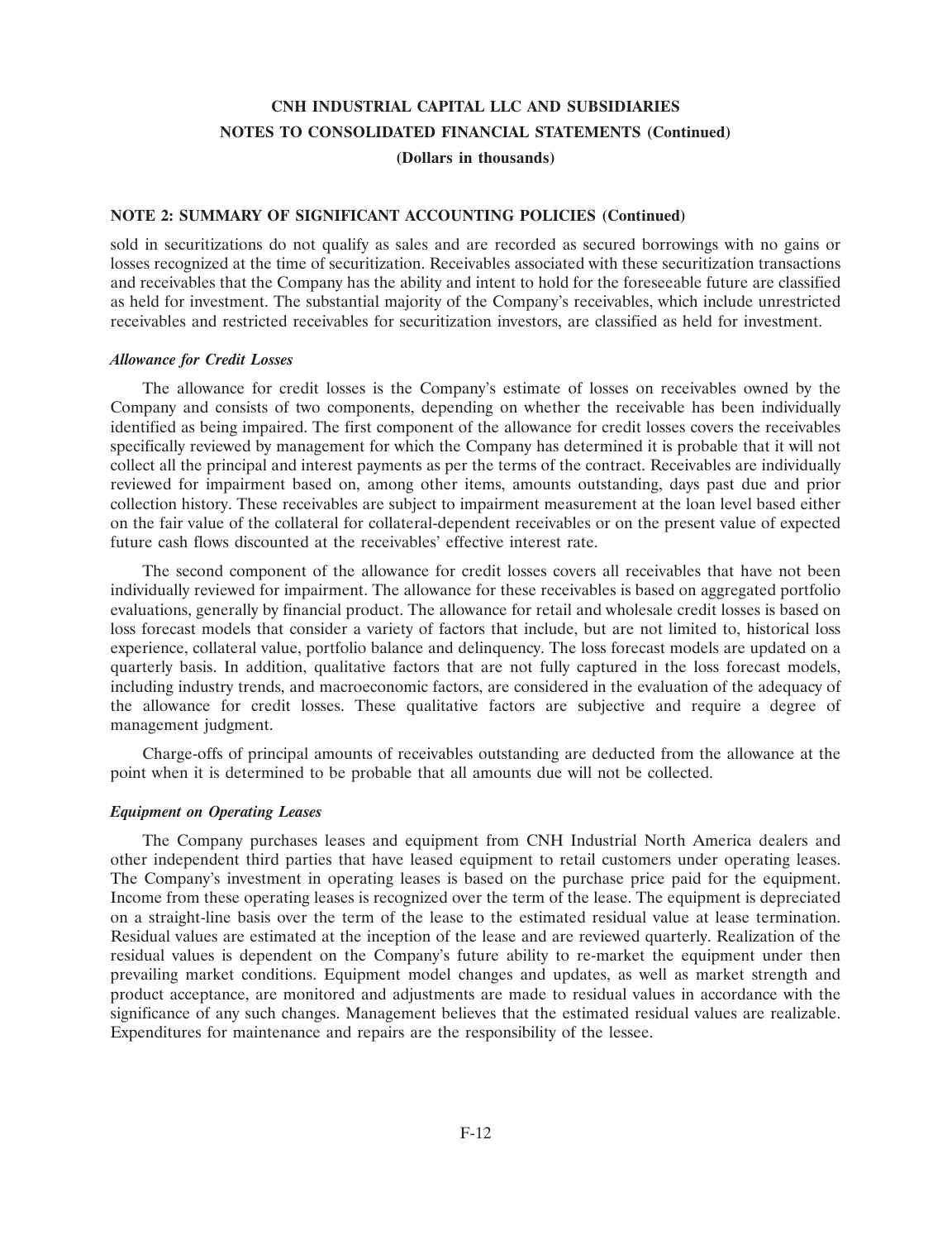### **NOTE 2: SUMMARY OF SIGNIFICANT ACCOUNTING POLICIES (Continued)**

sold in securitizations do not qualify as sales and are recorded as secured borrowings with no gains or losses recognized at the time of securitization. Receivables associated with these securitization transactions and receivables that the Company has the ability and intent to hold for the foreseeable future are classified as held for investment. The substantial majority of the Company's receivables, which include unrestricted receivables and restricted receivables for securitization investors, are classified as held for investment.

#### *Allowance for Credit Losses*

The allowance for credit losses is the Company's estimate of losses on receivables owned by the Company and consists of two components, depending on whether the receivable has been individually identified as being impaired. The first component of the allowance for credit losses covers the receivables specifically reviewed by management for which the Company has determined it is probable that it will not collect all the principal and interest payments as per the terms of the contract. Receivables are individually reviewed for impairment based on, among other items, amounts outstanding, days past due and prior collection history. These receivables are subject to impairment measurement at the loan level based either on the fair value of the collateral for collateral-dependent receivables or on the present value of expected future cash flows discounted at the receivables' effective interest rate.

The second component of the allowance for credit losses covers all receivables that have not been individually reviewed for impairment. The allowance for these receivables is based on aggregated portfolio evaluations, generally by financial product. The allowance for retail and wholesale credit losses is based on loss forecast models that consider a variety of factors that include, but are not limited to, historical loss experience, collateral value, portfolio balance and delinquency. The loss forecast models are updated on a quarterly basis. In addition, qualitative factors that are not fully captured in the loss forecast models, including industry trends, and macroeconomic factors, are considered in the evaluation of the adequacy of the allowance for credit losses. These qualitative factors are subjective and require a degree of management judgment.

Charge-offs of principal amounts of receivables outstanding are deducted from the allowance at the point when it is determined to be probable that all amounts due will not be collected.

### *Equipment on Operating Leases*

The Company purchases leases and equipment from CNH Industrial North America dealers and other independent third parties that have leased equipment to retail customers under operating leases. The Company's investment in operating leases is based on the purchase price paid for the equipment. Income from these operating leases is recognized over the term of the lease. The equipment is depreciated on a straight-line basis over the term of the lease to the estimated residual value at lease termination. Residual values are estimated at the inception of the lease and are reviewed quarterly. Realization of the residual values is dependent on the Company's future ability to re-market the equipment under then prevailing market conditions. Equipment model changes and updates, as well as market strength and product acceptance, are monitored and adjustments are made to residual values in accordance with the significance of any such changes. Management believes that the estimated residual values are realizable. Expenditures for maintenance and repairs are the responsibility of the lessee.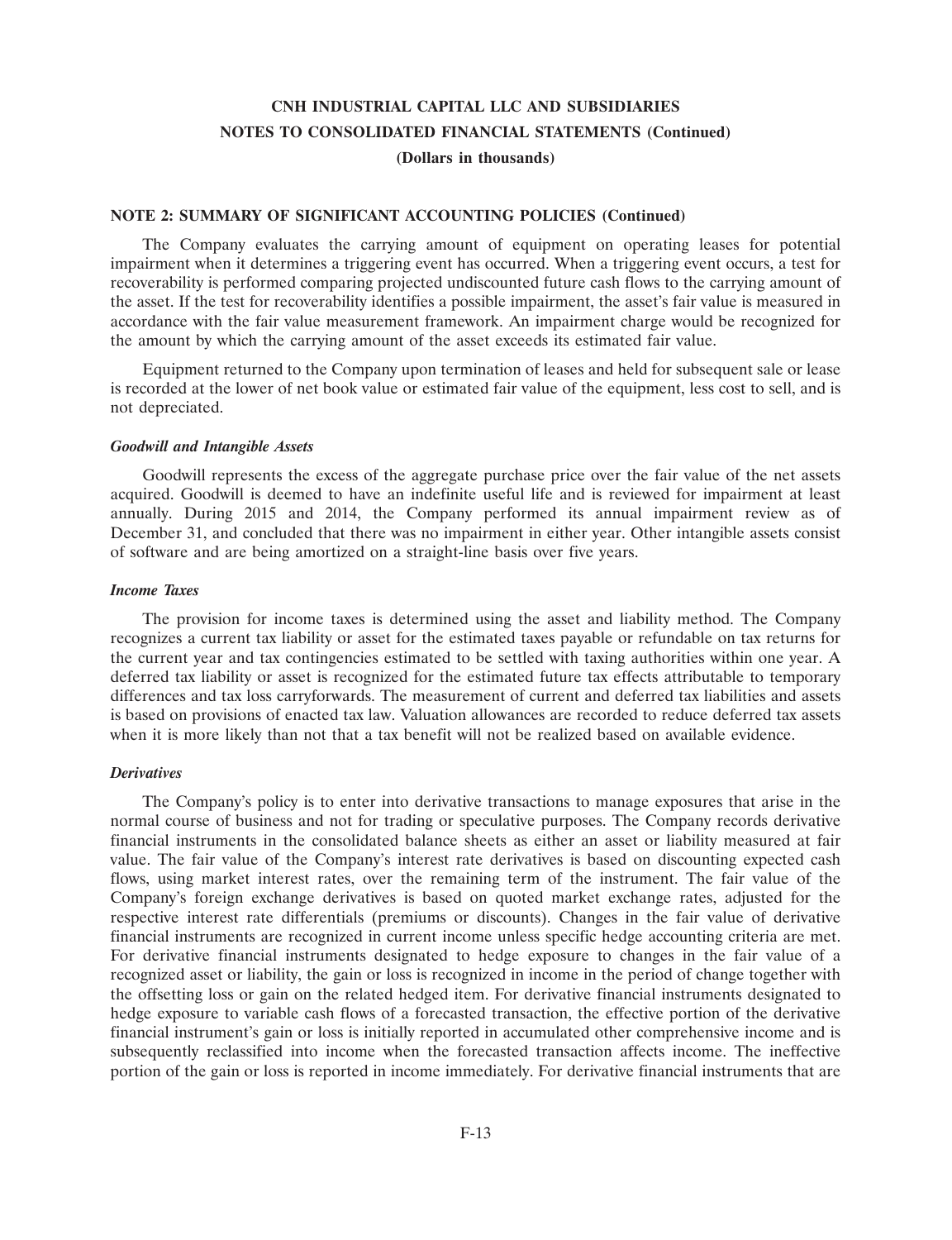### **NOTE 2: SUMMARY OF SIGNIFICANT ACCOUNTING POLICIES (Continued)**

The Company evaluates the carrying amount of equipment on operating leases for potential impairment when it determines a triggering event has occurred. When a triggering event occurs, a test for recoverability is performed comparing projected undiscounted future cash flows to the carrying amount of the asset. If the test for recoverability identifies a possible impairment, the asset's fair value is measured in accordance with the fair value measurement framework. An impairment charge would be recognized for the amount by which the carrying amount of the asset exceeds its estimated fair value.

Equipment returned to the Company upon termination of leases and held for subsequent sale or lease is recorded at the lower of net book value or estimated fair value of the equipment, less cost to sell, and is not depreciated.

#### *Goodwill and Intangible Assets*

Goodwill represents the excess of the aggregate purchase price over the fair value of the net assets acquired. Goodwill is deemed to have an indefinite useful life and is reviewed for impairment at least annually. During 2015 and 2014, the Company performed its annual impairment review as of December 31, and concluded that there was no impairment in either year. Other intangible assets consist of software and are being amortized on a straight-line basis over five years.

#### *Income Taxes*

The provision for income taxes is determined using the asset and liability method. The Company recognizes a current tax liability or asset for the estimated taxes payable or refundable on tax returns for the current year and tax contingencies estimated to be settled with taxing authorities within one year. A deferred tax liability or asset is recognized for the estimated future tax effects attributable to temporary differences and tax loss carryforwards. The measurement of current and deferred tax liabilities and assets is based on provisions of enacted tax law. Valuation allowances are recorded to reduce deferred tax assets when it is more likely than not that a tax benefit will not be realized based on available evidence.

#### *Derivatives*

The Company's policy is to enter into derivative transactions to manage exposures that arise in the normal course of business and not for trading or speculative purposes. The Company records derivative financial instruments in the consolidated balance sheets as either an asset or liability measured at fair value. The fair value of the Company's interest rate derivatives is based on discounting expected cash flows, using market interest rates, over the remaining term of the instrument. The fair value of the Company's foreign exchange derivatives is based on quoted market exchange rates, adjusted for the respective interest rate differentials (premiums or discounts). Changes in the fair value of derivative financial instruments are recognized in current income unless specific hedge accounting criteria are met. For derivative financial instruments designated to hedge exposure to changes in the fair value of a recognized asset or liability, the gain or loss is recognized in income in the period of change together with the offsetting loss or gain on the related hedged item. For derivative financial instruments designated to hedge exposure to variable cash flows of a forecasted transaction, the effective portion of the derivative financial instrument's gain or loss is initially reported in accumulated other comprehensive income and is subsequently reclassified into income when the forecasted transaction affects income. The ineffective portion of the gain or loss is reported in income immediately. For derivative financial instruments that are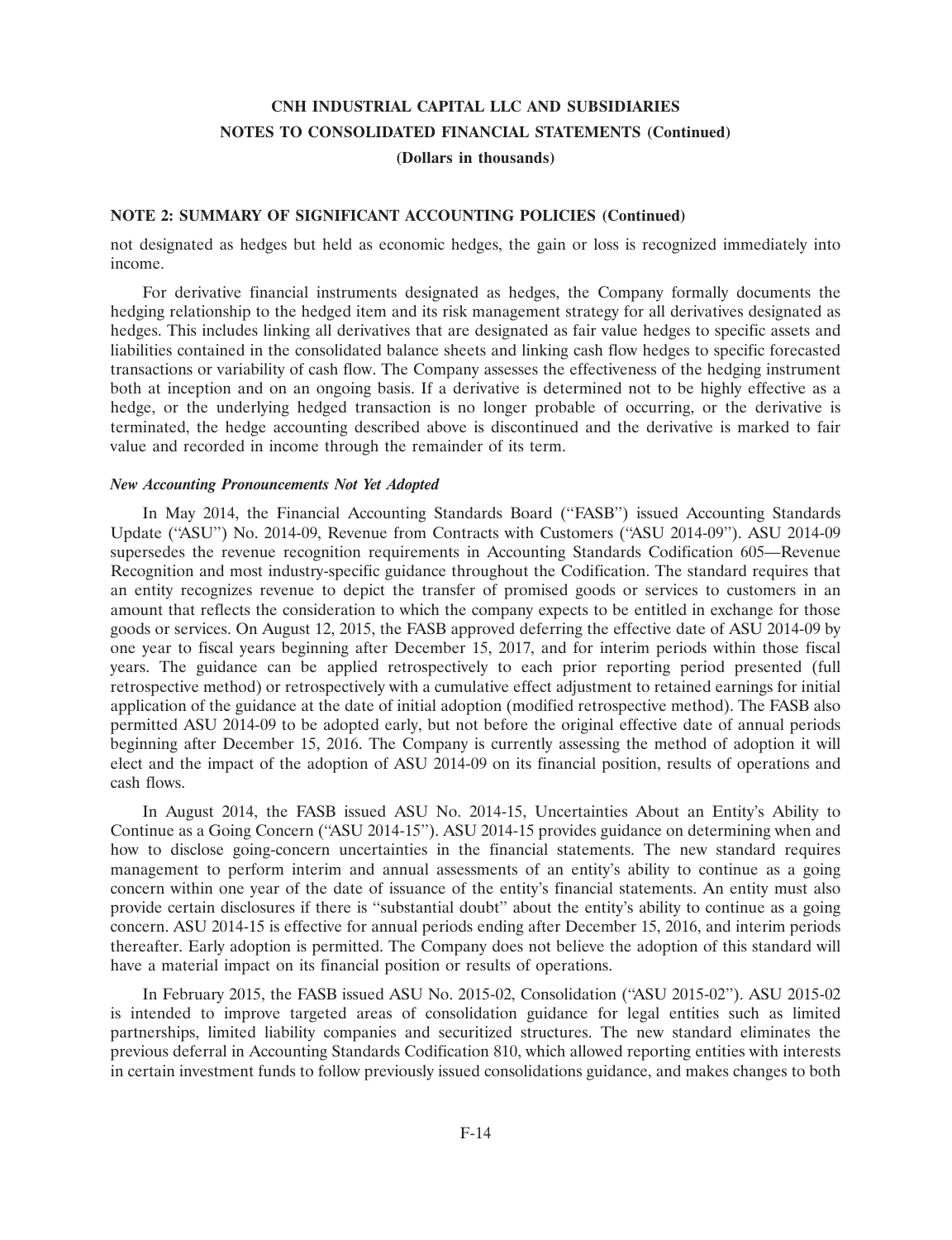### **NOTE 2: SUMMARY OF SIGNIFICANT ACCOUNTING POLICIES (Continued)**

not designated as hedges but held as economic hedges, the gain or loss is recognized immediately into income.

For derivative financial instruments designated as hedges, the Company formally documents the hedging relationship to the hedged item and its risk management strategy for all derivatives designated as hedges. This includes linking all derivatives that are designated as fair value hedges to specific assets and liabilities contained in the consolidated balance sheets and linking cash flow hedges to specific forecasted transactions or variability of cash flow. The Company assesses the effectiveness of the hedging instrument both at inception and on an ongoing basis. If a derivative is determined not to be highly effective as a hedge, or the underlying hedged transaction is no longer probable of occurring, or the derivative is terminated, the hedge accounting described above is discontinued and the derivative is marked to fair value and recorded in income through the remainder of its term.

#### *New Accounting Pronouncements Not Yet Adopted*

In May 2014, the Financial Accounting Standards Board (''FASB'') issued Accounting Standards Update (''ASU'') No. 2014-09, Revenue from Contracts with Customers (''ASU 2014-09''). ASU 2014-09 supersedes the revenue recognition requirements in Accounting Standards Codification 605—Revenue Recognition and most industry-specific guidance throughout the Codification. The standard requires that an entity recognizes revenue to depict the transfer of promised goods or services to customers in an amount that reflects the consideration to which the company expects to be entitled in exchange for those goods or services. On August 12, 2015, the FASB approved deferring the effective date of ASU 2014-09 by one year to fiscal years beginning after December 15, 2017, and for interim periods within those fiscal years. The guidance can be applied retrospectively to each prior reporting period presented (full retrospective method) or retrospectively with a cumulative effect adjustment to retained earnings for initial application of the guidance at the date of initial adoption (modified retrospective method). The FASB also permitted ASU 2014-09 to be adopted early, but not before the original effective date of annual periods beginning after December 15, 2016. The Company is currently assessing the method of adoption it will elect and the impact of the adoption of ASU 2014-09 on its financial position, results of operations and cash flows.

In August 2014, the FASB issued ASU No. 2014-15, Uncertainties About an Entity's Ability to Continue as a Going Concern (''ASU 2014-15''). ASU 2014-15 provides guidance on determining when and how to disclose going-concern uncertainties in the financial statements. The new standard requires management to perform interim and annual assessments of an entity's ability to continue as a going concern within one year of the date of issuance of the entity's financial statements. An entity must also provide certain disclosures if there is ''substantial doubt'' about the entity's ability to continue as a going concern. ASU 2014-15 is effective for annual periods ending after December 15, 2016, and interim periods thereafter. Early adoption is permitted. The Company does not believe the adoption of this standard will have a material impact on its financial position or results of operations.

In February 2015, the FASB issued ASU No. 2015-02, Consolidation (''ASU 2015-02''). ASU 2015-02 is intended to improve targeted areas of consolidation guidance for legal entities such as limited partnerships, limited liability companies and securitized structures. The new standard eliminates the previous deferral in Accounting Standards Codification 810, which allowed reporting entities with interests in certain investment funds to follow previously issued consolidations guidance, and makes changes to both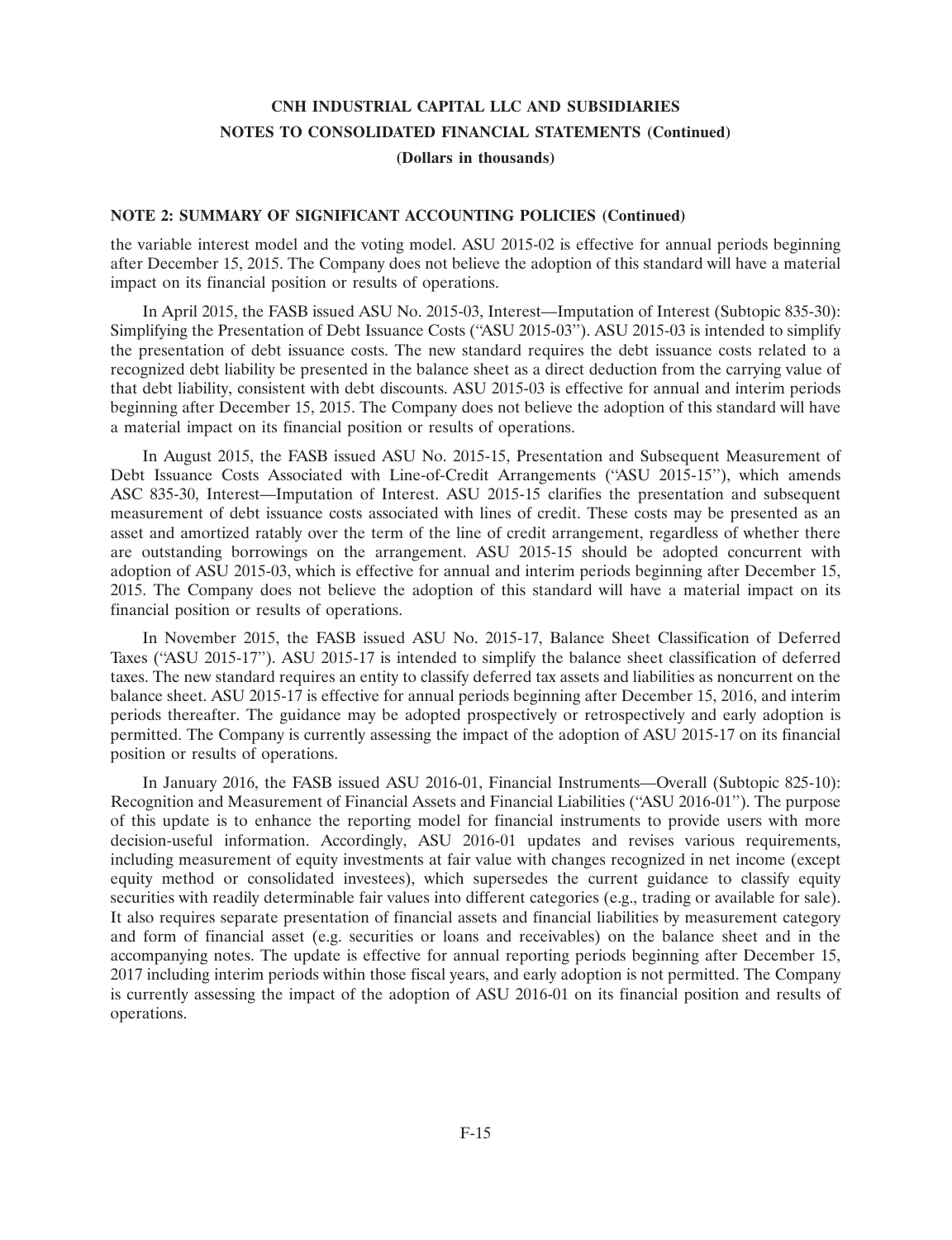### **NOTE 2: SUMMARY OF SIGNIFICANT ACCOUNTING POLICIES (Continued)**

the variable interest model and the voting model. ASU 2015-02 is effective for annual periods beginning after December 15, 2015. The Company does not believe the adoption of this standard will have a material impact on its financial position or results of operations.

In April 2015, the FASB issued ASU No. 2015-03, Interest—Imputation of Interest (Subtopic 835-30): Simplifying the Presentation of Debt Issuance Costs ('ASU 2015-03''). ASU 2015-03 is intended to simplify the presentation of debt issuance costs. The new standard requires the debt issuance costs related to a recognized debt liability be presented in the balance sheet as a direct deduction from the carrying value of that debt liability, consistent with debt discounts. ASU 2015-03 is effective for annual and interim periods beginning after December 15, 2015. The Company does not believe the adoption of this standard will have a material impact on its financial position or results of operations.

In August 2015, the FASB issued ASU No. 2015-15, Presentation and Subsequent Measurement of Debt Issuance Costs Associated with Line-of-Credit Arrangements (''ASU 2015-15''), which amends ASC 835-30, Interest—Imputation of Interest. ASU 2015-15 clarifies the presentation and subsequent measurement of debt issuance costs associated with lines of credit. These costs may be presented as an asset and amortized ratably over the term of the line of credit arrangement, regardless of whether there are outstanding borrowings on the arrangement. ASU 2015-15 should be adopted concurrent with adoption of ASU 2015-03, which is effective for annual and interim periods beginning after December 15, 2015. The Company does not believe the adoption of this standard will have a material impact on its financial position or results of operations.

In November 2015, the FASB issued ASU No. 2015-17, Balance Sheet Classification of Deferred Taxes (''ASU 2015-17''). ASU 2015-17 is intended to simplify the balance sheet classification of deferred taxes. The new standard requires an entity to classify deferred tax assets and liabilities as noncurrent on the balance sheet. ASU 2015-17 is effective for annual periods beginning after December 15, 2016, and interim periods thereafter. The guidance may be adopted prospectively or retrospectively and early adoption is permitted. The Company is currently assessing the impact of the adoption of ASU 2015-17 on its financial position or results of operations.

In January 2016, the FASB issued ASU 2016-01, Financial Instruments—Overall (Subtopic 825-10): Recognition and Measurement of Financial Assets and Financial Liabilities (''ASU 2016-01''). The purpose of this update is to enhance the reporting model for financial instruments to provide users with more decision-useful information. Accordingly, ASU 2016-01 updates and revises various requirements, including measurement of equity investments at fair value with changes recognized in net income (except equity method or consolidated investees), which supersedes the current guidance to classify equity securities with readily determinable fair values into different categories (e.g., trading or available for sale). It also requires separate presentation of financial assets and financial liabilities by measurement category and form of financial asset (e.g. securities or loans and receivables) on the balance sheet and in the accompanying notes. The update is effective for annual reporting periods beginning after December 15, 2017 including interim periods within those fiscal years, and early adoption is not permitted. The Company is currently assessing the impact of the adoption of ASU 2016-01 on its financial position and results of operations.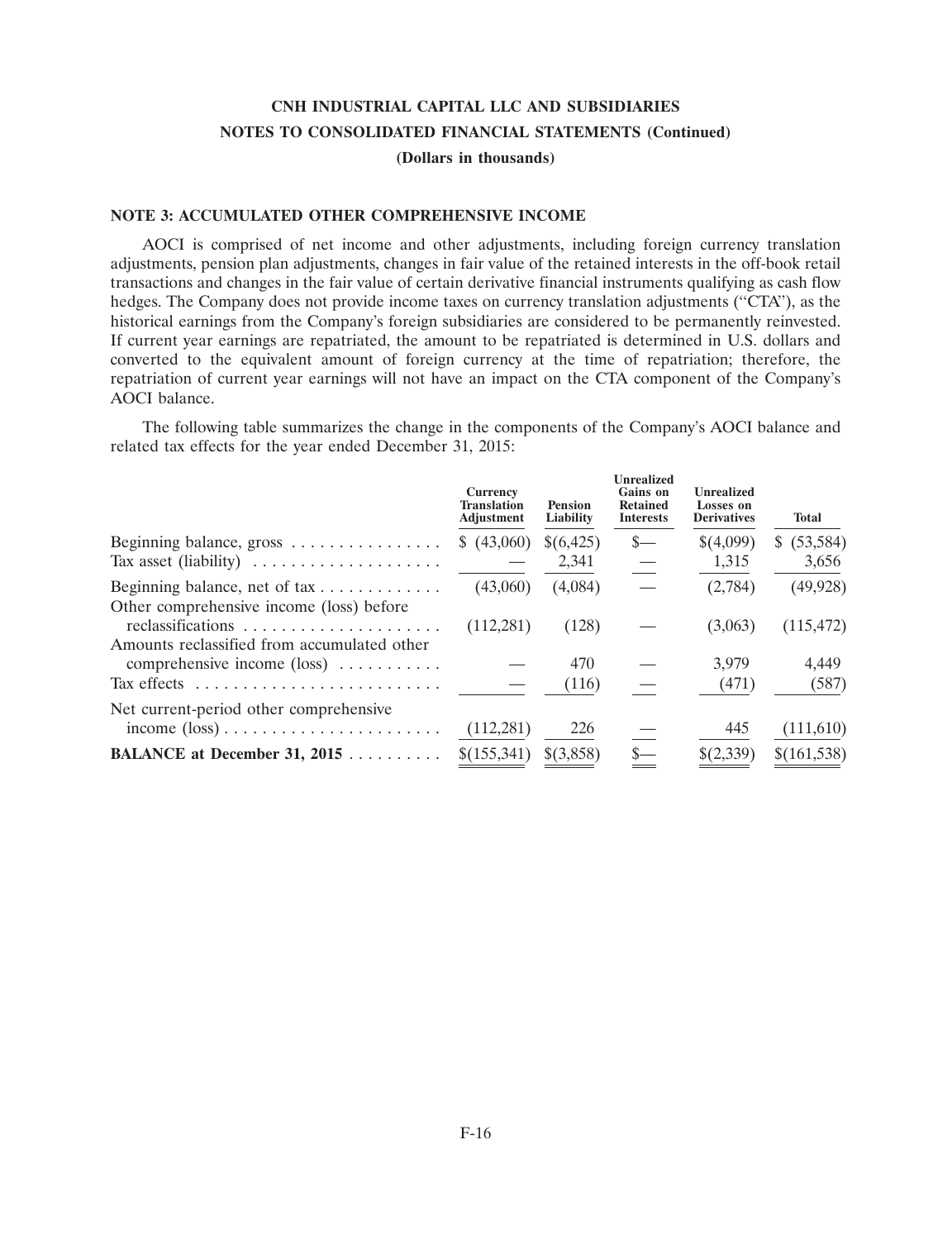### **NOTE 3: ACCUMULATED OTHER COMPREHENSIVE INCOME**

AOCI is comprised of net income and other adjustments, including foreign currency translation adjustments, pension plan adjustments, changes in fair value of the retained interests in the off-book retail transactions and changes in the fair value of certain derivative financial instruments qualifying as cash flow hedges. The Company does not provide income taxes on currency translation adjustments ("CTA"), as the historical earnings from the Company's foreign subsidiaries are considered to be permanently reinvested. If current year earnings are repatriated, the amount to be repatriated is determined in U.S. dollars and converted to the equivalent amount of foreign currency at the time of repatriation; therefore, the repatriation of current year earnings will not have an impact on the CTA component of the Company's AOCI balance.

The following table summarizes the change in the components of the Company's AOCI balance and related tax effects for the year ended December 31, 2015:

|                                                                           | <b>Currency</b><br><b>Translation</b><br>Adjustment | <b>Pension</b><br><b>Liability</b> | <b>Unrealized</b><br>Gains on<br><b>Retained</b><br><b>Interests</b> | <b>Unrealized</b><br><b>Losses</b> on<br><b>Derivatives</b> | <b>Total</b> |
|---------------------------------------------------------------------------|-----------------------------------------------------|------------------------------------|----------------------------------------------------------------------|-------------------------------------------------------------|--------------|
| Beginning balance, gross                                                  | (43,060)                                            | \$(6,425)                          | $s-$                                                                 | \$(4,099)                                                   | \$ (53,584)  |
| Tax asset (liability) $\dots \dots \dots \dots \dots \dots$               |                                                     | 2,341                              | $\overline{\phantom{0}}$                                             | 1,315                                                       | 3,656        |
| Beginning balance, net of tax<br>Other comprehensive income (loss) before | (43,060)                                            | (4,084)                            |                                                                      | (2,784)                                                     | (49, 928)    |
| Amounts reclassified from accumulated other                               | (112,281)                                           | (128)                              |                                                                      | (3,063)                                                     | (115, 472)   |
| comprehensive income (loss)                                               |                                                     | 470                                |                                                                      | 3.979                                                       | 4,449        |
| Tax effects $\dots\dots\dots\dots\dots\dots\dots\dots\dots\dots\dots$     |                                                     | (116)                              |                                                                      | (471)                                                       | (587)        |
| Net current-period other comprehensive                                    |                                                     |                                    |                                                                      |                                                             |              |
| $income (loss) \ldots \ldots \ldots \ldots \ldots \ldots \ldots$          | (112,281)                                           | 226                                |                                                                      | 445                                                         | (111,610)    |
| BALANCE at December 31, 2015                                              | \$(155,341)                                         | \$(3,858)                          | $\frac{\S-}{\S-}$                                                    | \$(2,339)                                                   | \$(161,538)  |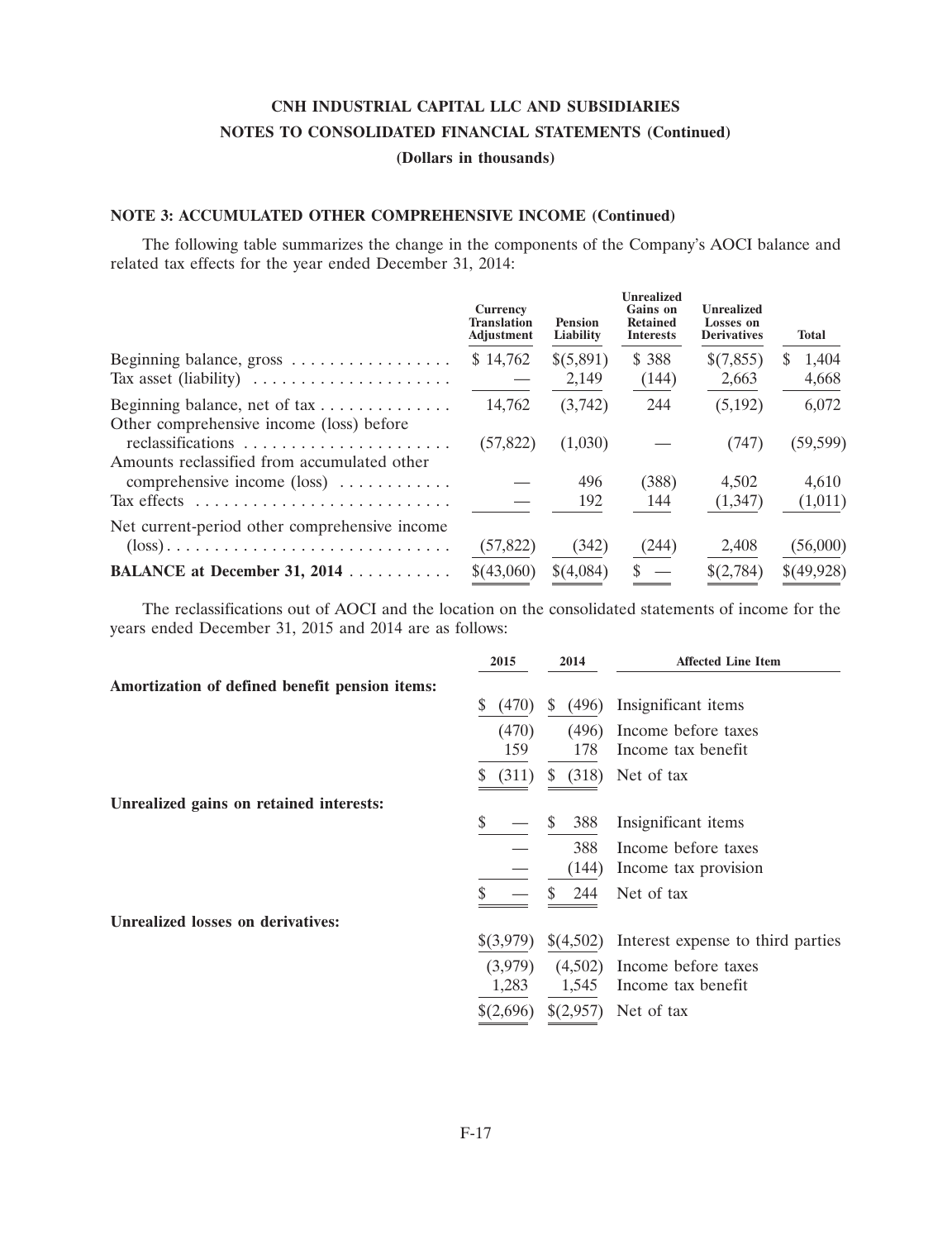# **CNH INDUSTRIAL CAPITAL LLC AND SUBSIDIARIES NOTES TO CONSOLIDATED FINANCIAL STATEMENTS (Continued)**

### **(Dollars in thousands)**

### **NOTE 3: ACCUMULATED OTHER COMPREHENSIVE INCOME (Continued)**

The following table summarizes the change in the components of the Company's AOCI balance and related tax effects for the year ended December 31, 2014:

|                                                                                                     | <b>Currency</b><br><b>Translation</b><br>Adjustment | <b>Pension</b><br><b>Liability</b> | Unrealized<br>Gains on<br><b>Retained</b><br><b>Interests</b> | Unrealized<br><b>Losses</b> on<br><b>Derivatives</b> | <b>Total</b>        |
|-----------------------------------------------------------------------------------------------------|-----------------------------------------------------|------------------------------------|---------------------------------------------------------------|------------------------------------------------------|---------------------|
| Beginning balance, gross<br>Tax asset (liability) $\dots \dots \dots \dots \dots \dots$             | \$14,762                                            | \$(5,891)<br>2,149                 | \$388<br>(144)                                                | \$(7,855)<br>2,663                                   | 1,404<br>S<br>4,668 |
| Beginning balance, net of tax $\dots \dots \dots \dots$<br>Other comprehensive income (loss) before | 14,762                                              | (3,742)                            | 244                                                           | (5, 192)                                             | 6,072               |
| Amounts reclassified from accumulated other                                                         | (57, 822)                                           | (1,030)                            |                                                               | (747)                                                | (59, 599)           |
| comprehensive income $(\text{loss})$                                                                |                                                     | 496                                | (388)                                                         | 4.502                                                | 4,610               |
| Tax effects                                                                                         |                                                     | 192                                | 144                                                           | (1,347)                                              | (1,011)             |
| Net current-period other comprehensive income                                                       |                                                     |                                    |                                                               |                                                      |                     |
|                                                                                                     | (57, 822)                                           | (342)                              | (244)                                                         | 2,408                                                | (56,000)            |
| BALANCE at December 31, 2014                                                                        | \$(43,060)                                          | \$(4,084)                          |                                                               | \$(2,784)                                            | \$(49,928)          |

The reclassifications out of AOCI and the location on the consolidated statements of income for the years ended December 31, 2015 and 2014 are as follows:

|                                                | 2015<br>2014          |             | <b>Affected Line Item</b>         |
|------------------------------------------------|-----------------------|-------------|-----------------------------------|
| Amortization of defined benefit pension items: |                       |             |                                   |
|                                                | (470)<br><sup>S</sup> | (496)<br>S  | Insignificant items               |
|                                                | (470)                 | (496)       | Income before taxes               |
|                                                | 159                   | 178         | Income tax benefit                |
|                                                | (311)                 | (318)<br>S. | Net of tax                        |
| Unrealized gains on retained interests:        |                       |             |                                   |
|                                                | \$                    | 388<br>S    | Insignificant items               |
|                                                |                       | 388         | Income before taxes               |
|                                                |                       | (144)       | Income tax provision              |
|                                                |                       | 244<br>\$.  | Net of tax                        |
| Unrealized losses on derivatives:              |                       |             |                                   |
|                                                | \$(3,979)             | \$(4,502)   | Interest expense to third parties |
|                                                | (3,979)               | (4,502)     | Income before taxes               |
|                                                | 1,283                 | 1,545       | Income tax benefit                |
|                                                | \$(2,696)             | \$(2,957)   | Net of tax                        |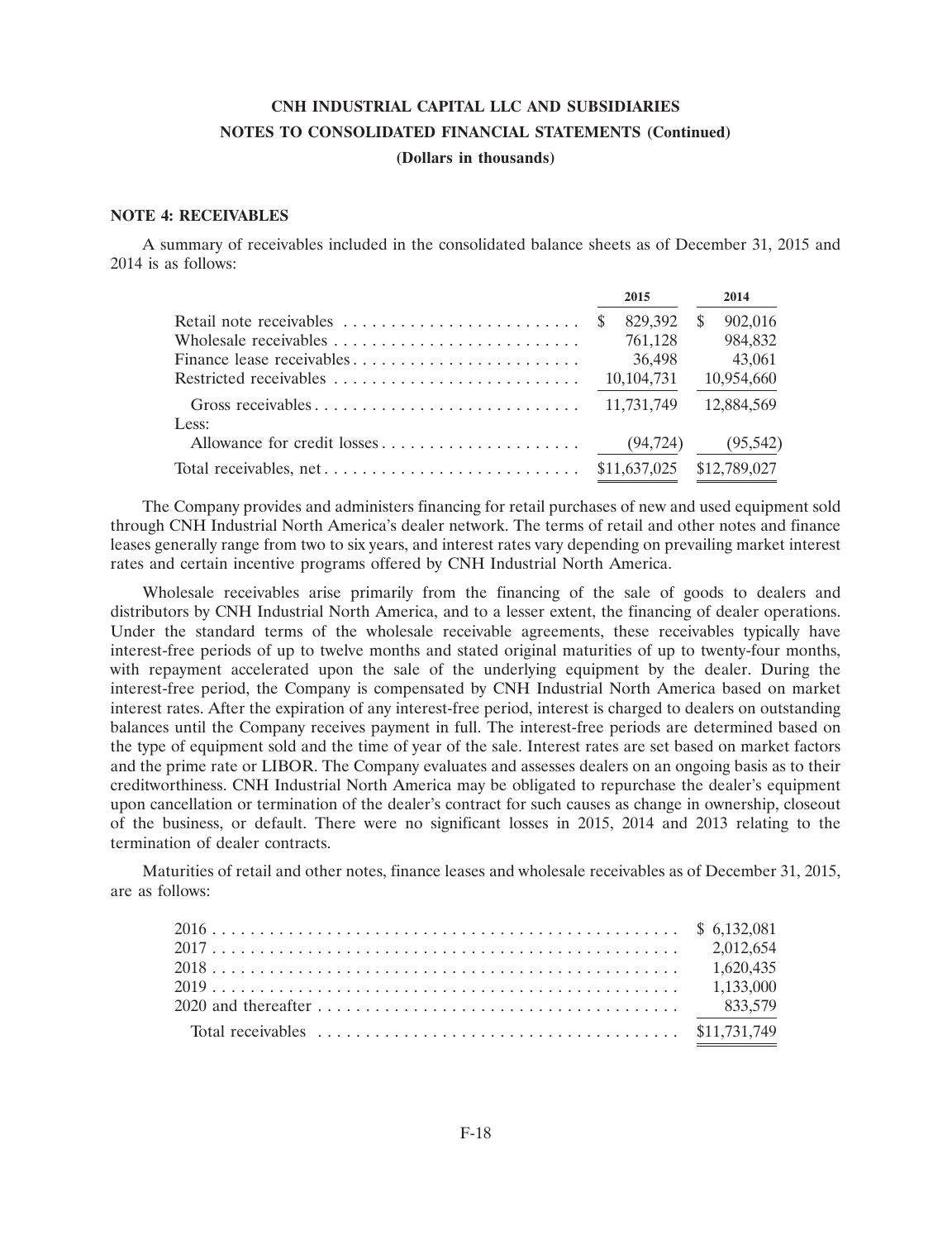### **NOTE 4: RECEIVABLES**

A summary of receivables included in the consolidated balance sheets as of December 31, 2015 and 2014 is as follows:

|                        | 2015       | 2014                    |
|------------------------|------------|-------------------------|
|                        | 829,392    | 902,016                 |
|                        | 761,128    | 984,832                 |
|                        | 36,498     | 43,061                  |
| Restricted receivables | 10,104,731 | 10,954,660              |
|                        | 11,731,749 | 12,884,569              |
| Less:                  |            |                         |
|                        |            | $(94, 724)$ $(95, 542)$ |
|                        |            | \$12,789,027            |

The Company provides and administers financing for retail purchases of new and used equipment sold through CNH Industrial North America's dealer network. The terms of retail and other notes and finance leases generally range from two to six years, and interest rates vary depending on prevailing market interest rates and certain incentive programs offered by CNH Industrial North America.

Wholesale receivables arise primarily from the financing of the sale of goods to dealers and distributors by CNH Industrial North America, and to a lesser extent, the financing of dealer operations. Under the standard terms of the wholesale receivable agreements, these receivables typically have interest-free periods of up to twelve months and stated original maturities of up to twenty-four months, with repayment accelerated upon the sale of the underlying equipment by the dealer. During the interest-free period, the Company is compensated by CNH Industrial North America based on market interest rates. After the expiration of any interest-free period, interest is charged to dealers on outstanding balances until the Company receives payment in full. The interest-free periods are determined based on the type of equipment sold and the time of year of the sale. Interest rates are set based on market factors and the prime rate or LIBOR. The Company evaluates and assesses dealers on an ongoing basis as to their creditworthiness. CNH Industrial North America may be obligated to repurchase the dealer's equipment upon cancellation or termination of the dealer's contract for such causes as change in ownership, closeout of the business, or default. There were no significant losses in 2015, 2014 and 2013 relating to the termination of dealer contracts.

Maturities of retail and other notes, finance leases and wholesale receivables as of December 31, 2015, are as follows: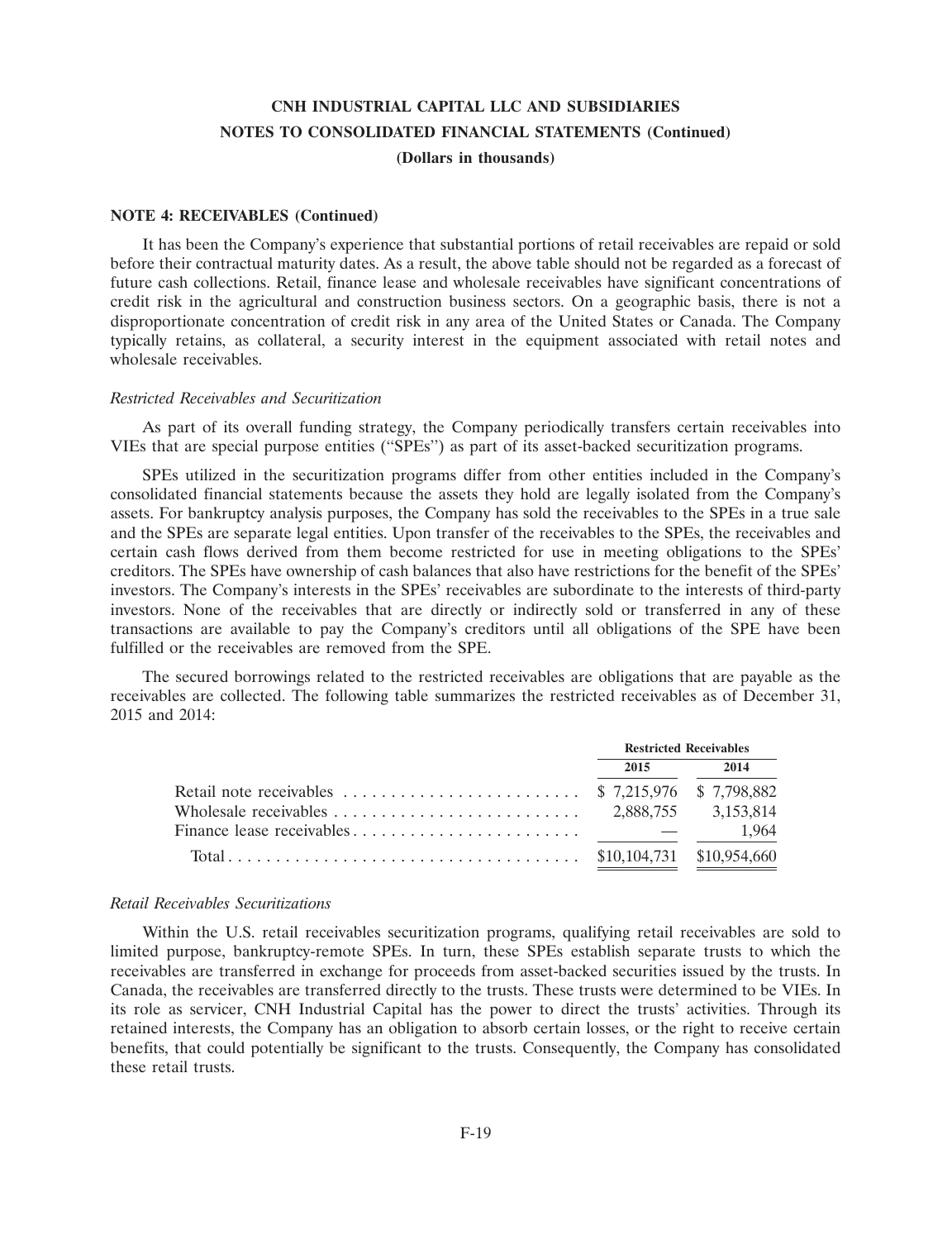### **NOTE 4: RECEIVABLES (Continued)**

It has been the Company's experience that substantial portions of retail receivables are repaid or sold before their contractual maturity dates. As a result, the above table should not be regarded as a forecast of future cash collections. Retail, finance lease and wholesale receivables have significant concentrations of credit risk in the agricultural and construction business sectors. On a geographic basis, there is not a disproportionate concentration of credit risk in any area of the United States or Canada. The Company typically retains, as collateral, a security interest in the equipment associated with retail notes and wholesale receivables.

#### *Restricted Receivables and Securitization*

As part of its overall funding strategy, the Company periodically transfers certain receivables into VIEs that are special purpose entities (''SPEs'') as part of its asset-backed securitization programs.

SPEs utilized in the securitization programs differ from other entities included in the Company's consolidated financial statements because the assets they hold are legally isolated from the Company's assets. For bankruptcy analysis purposes, the Company has sold the receivables to the SPEs in a true sale and the SPEs are separate legal entities. Upon transfer of the receivables to the SPEs, the receivables and certain cash flows derived from them become restricted for use in meeting obligations to the SPEs' creditors. The SPEs have ownership of cash balances that also have restrictions for the benefit of the SPEs' investors. The Company's interests in the SPEs' receivables are subordinate to the interests of third-party investors. None of the receivables that are directly or indirectly sold or transferred in any of these transactions are available to pay the Company's creditors until all obligations of the SPE have been fulfilled or the receivables are removed from the SPE.

The secured borrowings related to the restricted receivables are obligations that are payable as the receivables are collected. The following table summarizes the restricted receivables as of December 31, 2015 and 2014:

|      | <b>Restricted Receivables</b> |
|------|-------------------------------|
| 2015 | 2014                          |
|      |                               |
|      |                               |
|      | 1.964                         |
|      |                               |

#### *Retail Receivables Securitizations*

Within the U.S. retail receivables securitization programs, qualifying retail receivables are sold to limited purpose, bankruptcy-remote SPEs. In turn, these SPEs establish separate trusts to which the receivables are transferred in exchange for proceeds from asset-backed securities issued by the trusts. In Canada, the receivables are transferred directly to the trusts. These trusts were determined to be VIEs. In its role as servicer, CNH Industrial Capital has the power to direct the trusts' activities. Through its retained interests, the Company has an obligation to absorb certain losses, or the right to receive certain benefits, that could potentially be significant to the trusts. Consequently, the Company has consolidated these retail trusts.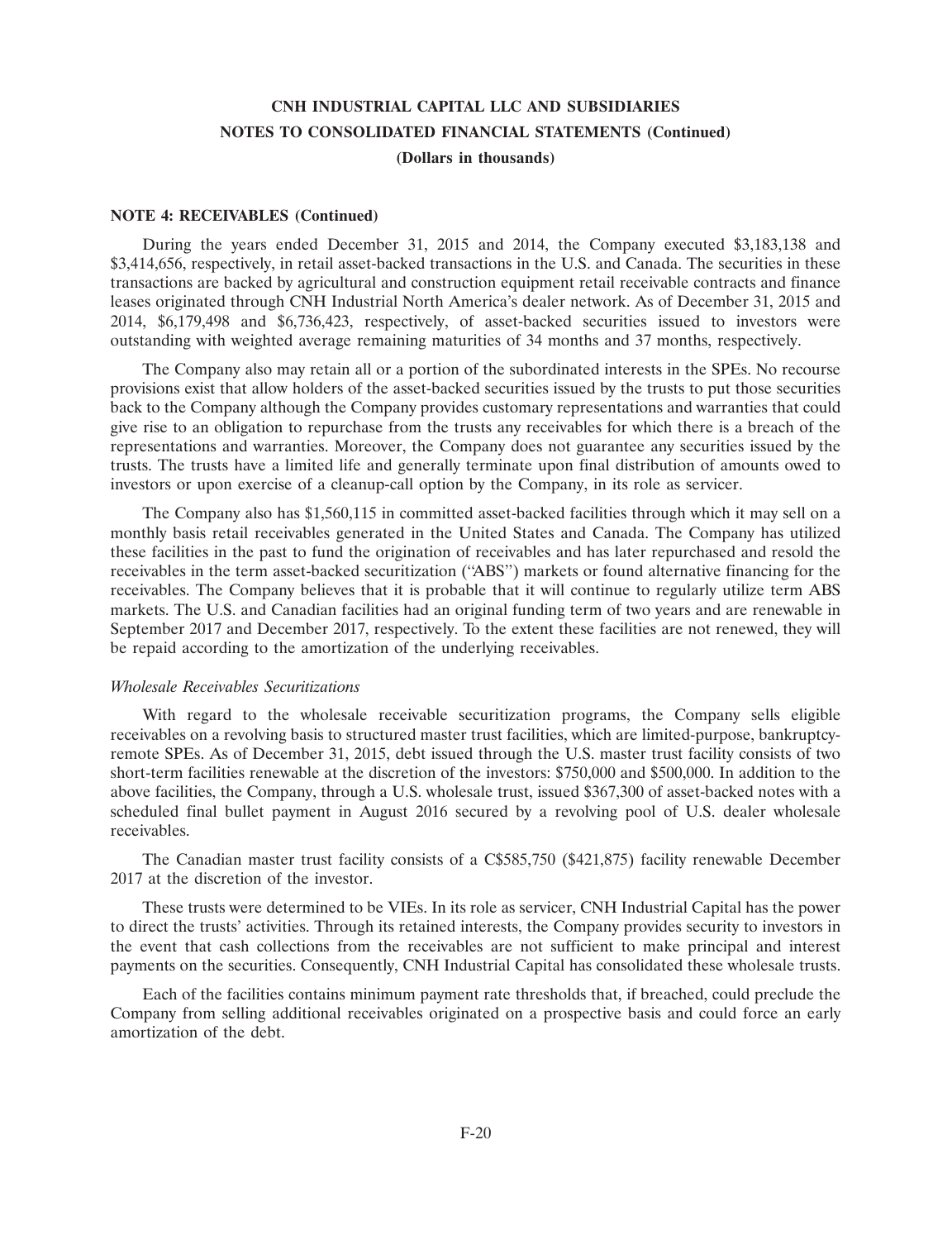### **NOTE 4: RECEIVABLES (Continued)**

During the years ended December 31, 2015 and 2014, the Company executed \$3,183,138 and \$3,414,656, respectively, in retail asset-backed transactions in the U.S. and Canada. The securities in these transactions are backed by agricultural and construction equipment retail receivable contracts and finance leases originated through CNH Industrial North America's dealer network. As of December 31, 2015 and 2014, \$6,179,498 and \$6,736,423, respectively, of asset-backed securities issued to investors were outstanding with weighted average remaining maturities of 34 months and 37 months, respectively.

The Company also may retain all or a portion of the subordinated interests in the SPEs. No recourse provisions exist that allow holders of the asset-backed securities issued by the trusts to put those securities back to the Company although the Company provides customary representations and warranties that could give rise to an obligation to repurchase from the trusts any receivables for which there is a breach of the representations and warranties. Moreover, the Company does not guarantee any securities issued by the trusts. The trusts have a limited life and generally terminate upon final distribution of amounts owed to investors or upon exercise of a cleanup-call option by the Company, in its role as servicer.

The Company also has \$1,560,115 in committed asset-backed facilities through which it may sell on a monthly basis retail receivables generated in the United States and Canada. The Company has utilized these facilities in the past to fund the origination of receivables and has later repurchased and resold the receivables in the term asset-backed securitization (''ABS'') markets or found alternative financing for the receivables. The Company believes that it is probable that it will continue to regularly utilize term ABS markets. The U.S. and Canadian facilities had an original funding term of two years and are renewable in September 2017 and December 2017, respectively. To the extent these facilities are not renewed, they will be repaid according to the amortization of the underlying receivables.

#### *Wholesale Receivables Securitizations*

With regard to the wholesale receivable securitization programs, the Company sells eligible receivables on a revolving basis to structured master trust facilities, which are limited-purpose, bankruptcyremote SPEs. As of December 31, 2015, debt issued through the U.S. master trust facility consists of two short-term facilities renewable at the discretion of the investors: \$750,000 and \$500,000. In addition to the above facilities, the Company, through a U.S. wholesale trust, issued \$367,300 of asset-backed notes with a scheduled final bullet payment in August 2016 secured by a revolving pool of U.S. dealer wholesale receivables.

The Canadian master trust facility consists of a C\$585,750 (\$421,875) facility renewable December 2017 at the discretion of the investor.

These trusts were determined to be VIEs. In its role as servicer, CNH Industrial Capital has the power to direct the trusts' activities. Through its retained interests, the Company provides security to investors in the event that cash collections from the receivables are not sufficient to make principal and interest payments on the securities. Consequently, CNH Industrial Capital has consolidated these wholesale trusts.

Each of the facilities contains minimum payment rate thresholds that, if breached, could preclude the Company from selling additional receivables originated on a prospective basis and could force an early amortization of the debt.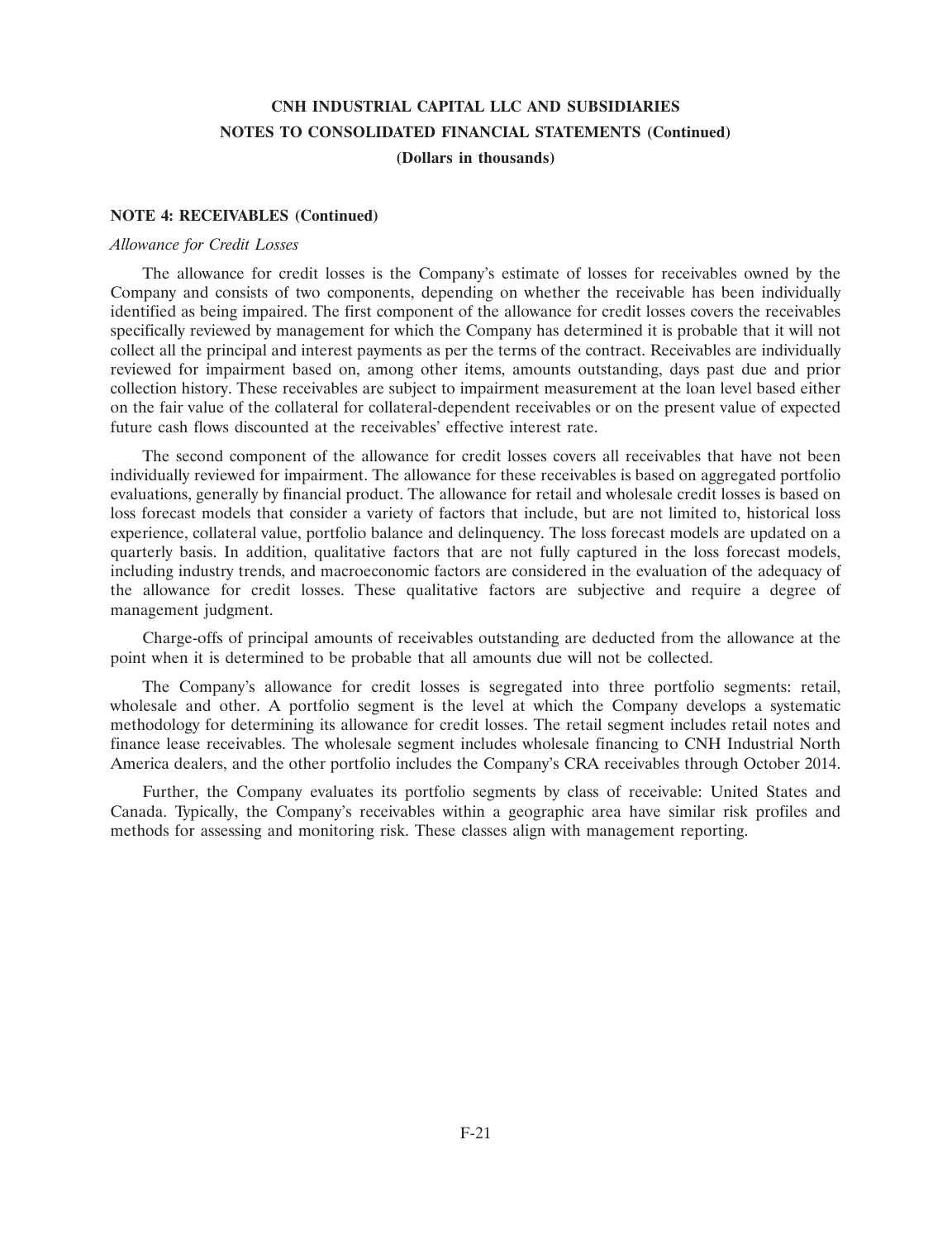#### **NOTE 4: RECEIVABLES (Continued)**

#### *Allowance for Credit Losses*

The allowance for credit losses is the Company's estimate of losses for receivables owned by the Company and consists of two components, depending on whether the receivable has been individually identified as being impaired. The first component of the allowance for credit losses covers the receivables specifically reviewed by management for which the Company has determined it is probable that it will not collect all the principal and interest payments as per the terms of the contract. Receivables are individually reviewed for impairment based on, among other items, amounts outstanding, days past due and prior collection history. These receivables are subject to impairment measurement at the loan level based either on the fair value of the collateral for collateral-dependent receivables or on the present value of expected future cash flows discounted at the receivables' effective interest rate.

The second component of the allowance for credit losses covers all receivables that have not been individually reviewed for impairment. The allowance for these receivables is based on aggregated portfolio evaluations, generally by financial product. The allowance for retail and wholesale credit losses is based on loss forecast models that consider a variety of factors that include, but are not limited to, historical loss experience, collateral value, portfolio balance and delinquency. The loss forecast models are updated on a quarterly basis. In addition, qualitative factors that are not fully captured in the loss forecast models, including industry trends, and macroeconomic factors are considered in the evaluation of the adequacy of the allowance for credit losses. These qualitative factors are subjective and require a degree of management judgment.

Charge-offs of principal amounts of receivables outstanding are deducted from the allowance at the point when it is determined to be probable that all amounts due will not be collected.

The Company's allowance for credit losses is segregated into three portfolio segments: retail, wholesale and other. A portfolio segment is the level at which the Company develops a systematic methodology for determining its allowance for credit losses. The retail segment includes retail notes and finance lease receivables. The wholesale segment includes wholesale financing to CNH Industrial North America dealers, and the other portfolio includes the Company's CRA receivables through October 2014.

Further, the Company evaluates its portfolio segments by class of receivable: United States and Canada. Typically, the Company's receivables within a geographic area have similar risk profiles and methods for assessing and monitoring risk. These classes align with management reporting.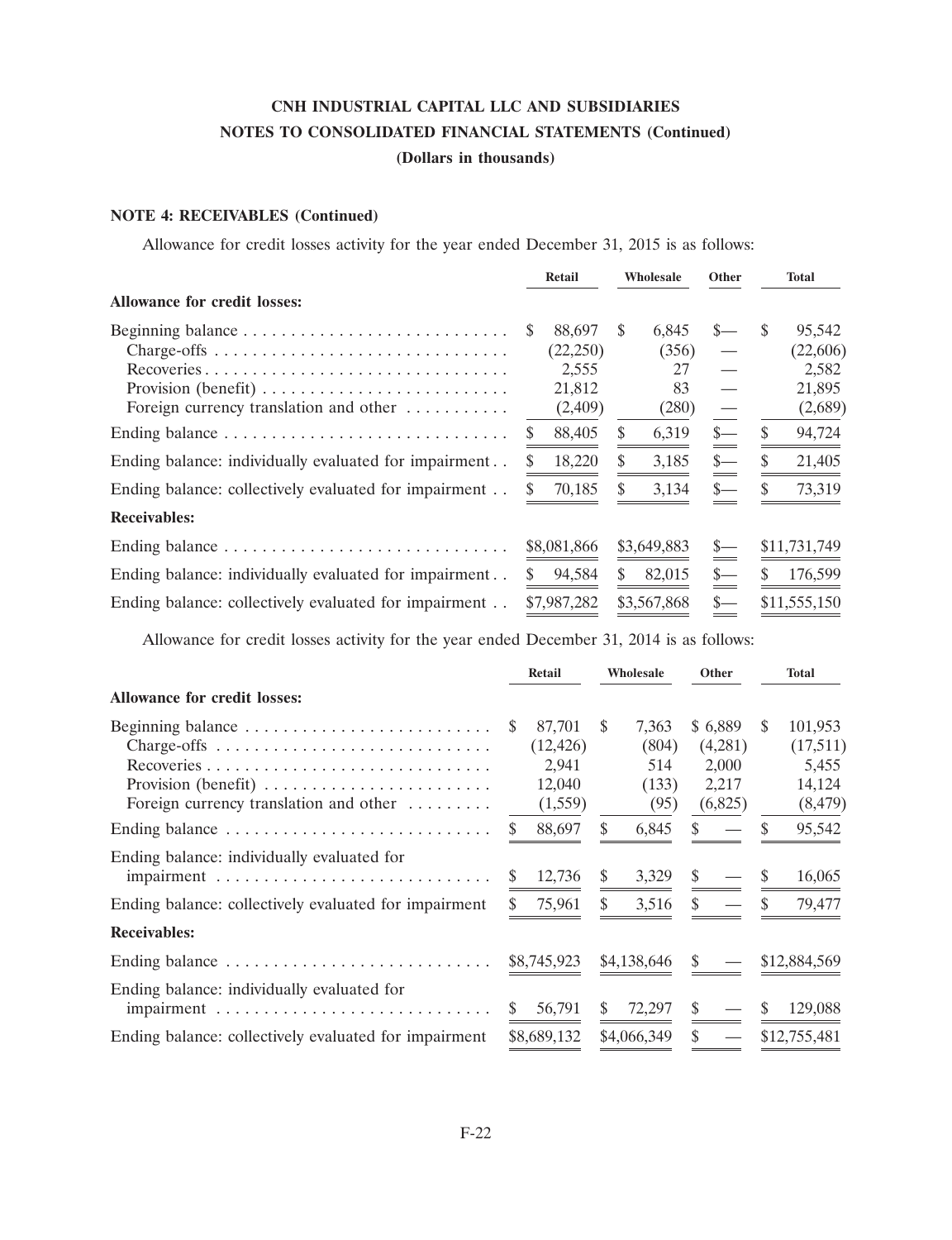### **NOTE 4: RECEIVABLES (Continued)**

Allowance for credit losses activity for the year ended December 31, 2015 is as follows:

|                                                                                                  |   | <b>Retail</b> |     | Wholesale   | Other                    | <b>Total</b>  |              |
|--------------------------------------------------------------------------------------------------|---|---------------|-----|-------------|--------------------------|---------------|--------------|
| <b>Allowance for credit losses:</b>                                                              |   |               |     |             |                          |               |              |
|                                                                                                  |   | 88,697        | \$. | 6,845       | $S-$                     | <sup>\$</sup> | 95,542       |
|                                                                                                  |   | (22,250)      |     | (356)       |                          |               | (22,606)     |
| $Recoveries \dots \dots \dots \dots \dots \dots \dots \dots \dots \dots \dots \dots \dots \dots$ |   | 2,555         |     | 27          |                          |               | 2,582        |
| Provision (benefit) $\dots \dots \dots \dots \dots \dots \dots \dots \dots$                      |   | 21,812        |     | 83          |                          |               | 21,895       |
| Foreign currency translation and other                                                           |   | (2,409)       |     | (280)       | $\overline{\phantom{m}}$ |               | (2,689)      |
|                                                                                                  | S | 88,405        | \$  | 6,319       | $\frac{\ }{\ }$          | \$            | 94,724       |
| Ending balance: individually evaluated for impairment                                            |   | 18,220        | \$  | 3,185       | $s-$                     | \$            | 21,405       |
| Ending balance: collectively evaluated for impairment                                            |   | 70,185        | S   | 3,134       | $s-$                     | S             | 73,319       |
| <b>Receivables:</b>                                                                              |   |               |     |             |                          |               |              |
|                                                                                                  |   | \$8,081,866   |     | \$3,649,883 | $\frac{\ }{\ }$          |               | \$11,731,749 |
| Ending balance: individually evaluated for impairment                                            |   | 94,584        | \$  | 82,015      | $s-$                     | \$            | 176,599      |
| Ending balance: collectively evaluated for impairment                                            |   | \$7,987,282   |     | \$3,567,868 | $\frac{\ }{s-}$          |               | \$11,555,150 |

Allowance for credit losses activity for the year ended December 31, 2014 is as follows:

|                                                                       |     | <b>Retail</b> |               | Wholesale            | Other   |               | <b>Total</b>  |              |
|-----------------------------------------------------------------------|-----|---------------|---------------|----------------------|---------|---------------|---------------|--------------|
| <b>Allowance for credit losses:</b>                                   |     |               |               |                      |         |               |               |              |
|                                                                       |     | 87,701        | <sup>\$</sup> | 7,363                |         | \$6,889       | \$            | 101,953      |
|                                                                       |     | (12, 426)     |               | (804)                |         | (4,281)       |               | (17,511)     |
|                                                                       |     | 2,941         |               | 514                  |         | 2,000         |               | 5,455        |
| Provision (benefit) $\dots \dots \dots \dots \dots \dots \dots \dots$ |     | 12,040        |               | (133)                |         | 2,217         |               | 14,124       |
| Foreign currency translation and other                                |     | (1,559)       |               | (95)                 |         | (6,825)       |               | (8, 479)     |
|                                                                       | \$. | 88,697        | S             | 6,845                | \$      |               | S             | 95,542       |
| Ending balance: individually evaluated for                            |     |               |               |                      |         |               |               |              |
|                                                                       | S.  | 12,736        | \$            | 3,329                | $S_{-}$ |               | <sup>S</sup>  | 16,065       |
| Ending balance: collectively evaluated for impairment                 | \$  | 75,961        | \$            | $3,516$ \$           |         |               | \$            | 79,477       |
| <b>Receivables:</b>                                                   |     |               |               |                      |         |               |               |              |
|                                                                       |     | \$8,745,923   |               | \$4,138,646          | S.      |               |               | \$12,884,569 |
| Ending balance: individually evaluated for                            |     |               |               |                      |         |               |               |              |
|                                                                       | S.  | 56,791        |               | $\frac{1}{2}$ 72,297 | S —     |               | $\mathcal{S}$ | 129,088      |
| Ending balance: collectively evaluated for impairment                 |     | \$8,689,132   |               | \$4,066,349          | \$      | $\frac{1}{2}$ |               | \$12,755,481 |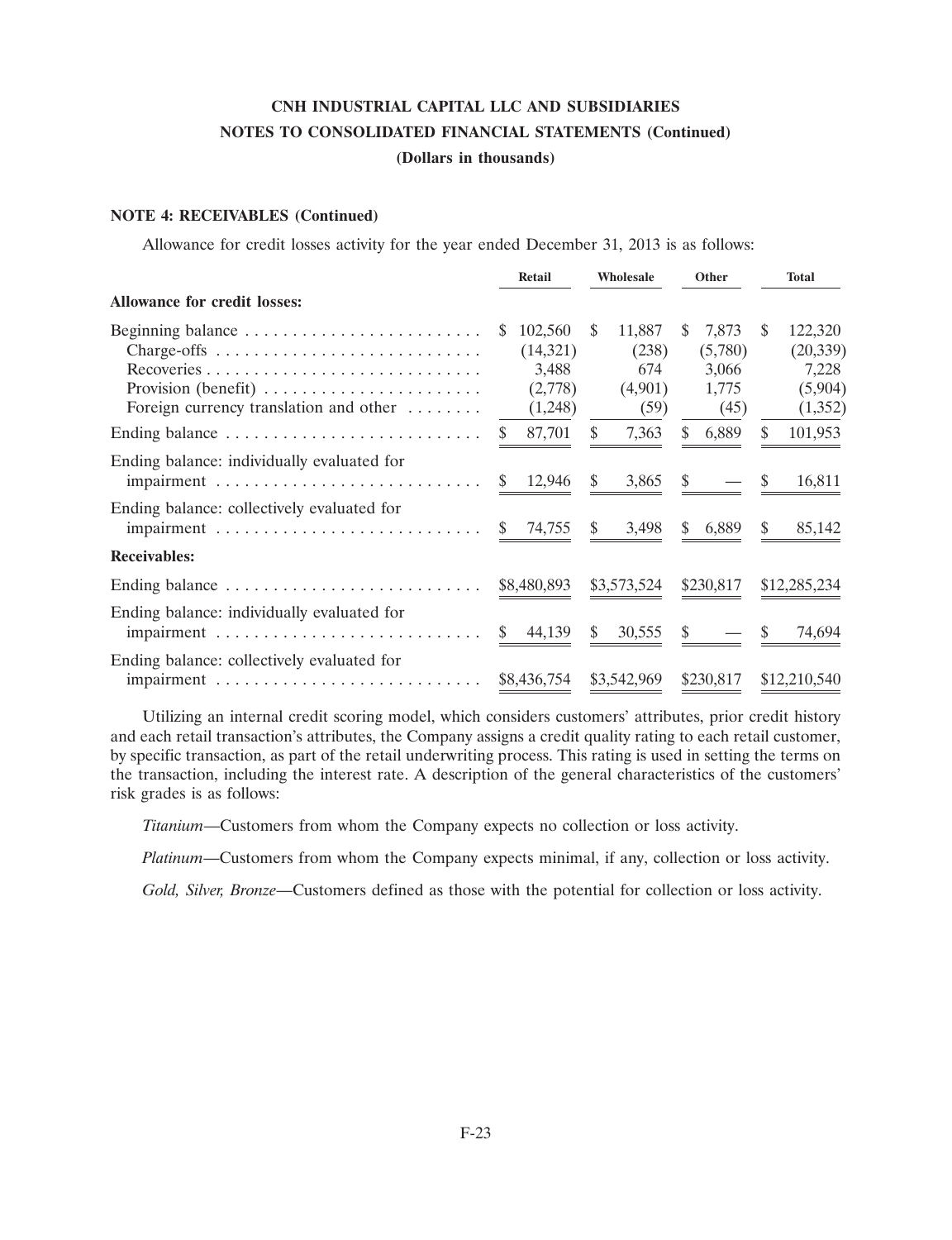### **NOTE 4: RECEIVABLES (Continued)**

Allowance for credit losses activity for the year ended December 31, 2013 is as follows:

|                                                                 |    | <b>Retail</b>           |               | Wholesale   |               | Other     | <b>Total</b>  |              |
|-----------------------------------------------------------------|----|-------------------------|---------------|-------------|---------------|-----------|---------------|--------------|
| <b>Allowance for credit losses:</b>                             |    |                         |               |             |               |           |               |              |
|                                                                 | S  | 102,560                 | \$.           | 11,887      | <sup>\$</sup> | 7,873     | <sup>\$</sup> | 122,320      |
|                                                                 |    | (14,321)                |               | (238)       |               | (5,780)   |               | (20, 339)    |
|                                                                 |    | 3,488                   |               | 674         |               | 3,066     |               | 7,228        |
| Provision (benefit) $\dots \dots \dots \dots \dots \dots \dots$ |    | (2,778)                 |               | (4,901)     |               | 1,775     |               | (5,904)      |
| Foreign currency translation and other                          |    | (1,248)                 |               | (59)        |               | (45)      |               | (1,352)      |
|                                                                 | \$ | 87,701                  | <sup>S</sup>  | 7,363       | S.            | 6,889     | S.            | 101,953      |
| Ending balance: individually evaluated for                      | \$ | 12,946                  | $\mathbb{S}$  | $3,865$ \$  |               |           |               | 16,811       |
|                                                                 |    |                         |               |             |               |           | \$            |              |
| Ending balance: collectively evaluated for                      |    |                         |               |             |               |           |               |              |
|                                                                 | \$ | 74,755                  | $\mathbb{S}$  | 3,498       |               | \$6,889   | \$            | 85,142       |
| <b>Receivables:</b>                                             |    |                         |               |             |               |           |               |              |
|                                                                 |    | \$8,480,893             |               | \$3,573,524 |               | \$230,817 |               | \$12,285,234 |
| Ending balance: individually evaluated for                      |    |                         |               |             |               |           |               |              |
|                                                                 | S. | 44,139                  | $\mathcal{S}$ | 30,555      | \$            |           | \$            | 74,694       |
| Ending balance: collectively evaluated for                      |    |                         |               |             |               |           |               |              |
|                                                                 |    | \$8,436,754 \$3,542,969 |               |             |               | \$230,817 |               | \$12,210,540 |

Utilizing an internal credit scoring model, which considers customers' attributes, prior credit history and each retail transaction's attributes, the Company assigns a credit quality rating to each retail customer, by specific transaction, as part of the retail underwriting process. This rating is used in setting the terms on the transaction, including the interest rate. A description of the general characteristics of the customers' risk grades is as follows:

*Titanium*—Customers from whom the Company expects no collection or loss activity.

*Platinum*—Customers from whom the Company expects minimal, if any, collection or loss activity.

*Gold, Silver, Bronze*—Customers defined as those with the potential for collection or loss activity.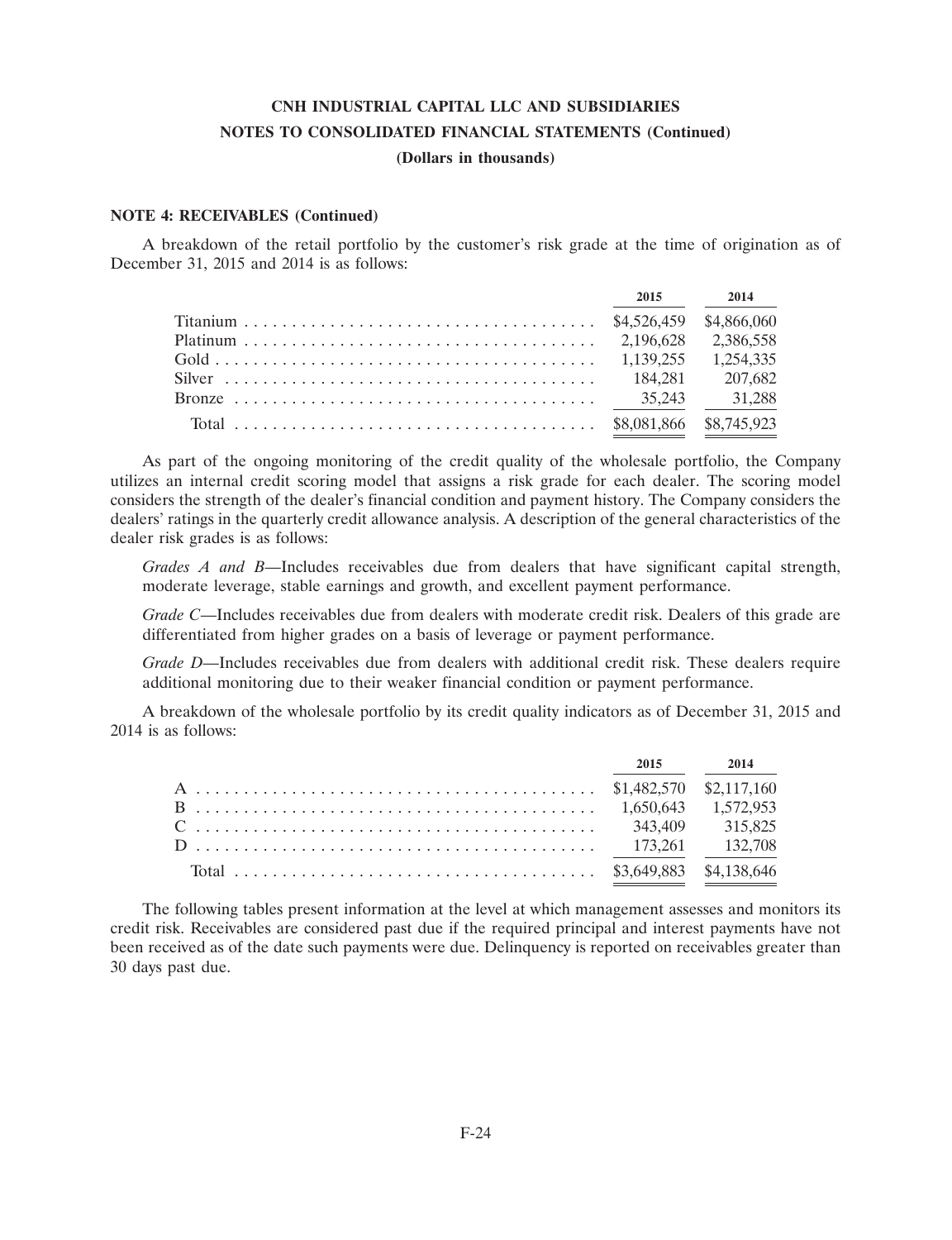### **NOTE 4: RECEIVABLES (Continued)**

A breakdown of the retail portfolio by the customer's risk grade at the time of origination as of December 31, 2015 and 2014 is as follows:

| 2015 | 2014      |
|------|-----------|
|      |           |
|      |           |
|      | 1,254,335 |
|      |           |
|      | 31,288    |
|      |           |

As part of the ongoing monitoring of the credit quality of the wholesale portfolio, the Company utilizes an internal credit scoring model that assigns a risk grade for each dealer. The scoring model considers the strength of the dealer's financial condition and payment history. The Company considers the dealers' ratings in the quarterly credit allowance analysis. A description of the general characteristics of the dealer risk grades is as follows:

*Grades A and B*—Includes receivables due from dealers that have significant capital strength, moderate leverage, stable earnings and growth, and excellent payment performance.

*Grade C*—Includes receivables due from dealers with moderate credit risk. Dealers of this grade are differentiated from higher grades on a basis of leverage or payment performance.

*Grade D*—Includes receivables due from dealers with additional credit risk. These dealers require additional monitoring due to their weaker financial condition or payment performance.

A breakdown of the wholesale portfolio by its credit quality indicators as of December 31, 2015 and 2014 is as follows:

|  | 2015 2014 |
|--|-----------|
|  |           |
|  |           |
|  |           |
|  |           |
|  |           |

The following tables present information at the level at which management assesses and monitors its credit risk. Receivables are considered past due if the required principal and interest payments have not been received as of the date such payments were due. Delinquency is reported on receivables greater than 30 days past due.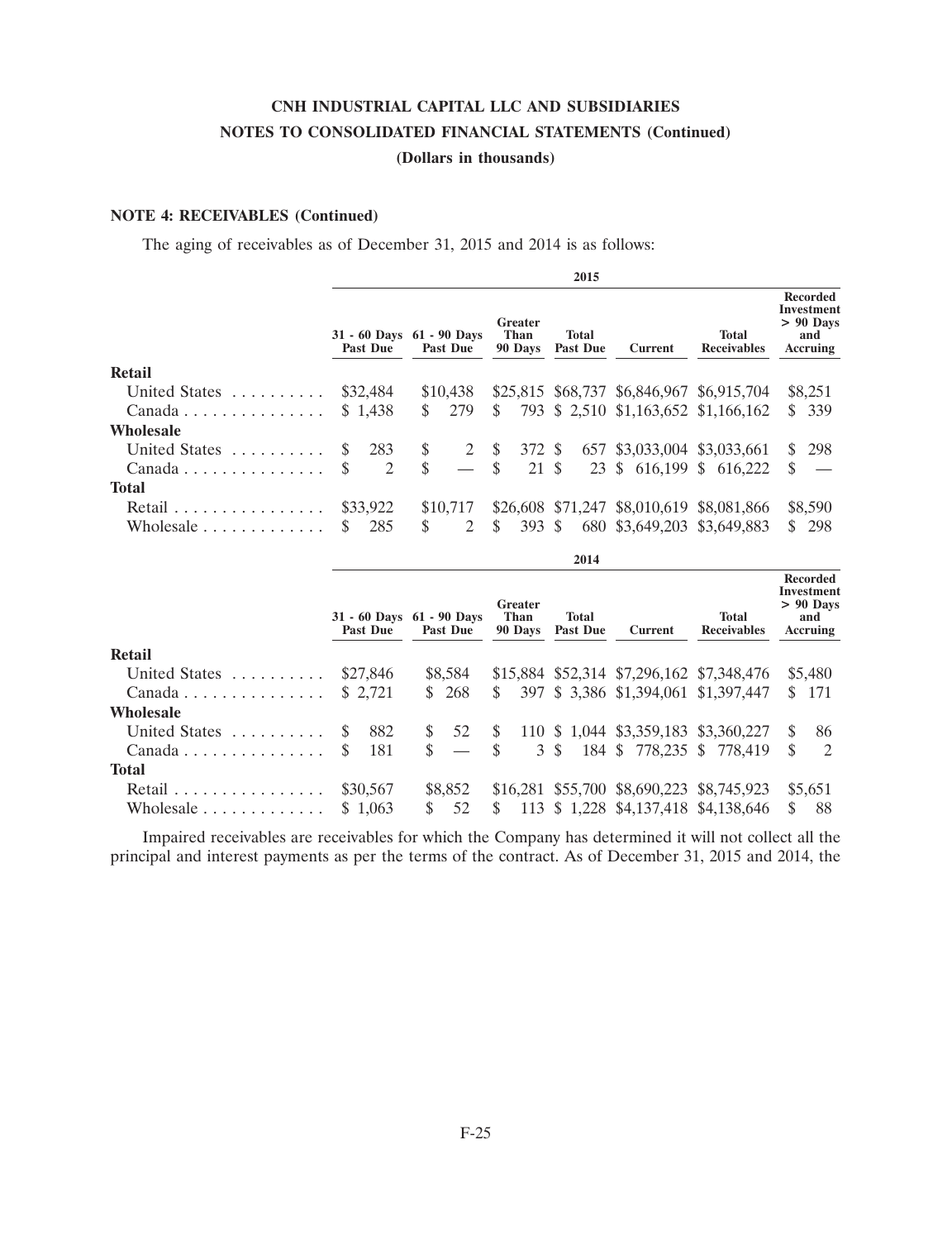### **NOTE 4: RECEIVABLES (Continued)**

The aging of receivables as of December 31, 2015 and 2014 is as follows:

|                                                      |     |                                             |     |                                                                   |        |                                                                                                                                                       | 2015                    |                   |                                    |                                                                                                                                                                                                                          |
|------------------------------------------------------|-----|---------------------------------------------|-----|-------------------------------------------------------------------|--------|-------------------------------------------------------------------------------------------------------------------------------------------------------|-------------------------|-------------------|------------------------------------|--------------------------------------------------------------------------------------------------------------------------------------------------------------------------------------------------------------------------|
|                                                      |     |                                             |     |                                                                   |        |                                                                                                                                                       |                         | <b>Current</b>    | <b>Total</b><br><b>Receivables</b> | <b>Recorded</b><br>Investment<br>$> 90$ Days<br>and<br><b>Accruing</b>                                                                                                                                                   |
|                                                      |     |                                             |     |                                                                   |        |                                                                                                                                                       |                         |                   |                                    |                                                                                                                                                                                                                          |
| United States                                        |     |                                             |     |                                                                   |        |                                                                                                                                                       |                         |                   |                                    | \$8,251                                                                                                                                                                                                                  |
| $Canada \dots \dots \dots \dots \dots$               |     | S.                                          | 279 |                                                                   |        |                                                                                                                                                       |                         |                   |                                    | \$339                                                                                                                                                                                                                    |
|                                                      |     |                                             |     |                                                                   |        |                                                                                                                                                       |                         |                   |                                    |                                                                                                                                                                                                                          |
| United States $\ldots \ldots \ldots$<br><sup>S</sup> | 283 |                                             |     |                                                                   |        |                                                                                                                                                       |                         |                   |                                    | \$298                                                                                                                                                                                                                    |
| Canada                                               | 2   | $\mathbb{S}$                                |     |                                                                   |        |                                                                                                                                                       |                         |                   |                                    | <sup>\$</sup>                                                                                                                                                                                                            |
|                                                      |     |                                             |     |                                                                   |        |                                                                                                                                                       |                         |                   |                                    |                                                                                                                                                                                                                          |
| Retail $\ldots \ldots \ldots \ldots$                 |     |                                             |     |                                                                   |        |                                                                                                                                                       |                         |                   |                                    | \$8,590                                                                                                                                                                                                                  |
| Wholesale $\ldots$ , $\ldots$ , $\ldots$             | 285 | \$.                                         | 2   | <sup>S</sup>                                                      |        |                                                                                                                                                       |                         |                   |                                    | \$298                                                                                                                                                                                                                    |
|                                                      |     | Past Due<br>\$32,484<br>\$1,438<br>\$33,922 |     | $31 - 60$ Days $61 - 90$ Days<br>Past Due<br>\$10,438<br>\$10,717 | $-$ \$ | Greater<br>Than<br>90 Days<br>$\mathbb{S}$<br>$\begin{array}{ccc} \text{\$} & \text{\$} & \text{\$} \\ \text{\$} & \text{\$} & \text{\$} \end{array}$ | 372 \$<br>21 \$<br>393S | Total<br>Past Due |                                    | \$25,815 \$68,737 \$6,846,967 \$6,915,704<br>793 \$ 2,510 \$1,163,652 \$1,166,162<br>657 \$3,033,004 \$3,033,661<br>23 \$ 616,199 \$ 616,222<br>\$26,608 \$71,247 \$8,010,619 \$8,081,866<br>680 \$3,649,203 \$3,649,883 |

|                                             |    | $31 - 60$ Days $61 - 90$ Days<br>Past Due |    | Past Due      |              | Greater<br>Than<br>90 Days | Total<br>Past Due | <b>Current</b>                            | <b>Total</b><br><b>Receivables</b> |     | <b>Recorded</b><br>Investment<br>$> 90$ Days<br>and<br><b>Accruing</b> |
|---------------------------------------------|----|-------------------------------------------|----|---------------|--------------|----------------------------|-------------------|-------------------------------------------|------------------------------------|-----|------------------------------------------------------------------------|
| Retail                                      |    |                                           |    |               |              |                            |                   |                                           |                                    |     |                                                                        |
| United States                               |    | \$27,846                                  |    | \$8,584       |              |                            |                   | \$15,884 \$52,314 \$7,296,162 \$7,348,476 |                                    |     | \$5,480                                                                |
| Canada                                      |    | \$2,721                                   |    | \$268         | $\mathbb{S}$ |                            |                   | 397 \$ 3,386 \$1,394,061 \$1,397,447      |                                    |     | \$171                                                                  |
| <b>Wholesale</b>                            |    |                                           |    |               |              |                            |                   |                                           |                                    |     |                                                                        |
| United States                               | S. | 882                                       | S. | - 52          | -S           |                            |                   | 110 \$ 1,044 \$3,359,183 \$3,360,227      |                                    |     | 86                                                                     |
| Canada                                      |    | 181                                       |    | $\sin \theta$ | - \$         |                            |                   | 3 \$ 184 \$ 778,235 \$ 778,419            |                                    |     | 2                                                                      |
| <b>Total</b>                                |    |                                           |    |               |              |                            |                   |                                           |                                    |     |                                                                        |
| Retail $\ldots \ldots \ldots \ldots \ldots$ |    | \$30,567                                  |    | \$8,852       |              |                            |                   | \$16,281 \$55,700 \$8,690,223 \$8,745,923 |                                    |     | \$5,651                                                                |
| Wholesale $\dots \dots \dots \dots$         |    | \$1.063                                   |    | 52            | <sup>S</sup> |                            |                   | 113 \$ 1,228 \$4,137,418 \$4,138,646      |                                    | \$. | 88                                                                     |

**2014**

Impaired receivables are receivables for which the Company has determined it will not collect all the principal and interest payments as per the terms of the contract. As of December 31, 2015 and 2014, the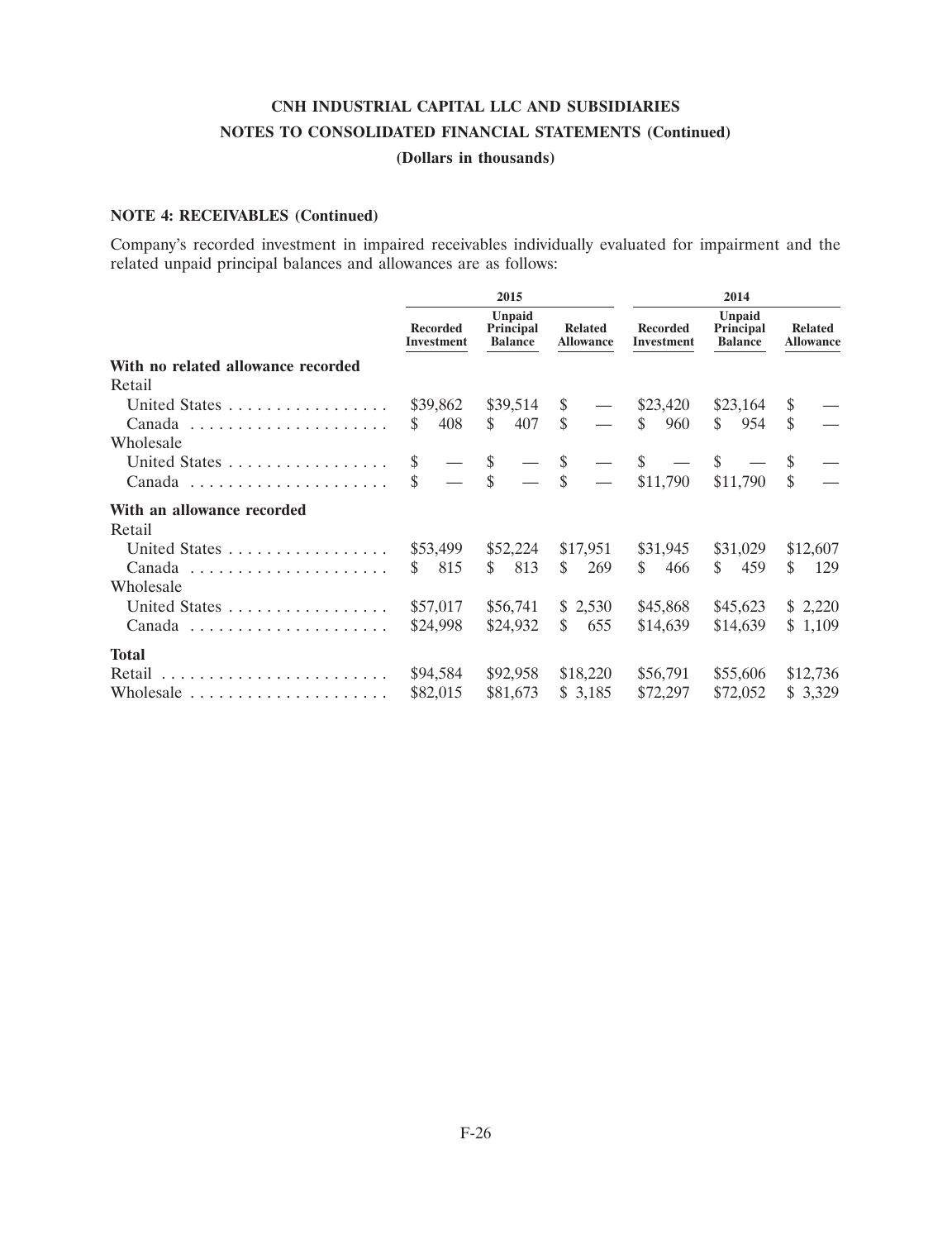### **NOTE 4: RECEIVABLES (Continued)**

Company's recorded investment in impaired receivables individually evaluated for impairment and the related unpaid principal balances and allowances are as follows:

|                                    |                                      | 2015                                      |                                                                                 | 2014                          |                                              |                                    |  |  |  |  |
|------------------------------------|--------------------------------------|-------------------------------------------|---------------------------------------------------------------------------------|-------------------------------|----------------------------------------------|------------------------------------|--|--|--|--|
|                                    | <b>Recorded</b><br><b>Investment</b> | Unpaid<br>Principal<br><b>Balance</b>     | <b>Related</b><br><b>Allowance</b>                                              | <b>Recorded</b><br>Investment | <b>Unpaid</b><br>Principal<br><b>Balance</b> | <b>Related</b><br><b>Allowance</b> |  |  |  |  |
| With no related allowance recorded |                                      |                                           |                                                                                 |                               |                                              |                                    |  |  |  |  |
| Retail                             |                                      |                                           |                                                                                 |                               |                                              |                                    |  |  |  |  |
| United States                      | \$39,862                             | \$39,514                                  | \$                                                                              | \$23,420                      | \$23,164                                     | \$                                 |  |  |  |  |
|                                    | 408<br>S.                            | $\mathbb{S}$<br>407                       | $\mathcal{S}$                                                                   | \$<br>960                     | \$<br>954                                    | $\mathcal{S}$                      |  |  |  |  |
| Wholesale                          |                                      |                                           |                                                                                 |                               |                                              |                                    |  |  |  |  |
| United States                      | \$                                   | \$                                        |                                                                                 | S —                           | $\mathbb{S}$                                 | \$                                 |  |  |  |  |
|                                    |                                      | $\overline{\phantom{a}}$<br>$\mathcal{S}$ | $\begin{array}{c} \mathbb{S} \\ \mathbb{S} \end{array}$<br>$\frac{1}{\sqrt{2}}$ | \$11,790                      | \$11,790                                     |                                    |  |  |  |  |
| With an allowance recorded         |                                      |                                           |                                                                                 |                               |                                              |                                    |  |  |  |  |
| Retail                             |                                      |                                           |                                                                                 |                               |                                              |                                    |  |  |  |  |
| United States                      | \$53,499                             | \$52,224                                  | \$17,951                                                                        | \$31,945                      | \$31,029                                     | \$12,607                           |  |  |  |  |
|                                    | 815<br>S.                            | $\mathcal{S}$<br>813                      | $\mathcal{S}$<br>269                                                            | $\mathbf{s}$<br>466           | $\mathbb{S}^-$<br>459                        | $\mathcal{S}$<br>129               |  |  |  |  |
| Wholesale                          |                                      |                                           |                                                                                 |                               |                                              |                                    |  |  |  |  |
| United States                      | \$57,017                             | \$56,741                                  | \$2,530                                                                         | \$45,868                      | \$45,623                                     | \$2,220                            |  |  |  |  |
|                                    | \$24,998                             | \$24,932                                  | \$<br>655                                                                       | \$14,639                      | \$14,639                                     | \$1,109                            |  |  |  |  |
| <b>Total</b>                       |                                      |                                           |                                                                                 |                               |                                              |                                    |  |  |  |  |
|                                    | \$94,584                             | \$92,958                                  | \$18,220                                                                        | \$56,791                      | \$55,606                                     | \$12,736                           |  |  |  |  |
| Wholesale                          | \$82,015                             | \$81,673                                  | \$3,185                                                                         | \$72,297                      | \$72,052                                     | \$3,329                            |  |  |  |  |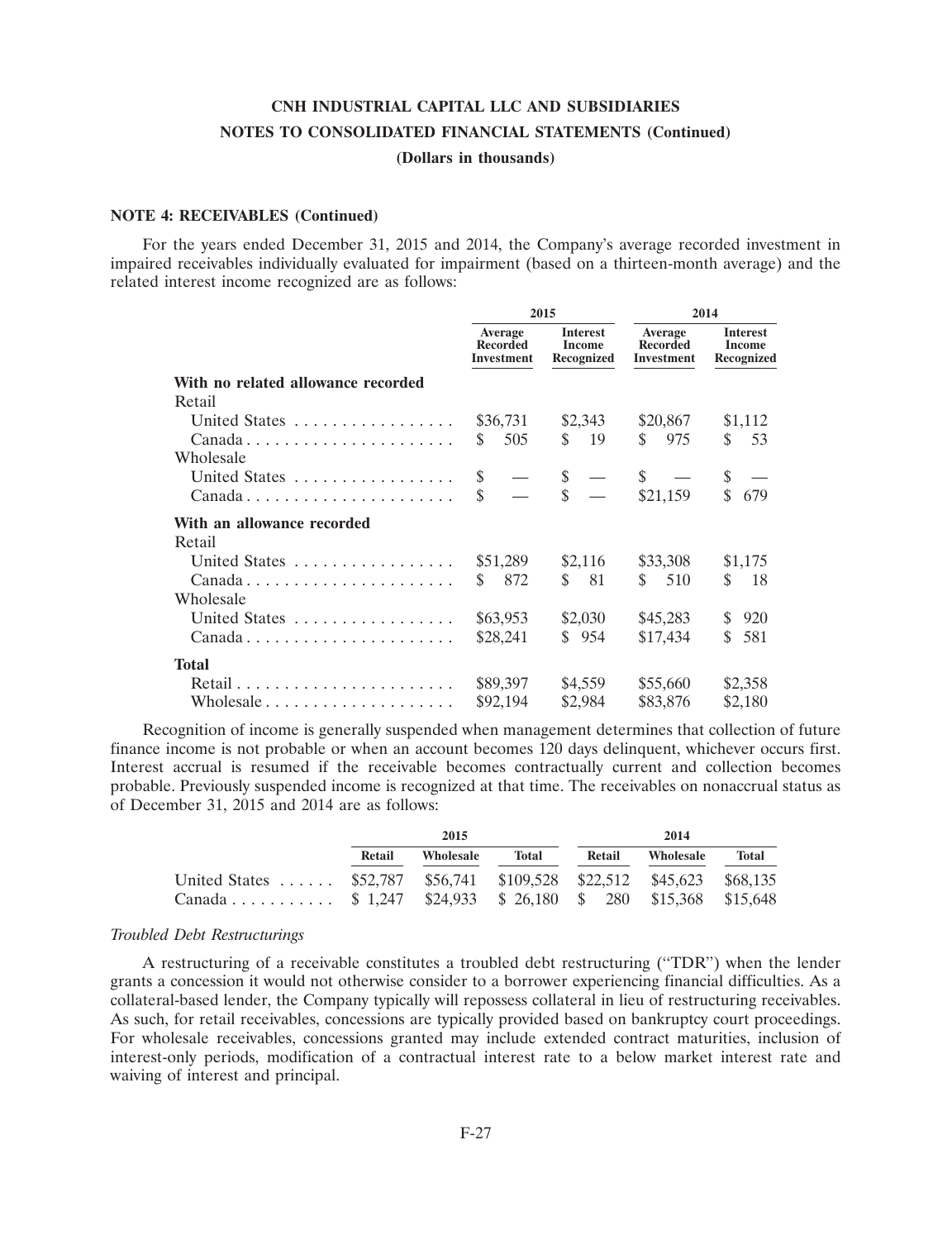# **CNH INDUSTRIAL CAPITAL LLC AND SUBSIDIARIES NOTES TO CONSOLIDATED FINANCIAL STATEMENTS (Continued)**

#### **(Dollars in thousands)**

### **NOTE 4: RECEIVABLES (Continued)**

For the years ended December 31, 2015 and 2014, the Company's average recorded investment in impaired receivables individually evaluated for impairment (based on a thirteen-month average) and the related interest income recognized are as follows:

|                                                                                     |           | 2015                                     | 2014                                    |           |  |
|-------------------------------------------------------------------------------------|-----------|------------------------------------------|-----------------------------------------|-----------|--|
| <b>Interest</b><br>Average<br><b>Recorded</b><br>Income<br>Recognized<br>Investment |           | Average<br><b>Recorded</b><br>Investment | <b>Interest</b><br>Income<br>Recognized |           |  |
| With no related allowance recorded                                                  |           |                                          |                                         |           |  |
| Retail                                                                              |           |                                          |                                         |           |  |
| United States                                                                       | \$36,731  | \$2,343                                  | \$20,867                                | \$1,112   |  |
|                                                                                     | 505<br>S. | \$<br>19                                 | 975<br>\$                               | \$<br>53  |  |
| Wholesale                                                                           |           |                                          |                                         |           |  |
| United States                                                                       | \$        |                                          | \$                                      | \$        |  |
|                                                                                     |           | $\frac{\$}{\$}$ $-$                      | \$21,159                                | \$<br>679 |  |
| With an allowance recorded                                                          |           |                                          |                                         |           |  |
| Retail                                                                              |           |                                          |                                         |           |  |
| United States                                                                       | \$51,289  | \$2,116                                  | \$33,308                                | \$1,175   |  |
| $Canada \dots \dots \dots \dots \dots \dots \dots \dots \dots$                      | 872<br>\$ | \$<br>81                                 | \$510                                   | \$<br>18  |  |
| Wholesale                                                                           |           |                                          |                                         |           |  |
| United States                                                                       | \$63,953  | \$2,030                                  | \$45,283                                | 920<br>\$ |  |
| Canada                                                                              | \$28,241  | \$954                                    | \$17,434                                | \$<br>581 |  |
| <b>Total</b>                                                                        |           |                                          |                                         |           |  |
|                                                                                     | \$89,397  | \$4,559                                  | \$55,660                                | \$2,358   |  |
|                                                                                     | \$92,194  | \$2,984                                  | \$83,876                                | \$2,180   |  |

Recognition of income is generally suspended when management determines that collection of future finance income is not probable or when an account becomes 120 days delinquent, whichever occurs first. Interest accrual is resumed if the receivable becomes contractually current and collection becomes probable. Previously suspended income is recognized at that time. The receivables on nonaccrual status as of December 31, 2015 and 2014 are as follows:

|                                                                       | 2015   |           |       | 2014   |           |       |
|-----------------------------------------------------------------------|--------|-----------|-------|--------|-----------|-------|
|                                                                       | Retail | Wholesale | Total | Retail | Wholesale | Total |
| United States  \$52,787 \$56,741 \$109,528 \$22,512 \$45,623 \$68,135 |        |           |       |        |           |       |
| Canada $$1,247$ $$24,933$ $$26,180$ $$280$ $$15,368$ $$15,648$        |        |           |       |        |           |       |

#### *Troubled Debt Restructurings*

A restructuring of a receivable constitutes a troubled debt restructuring (''TDR'') when the lender grants a concession it would not otherwise consider to a borrower experiencing financial difficulties. As a collateral-based lender, the Company typically will repossess collateral in lieu of restructuring receivables. As such, for retail receivables, concessions are typically provided based on bankruptcy court proceedings. For wholesale receivables, concessions granted may include extended contract maturities, inclusion of interest-only periods, modification of a contractual interest rate to a below market interest rate and waiving of interest and principal.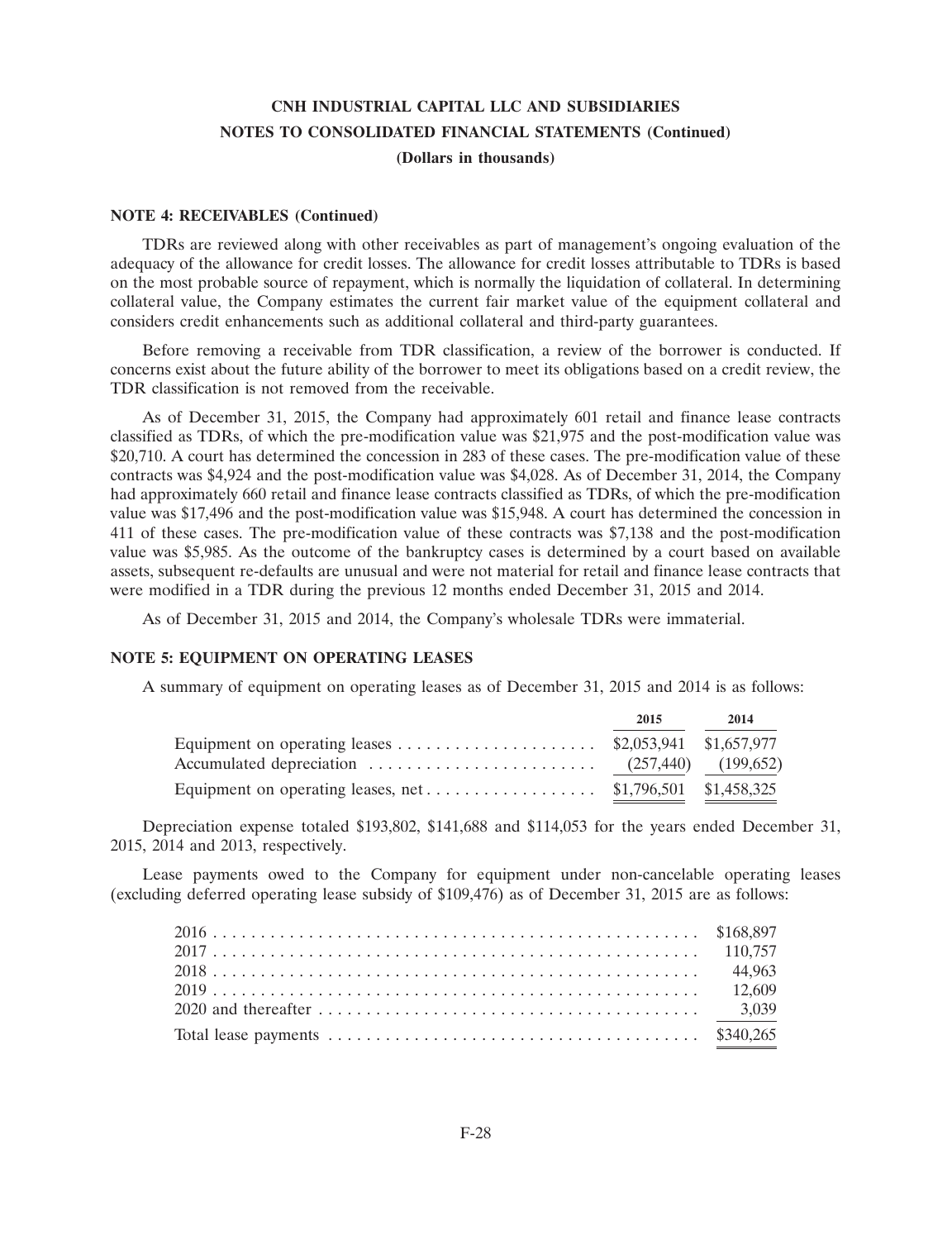### **NOTE 4: RECEIVABLES (Continued)**

TDRs are reviewed along with other receivables as part of management's ongoing evaluation of the adequacy of the allowance for credit losses. The allowance for credit losses attributable to TDRs is based on the most probable source of repayment, which is normally the liquidation of collateral. In determining collateral value, the Company estimates the current fair market value of the equipment collateral and considers credit enhancements such as additional collateral and third-party guarantees.

Before removing a receivable from TDR classification, a review of the borrower is conducted. If concerns exist about the future ability of the borrower to meet its obligations based on a credit review, the TDR classification is not removed from the receivable.

As of December 31, 2015, the Company had approximately 601 retail and finance lease contracts classified as TDRs, of which the pre-modification value was \$21,975 and the post-modification value was \$20,710. A court has determined the concession in 283 of these cases. The pre-modification value of these contracts was \$4,924 and the post-modification value was \$4,028. As of December 31, 2014, the Company had approximately 660 retail and finance lease contracts classified as TDRs, of which the pre-modification value was \$17,496 and the post-modification value was \$15,948. A court has determined the concession in 411 of these cases. The pre-modification value of these contracts was \$7,138 and the post-modification value was \$5,985. As the outcome of the bankruptcy cases is determined by a court based on available assets, subsequent re-defaults are unusual and were not material for retail and finance lease contracts that were modified in a TDR during the previous 12 months ended December 31, 2015 and 2014.

As of December 31, 2015 and 2014, the Company's wholesale TDRs were immaterial.

### **NOTE 5: EQUIPMENT ON OPERATING LEASES**

A summary of equipment on operating leases as of December 31, 2015 and 2014 is as follows:

|                                                                                                 | 2015 | 2014 |
|-------------------------------------------------------------------------------------------------|------|------|
|                                                                                                 |      |      |
| Accumulated depreciation $\ldots \ldots \ldots \ldots \ldots \ldots \ldots$ (257,440) (199,652) |      |      |
| Equipment on operating leases, net \$1,796,501 \$1,458,325                                      |      |      |

Depreciation expense totaled \$193,802, \$141,688 and \$114,053 for the years ended December 31, 2015, 2014 and 2013, respectively.

Lease payments owed to the Company for equipment under non-cancelable operating leases (excluding deferred operating lease subsidy of \$109,476) as of December 31, 2015 are as follows:

| Total lease payments $\ldots \ldots \ldots \ldots \ldots \ldots \ldots \ldots \ldots \ldots \ldots$ \$340,265 |  |
|---------------------------------------------------------------------------------------------------------------|--|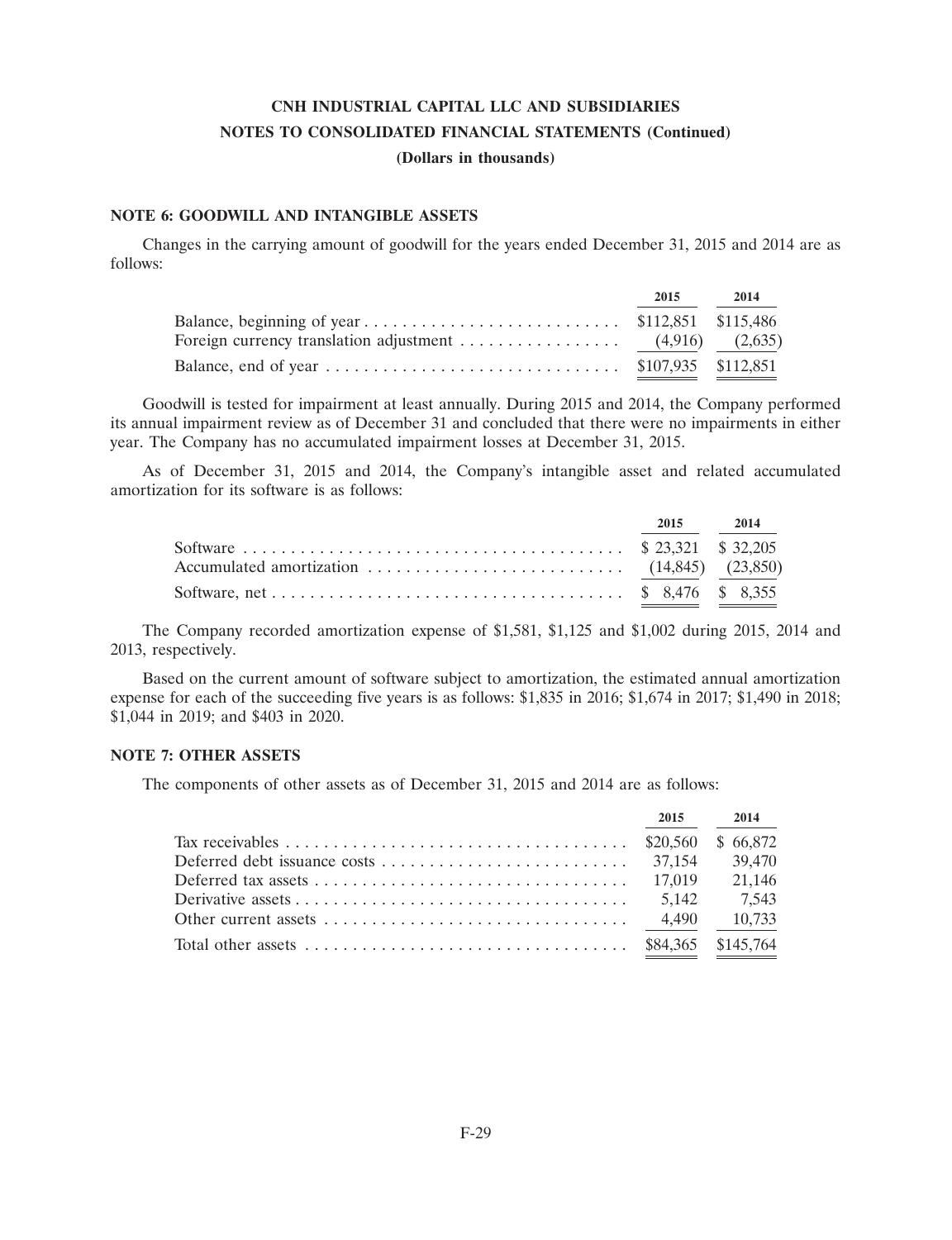### **NOTE 6: GOODWILL AND INTANGIBLE ASSETS**

Changes in the carrying amount of goodwill for the years ended December 31, 2015 and 2014 are as follows:

| 2015 | 2014 |
|------|------|
|      |      |
|      |      |
|      |      |

Goodwill is tested for impairment at least annually. During 2015 and 2014, the Company performed its annual impairment review as of December 31 and concluded that there were no impairments in either year. The Company has no accumulated impairment losses at December 31, 2015.

As of December 31, 2015 and 2014, the Company's intangible asset and related accumulated amortization for its software is as follows:

|                                                                                                      | 2015 2014 |  |
|------------------------------------------------------------------------------------------------------|-----------|--|
|                                                                                                      |           |  |
| Accumulated amortization $\ldots \ldots \ldots \ldots \ldots \ldots \ldots \ldots$ (14,845) (23,850) |           |  |
|                                                                                                      |           |  |

The Company recorded amortization expense of \$1,581, \$1,125 and \$1,002 during 2015, 2014 and 2013, respectively.

Based on the current amount of software subject to amortization, the estimated annual amortization expense for each of the succeeding five years is as follows: \$1,835 in 2016; \$1,674 in 2017; \$1,490 in 2018; \$1,044 in 2019; and \$403 in 2020.

#### **NOTE 7: OTHER ASSETS**

The components of other assets as of December 31, 2015 and 2014 are as follows:

|                                                                                                | 2015 2014 |
|------------------------------------------------------------------------------------------------|-----------|
|                                                                                                |           |
|                                                                                                | 39,470    |
|                                                                                                | 21,146    |
|                                                                                                | 7.543     |
| Other current assets $\dots \dots \dots \dots \dots \dots \dots \dots \dots \dots \dots$ 4,490 | 10,733    |
|                                                                                                |           |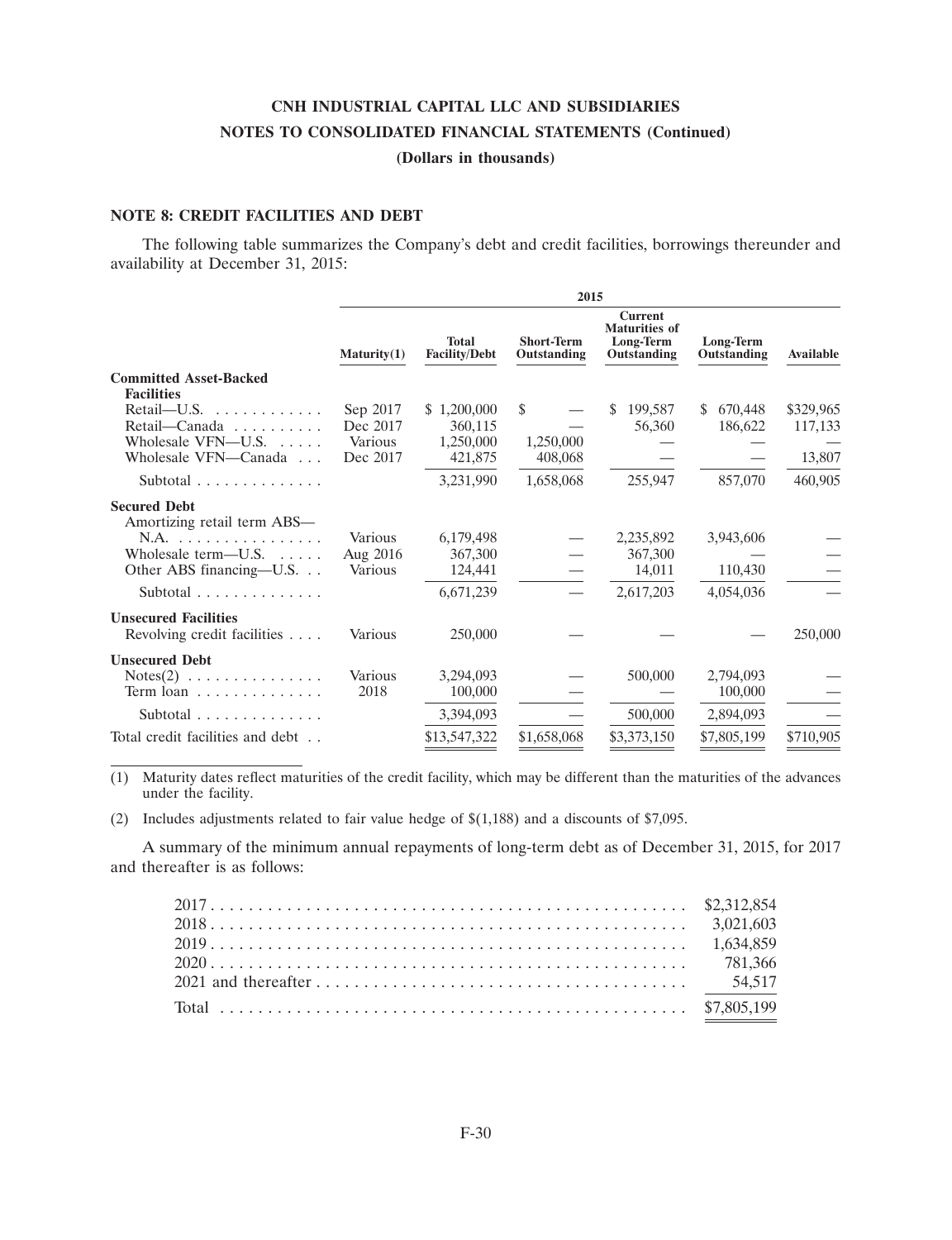# **CNH INDUSTRIAL CAPITAL LLC AND SUBSIDIARIES NOTES TO CONSOLIDATED FINANCIAL STATEMENTS (Continued)**

### **(Dollars in thousands)**

### **NOTE 8: CREDIT FACILITIES AND DEBT**

The following table summarizes the Company's debt and credit facilities, borrowings thereunder and availability at December 31, 2015:

|                                                    | 2015        |                                      |                                  |                                                                    |                          |           |
|----------------------------------------------------|-------------|--------------------------------------|----------------------------------|--------------------------------------------------------------------|--------------------------|-----------|
|                                                    | Maturity(1) | <b>Total</b><br><b>Facility/Debt</b> | <b>Short-Term</b><br>Outstanding | <b>Current</b><br><b>Maturities of</b><br>Long-Term<br>Outstanding | Long-Term<br>Outstanding | Available |
| <b>Committed Asset-Backed</b>                      |             |                                      |                                  |                                                                    |                          |           |
| <b>Facilities</b>                                  |             |                                      |                                  |                                                                    |                          |           |
| $Retail—U.S. \dots \dots \dots \dots$              | Sep 2017    | \$1,200,000                          | \$                               | \$199,587                                                          | \$670,448                | \$329,965 |
| Retail—Canada                                      | Dec 2017    | 360,115                              |                                  | 56,360                                                             | 186,622                  | 117,133   |
| Wholesale $VFN-U.S.$                               | Various     | 1,250,000                            | 1,250,000                        |                                                                    |                          |           |
| Wholesale VFN—Canada                               | Dec 2017    | 421,875                              | 408,068                          |                                                                    |                          | 13,807    |
| Subtotal $\ldots$ , $\ldots$ , $\ldots$            |             | 3,231,990                            | 1,658,068                        | 255,947                                                            | 857,070                  | 460,905   |
| <b>Secured Debt</b><br>Amortizing retail term ABS- |             |                                      |                                  |                                                                    |                          |           |
| N.A.                                               | Various     | 6,179,498                            |                                  | 2,235,892                                                          | 3,943,606                |           |
| Wholesale term—U.S. $\dots$                        | Aug 2016    | 367,300                              |                                  | 367,300                                                            |                          |           |
| Other ABS financing-U.S.                           | Various     | 124,441                              |                                  | 14,011                                                             | 110,430                  |           |
| Subtotal                                           |             | 6,671,239                            |                                  | 2,617,203                                                          | 4,054,036                |           |
| <b>Unsecured Facilities</b>                        |             |                                      |                                  |                                                                    |                          |           |
| Revolving credit facilities                        | Various     | 250,000                              |                                  |                                                                    |                          | 250,000   |
| <b>Unsecured Debt</b>                              |             |                                      |                                  |                                                                    |                          |           |
| $Notes(2) \ldots \ldots \ldots \ldots$             | Various     | 3,294,093                            |                                  | 500,000                                                            | 2,794,093                |           |
| Term loan                                          | 2018        | 100,000                              |                                  |                                                                    | 100,000                  |           |
| Subtotal $\ldots$ , $\ldots$                       |             | 3,394,093                            |                                  | 500,000                                                            | 2,894,093                |           |
| Total credit facilities and debt                   |             | \$13,547,322                         | \$1,658,068                      | \$3,373,150                                                        | \$7,805,199              | \$710,905 |

(1) Maturity dates reflect maturities of the credit facility, which may be different than the maturities of the advances under the facility.

(2) Includes adjustments related to fair value hedge of \$(1,188) and a discounts of \$7,095.

A summary of the minimum annual repayments of long-term debt as of December 31, 2015, for 2017 and thereafter is as follows: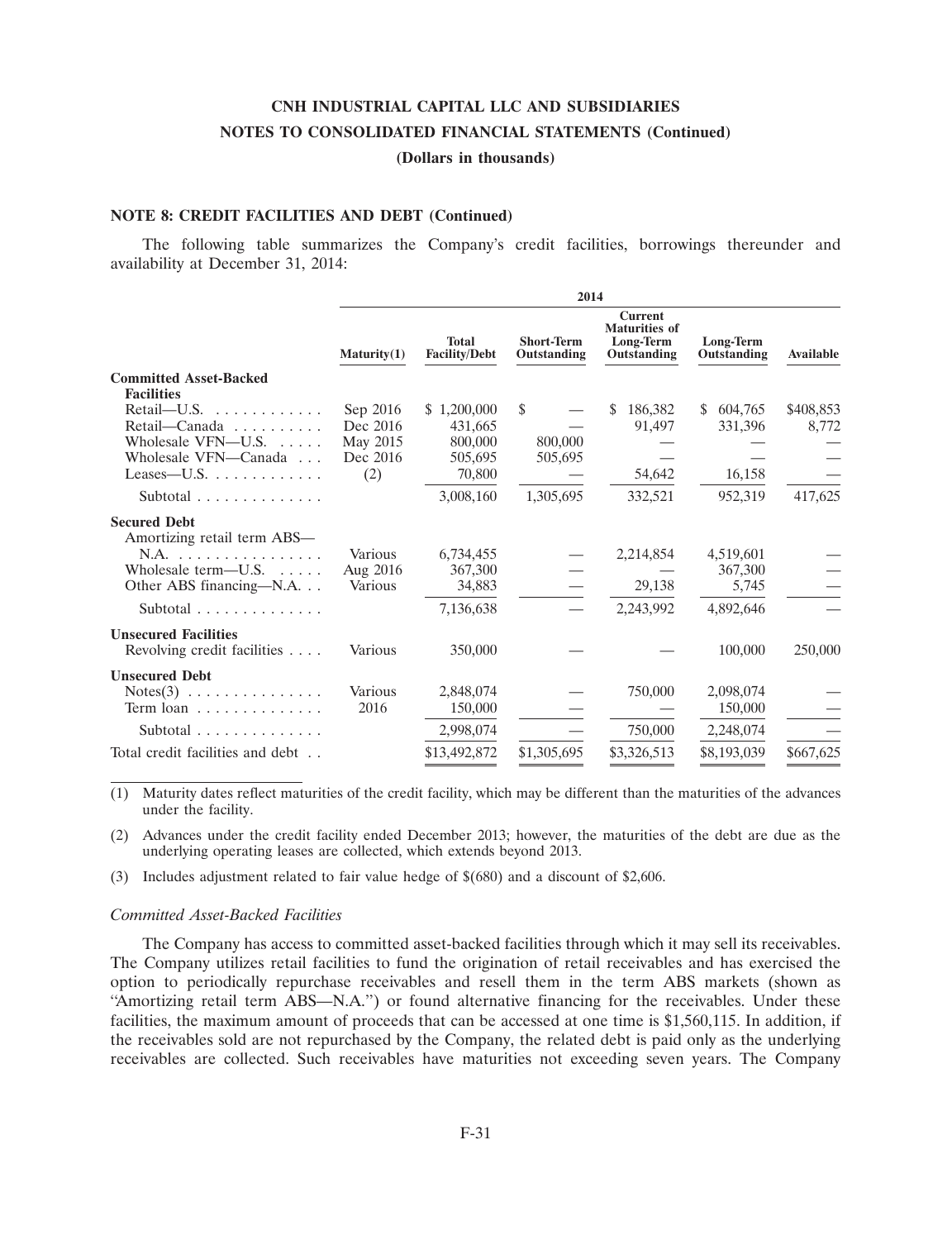#### **NOTE 8: CREDIT FACILITIES AND DEBT (Continued)**

The following table summarizes the Company's credit facilities, borrowings thereunder and availability at December 31, 2014:

|                                                            | 2014        |                                      |                                  |                                                                    |                          |                  |
|------------------------------------------------------------|-------------|--------------------------------------|----------------------------------|--------------------------------------------------------------------|--------------------------|------------------|
|                                                            | Maturity(1) | <b>Total</b><br><b>Facility/Debt</b> | <b>Short-Term</b><br>Outstanding | <b>Current</b><br><b>Maturities of</b><br>Long-Term<br>Outstanding | Long-Term<br>Outstanding | <b>Available</b> |
| <b>Committed Asset-Backed</b><br><b>Facilities</b>         |             |                                      |                                  |                                                                    |                          |                  |
| Retail—U.S. $\dots \dots \dots$                            | Sep 2016    | \$1,200,000                          | \$                               | 186,382<br>\$                                                      | \$604,765                | \$408,853        |
| Retail—Canada                                              | Dec 2016    | 431,665                              |                                  | 91,497                                                             | 331,396                  | 8,772            |
| Wholesale $VFN$ —U.S.                                      | May 2015    | 800,000                              | 800,000                          |                                                                    |                          |                  |
| Wholesale VFN—Canada                                       | Dec 2016    | 505,695                              | 505,695                          |                                                                    |                          |                  |
| Leases—U.S. $\dots \dots \dots$                            | (2)         | 70,800                               |                                  | 54,642                                                             | 16,158                   |                  |
| Subtotal $\ldots$ , $\ldots$ , $\ldots$                    |             | 3,008,160                            | 1,305,695                        | 332,521                                                            | 952,319                  | 417,625          |
| <b>Secured Debt</b><br>Amortizing retail term ABS-         |             |                                      |                                  |                                                                    |                          |                  |
| N.A.                                                       | Various     | 6,734,455                            |                                  | 2,214,854                                                          | 4,519,601                |                  |
| Wholesale term $-U.S.$                                     | Aug 2016    | 367,300                              |                                  |                                                                    | 367,300                  |                  |
| Other ABS financing-N.A.                                   | Various     | 34,883                               |                                  | 29,138                                                             | 5,745                    |                  |
| Subtotal $\ldots \ldots \ldots \ldots$                     |             | 7,136,638                            |                                  | 2,243,992                                                          | 4,892,646                |                  |
| <b>Unsecured Facilities</b><br>Revolving credit facilities | Various     | 350,000                              |                                  |                                                                    | 100,000                  | 250,000          |
| <b>Unsecured Debt</b>                                      |             |                                      |                                  |                                                                    |                          |                  |
| $Notes(3) \ldots \ldots \ldots \ldots$                     | Various     | 2,848,074                            |                                  | 750,000                                                            | 2,098,074                |                  |
| Term loan                                                  | 2016        | 150,000                              |                                  |                                                                    | 150,000                  |                  |
| Subtotal $\ldots$ , $\ldots$ , $\ldots$                    |             | 2,998,074                            |                                  | 750,000                                                            | 2,248,074                |                  |
| Total credit facilities and debt                           |             | \$13,492,872                         | \$1,305,695                      | \$3,326,513                                                        | \$8,193,039              | \$667,625        |

(1) Maturity dates reflect maturities of the credit facility, which may be different than the maturities of the advances under the facility.

(2) Advances under the credit facility ended December 2013; however, the maturities of the debt are due as the underlying operating leases are collected, which extends beyond 2013.

(3) Includes adjustment related to fair value hedge of \$(680) and a discount of \$2,606.

#### *Committed Asset-Backed Facilities*

The Company has access to committed asset-backed facilities through which it may sell its receivables. The Company utilizes retail facilities to fund the origination of retail receivables and has exercised the option to periodically repurchase receivables and resell them in the term ABS markets (shown as "Amortizing retail term ABS-N.A.") or found alternative financing for the receivables. Under these facilities, the maximum amount of proceeds that can be accessed at one time is \$1,560,115. In addition, if the receivables sold are not repurchased by the Company, the related debt is paid only as the underlying receivables are collected. Such receivables have maturities not exceeding seven years. The Company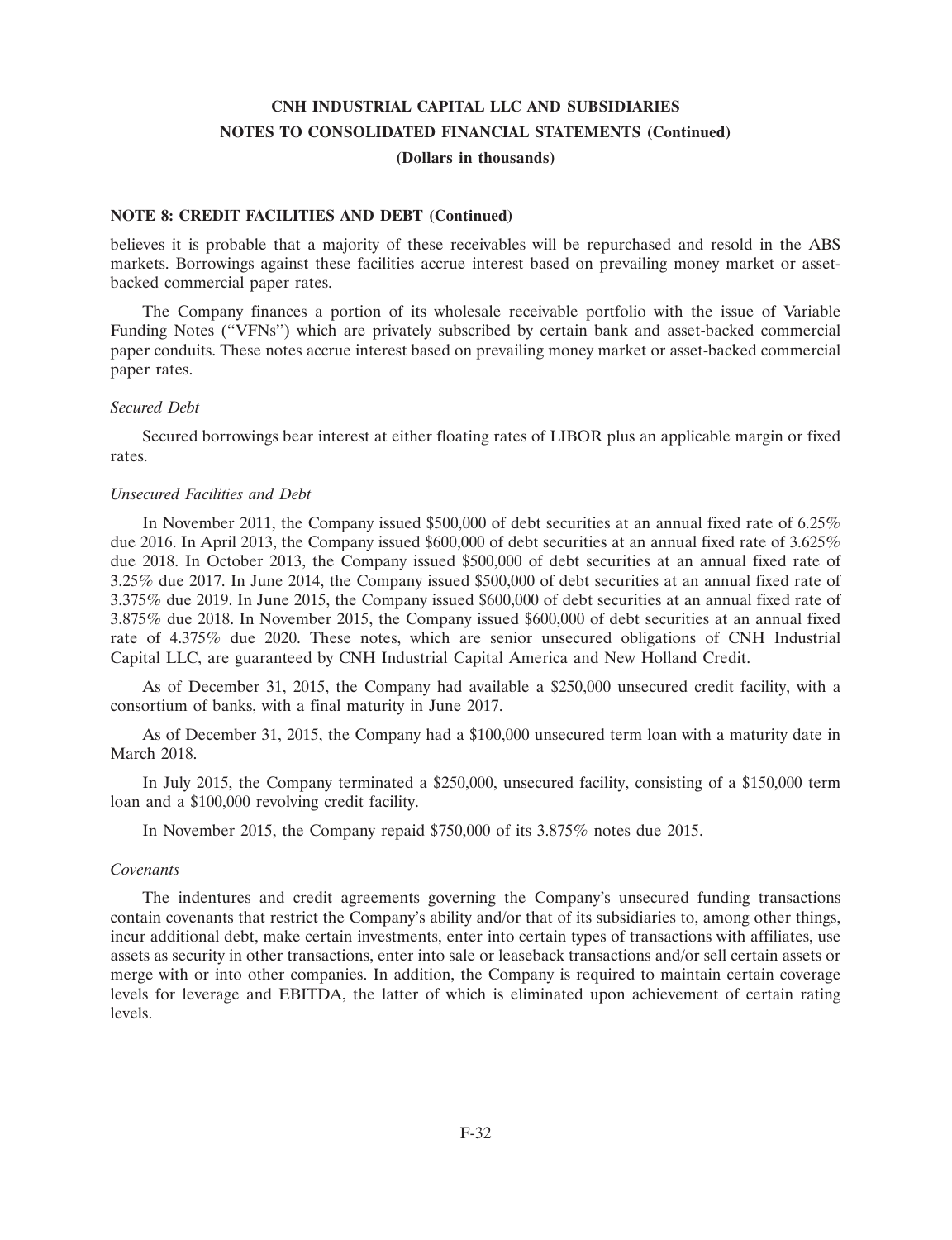### **NOTE 8: CREDIT FACILITIES AND DEBT (Continued)**

believes it is probable that a majority of these receivables will be repurchased and resold in the ABS markets. Borrowings against these facilities accrue interest based on prevailing money market or assetbacked commercial paper rates.

The Company finances a portion of its wholesale receivable portfolio with the issue of Variable Funding Notes (''VFNs'') which are privately subscribed by certain bank and asset-backed commercial paper conduits. These notes accrue interest based on prevailing money market or asset-backed commercial paper rates.

### *Secured Debt*

Secured borrowings bear interest at either floating rates of LIBOR plus an applicable margin or fixed rates.

### *Unsecured Facilities and Debt*

In November 2011, the Company issued \$500,000 of debt securities at an annual fixed rate of 6.25% due 2016. In April 2013, the Company issued \$600,000 of debt securities at an annual fixed rate of 3.625% due 2018. In October 2013, the Company issued \$500,000 of debt securities at an annual fixed rate of 3.25% due 2017. In June 2014, the Company issued \$500,000 of debt securities at an annual fixed rate of 3.375% due 2019. In June 2015, the Company issued \$600,000 of debt securities at an annual fixed rate of 3.875% due 2018. In November 2015, the Company issued \$600,000 of debt securities at an annual fixed rate of 4.375% due 2020. These notes, which are senior unsecured obligations of CNH Industrial Capital LLC, are guaranteed by CNH Industrial Capital America and New Holland Credit.

As of December 31, 2015, the Company had available a \$250,000 unsecured credit facility, with a consortium of banks, with a final maturity in June 2017.

As of December 31, 2015, the Company had a \$100,000 unsecured term loan with a maturity date in March 2018.

In July 2015, the Company terminated a \$250,000, unsecured facility, consisting of a \$150,000 term loan and a \$100,000 revolving credit facility.

In November 2015, the Company repaid \$750,000 of its 3.875% notes due 2015.

### *Covenants*

The indentures and credit agreements governing the Company's unsecured funding transactions contain covenants that restrict the Company's ability and/or that of its subsidiaries to, among other things, incur additional debt, make certain investments, enter into certain types of transactions with affiliates, use assets as security in other transactions, enter into sale or leaseback transactions and/or sell certain assets or merge with or into other companies. In addition, the Company is required to maintain certain coverage levels for leverage and EBITDA, the latter of which is eliminated upon achievement of certain rating levels.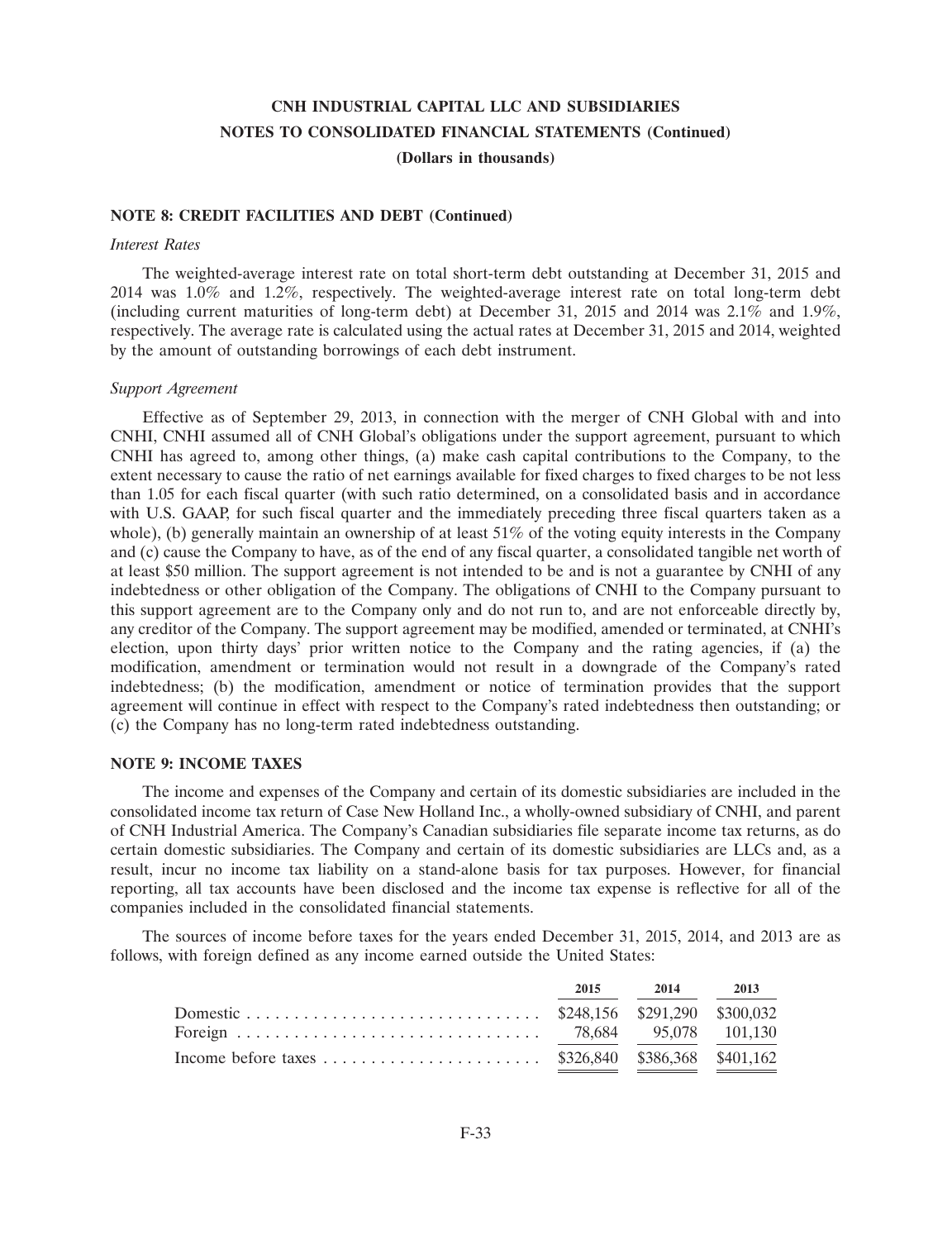### **NOTE 8: CREDIT FACILITIES AND DEBT (Continued)**

### *Interest Rates*

The weighted-average interest rate on total short-term debt outstanding at December 31, 2015 and 2014 was 1.0% and 1.2%, respectively. The weighted-average interest rate on total long-term debt (including current maturities of long-term debt) at December 31, 2015 and 2014 was 2.1% and 1.9%, respectively. The average rate is calculated using the actual rates at December 31, 2015 and 2014, weighted by the amount of outstanding borrowings of each debt instrument.

#### *Support Agreement*

Effective as of September 29, 2013, in connection with the merger of CNH Global with and into CNHI, CNHI assumed all of CNH Global's obligations under the support agreement, pursuant to which CNHI has agreed to, among other things, (a) make cash capital contributions to the Company, to the extent necessary to cause the ratio of net earnings available for fixed charges to fixed charges to be not less than 1.05 for each fiscal quarter (with such ratio determined, on a consolidated basis and in accordance with U.S. GAAP, for such fiscal quarter and the immediately preceding three fiscal quarters taken as a whole), (b) generally maintain an ownership of at least 51% of the voting equity interests in the Company and (c) cause the Company to have, as of the end of any fiscal quarter, a consolidated tangible net worth of at least \$50 million. The support agreement is not intended to be and is not a guarantee by CNHI of any indebtedness or other obligation of the Company. The obligations of CNHI to the Company pursuant to this support agreement are to the Company only and do not run to, and are not enforceable directly by, any creditor of the Company. The support agreement may be modified, amended or terminated, at CNHI's election, upon thirty days' prior written notice to the Company and the rating agencies, if (a) the modification, amendment or termination would not result in a downgrade of the Company's rated indebtedness; (b) the modification, amendment or notice of termination provides that the support agreement will continue in effect with respect to the Company's rated indebtedness then outstanding; or (c) the Company has no long-term rated indebtedness outstanding.

#### **NOTE 9: INCOME TAXES**

The income and expenses of the Company and certain of its domestic subsidiaries are included in the consolidated income tax return of Case New Holland Inc., a wholly-owned subsidiary of CNHI, and parent of CNH Industrial America. The Company's Canadian subsidiaries file separate income tax returns, as do certain domestic subsidiaries. The Company and certain of its domestic subsidiaries are LLCs and, as a result, incur no income tax liability on a stand-alone basis for tax purposes. However, for financial reporting, all tax accounts have been disclosed and the income tax expense is reflective for all of the companies included in the consolidated financial statements.

The sources of income before taxes for the years ended December 31, 2015, 2014, and 2013 are as follows, with foreign defined as any income earned outside the United States:

|  | 2015 2014 2013 |  |
|--|----------------|--|
|  |                |  |
|  |                |  |
|  |                |  |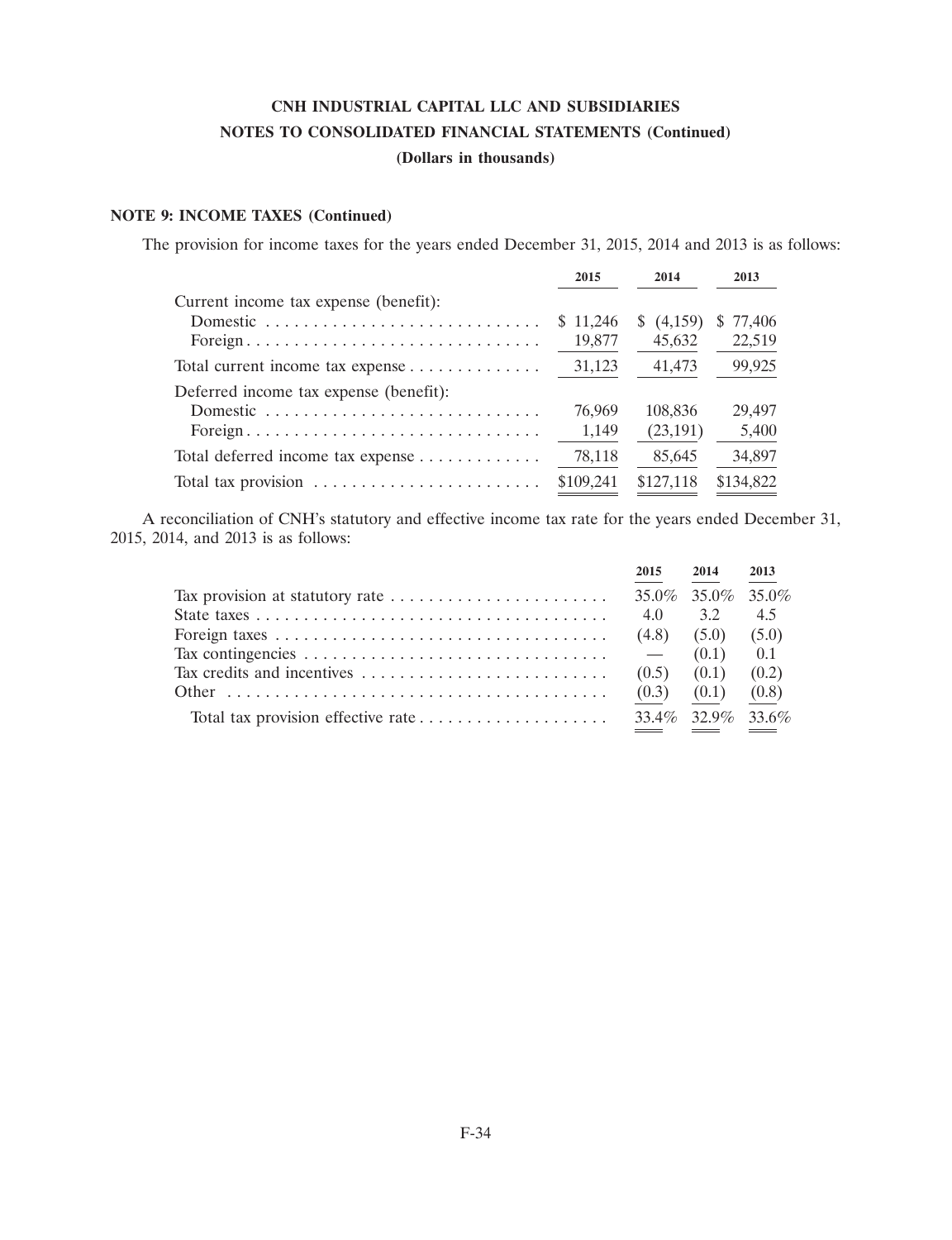### **NOTE 9: INCOME TAXES (Continued)**

The provision for income taxes for the years ended December 31, 2015, 2014 and 2013 is as follows:

|                                        | 2015      | 2014      | 2013      |
|----------------------------------------|-----------|-----------|-----------|
| Current income tax expense (benefit):  |           |           |           |
|                                        | \$11,246  | (4,159)   | \$77,406  |
| Foreign                                | 19,877    | 45,632    | 22,519    |
| Total current income tax expense       | 31,123    | 41,473    | 99,925    |
| Deferred income tax expense (benefit): |           |           |           |
| Domestic                               | 76,969    | 108,836   | 29,497    |
| Foreign                                | 1,149     | (23, 191) | 5,400     |
| Total deferred income tax expense      | 78,118    | 85,645    | 34,897    |
| Total tax provision                    | \$109,241 | \$127,118 | \$134,822 |

A reconciliation of CNH's statutory and effective income tax rate for the years ended December 31, 2015, 2014, and 2013 is as follows:

|                                                                                                      | 2015 2014               |                         | 2013 |
|------------------------------------------------------------------------------------------------------|-------------------------|-------------------------|------|
| Tax provision at statutory rate $\ldots \ldots \ldots \ldots \ldots \ldots \ldots$ 35.0% 35.0% 35.0% |                         |                         |      |
|                                                                                                      | $4.0\qquad 3.2$         |                         | 4.5  |
|                                                                                                      |                         |                         |      |
|                                                                                                      |                         | (0.1)                   | 0.1  |
| Tax credits and incentives $\dots \dots \dots \dots \dots \dots \dots \dots \dots$                   |                         | $(0.5)$ $(0.1)$ $(0.2)$ |      |
|                                                                                                      | $(0.3)$ $(0.1)$ $(0.8)$ |                         |      |
|                                                                                                      |                         |                         |      |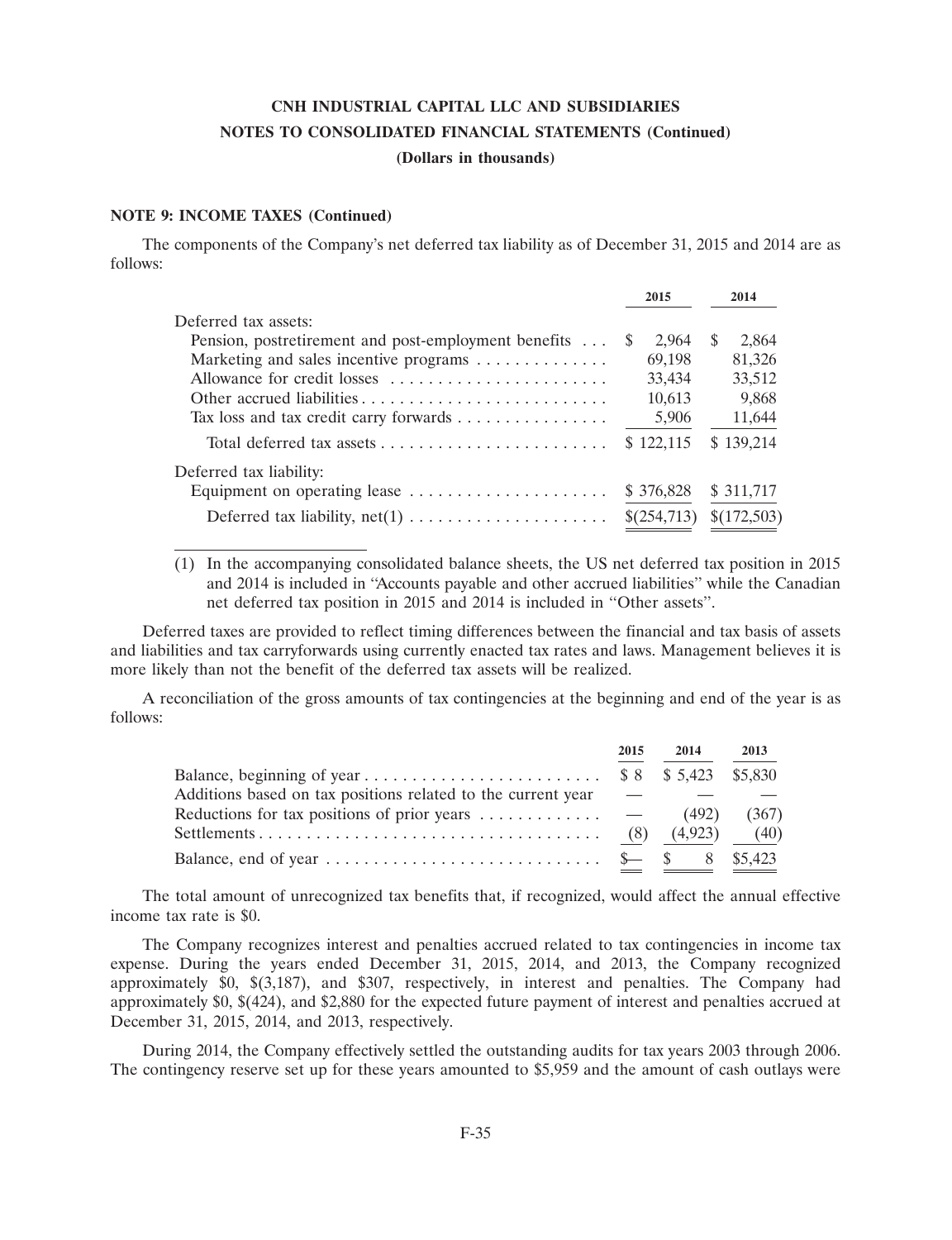#### **NOTE 9: INCOME TAXES (Continued)**

The components of the Company's net deferred tax liability as of December 31, 2015 and 2014 are as follows:

|                                                                        | 2015        | 2014        |
|------------------------------------------------------------------------|-------------|-------------|
| Deferred tax assets:                                                   |             |             |
| Pension, postretirement and post-employment benefits                   | 2,964<br>S  | 2,864<br>-S |
| Marketing and sales incentive programs                                 | 69,198      | 81,326      |
| Allowance for credit losses                                            | 33,434      | 33,512      |
|                                                                        | 10,613      | 9,868       |
| Tax loss and tax credit carry forwards $\dots \dots \dots \dots \dots$ | 5,906       | 11,644      |
|                                                                        | \$122,115   | \$139,214   |
| Deferred tax liability:                                                |             |             |
| Equipment on operating lease                                           | \$376,828   | \$311,717   |
|                                                                        | \$(254,713) | \$(172,503) |

(1) In the accompanying consolidated balance sheets, the US net deferred tax position in 2015 and 2014 is included in ''Accounts payable and other accrued liabilities'' while the Canadian net deferred tax position in 2015 and 2014 is included in ''Other assets''.

Deferred taxes are provided to reflect timing differences between the financial and tax basis of assets and liabilities and tax carryforwards using currently enacted tax rates and laws. Management believes it is more likely than not the benefit of the deferred tax assets will be realized.

A reconciliation of the gross amounts of tax contingencies at the beginning and end of the year is as follows:

|                                                                 | 2015 | 2014    | 2013  |
|-----------------------------------------------------------------|------|---------|-------|
|                                                                 |      |         |       |
| Additions based on tax positions related to the current year    |      |         |       |
| Reductions for tax positions of prior years $\dots \dots \dots$ |      | (492)   | (367) |
|                                                                 | (8)  | (4,923) | (40)  |
|                                                                 |      |         |       |

The total amount of unrecognized tax benefits that, if recognized, would affect the annual effective income tax rate is \$0.

The Company recognizes interest and penalties accrued related to tax contingencies in income tax expense. During the years ended December 31, 2015, 2014, and 2013, the Company recognized approximately \$0, \$(3,187), and \$307, respectively, in interest and penalties. The Company had approximately \$0, \$(424), and \$2,880 for the expected future payment of interest and penalties accrued at December 31, 2015, 2014, and 2013, respectively.

During 2014, the Company effectively settled the outstanding audits for tax years 2003 through 2006. The contingency reserve set up for these years amounted to \$5,959 and the amount of cash outlays were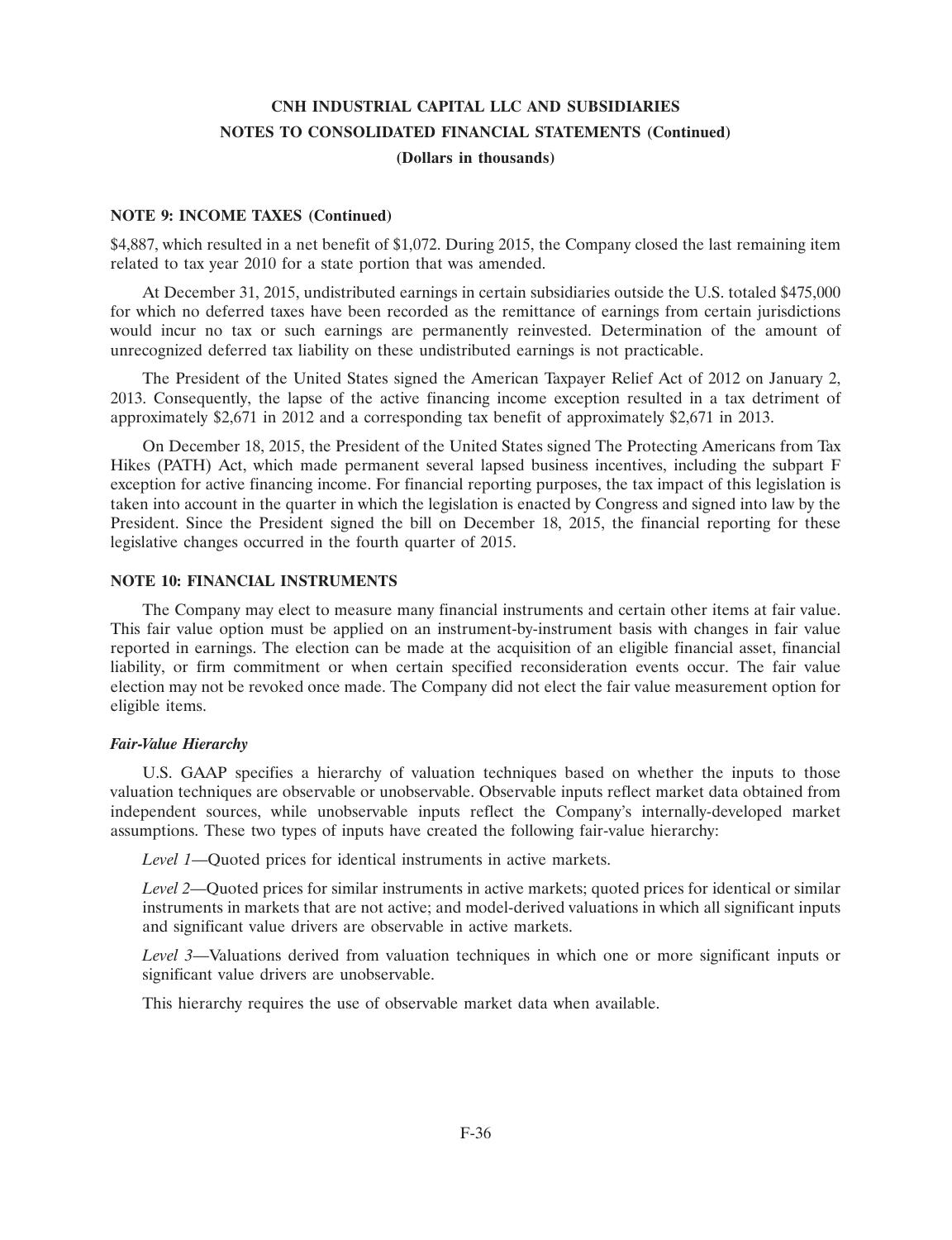#### **NOTE 9: INCOME TAXES (Continued)**

\$4,887, which resulted in a net benefit of \$1,072. During 2015, the Company closed the last remaining item related to tax year 2010 for a state portion that was amended.

At December 31, 2015, undistributed earnings in certain subsidiaries outside the U.S. totaled \$475,000 for which no deferred taxes have been recorded as the remittance of earnings from certain jurisdictions would incur no tax or such earnings are permanently reinvested. Determination of the amount of unrecognized deferred tax liability on these undistributed earnings is not practicable.

The President of the United States signed the American Taxpayer Relief Act of 2012 on January 2, 2013. Consequently, the lapse of the active financing income exception resulted in a tax detriment of approximately \$2,671 in 2012 and a corresponding tax benefit of approximately \$2,671 in 2013.

On December 18, 2015, the President of the United States signed The Protecting Americans from Tax Hikes (PATH) Act, which made permanent several lapsed business incentives, including the subpart F exception for active financing income. For financial reporting purposes, the tax impact of this legislation is taken into account in the quarter in which the legislation is enacted by Congress and signed into law by the President. Since the President signed the bill on December 18, 2015, the financial reporting for these legislative changes occurred in the fourth quarter of 2015.

#### **NOTE 10: FINANCIAL INSTRUMENTS**

The Company may elect to measure many financial instruments and certain other items at fair value. This fair value option must be applied on an instrument-by-instrument basis with changes in fair value reported in earnings. The election can be made at the acquisition of an eligible financial asset, financial liability, or firm commitment or when certain specified reconsideration events occur. The fair value election may not be revoked once made. The Company did not elect the fair value measurement option for eligible items.

#### *Fair-Value Hierarchy*

U.S. GAAP specifies a hierarchy of valuation techniques based on whether the inputs to those valuation techniques are observable or unobservable. Observable inputs reflect market data obtained from independent sources, while unobservable inputs reflect the Company's internally-developed market assumptions. These two types of inputs have created the following fair-value hierarchy:

*Level 1*—Quoted prices for identical instruments in active markets.

*Level 2*—Quoted prices for similar instruments in active markets; quoted prices for identical or similar instruments in markets that are not active; and model-derived valuations in which all significant inputs and significant value drivers are observable in active markets.

*Level 3*—Valuations derived from valuation techniques in which one or more significant inputs or significant value drivers are unobservable.

This hierarchy requires the use of observable market data when available.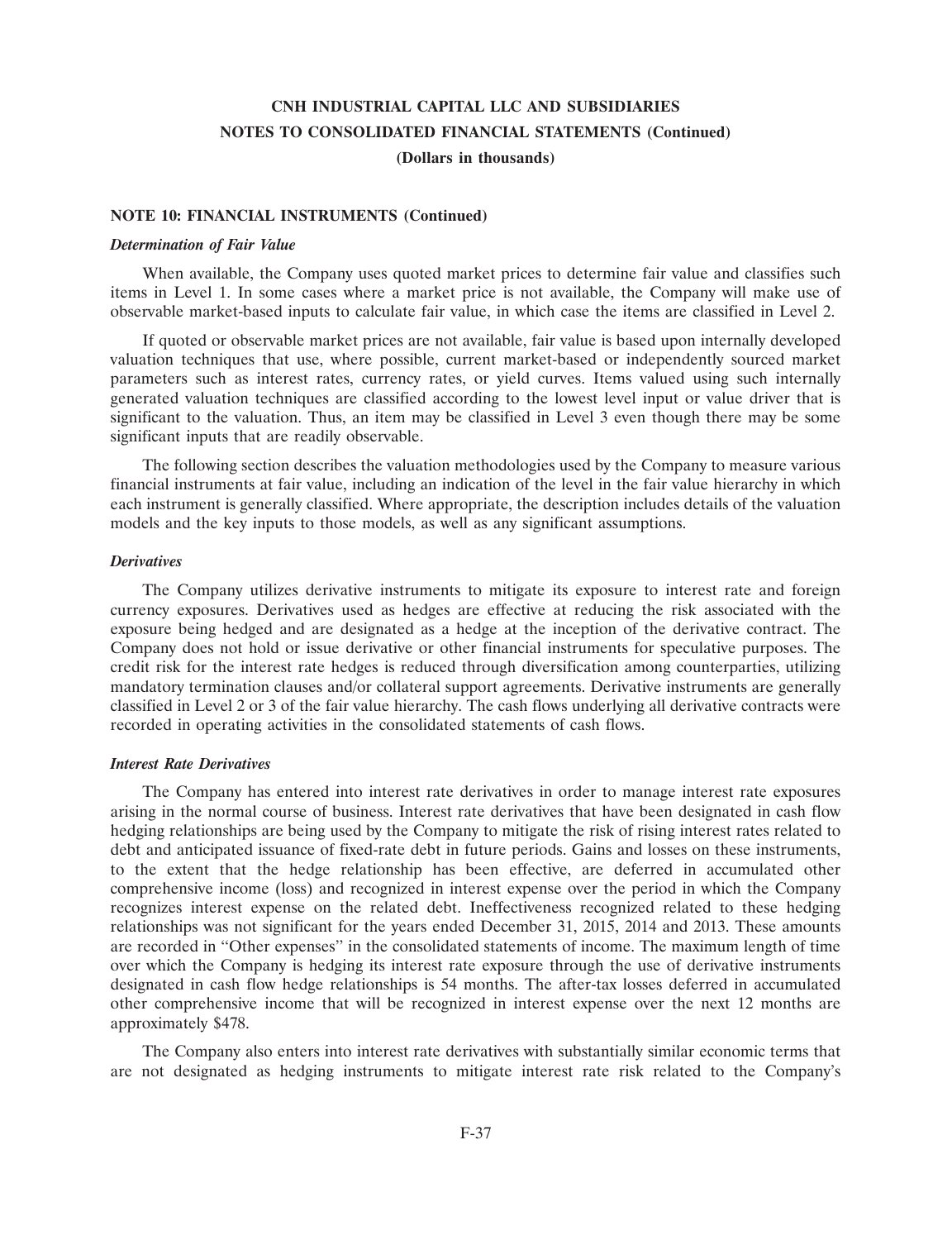#### **NOTE 10: FINANCIAL INSTRUMENTS (Continued)**

#### *Determination of Fair Value*

When available, the Company uses quoted market prices to determine fair value and classifies such items in Level 1. In some cases where a market price is not available, the Company will make use of observable market-based inputs to calculate fair value, in which case the items are classified in Level 2.

If quoted or observable market prices are not available, fair value is based upon internally developed valuation techniques that use, where possible, current market-based or independently sourced market parameters such as interest rates, currency rates, or yield curves. Items valued using such internally generated valuation techniques are classified according to the lowest level input or value driver that is significant to the valuation. Thus, an item may be classified in Level 3 even though there may be some significant inputs that are readily observable.

The following section describes the valuation methodologies used by the Company to measure various financial instruments at fair value, including an indication of the level in the fair value hierarchy in which each instrument is generally classified. Where appropriate, the description includes details of the valuation models and the key inputs to those models, as well as any significant assumptions.

#### *Derivatives*

The Company utilizes derivative instruments to mitigate its exposure to interest rate and foreign currency exposures. Derivatives used as hedges are effective at reducing the risk associated with the exposure being hedged and are designated as a hedge at the inception of the derivative contract. The Company does not hold or issue derivative or other financial instruments for speculative purposes. The credit risk for the interest rate hedges is reduced through diversification among counterparties, utilizing mandatory termination clauses and/or collateral support agreements. Derivative instruments are generally classified in Level 2 or 3 of the fair value hierarchy. The cash flows underlying all derivative contracts were recorded in operating activities in the consolidated statements of cash flows.

#### *Interest Rate Derivatives*

The Company has entered into interest rate derivatives in order to manage interest rate exposures arising in the normal course of business. Interest rate derivatives that have been designated in cash flow hedging relationships are being used by the Company to mitigate the risk of rising interest rates related to debt and anticipated issuance of fixed-rate debt in future periods. Gains and losses on these instruments, to the extent that the hedge relationship has been effective, are deferred in accumulated other comprehensive income (loss) and recognized in interest expense over the period in which the Company recognizes interest expense on the related debt. Ineffectiveness recognized related to these hedging relationships was not significant for the years ended December 31, 2015, 2014 and 2013. These amounts are recorded in ''Other expenses'' in the consolidated statements of income. The maximum length of time over which the Company is hedging its interest rate exposure through the use of derivative instruments designated in cash flow hedge relationships is 54 months. The after-tax losses deferred in accumulated other comprehensive income that will be recognized in interest expense over the next 12 months are approximately \$478.

The Company also enters into interest rate derivatives with substantially similar economic terms that are not designated as hedging instruments to mitigate interest rate risk related to the Company's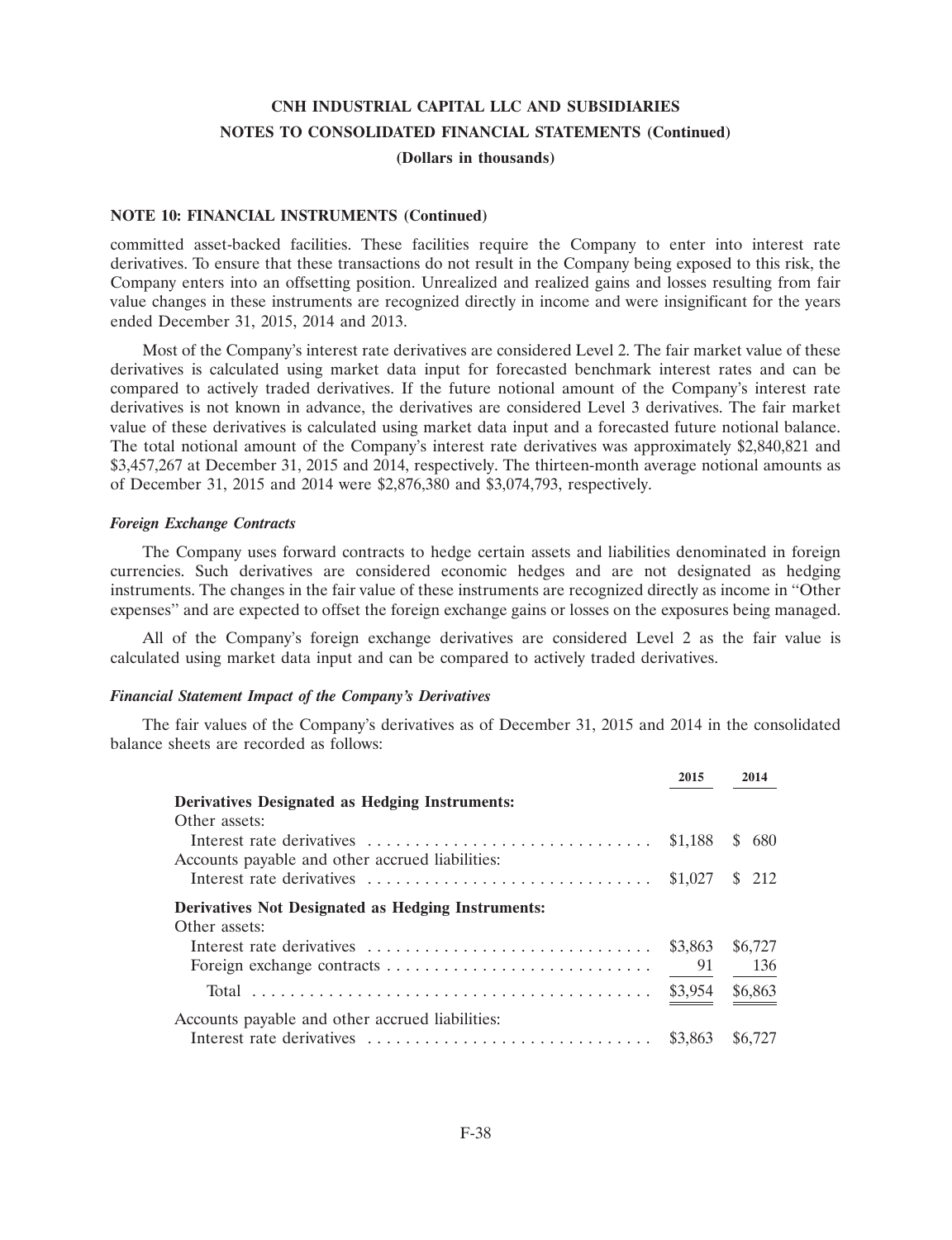#### **NOTE 10: FINANCIAL INSTRUMENTS (Continued)**

committed asset-backed facilities. These facilities require the Company to enter into interest rate derivatives. To ensure that these transactions do not result in the Company being exposed to this risk, the Company enters into an offsetting position. Unrealized and realized gains and losses resulting from fair value changes in these instruments are recognized directly in income and were insignificant for the years ended December 31, 2015, 2014 and 2013.

Most of the Company's interest rate derivatives are considered Level 2. The fair market value of these derivatives is calculated using market data input for forecasted benchmark interest rates and can be compared to actively traded derivatives. If the future notional amount of the Company's interest rate derivatives is not known in advance, the derivatives are considered Level 3 derivatives. The fair market value of these derivatives is calculated using market data input and a forecasted future notional balance. The total notional amount of the Company's interest rate derivatives was approximately \$2,840,821 and \$3,457,267 at December 31, 2015 and 2014, respectively. The thirteen-month average notional amounts as of December 31, 2015 and 2014 were \$2,876,380 and \$3,074,793, respectively.

#### *Foreign Exchange Contracts*

The Company uses forward contracts to hedge certain assets and liabilities denominated in foreign currencies. Such derivatives are considered economic hedges and are not designated as hedging instruments. The changes in the fair value of these instruments are recognized directly as income in ''Other expenses'' and are expected to offset the foreign exchange gains or losses on the exposures being managed.

All of the Company's foreign exchange derivatives are considered Level 2 as the fair value is calculated using market data input and can be compared to actively traded derivatives.

#### *Financial Statement Impact of the Company's Derivatives*

The fair values of the Company's derivatives as of December 31, 2015 and 2014 in the consolidated balance sheets are recorded as follows:

|                                                                     | 2015    | 2014                |
|---------------------------------------------------------------------|---------|---------------------|
| <b>Derivatives Designated as Hedging Instruments:</b>               |         |                     |
| Other assets:                                                       |         |                     |
|                                                                     | \$1.188 | 680<br><sup>S</sup> |
| Accounts payable and other accrued liabilities:                     |         |                     |
|                                                                     | \$1,027 | \$212               |
| Derivatives Not Designated as Hedging Instruments:<br>Other assets: |         |                     |
| Interest rate derivatives                                           | \$3,863 | \$6,727             |
|                                                                     | $-$ 91  | 136                 |
|                                                                     | \$3,954 | \$6,863             |
| Accounts payable and other accrued liabilities:                     |         |                     |
|                                                                     |         | \$6,727             |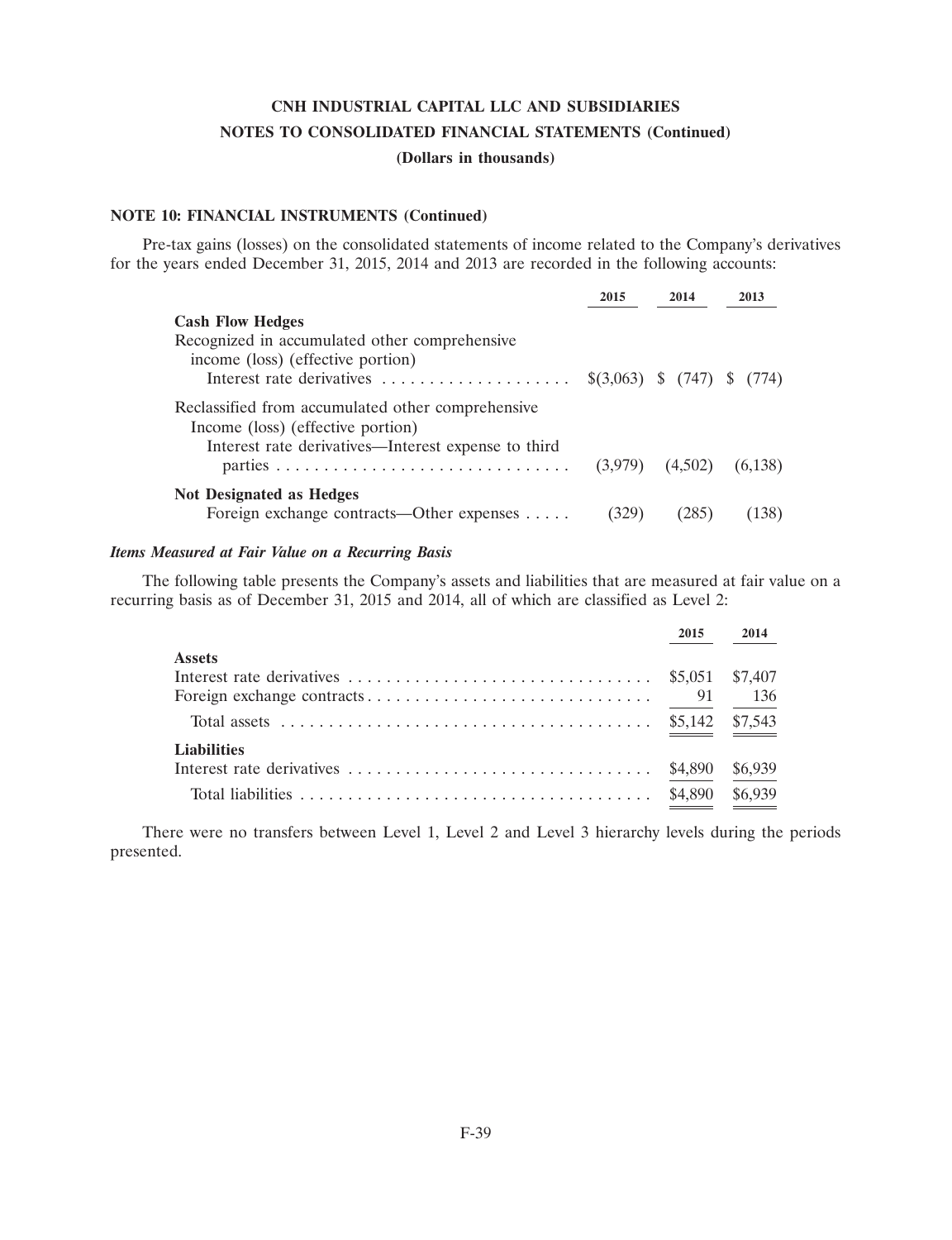# **CNH INDUSTRIAL CAPITAL LLC AND SUBSIDIARIES NOTES TO CONSOLIDATED FINANCIAL STATEMENTS (Continued)**

### **(Dollars in thousands)**

#### **NOTE 10: FINANCIAL INSTRUMENTS (Continued)**

Pre-tax gains (losses) on the consolidated statements of income related to the Company's derivatives for the years ended December 31, 2015, 2014 and 2013 are recorded in the following accounts:

|                                                     | 2015    | 2014                                       | 2013    |
|-----------------------------------------------------|---------|--------------------------------------------|---------|
| <b>Cash Flow Hedges</b>                             |         |                                            |         |
| Recognized in accumulated other comprehensive       |         |                                            |         |
| income (loss) (effective portion)                   |         |                                            |         |
| Interest rate derivatives                           |         | $\{(3,063) \quad \{(747) \quad \{(774) \}$ |         |
| Reclassified from accumulated other comprehensive   |         |                                            |         |
| Income (loss) (effective portion)                   |         |                                            |         |
| Interest rate derivatives—Interest expense to third |         |                                            |         |
|                                                     | (3,979) | (4,502)                                    | (6,138) |
| <b>Not Designated as Hedges</b>                     |         |                                            |         |
| Foreign exchange contracts—Other expenses           | (329)   | (285)                                      | (138)   |

#### *Items Measured at Fair Value on a Recurring Basis*

The following table presents the Company's assets and liabilities that are measured at fair value on a recurring basis as of December 31, 2015 and 2014, all of which are classified as Level 2:

|                    | 2015 | 2014    |
|--------------------|------|---------|
| <b>Assets</b>      |      |         |
|                    |      |         |
|                    |      | 136     |
|                    |      |         |
| <b>Liabilities</b> |      |         |
|                    |      | \$6,939 |
|                    |      | \$6,939 |

There were no transfers between Level 1, Level 2 and Level 3 hierarchy levels during the periods presented.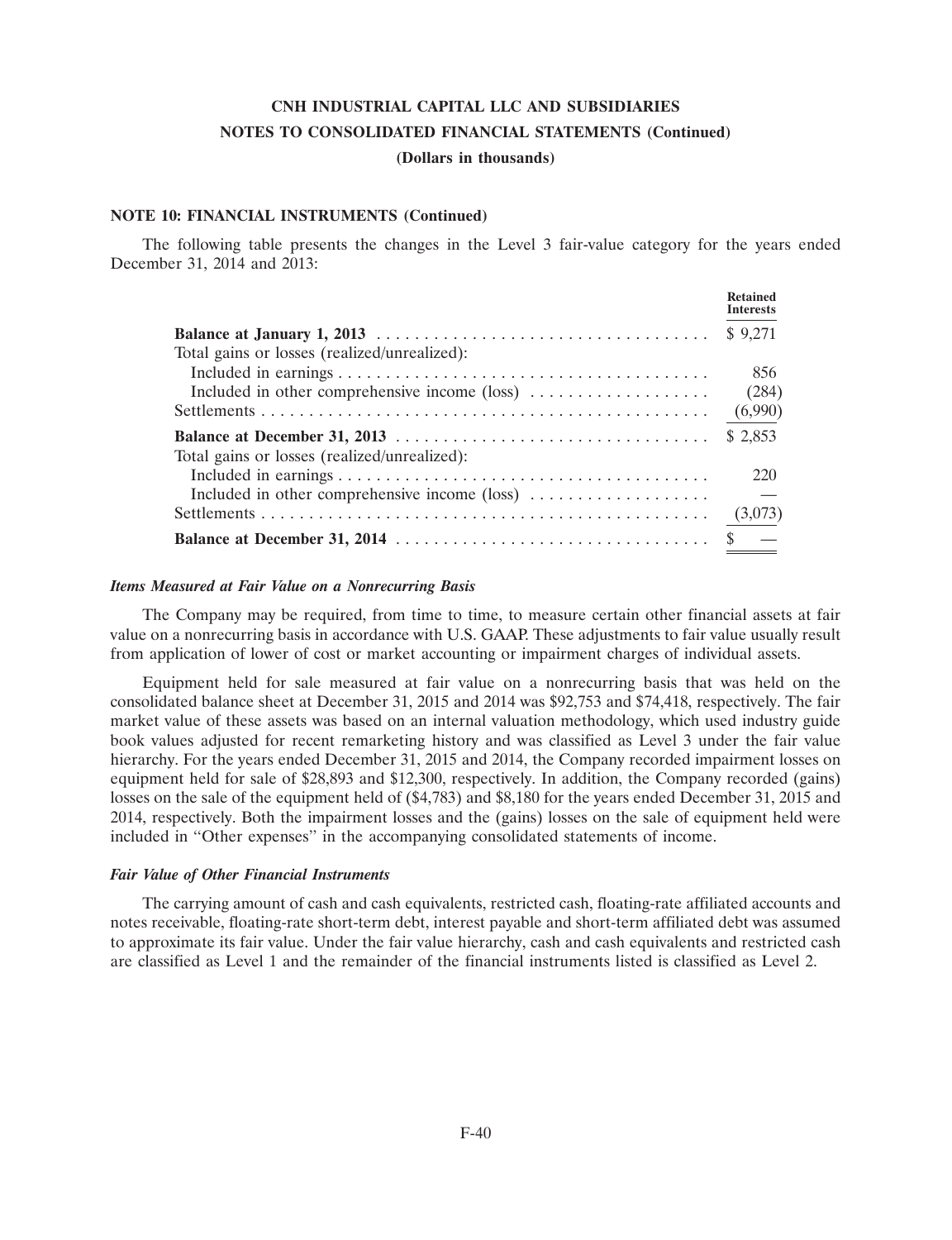#### **NOTE 10: FINANCIAL INSTRUMENTS (Continued)**

The following table presents the changes in the Level 3 fair-value category for the years ended December 31, 2014 and 2013:

|                                               | <b>Retained</b><br><b>Interests</b> |
|-----------------------------------------------|-------------------------------------|
|                                               | \$9,271                             |
| Total gains or losses (realized/unrealized):  |                                     |
|                                               | 856                                 |
| Included in other comprehensive income (loss) | (284)                               |
|                                               | (6,990)                             |
|                                               | \$2,853                             |
| Total gains or losses (realized/unrealized):  |                                     |
|                                               | 220                                 |
| Included in other comprehensive income (loss) | $\hspace{0.1cm}$                    |
|                                               |                                     |
|                                               |                                     |

#### *Items Measured at Fair Value on a Nonrecurring Basis*

The Company may be required, from time to time, to measure certain other financial assets at fair value on a nonrecurring basis in accordance with U.S. GAAP. These adjustments to fair value usually result from application of lower of cost or market accounting or impairment charges of individual assets.

Equipment held for sale measured at fair value on a nonrecurring basis that was held on the consolidated balance sheet at December 31, 2015 and 2014 was \$92,753 and \$74,418, respectively. The fair market value of these assets was based on an internal valuation methodology, which used industry guide book values adjusted for recent remarketing history and was classified as Level 3 under the fair value hierarchy. For the years ended December 31, 2015 and 2014, the Company recorded impairment losses on equipment held for sale of \$28,893 and \$12,300, respectively. In addition, the Company recorded (gains) losses on the sale of the equipment held of (\$4,783) and \$8,180 for the years ended December 31, 2015 and 2014, respectively. Both the impairment losses and the (gains) losses on the sale of equipment held were included in ''Other expenses'' in the accompanying consolidated statements of income.

#### *Fair Value of Other Financial Instruments*

The carrying amount of cash and cash equivalents, restricted cash, floating-rate affiliated accounts and notes receivable, floating-rate short-term debt, interest payable and short-term affiliated debt was assumed to approximate its fair value. Under the fair value hierarchy, cash and cash equivalents and restricted cash are classified as Level 1 and the remainder of the financial instruments listed is classified as Level 2.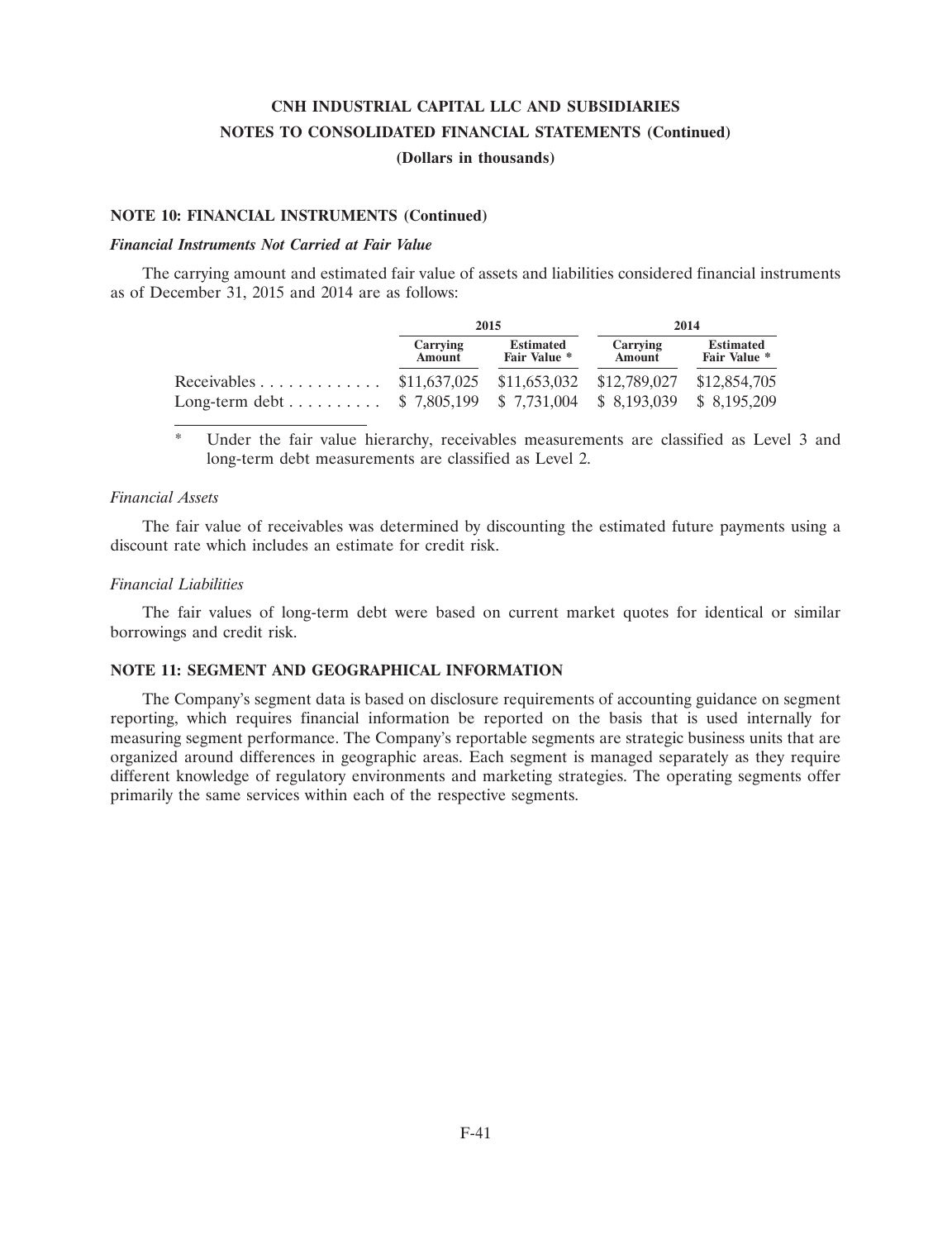#### **NOTE 10: FINANCIAL INSTRUMENTS (Continued)**

#### *Financial Instruments Not Carried at Fair Value*

The carrying amount and estimated fair value of assets and liabilities considered financial instruments as of December 31, 2015 and 2014 are as follows:

|                                            | 2015                      |                                         | 2014                      |                                         |  |
|--------------------------------------------|---------------------------|-----------------------------------------|---------------------------|-----------------------------------------|--|
|                                            | Carrying<br><b>Amount</b> | <b>Estimated</b><br><b>Fair Value *</b> | Carrying<br><b>Amount</b> | <b>Estimated</b><br><b>Fair Value *</b> |  |
| Receivables $\ldots$ , $\ldots$ , $\ldots$ | \$11,637,025              | \$11,653,032 \$12,789,027               |                           | \$12,854,705                            |  |
| Long-term debt $\dots \dots$               |                           | $$7,805,199$ $$7,731,004$ $$8,193,039$  |                           | \$8,195,209                             |  |

Under the fair value hierarchy, receivables measurements are classified as Level 3 and long-term debt measurements are classified as Level 2.

#### *Financial Assets*

The fair value of receivables was determined by discounting the estimated future payments using a discount rate which includes an estimate for credit risk.

#### *Financial Liabilities*

The fair values of long-term debt were based on current market quotes for identical or similar borrowings and credit risk.

#### **NOTE 11: SEGMENT AND GEOGRAPHICAL INFORMATION**

The Company's segment data is based on disclosure requirements of accounting guidance on segment reporting, which requires financial information be reported on the basis that is used internally for measuring segment performance. The Company's reportable segments are strategic business units that are organized around differences in geographic areas. Each segment is managed separately as they require different knowledge of regulatory environments and marketing strategies. The operating segments offer primarily the same services within each of the respective segments.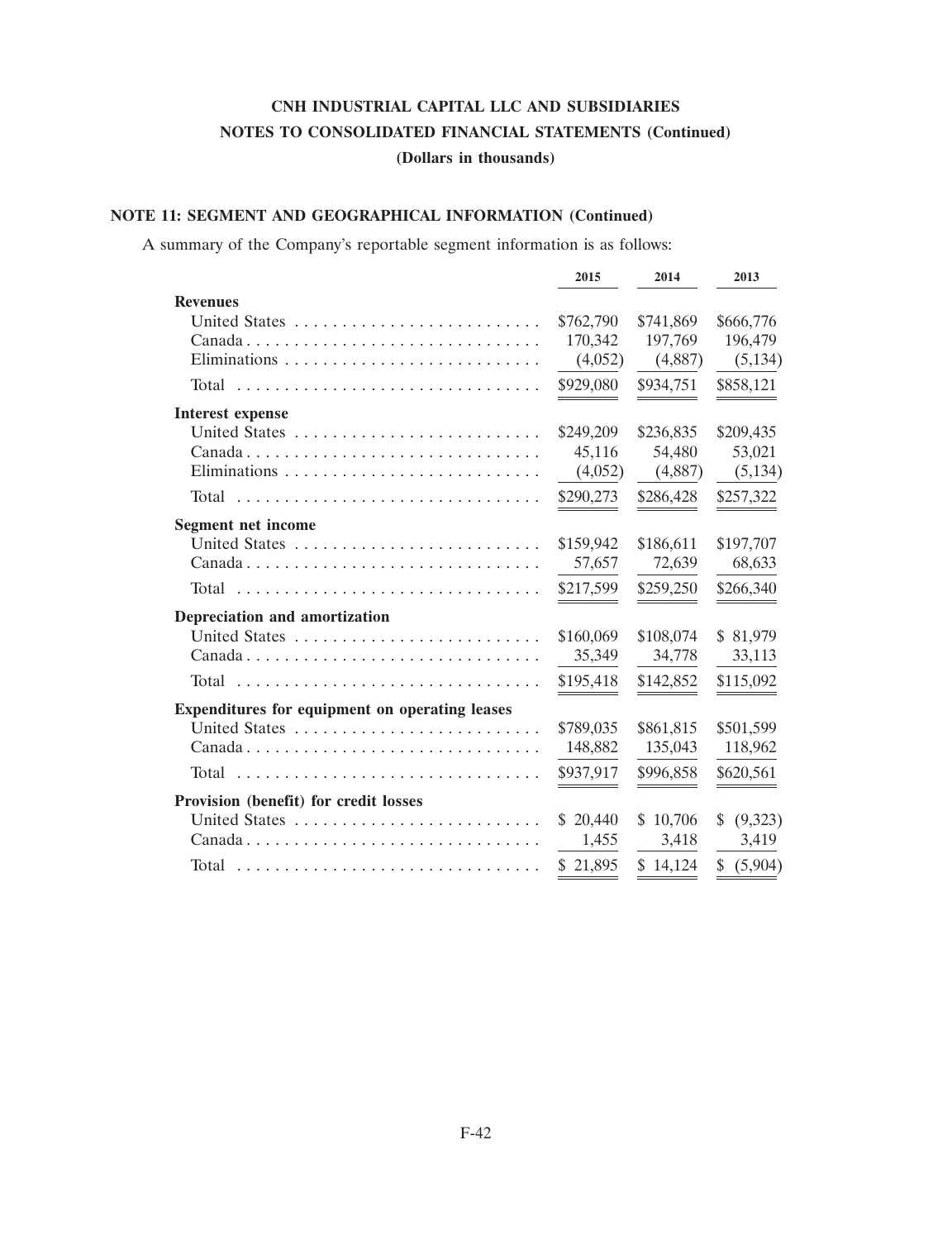### **NOTE 11: SEGMENT AND GEOGRAPHICAL INFORMATION (Continued)**

A summary of the Company's reportable segment information is as follows:

|                                                | 2015      | 2014      | 2013                    |
|------------------------------------------------|-----------|-----------|-------------------------|
| <b>Revenues</b>                                |           |           |                         |
|                                                | \$762,790 | \$741,869 | \$666,776               |
| Canada                                         | 170,342   | 197,769   | 196,479                 |
|                                                | (4,052)   | (4,887)   | (5, 134)                |
| Total                                          | \$929,080 | \$934,751 | \$858,121               |
| <b>Interest expense</b>                        |           |           |                         |
|                                                | \$249,209 | \$236,835 | \$209,435               |
| Canada                                         | 45,116    | 54,480    | 53,021                  |
|                                                | (4,052)   | (4,887)   | (5, 134)                |
| Total                                          | \$290,273 | \$286,428 | \$257,322               |
| Segment net income                             |           |           |                         |
|                                                | \$159,942 | \$186,611 | \$197,707               |
|                                                | 57,657    | 72,639    | 68,633                  |
| Total                                          | \$217,599 | \$259,250 | \$266,340               |
| Depreciation and amortization                  |           |           |                         |
|                                                | \$160,069 | \$108,074 | \$81,979                |
| Canada                                         | 35,349    | 34,778    | 33,113                  |
|                                                | \$195,418 | \$142,852 | \$115,092               |
| Expenditures for equipment on operating leases |           |           |                         |
|                                                | \$789,035 | \$861,815 | \$501,599               |
| Canada                                         | 148,882   | 135,043   | 118,962                 |
|                                                | \$937,917 | \$996,858 | \$620,561               |
| Provision (benefit) for credit losses          |           |           |                         |
|                                                | \$20,440  | \$10,706  | (9,323)<br>\$           |
|                                                | 1,455     | 3,418     | 3,419                   |
|                                                | \$21,895  | \$14,124  | $\mathbb{S}$<br>(5,904) |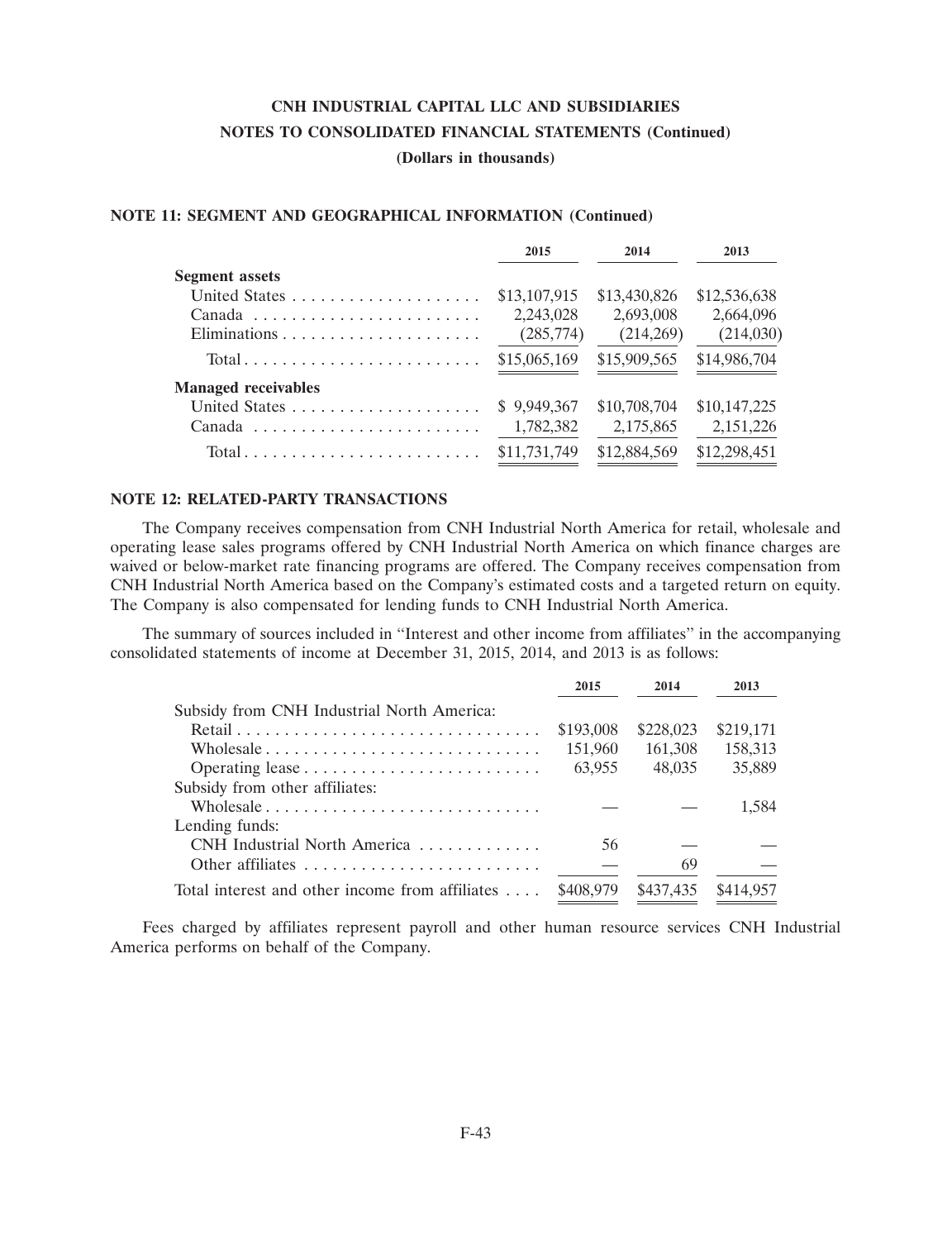#### **NOTE 11: SEGMENT AND GEOGRAPHICAL INFORMATION (Continued)**

|                                                               | 2015         | 2014         | 2013         |
|---------------------------------------------------------------|--------------|--------------|--------------|
| <b>Segment</b> assets                                         |              |              |              |
|                                                               | \$13,107,915 | \$13,430,826 | \$12,536,638 |
|                                                               | 2,243,028    | 2,693,008    | 2,664,096    |
| $Eliminations \ldots \ldots \ldots \ldots \ldots \ldots$      | (285,774)    | (214,269)    | (214,030)    |
|                                                               | \$15,065,169 | \$15,909,565 | \$14,986,704 |
| <b>Managed receivables</b>                                    |              |              |              |
|                                                               | \$9,949,367  | \$10,708,704 | \$10,147,225 |
| Canada                                                        | 1,782,382    | 2,175,865    | 2,151,226    |
| $Total \dots \dots \dots \dots \dots \dots \dots \dots \dots$ | \$11,731,749 | \$12,884,569 | \$12,298,451 |

#### **NOTE 12: RELATED-PARTY TRANSACTIONS**

The Company receives compensation from CNH Industrial North America for retail, wholesale and operating lease sales programs offered by CNH Industrial North America on which finance charges are waived or below-market rate financing programs are offered. The Company receives compensation from CNH Industrial North America based on the Company's estimated costs and a targeted return on equity. The Company is also compensated for lending funds to CNH Industrial North America.

The summary of sources included in ''Interest and other income from affiliates'' in the accompanying consolidated statements of income at December 31, 2015, 2014, and 2013 is as follows:

|                                                 | 2015      | 2014      | 2013      |
|-------------------------------------------------|-----------|-----------|-----------|
| Subsidy from CNH Industrial North America:      |           |           |           |
|                                                 | \$193,008 | \$228,023 | \$219,171 |
| Wholesale                                       | 151,960   | 161,308   | 158,313   |
|                                                 | 63.955    | 48,035    | 35,889    |
| Subsidy from other affiliates:                  |           |           |           |
| Wholesale                                       |           |           | 1.584     |
| Lending funds:                                  |           |           |           |
| CNH Industrial North America                    | 56        |           |           |
|                                                 |           | 69        |           |
| Total interest and other income from affiliates | \$408,979 | \$437,435 | \$414,957 |

Fees charged by affiliates represent payroll and other human resource services CNH Industrial America performs on behalf of the Company.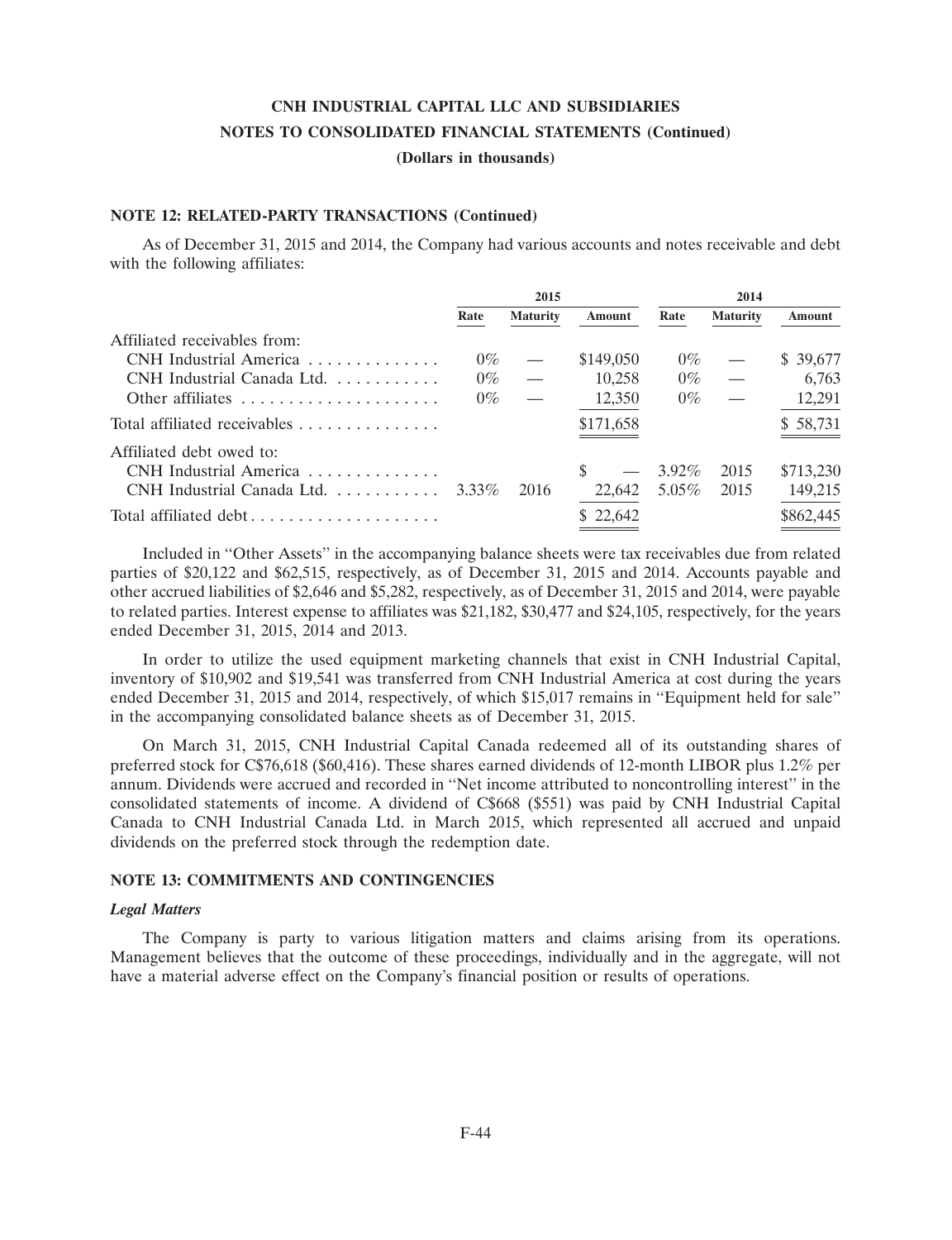#### **NOTE 12: RELATED-PARTY TRANSACTIONS (Continued)**

As of December 31, 2015 and 2014, the Company had various accounts and notes receivable and debt with the following affiliates:

|                                                        | 2015     |                          | 2014                     |          |                          |               |
|--------------------------------------------------------|----------|--------------------------|--------------------------|----------|--------------------------|---------------|
|                                                        | Rate     | <b>Maturity</b>          | <b>Amount</b>            | Rate     | <b>Maturity</b>          | <b>Amount</b> |
| Affiliated receivables from:                           |          |                          |                          |          |                          |               |
| CNH Industrial America                                 | $0\%$    |                          | \$149,050                | $0\%$    |                          | \$ 39,677     |
| $CNH$ Industrial Canada Ltd. $\ldots$ , $\ldots$       | $0\%$    | $\overline{\phantom{a}}$ | 10,258                   | $0\%$    | $\sim$ 100 $\sim$        | 6,763         |
| Other affiliates                                       | $0\%$    |                          | 12,350                   | $0\%$    | $\overline{\phantom{a}}$ | 12,291        |
| Total affiliated receivables $\dots \dots \dots \dots$ |          |                          | \$171,658                |          |                          | \$58,731      |
| Affiliated debt owed to:                               |          |                          |                          |          |                          |               |
| CNH Industrial America                                 |          |                          | $\overline{\phantom{0}}$ | $3.92\%$ | 2015                     | \$713,230     |
| CNH Industrial Canada Ltd.                             | $3.33\%$ | 2016                     | 22,642                   | $5.05\%$ | 2015                     | 149,215       |
| Total affiliated debt                                  |          |                          | \$22,642                 |          |                          | \$862,445     |

Included in ''Other Assets'' in the accompanying balance sheets were tax receivables due from related parties of \$20,122 and \$62,515, respectively, as of December 31, 2015 and 2014. Accounts payable and other accrued liabilities of \$2,646 and \$5,282, respectively, as of December 31, 2015 and 2014, were payable to related parties. Interest expense to affiliates was \$21,182, \$30,477 and \$24,105, respectively, for the years ended December 31, 2015, 2014 and 2013.

In order to utilize the used equipment marketing channels that exist in CNH Industrial Capital, inventory of \$10,902 and \$19,541 was transferred from CNH Industrial America at cost during the years ended December 31, 2015 and 2014, respectively, of which \$15,017 remains in ''Equipment held for sale'' in the accompanying consolidated balance sheets as of December 31, 2015.

On March 31, 2015, CNH Industrial Capital Canada redeemed all of its outstanding shares of preferred stock for C\$76,618 (\$60,416). These shares earned dividends of 12-month LIBOR plus 1.2% per annum. Dividends were accrued and recorded in ''Net income attributed to noncontrolling interest'' in the consolidated statements of income. A dividend of C\$668 (\$551) was paid by CNH Industrial Capital Canada to CNH Industrial Canada Ltd. in March 2015, which represented all accrued and unpaid dividends on the preferred stock through the redemption date.

#### **NOTE 13: COMMITMENTS AND CONTINGENCIES**

#### *Legal Matters*

The Company is party to various litigation matters and claims arising from its operations. Management believes that the outcome of these proceedings, individually and in the aggregate, will not have a material adverse effect on the Company's financial position or results of operations.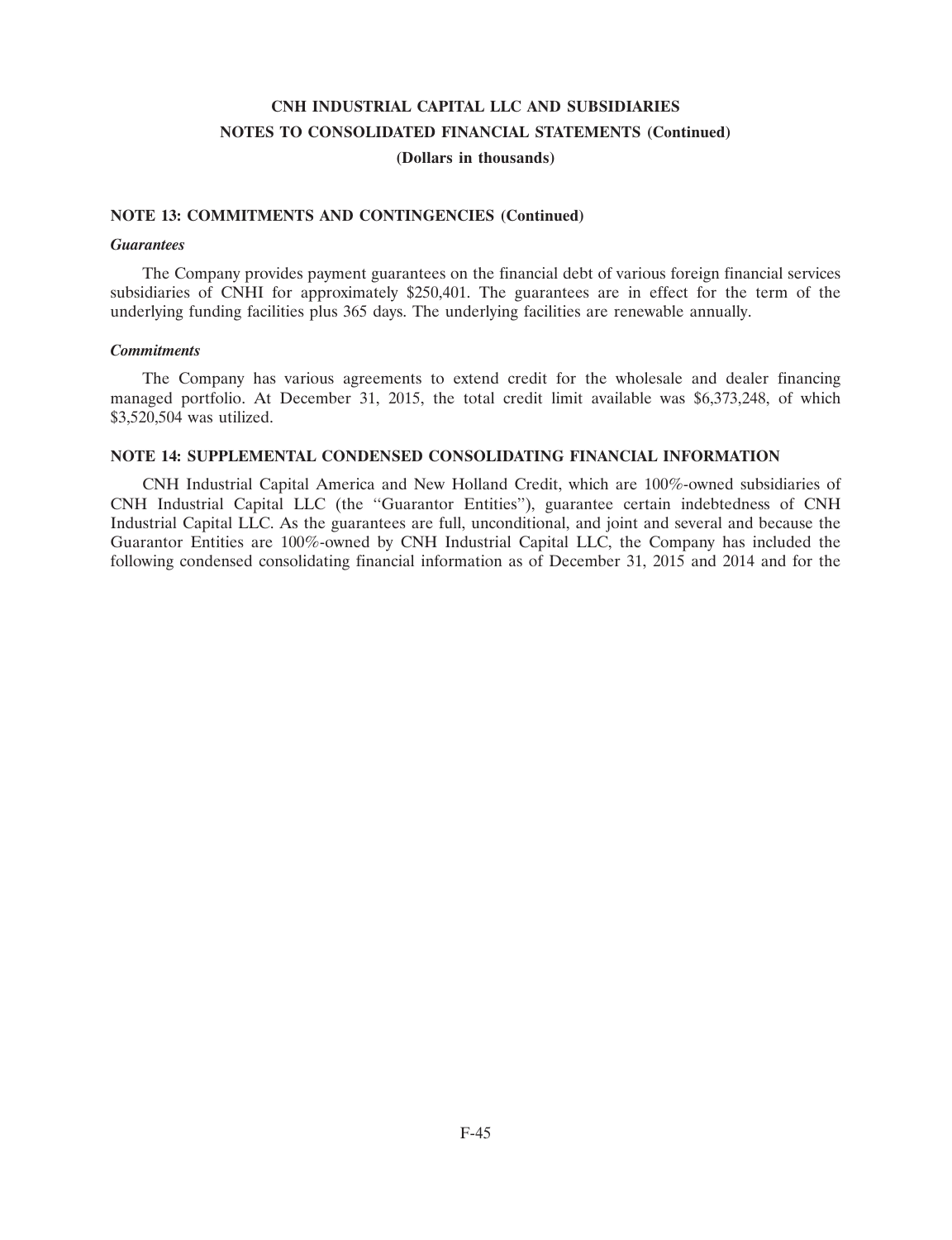#### **NOTE 13: COMMITMENTS AND CONTINGENCIES (Continued)**

#### *Guarantees*

The Company provides payment guarantees on the financial debt of various foreign financial services subsidiaries of CNHI for approximately \$250,401. The guarantees are in effect for the term of the underlying funding facilities plus 365 days. The underlying facilities are renewable annually.

#### *Commitments*

The Company has various agreements to extend credit for the wholesale and dealer financing managed portfolio. At December 31, 2015, the total credit limit available was \$6,373,248, of which \$3,520,504 was utilized.

#### **NOTE 14: SUPPLEMENTAL CONDENSED CONSOLIDATING FINANCIAL INFORMATION**

CNH Industrial Capital America and New Holland Credit, which are 100%-owned subsidiaries of CNH Industrial Capital LLC (the ''Guarantor Entities''), guarantee certain indebtedness of CNH Industrial Capital LLC. As the guarantees are full, unconditional, and joint and several and because the Guarantor Entities are 100%-owned by CNH Industrial Capital LLC, the Company has included the following condensed consolidating financial information as of December 31, 2015 and 2014 and for the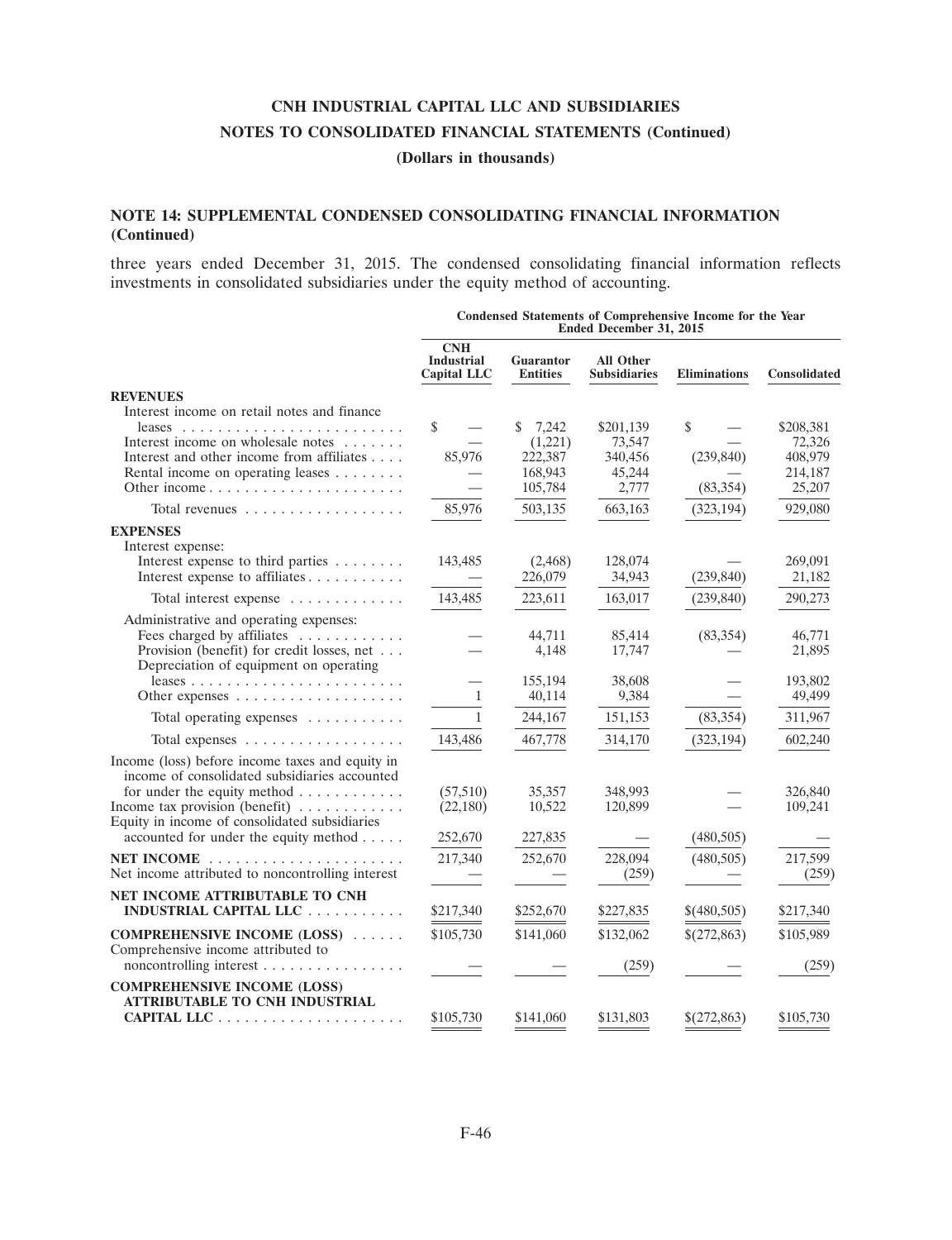### **NOTE 14: SUPPLEMENTAL CONDENSED CONSOLIDATING FINANCIAL INFORMATION (Continued)**

three years ended December 31, 2015. The condensed consolidating financial information reflects investments in consolidated subsidiaries under the equity method of accounting.

|                                                                                                                                                                                                                                                             | <b>Condensed Statements of Comprehensive Income for the Year</b><br>Ended December 31, 2015 |                                     |                                         |                     |                     |
|-------------------------------------------------------------------------------------------------------------------------------------------------------------------------------------------------------------------------------------------------------------|---------------------------------------------------------------------------------------------|-------------------------------------|-----------------------------------------|---------------------|---------------------|
|                                                                                                                                                                                                                                                             | <b>CNH</b><br><b>Industrial</b><br><b>Capital LLC</b>                                       | <b>Guarantor</b><br><b>Entities</b> | <b>All Other</b><br><b>Subsidiaries</b> | <b>Eliminations</b> | Consolidated        |
| <b>REVENUES</b>                                                                                                                                                                                                                                             |                                                                                             |                                     |                                         |                     |                     |
| Interest income on retail notes and finance<br>Interest income on wholesale notes                                                                                                                                                                           | \$                                                                                          | 7,242<br>\$<br>(1,221)              | \$201,139<br>73,547                     | \$                  | \$208,381<br>72,326 |
| Interest and other income from affiliates<br>Rental income on operating leases                                                                                                                                                                              | 85,976                                                                                      | 222,387<br>168,943                  | 340,456<br>45,244                       | (239, 840)          | 408,979<br>214,187  |
|                                                                                                                                                                                                                                                             |                                                                                             | 105,784                             | 2,777                                   | (83, 354)           | 25,207              |
| Total revenues $\dots \dots \dots \dots \dots \dots$                                                                                                                                                                                                        | 85,976                                                                                      | 503,135                             | 663,163                                 | (323, 194)          | 929,080             |
| <b>EXPENSES</b>                                                                                                                                                                                                                                             |                                                                                             |                                     |                                         |                     |                     |
| Interest expense:<br>Interest expense to third parties<br>Interest expense to affiliates                                                                                                                                                                    | 143,485                                                                                     | (2,468)<br>226,079                  | 128,074<br>34,943                       | (239, 840)          | 269,091<br>21,182   |
| Total interest expense                                                                                                                                                                                                                                      | 143,485                                                                                     | 223,611                             | 163,017                                 | (239, 840)          | 290,273             |
| Administrative and operating expenses:<br>Fees charged by affiliates<br>Provision (benefit) for credit losses, net<br>Depreciation of equipment on operating                                                                                                |                                                                                             | 44,711<br>4,148                     | 85,414<br>17,747                        | (83,354)            | 46,771<br>21,895    |
| Other expenses $\dots \dots \dots \dots \dots \dots$                                                                                                                                                                                                        | 1                                                                                           | 155,194<br>40,114                   | 38,608<br>9,384                         |                     | 193,802<br>49,499   |
| Total operating expenses                                                                                                                                                                                                                                    | $\mathbf{1}$                                                                                | 244,167                             | 151,153                                 | (83, 354)           | 311,967             |
| Total expenses                                                                                                                                                                                                                                              | 143,486                                                                                     | 467,778                             | 314,170                                 | (323, 194)          | 602,240             |
| Income (loss) before income taxes and equity in<br>income of consolidated subsidiaries accounted<br>for under the equity method<br>Income tax provision (benefit)<br>Equity in income of consolidated subsidiaries<br>accounted for under the equity method | (57,510)<br>(22,180)<br>252,670                                                             | 35,357<br>10,522<br>227,835         | 348,993<br>120,899                      | (480, 505)          | 326,840<br>109,241  |
| Net income attributed to noncontrolling interest                                                                                                                                                                                                            | 217,340                                                                                     | 252,670                             | 228,094<br>(259)                        | (480, 505)          | 217,599<br>(259)    |
| <b>NET INCOME ATTRIBUTABLE TO CNH</b><br>INDUSTRIAL CAPITAL LLC                                                                                                                                                                                             | \$217,340                                                                                   | \$252,670                           | \$227,835                               | \$(480,505)         | \$217,340           |
| <b>COMPREHENSIVE INCOME (LOSS) </b><br>Comprehensive income attributed to<br>noncontrolling interest                                                                                                                                                        | \$105,730                                                                                   | \$141,060                           | \$132,062<br>(259)                      | \$(272,863)         | \$105,989<br>(259)  |
| <b>COMPREHENSIVE INCOME (LOSS)</b><br><b>ATTRIBUTABLE TO CNH INDUSTRIAL</b>                                                                                                                                                                                 | \$105,730                                                                                   | \$141,060                           | \$131,803                               | \$(272,863)         | \$105,730           |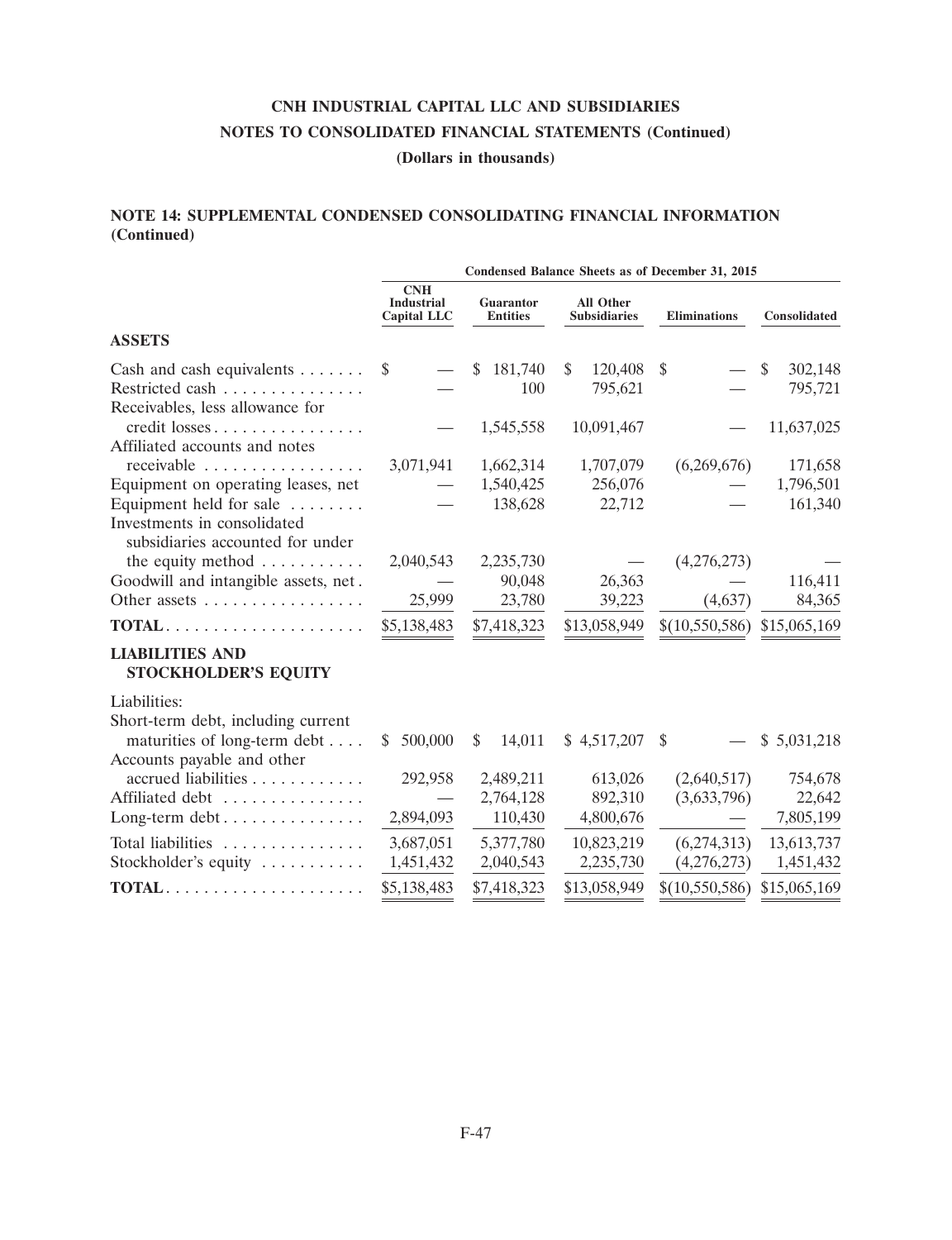|                                                                                                         | Condensed Balance Sheets as of December 31, 2015      |                                     |                                         |                     |               |  |
|---------------------------------------------------------------------------------------------------------|-------------------------------------------------------|-------------------------------------|-----------------------------------------|---------------------|---------------|--|
|                                                                                                         | <b>CNH</b><br><b>Industrial</b><br><b>Capital LLC</b> | <b>Guarantor</b><br><b>Entities</b> | <b>All Other</b><br><b>Subsidiaries</b> | <b>Eliminations</b> |               |  |
| <b>ASSETS</b>                                                                                           |                                                       |                                     |                                         |                     |               |  |
| Cash and cash equivalents $\dots$                                                                       | <sup>S</sup>                                          | \$181,740                           | \$<br>120,408                           | \$                  | \$<br>302,148 |  |
| Restricted cash<br>Receivables, less allowance for                                                      |                                                       | 100                                 | 795,621                                 |                     | 795,721       |  |
| credit losses<br>Affiliated accounts and notes                                                          |                                                       | 1,545,558                           | 10,091,467                              |                     | 11,637,025    |  |
| receivable                                                                                              | 3,071,941                                             | 1,662,314                           | 1,707,079                               | (6,269,676)         | 171,658       |  |
| Equipment on operating leases, net                                                                      |                                                       | 1,540,425                           | 256,076                                 |                     | 1,796,501     |  |
| Equipment held for sale $\dots\dots$<br>Investments in consolidated<br>subsidiaries accounted for under |                                                       | 138,628                             | 22,712                                  |                     | 161,340       |  |
| the equity method $\dots \dots \dots$                                                                   | 2,040,543                                             | 2,235,730                           |                                         | (4,276,273)         |               |  |
| Goodwill and intangible assets, net.                                                                    |                                                       | 90,048                              | 26,363                                  |                     | 116,411       |  |
| Other assets                                                                                            | 25,999                                                | 23,780                              | 39,223                                  | (4,637)             | 84,365        |  |
| $\text{TOTAL} \dots \dots \dots \dots \dots \dots \dots \dots$                                          | \$5,138,483                                           | \$7,418,323                         | \$13,058,949                            | \$(10,550,586)      | \$15,065,169  |  |
| <b>LIABILITIES AND</b><br><b>STOCKHOLDER'S EQUITY</b>                                                   |                                                       |                                     |                                         |                     |               |  |
| Liabilities:                                                                                            |                                                       |                                     |                                         |                     |               |  |
| Short-term debt, including current                                                                      |                                                       |                                     |                                         |                     |               |  |
| maturities of long-term debt<br>Accounts payable and other                                              | 500,000<br>\$                                         | 14,011<br><sup>\$</sup>             | \$4,517,207                             | \$                  | \$5,031,218   |  |
| accrued liabilities                                                                                     | 292,958                                               | 2,489,211                           | 613,026                                 | (2,640,517)         | 754,678       |  |
| Affiliated debt                                                                                         |                                                       | 2,764,128                           | 892,310                                 | (3,633,796)         | 22,642        |  |
| Long-term debt                                                                                          | 2,894,093                                             | 110,430                             | 4,800,676                               |                     | 7,805,199     |  |
| Total liabilities                                                                                       | 3,687,051                                             | 5,377,780                           | 10,823,219                              | (6,274,313)         | 13,613,737    |  |
| Stockholder's equity                                                                                    | 1,451,432                                             | 2,040,543                           | 2,235,730                               | (4,276,273)         | 1,451,432     |  |
| TOTAL                                                                                                   | \$5,138,483                                           | \$7,418,323                         | \$13,058,949                            | \$(10,550,586)      | \$15,065,169  |  |
|                                                                                                         |                                                       |                                     |                                         |                     |               |  |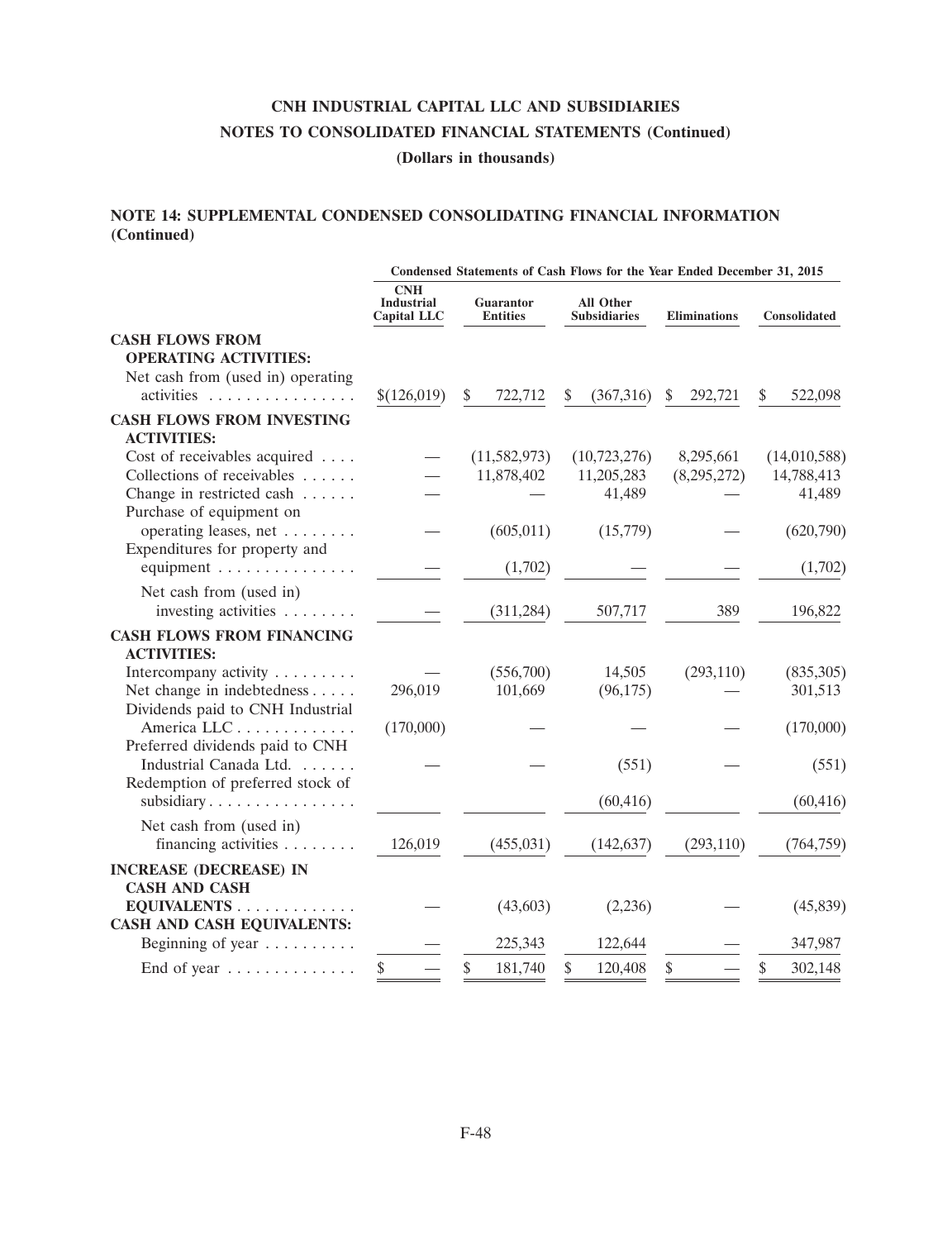|                                                                                                                     | Condensed Statements of Cash Flows for the Year Ended December 31, 2015 |                                     |                                      |                          |                                      |  |
|---------------------------------------------------------------------------------------------------------------------|-------------------------------------------------------------------------|-------------------------------------|--------------------------------------|--------------------------|--------------------------------------|--|
|                                                                                                                     | <b>CNH</b><br><b>Industrial</b><br>Capital LLC                          | <b>Guarantor</b><br><b>Entities</b> | All Other<br><b>Subsidiaries</b>     | <b>Eliminations</b>      | Consolidated                         |  |
| <b>CASH FLOWS FROM</b><br><b>OPERATING ACTIVITIES:</b><br>Net cash from (used in) operating<br>activities           | \$(126,019)                                                             | 722,712<br>\$                       | (367,316)<br>\$                      | 292,721<br>\$            | 522,098<br>S.                        |  |
| <b>CASH FLOWS FROM INVESTING</b><br><b>ACTIVITIES:</b>                                                              |                                                                         |                                     |                                      |                          |                                      |  |
| Cost of receivables acquired<br>Collections of receivables<br>Change in restricted cash<br>Purchase of equipment on |                                                                         | (11,582,973)<br>11,878,402          | (10,723,276)<br>11,205,283<br>41,489 | 8,295,661<br>(8,295,272) | (14,010,588)<br>14,788,413<br>41,489 |  |
| operating leases, net<br>Expenditures for property and<br>equipment                                                 |                                                                         | (605, 011)<br>(1,702)               | (15,779)                             |                          | (620, 790)<br>(1,702)                |  |
| Net cash from (used in)<br>investing activities                                                                     |                                                                         | (311, 284)                          | 507,717                              | 389                      | 196,822                              |  |
| <b>CASH FLOWS FROM FINANCING</b><br><b>ACTIVITIES:</b>                                                              |                                                                         |                                     |                                      |                          |                                      |  |
| Intercompany activity<br>Net change in indebtedness<br>Dividends paid to CNH Industrial                             | 296,019                                                                 | (556,700)<br>101,669                | 14,505<br>(96,175)                   | (293, 110)               | (835,305)<br>301,513                 |  |
| America LLC<br>Preferred dividends paid to CNH                                                                      | (170,000)                                                               |                                     |                                      |                          | (170,000)                            |  |
| Industrial Canada Ltd.<br>Redemption of preferred stock of                                                          |                                                                         |                                     | (551)                                |                          | (551)                                |  |
| subsidiary                                                                                                          |                                                                         |                                     | (60, 416)                            |                          | (60, 416)                            |  |
| Net cash from (used in)<br>financing activities                                                                     | 126,019                                                                 | (455, 031)                          | (142, 637)                           | (293, 110)               | (764, 759)                           |  |
| <b>INCREASE (DECREASE) IN</b><br><b>CASH AND CASH</b><br>EQUIVALENTS                                                |                                                                         | (43,603)                            | (2,236)                              |                          | (45,839)                             |  |
| CASH AND CASH EQUIVALENTS:<br>Beginning of year                                                                     |                                                                         | 225,343                             | 122,644                              |                          | 347,987                              |  |
| End of year $\dots \dots \dots \dots$                                                                               | \$                                                                      | \$<br>181,740                       | \$<br>120,408                        | \$                       | \$<br>302,148                        |  |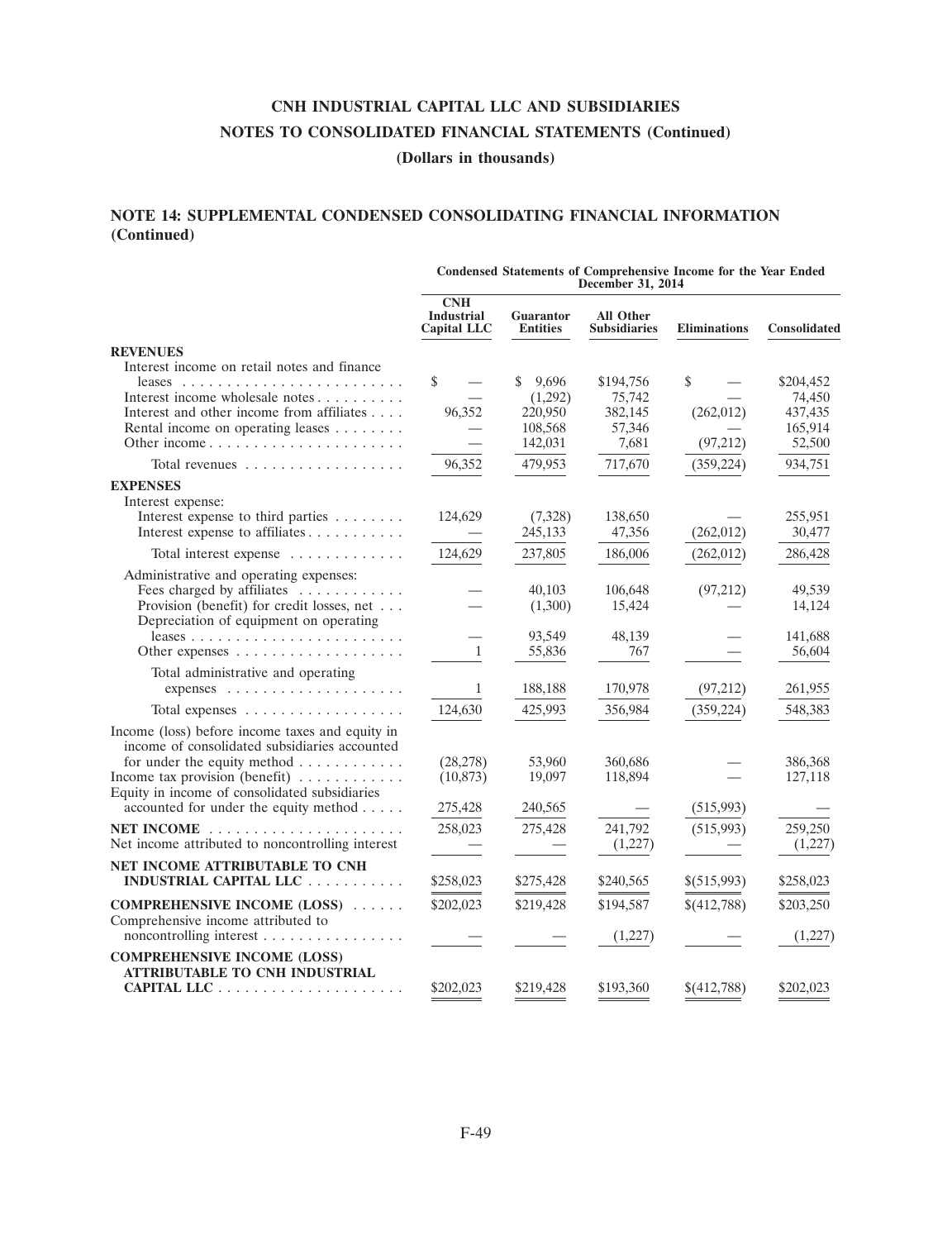|                                                                                                  | Condensed Statements of Comprehensive Income for the Year Ended<br>December 31, 2014 |                                     |                                         |                     |                     |  |
|--------------------------------------------------------------------------------------------------|--------------------------------------------------------------------------------------|-------------------------------------|-----------------------------------------|---------------------|---------------------|--|
|                                                                                                  | <b>CNH</b><br><b>Industrial</b><br><b>Capital LLC</b>                                | <b>Guarantor</b><br><b>Entities</b> | <b>All Other</b><br><b>Subsidiaries</b> | <b>Eliminations</b> | <b>Consolidated</b> |  |
| <b>REVENUES</b>                                                                                  |                                                                                      |                                     |                                         |                     |                     |  |
| Interest income on retail notes and finance                                                      |                                                                                      |                                     |                                         |                     |                     |  |
| Interest income wholesale notes                                                                  | \$                                                                                   | \$<br>9,696<br>(1,292)              | \$194,756<br>75,742                     | \$                  | \$204,452<br>74,450 |  |
| Interest and other income from affiliates                                                        | 96,352                                                                               | 220,950                             | 382,145                                 | (262, 012)          | 437,435             |  |
| Rental income on operating leases                                                                |                                                                                      | 108,568                             | 57,346                                  |                     | 165,914             |  |
|                                                                                                  |                                                                                      | 142,031                             | 7,681                                   | (97,212)            | 52,500              |  |
| Total revenues $\ldots$ , $\ldots$ , $\ldots$                                                    | 96,352                                                                               | 479,953                             | 717,670                                 | (359, 224)          | 934,751             |  |
| <b>EXPENSES</b>                                                                                  |                                                                                      |                                     |                                         |                     |                     |  |
| Interest expense:                                                                                |                                                                                      |                                     |                                         |                     |                     |  |
| Interest expense to third parties                                                                | 124,629                                                                              | (7,328)                             | 138,650                                 |                     | 255,951             |  |
| Interest expense to affiliates                                                                   |                                                                                      | 245,133                             | 47,356                                  | (262,012)           | 30,477              |  |
| Total interest expense                                                                           | 124,629                                                                              | 237,805                             | 186,006                                 | (262, 012)          | 286,428             |  |
| Administrative and operating expenses:                                                           |                                                                                      |                                     |                                         |                     |                     |  |
| Fees charged by affiliates                                                                       |                                                                                      | 40,103                              | 106,648                                 | (97,212)            | 49,539              |  |
| Provision (benefit) for credit losses, net<br>Depreciation of equipment on operating             |                                                                                      | (1,300)                             | 15,424                                  |                     | 14,124              |  |
|                                                                                                  |                                                                                      | 93,549                              | 48,139                                  |                     | 141,688             |  |
|                                                                                                  | 1                                                                                    | 55,836                              | 767                                     |                     | 56,604              |  |
| Total administrative and operating                                                               |                                                                                      |                                     |                                         |                     |                     |  |
| $express \dots \dots \dots \dots \dots \dots \dots \dots \dots$                                  | 1                                                                                    | 188,188                             | 170,978                                 | (97,212)            | 261,955             |  |
| Total expenses                                                                                   | 124,630                                                                              | 425,993                             | 356,984                                 | (359, 224)          | 548,383             |  |
| Income (loss) before income taxes and equity in<br>income of consolidated subsidiaries accounted |                                                                                      |                                     |                                         |                     |                     |  |
| for under the equity method $\dots \dots \dots$                                                  | (28, 278)                                                                            | 53,960                              | 360,686                                 |                     | 386,368             |  |
| Income tax provision (benefit)<br>Equity in income of consolidated subsidiaries                  | (10, 873)                                                                            | 19,097                              | 118,894                                 |                     | 127,118             |  |
| accounted for under the equity method                                                            | 275,428                                                                              | 240,565                             |                                         | (515,993)           |                     |  |
| NET INCOME                                                                                       | 258,023                                                                              | 275,428                             | 241,792                                 | (515,993)           | 259,250             |  |
| Net income attributed to noncontrolling interest                                                 |                                                                                      |                                     | (1,227)                                 |                     | (1,227)             |  |
| <b>NET INCOME ATTRIBUTABLE TO CNH</b>                                                            |                                                                                      |                                     |                                         |                     |                     |  |
| INDUSTRIAL CAPITAL LLC                                                                           | \$258,023                                                                            | \$275,428                           | \$240,565                               | \$(515,993)         | \$258,023           |  |
| <b>COMPREHENSIVE INCOME (LOSS)</b>                                                               | \$202,023                                                                            | \$219,428                           | \$194,587                               | \$(412,788)         | \$203,250           |  |
| Comprehensive income attributed to                                                               |                                                                                      |                                     |                                         |                     |                     |  |
| noncontrolling interest                                                                          |                                                                                      |                                     | (1,227)                                 |                     | (1,227)             |  |
| <b>COMPREHENSIVE INCOME (LOSS)</b>                                                               |                                                                                      |                                     |                                         |                     |                     |  |
| <b>ATTRIBUTABLE TO CNH INDUSTRIAL</b>                                                            |                                                                                      |                                     |                                         |                     |                     |  |
|                                                                                                  | \$202,023                                                                            | \$219,428                           | \$193,360                               | \$(412,788)         | \$202,023           |  |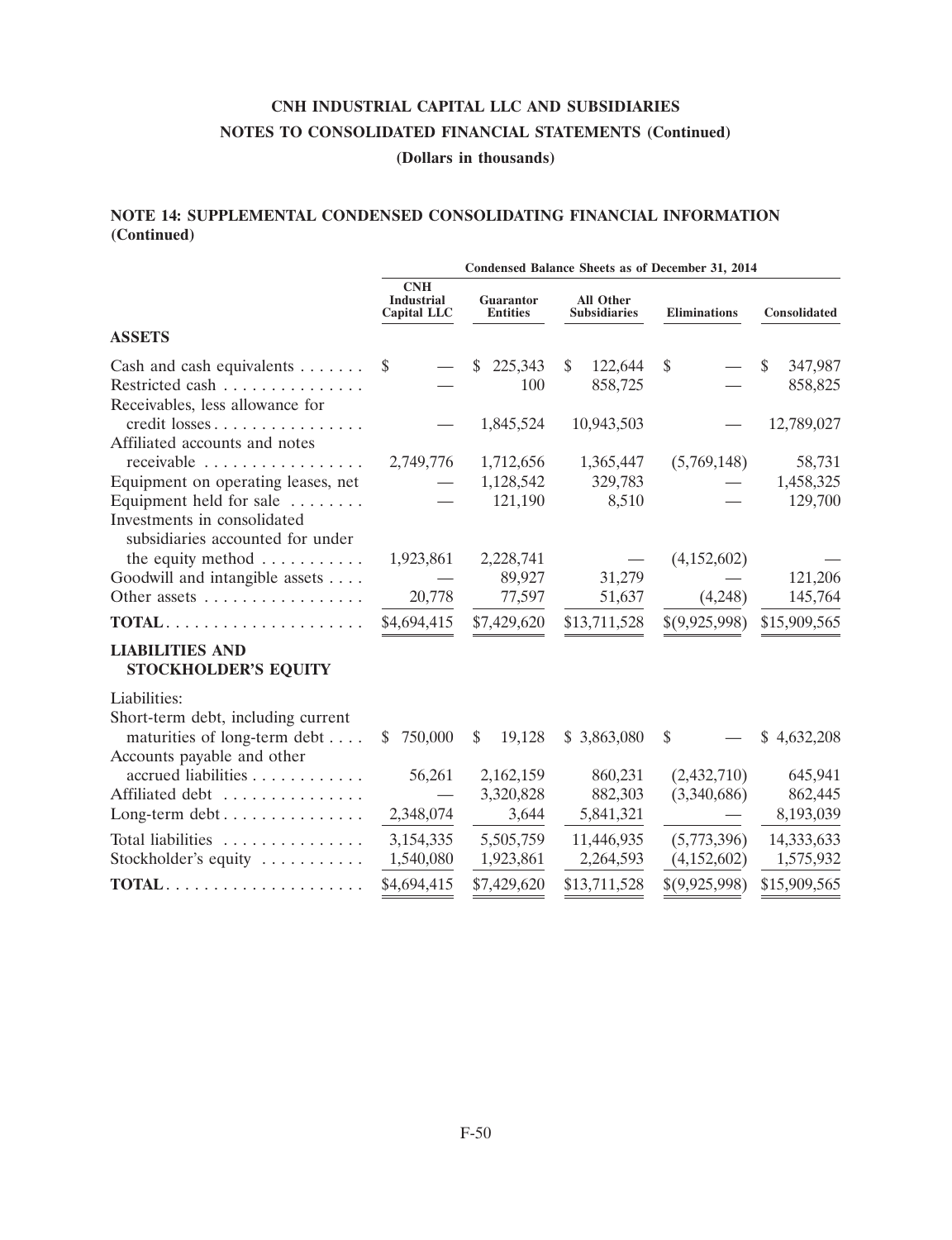|                                                                 | Condensed Balance Sheets as of December 31, 2014 |                                     |                                  |                     |               |  |
|-----------------------------------------------------------------|--------------------------------------------------|-------------------------------------|----------------------------------|---------------------|---------------|--|
|                                                                 | <b>CNH</b><br><b>Industrial</b><br>Capital LLC   | <b>Guarantor</b><br><b>Entities</b> | All Other<br><b>Subsidiaries</b> | <b>Eliminations</b> | Consolidated  |  |
| <b>ASSETS</b>                                                   |                                                  |                                     |                                  |                     |               |  |
| Cash and cash equivalents $\dots$                               | <sup>\$</sup>                                    | \$225,343                           | \$<br>122,644                    | $\mathbb{S}$        | \$<br>347,987 |  |
| Restricted cash<br>Receivables, less allowance for              |                                                  | 100                                 | 858,725                          |                     | 858,825       |  |
| credit losses<br>Affiliated accounts and notes                  |                                                  | 1,845,524                           | 10,943,503                       |                     | 12,789,027    |  |
| receivable                                                      | 2,749,776                                        | 1,712,656                           | 1,365,447                        | (5,769,148)         | 58,731        |  |
| Equipment on operating leases, net                              |                                                  | 1,128,542                           | 329,783                          |                     | 1,458,325     |  |
| Equipment held for sale                                         |                                                  | 121,190                             | 8,510                            |                     | 129,700       |  |
| Investments in consolidated<br>subsidiaries accounted for under |                                                  |                                     |                                  |                     |               |  |
| the equity method $\dots\dots\dots\dots$                        | 1,923,861                                        | 2,228,741                           |                                  | (4,152,602)         |               |  |
| Goodwill and intangible assets                                  |                                                  | 89,927                              | 31,279                           |                     | 121,206       |  |
| Other assets                                                    | 20,778                                           | 77,597                              | 51,637                           | (4,248)             | 145,764       |  |
| TOTAL                                                           | \$4,694,415                                      | \$7,429,620                         | \$13,711,528                     | \$(9,925,998)       | \$15,909,565  |  |
| <b>LIABILITIES AND</b><br><b>STOCKHOLDER'S EQUITY</b>           |                                                  |                                     |                                  |                     |               |  |
| Liabilities:                                                    |                                                  |                                     |                                  |                     |               |  |
| Short-term debt, including current                              |                                                  |                                     |                                  |                     |               |  |
| maturities of long-term debt<br>Accounts payable and other      | 750,000<br>\$                                    | 19,128<br>S.                        | \$3,863,080                      | \$                  | \$4,632,208   |  |
| accrued liabilities                                             | 56,261                                           | 2,162,159                           | 860,231                          | (2,432,710)         | 645,941       |  |
| Affiliated debt                                                 |                                                  | 3,320,828                           | 882,303                          | (3,340,686)         | 862,445       |  |
| Long-term debt                                                  | 2,348,074                                        | 3,644                               | 5,841,321                        |                     | 8,193,039     |  |
| Total liabilities                                               | 3,154,335                                        | 5,505,759                           | 11,446,935                       | (5,773,396)         | 14,333,633    |  |
| Stockholder's equity $\dots \dots$                              | 1,540,080                                        | 1,923,861                           | 2,264,593                        | (4,152,602)         | 1,575,932     |  |
| TOTAL                                                           | \$4,694,415                                      | \$7,429,620                         | \$13,711,528                     | \$(9,925,998)       | \$15,909,565  |  |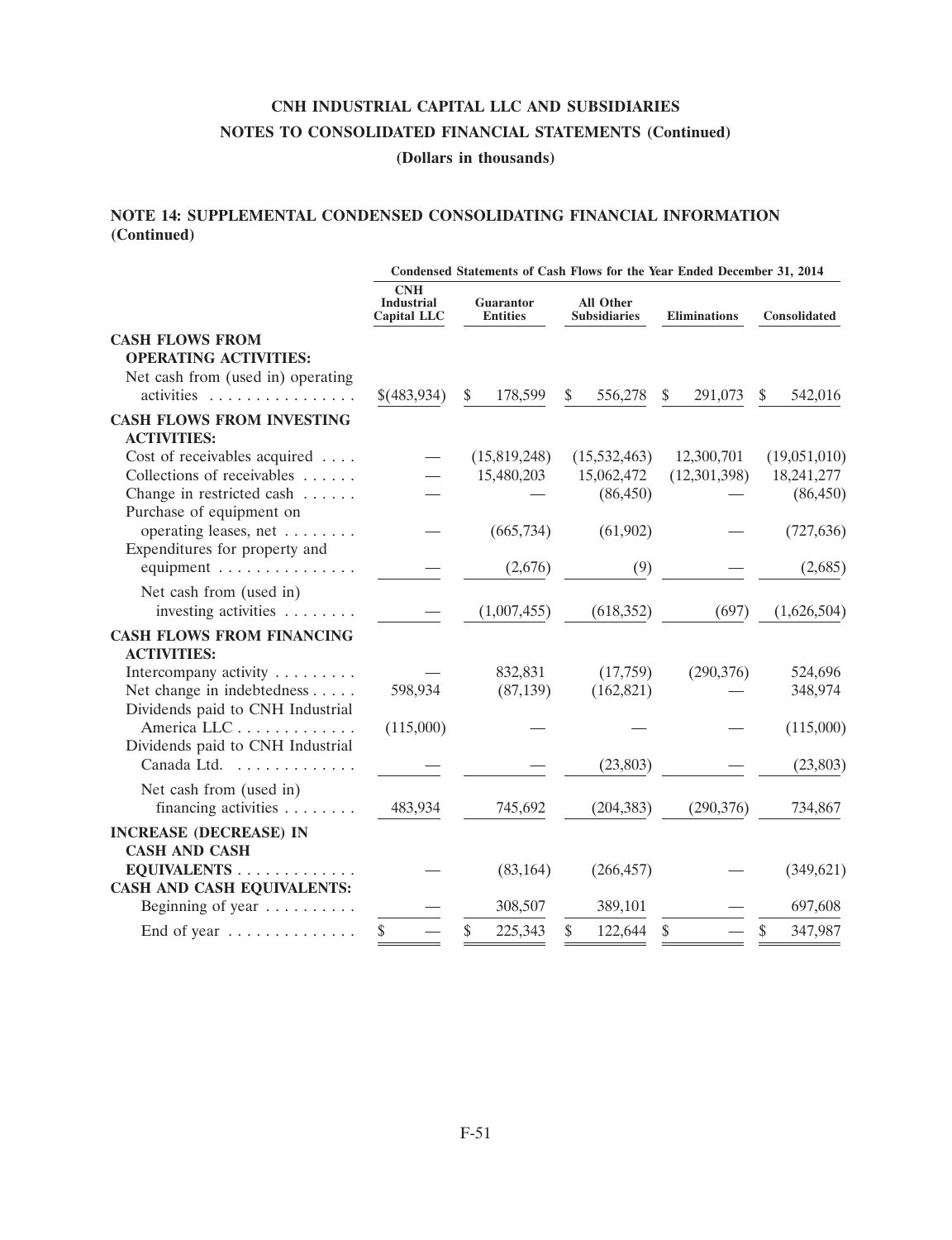|                                                                                                           | Condensed Statements of Cash Flows for the Year Ended December 31, 2014 |                                     |                                  |                     |                          |  |
|-----------------------------------------------------------------------------------------------------------|-------------------------------------------------------------------------|-------------------------------------|----------------------------------|---------------------|--------------------------|--|
|                                                                                                           | <b>CNH</b><br><b>Industrial</b><br><b>Capital LLC</b>                   | <b>Guarantor</b><br><b>Entities</b> | All Other<br><b>Subsidiaries</b> | <b>Eliminations</b> | Consolidated             |  |
| <b>CASH FLOWS FROM</b><br><b>OPERATING ACTIVITIES:</b><br>Net cash from (used in) operating<br>activities | \$(483,934)                                                             | 178,599<br>\$                       | 556,278<br>\$                    | 291,073<br>\$       | 542,016<br><sup>\$</sup> |  |
| <b>CASH FLOWS FROM INVESTING</b><br><b>ACTIVITIES:</b>                                                    |                                                                         |                                     |                                  |                     |                          |  |
| Cost of receivables acquired                                                                              |                                                                         | (15,819,248)                        | (15,532,463)                     | 12,300,701          | (19,051,010)             |  |
| Collections of receivables                                                                                |                                                                         | 15,480,203                          | 15,062,472                       | (12, 301, 398)      | 18,241,277               |  |
| Change in restricted cash<br>Purchase of equipment on                                                     |                                                                         |                                     | (86, 450)                        |                     | (86, 450)                |  |
| operating leases, net<br>Expenditures for property and                                                    |                                                                         | (665, 734)                          | (61,902)                         |                     | (727, 636)               |  |
| equipment                                                                                                 |                                                                         | (2,676)                             | (9)                              |                     | (2,685)                  |  |
| Net cash from (used in)<br>investing activities                                                           |                                                                         | (1,007,455)                         | (618, 352)                       | (697)               | (1,626,504)              |  |
| <b>CASH FLOWS FROM FINANCING</b><br><b>ACTIVITIES:</b>                                                    |                                                                         |                                     |                                  |                     |                          |  |
| Intercompany activity                                                                                     |                                                                         | 832,831                             | (17,759)                         | (290, 376)          | 524,696                  |  |
| Net change in indebtedness<br>Dividends paid to CNH Industrial                                            | 598,934                                                                 | (87, 139)                           | (162, 821)                       |                     | 348,974                  |  |
| America LLC<br>Dividends paid to CNH Industrial                                                           | (115,000)                                                               |                                     |                                  |                     | (115,000)                |  |
| Canada Ltd.                                                                                               |                                                                         |                                     | (23,803)                         |                     | (23, 803)                |  |
| Net cash from (used in)<br>financing activities $\dots \dots$                                             | 483,934                                                                 | 745,692                             | (204, 383)                       | (290, 376)          | 734,867                  |  |
| <b>INCREASE (DECREASE) IN</b><br><b>CASH AND CASH</b>                                                     |                                                                         |                                     |                                  |                     |                          |  |
| EQUIVALENTS<br>CASH AND CASH EQUIVALENTS:                                                                 |                                                                         | (83, 164)                           | (266, 457)                       |                     | (349, 621)               |  |
| Beginning of year                                                                                         |                                                                         | 308,507                             | 389,101                          |                     | 697,608                  |  |
| End of year $\dots \dots \dots \dots$                                                                     | \$                                                                      | \$<br>225,343                       | 122,644<br>\$                    | \$                  | \$<br>347,987            |  |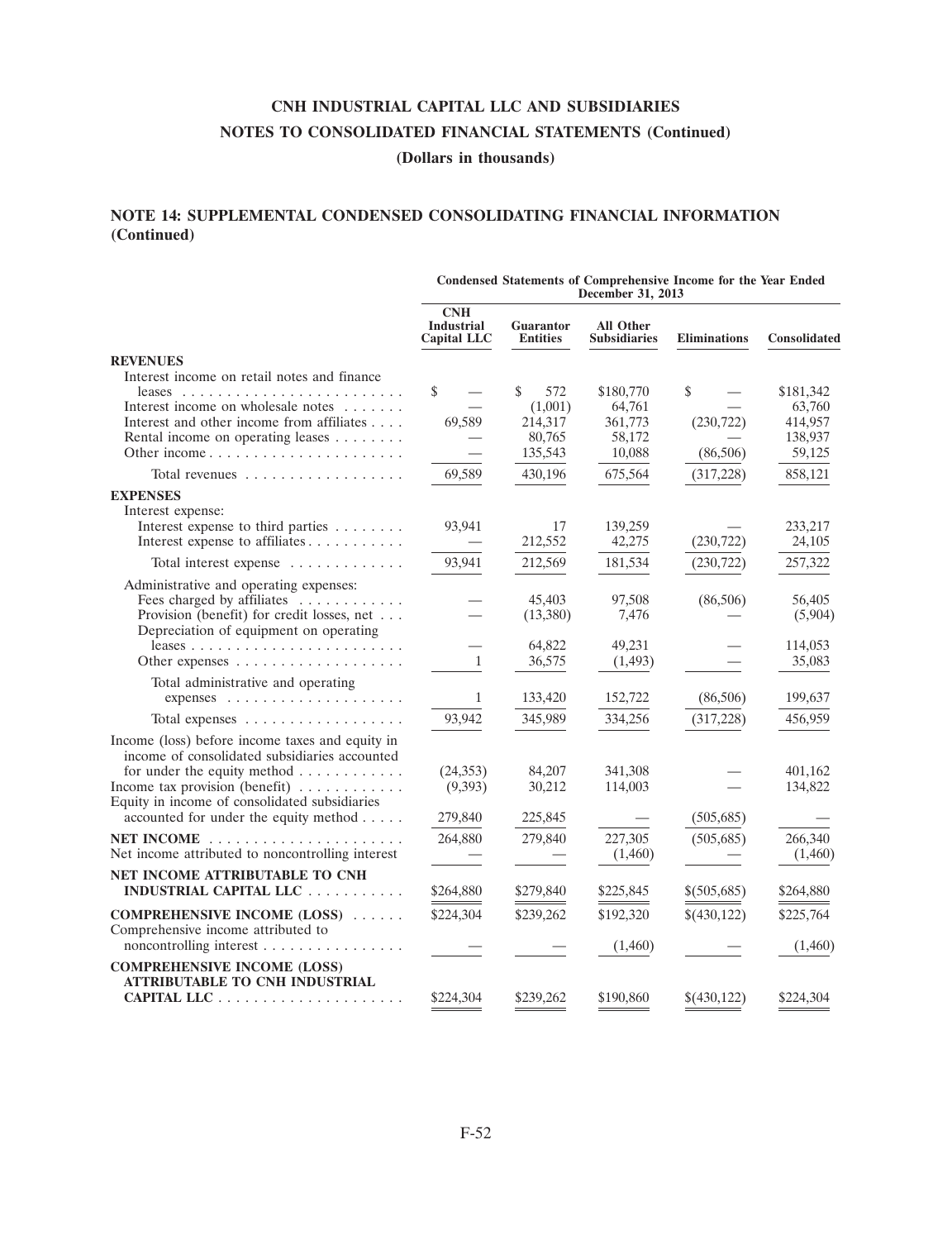|                                                                                                                                                                                                                                                                                 | <b>Condensed Statements of Comprehensive Income for the Year Ended</b><br>December 31, 2013 |                                           |                                          |                       |                                           |  |
|---------------------------------------------------------------------------------------------------------------------------------------------------------------------------------------------------------------------------------------------------------------------------------|---------------------------------------------------------------------------------------------|-------------------------------------------|------------------------------------------|-----------------------|-------------------------------------------|--|
|                                                                                                                                                                                                                                                                                 | <b>CNH</b><br><b>Industrial</b><br><b>Capital LLC</b>                                       | <b>Guarantor</b><br><b>Entities</b>       | All Other<br><b>Subsidiaries</b>         | <b>Eliminations</b>   | Consolidated                              |  |
| <b>REVENUES</b>                                                                                                                                                                                                                                                                 |                                                                                             |                                           |                                          |                       |                                           |  |
| Interest income on retail notes and finance<br>leases $\ldots \ldots \ldots \ldots \ldots \ldots \ldots \ldots$<br>Interest income on wholesale notes<br>Interest and other income from affiliates<br>Rental income on operating leases                                         | \$<br>69.589                                                                                | \$<br>572<br>(1,001)<br>214,317<br>80,765 | \$180,770<br>64,761<br>361,773<br>58,172 | \$<br>(230, 722)      | \$181,342<br>63,760<br>414,957<br>138,937 |  |
| Total revenues $\ldots \ldots \ldots \ldots \ldots$                                                                                                                                                                                                                             | 69,589                                                                                      | 135,543<br>430,196                        | 10,088<br>675,564                        | (86,506)<br>(317,228) | 59,125<br>858,121                         |  |
| <b>EXPENSES</b><br>Interest expense:<br>Interest expense to third parties<br>Interest expense to affiliates                                                                                                                                                                     | 93,941                                                                                      | 17<br>212,552                             | 139,259<br>42,275                        | (230, 722)            | 233,217<br>24,105                         |  |
| Total interest expense                                                                                                                                                                                                                                                          | 93.941                                                                                      | 212,569                                   | 181,534                                  | (230, 722)            | 257,322                                   |  |
| Administrative and operating expenses:<br>Fees charged by affiliates<br>Provision (benefit) for credit losses, net<br>Depreciation of equipment on operating                                                                                                                    | 1                                                                                           | 45,403<br>(13,380)<br>64,822<br>36,575    | 97,508<br>7,476<br>49,231<br>(1, 493)    | (86,506)              | 56,405<br>(5,904)<br>114,053<br>35,083    |  |
| Total administrative and operating<br>$express \dots \dots \dots \dots \dots \dots \dots \dots \dots$                                                                                                                                                                           | 1                                                                                           | 133,420                                   | 152,722                                  | (86,506)              | 199,637                                   |  |
| Total expenses                                                                                                                                                                                                                                                                  | 93,942                                                                                      | 345,989                                   | 334,256                                  | (317,228)             | 456,959                                   |  |
| Income (loss) before income taxes and equity in<br>income of consolidated subsidiaries accounted<br>for under the equity method $\dots \dots \dots$<br>Income tax provision (benefit)<br>Equity in income of consolidated subsidiaries<br>accounted for under the equity method | (24, 353)<br>(9,393)<br>279,840                                                             | 84,207<br>30,212<br>225,845               | 341,308<br>114,003                       | (505,685)             | 401,162<br>134,822                        |  |
| NET INCOME<br>Net income attributed to noncontrolling interest                                                                                                                                                                                                                  | 264,880                                                                                     | 279,840                                   | 227,305<br>(1,460)                       | (505,685)             | 266,340<br>(1,460)                        |  |
| NET INCOME ATTRIBUTABLE TO CNH<br>INDUSTRIAL CAPITAL LLC                                                                                                                                                                                                                        | \$264,880                                                                                   | \$279,840                                 | \$225,845                                | \$(505,685)           | \$264,880                                 |  |
| <b>COMPREHENSIVE INCOME (LOSS) </b><br>Comprehensive income attributed to<br>noncontrolling interest                                                                                                                                                                            | \$224,304                                                                                   | \$239,262                                 | \$192,320<br>(1,460)                     | \$(430,122)           | \$225,764<br>(1,460)                      |  |
| <b>COMPREHENSIVE INCOME (LOSS)</b><br><b>ATTRIBUTABLE TO CNH INDUSTRIAL</b>                                                                                                                                                                                                     | \$224,304                                                                                   | \$239,262                                 | \$190,860                                | \$(430,122)           | \$224,304                                 |  |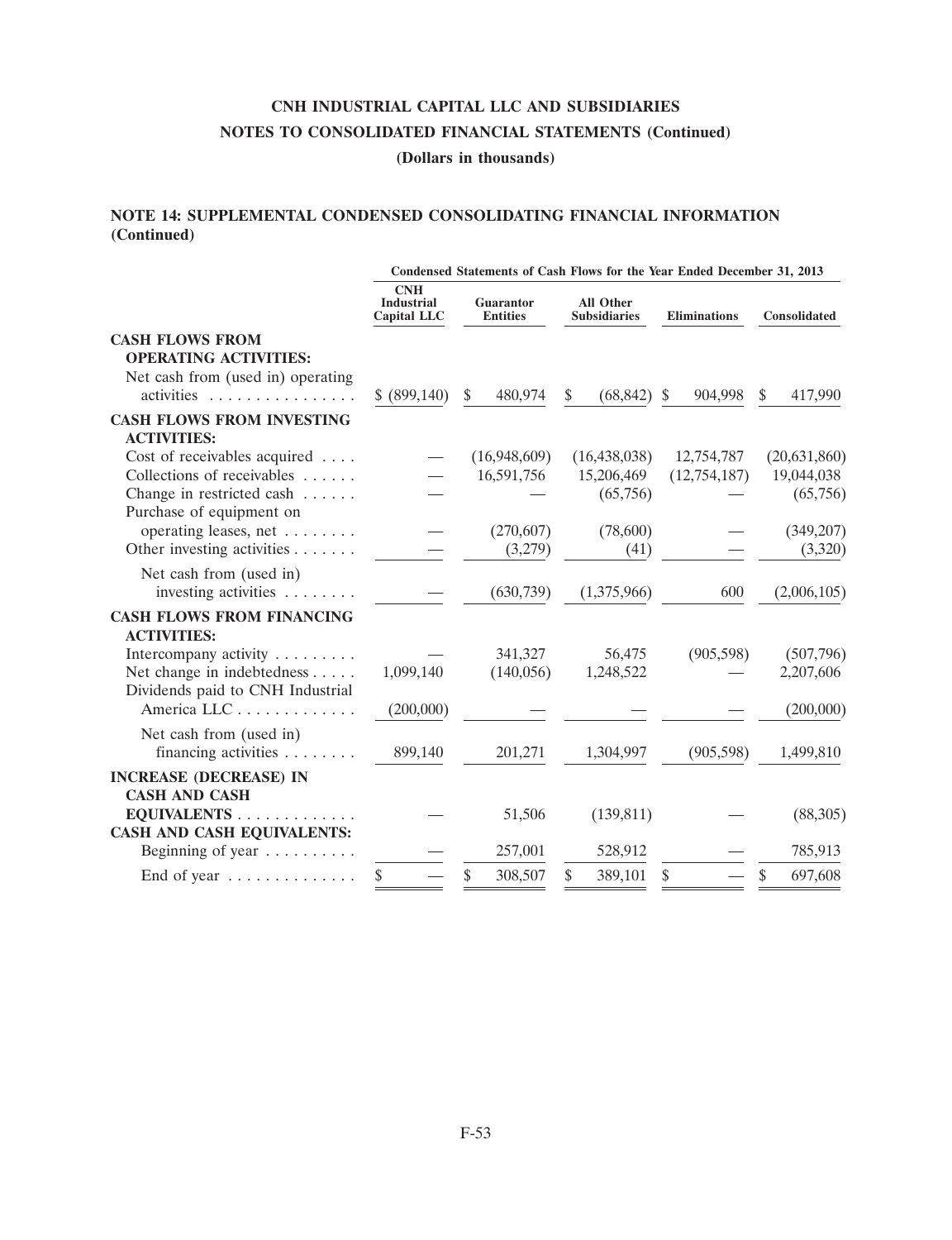|                                                   | Condensed Statements of Cash Flows for the Year Ended December 31, 2013 |                                     |                                         |                     |                          |  |
|---------------------------------------------------|-------------------------------------------------------------------------|-------------------------------------|-----------------------------------------|---------------------|--------------------------|--|
|                                                   | <b>CNH</b><br><b>Industrial</b><br><b>Capital LLC</b>                   | <b>Guarantor</b><br><b>Entities</b> | <b>All Other</b><br><b>Subsidiaries</b> | <b>Eliminations</b> | <b>Consolidated</b>      |  |
| <b>CASH FLOWS FROM</b>                            |                                                                         |                                     |                                         |                     |                          |  |
| <b>OPERATING ACTIVITIES:</b>                      |                                                                         |                                     |                                         |                     |                          |  |
| Net cash from (used in) operating                 |                                                                         |                                     |                                         |                     |                          |  |
| activities                                        | \$(899,140)                                                             | $\mathbb{S}$<br>480,974             | $(68, 842)$ \$<br>S.                    | 904,998             | <sup>\$</sup><br>417,990 |  |
| <b>CASH FLOWS FROM INVESTING</b>                  |                                                                         |                                     |                                         |                     |                          |  |
| <b>ACTIVITIES:</b>                                |                                                                         |                                     |                                         |                     |                          |  |
| Cost of receivables acquired                      |                                                                         | (16,948,609)                        | (16, 438, 038)                          | 12,754,787          | (20, 631, 860)           |  |
| Collections of receivables                        |                                                                         | 16,591,756                          | 15,206,469                              | (12,754,187)        | 19,044,038               |  |
| Change in restricted cash                         |                                                                         |                                     | (65,756)                                |                     | (65,756)                 |  |
| Purchase of equipment on<br>operating leases, net |                                                                         | (270,607)                           | (78,600)                                |                     | (349,207)                |  |
| Other investing activities                        |                                                                         | (3,279)                             | (41)                                    |                     | (3,320)                  |  |
|                                                   |                                                                         |                                     |                                         |                     |                          |  |
| Net cash from (used in)<br>investing activities   |                                                                         | (630, 739)                          | (1,375,966)                             | 600                 | (2,006,105)              |  |
| <b>CASH FLOWS FROM FINANCING</b>                  |                                                                         |                                     |                                         |                     |                          |  |
| <b>ACTIVITIES:</b>                                |                                                                         |                                     |                                         |                     |                          |  |
| Intercompany activity                             |                                                                         | 341,327                             | 56,475                                  | (905, 598)          | (507,796)                |  |
| Net change in indebtedness                        | 1,099,140                                                               | (140,056)                           | 1,248,522                               |                     | 2,207,606                |  |
| Dividends paid to CNH Industrial                  |                                                                         |                                     |                                         |                     |                          |  |
| America LLC                                       | (200,000)                                                               |                                     |                                         |                     | (200,000)                |  |
| Net cash from (used in)                           |                                                                         |                                     |                                         |                     |                          |  |
| financing activities                              | 899,140                                                                 | 201,271                             | 1,304,997                               | (905, 598)          | 1,499,810                |  |
| <b>INCREASE (DECREASE) IN</b>                     |                                                                         |                                     |                                         |                     |                          |  |
| <b>CASH AND CASH</b>                              |                                                                         |                                     |                                         |                     |                          |  |
| EQUIVALENTS                                       |                                                                         | 51,506                              | (139, 811)                              |                     | (88,305)                 |  |
| CASH AND CASH EQUIVALENTS:                        |                                                                         |                                     |                                         |                     |                          |  |
| Beginning of year $\dots \dots$                   |                                                                         | 257,001                             | 528,912                                 |                     | 785,913                  |  |
| End of year $\dots \dots \dots \dots$             | \$                                                                      | 308,507<br>\$                       | \$<br>389,101                           |                     | \$<br>697,608            |  |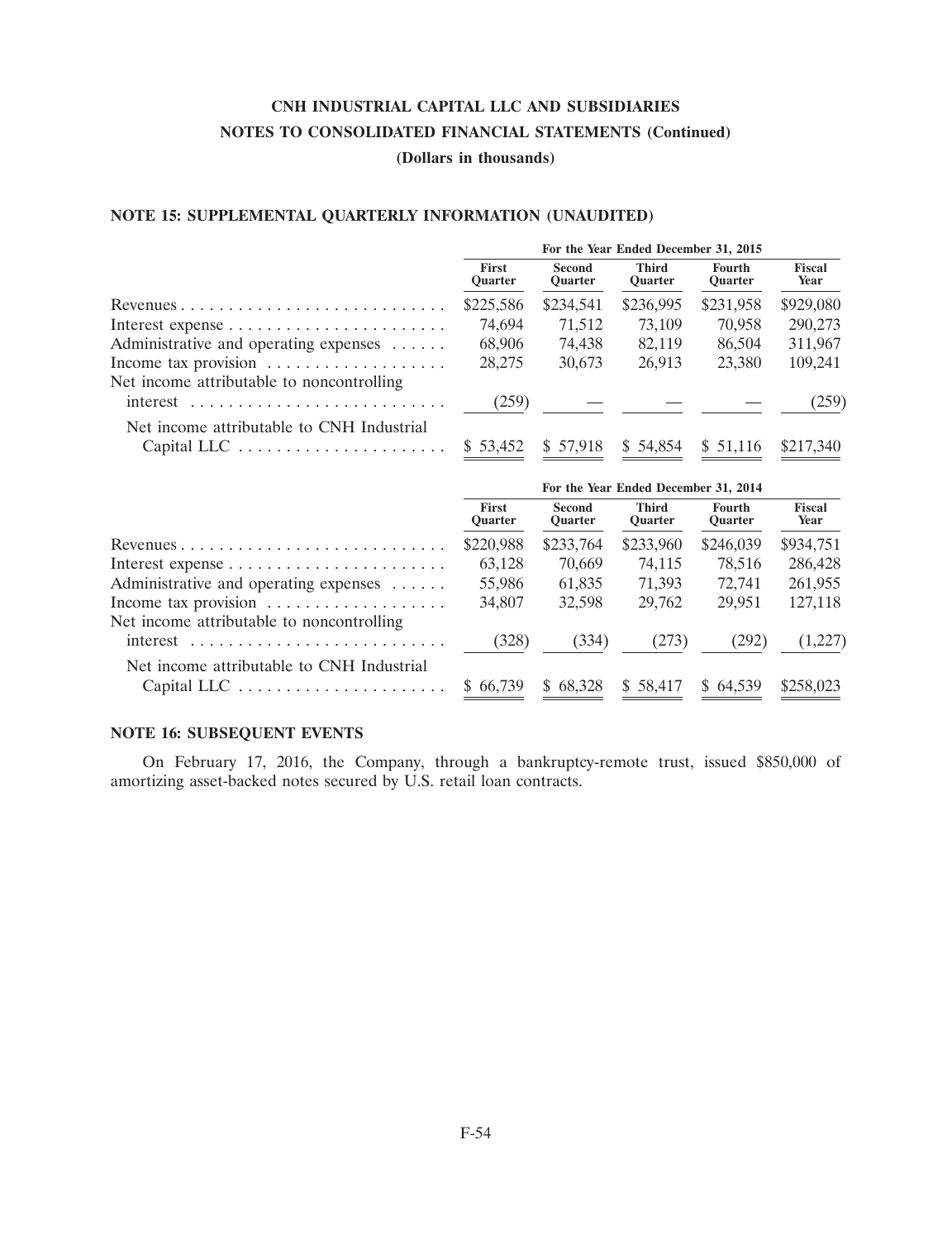### **NOTE 15: SUPPLEMENTAL QUARTERLY INFORMATION (UNAUDITED)**

|                                                                    | For the Year Ended December 31, 2015 |                                 |                                |                          |                       |
|--------------------------------------------------------------------|--------------------------------------|---------------------------------|--------------------------------|--------------------------|-----------------------|
|                                                                    | <b>First</b><br><b>Quarter</b>       | <b>Second</b><br><b>Quarter</b> | <b>Third</b><br><b>Quarter</b> | <b>Fourth</b><br>Quarter | <b>Fiscal</b><br>Year |
|                                                                    | \$225,586                            | \$234,541                       | \$236,995                      | \$231,958                | \$929,080             |
| Interest expense $\dots \dots \dots \dots \dots \dots \dots \dots$ | 74.694                               | 71,512                          | 73,109                         | 70,958                   | 290,273               |
| Administrative and operating expenses                              | 68,906                               | 74,438                          | 82,119                         | 86,504                   | 311,967               |
| Income tax provision $\dots \dots \dots \dots \dots$               | 28,275                               | 30,673                          | 26,913                         | 23,380                   | 109,241               |
| Net income attributable to noncontrolling                          |                                      |                                 |                                |                          |                       |
|                                                                    | (259)                                |                                 |                                |                          | (259)                 |
| Net income attributable to CNH Industrial                          | \$ 53,452                            | \$57,918                        | \$54.854                       | \$51,116                 | \$217,340             |

|                                                                           | For the Year Ended December 31, 2014 |                                 |                                |                                 |                       |
|---------------------------------------------------------------------------|--------------------------------------|---------------------------------|--------------------------------|---------------------------------|-----------------------|
|                                                                           | <b>First</b><br><b>Quarter</b>       | <b>Second</b><br><b>Quarter</b> | <b>Third</b><br><b>Quarter</b> | <b>Fourth</b><br><b>Quarter</b> | <b>Fiscal</b><br>Year |
|                                                                           | \$220,988                            | \$233,764                       | \$233,960                      | \$246,039                       | \$934,751             |
|                                                                           | 63,128                               | 70,669                          | 74,115                         | 78.516                          | 286,428               |
| Administrative and operating expenses                                     | 55,986                               | 61,835                          | 71,393                         | 72,741                          | 261,955               |
| Income tax provision $\dots \dots \dots \dots \dots$                      | 34,807                               | 32,598                          | 29,762                         | 29.951                          | 127,118               |
| Net income attributable to noncontrolling                                 |                                      |                                 |                                |                                 |                       |
| interest $\ldots \ldots \ldots \ldots \ldots \ldots \ldots \ldots \ldots$ | (328)                                | (334)                           | (273)                          | (292)                           | (1,227)               |
| Net income attributable to CNH Industrial                                 |                                      |                                 |                                |                                 |                       |
|                                                                           | \$66,739                             | \$68,328                        | \$58,417                       | \$64,539                        | \$258,023             |

### **NOTE 16: SUBSEQUENT EVENTS**

On February 17, 2016, the Company, through a bankruptcy-remote trust, issued \$850,000 of amortizing asset-backed notes secured by U.S. retail loan contracts.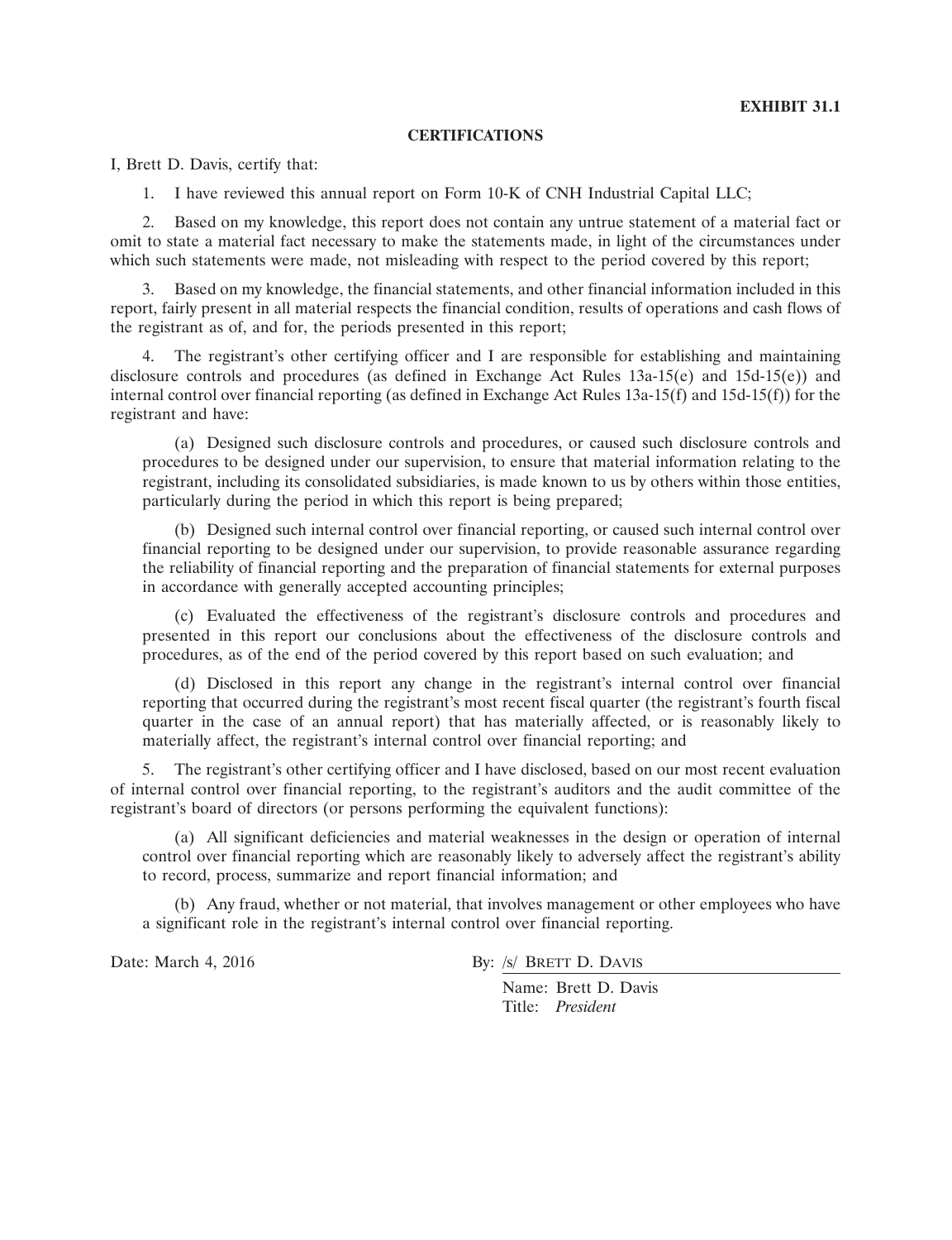#### **CERTIFICATIONS**

I, Brett D. Davis, certify that:

1. I have reviewed this annual report on Form 10-K of CNH Industrial Capital LLC;

2. Based on my knowledge, this report does not contain any untrue statement of a material fact or omit to state a material fact necessary to make the statements made, in light of the circumstances under which such statements were made, not misleading with respect to the period covered by this report;

3. Based on my knowledge, the financial statements, and other financial information included in this report, fairly present in all material respects the financial condition, results of operations and cash flows of the registrant as of, and for, the periods presented in this report;

4. The registrant's other certifying officer and I are responsible for establishing and maintaining disclosure controls and procedures (as defined in Exchange Act Rules 13a-15(e) and 15d-15(e)) and internal control over financial reporting (as defined in Exchange Act Rules 13a-15(f) and 15d-15(f)) for the registrant and have:

(a) Designed such disclosure controls and procedures, or caused such disclosure controls and procedures to be designed under our supervision, to ensure that material information relating to the registrant, including its consolidated subsidiaries, is made known to us by others within those entities, particularly during the period in which this report is being prepared;

(b) Designed such internal control over financial reporting, or caused such internal control over financial reporting to be designed under our supervision, to provide reasonable assurance regarding the reliability of financial reporting and the preparation of financial statements for external purposes in accordance with generally accepted accounting principles;

(c) Evaluated the effectiveness of the registrant's disclosure controls and procedures and presented in this report our conclusions about the effectiveness of the disclosure controls and procedures, as of the end of the period covered by this report based on such evaluation; and

(d) Disclosed in this report any change in the registrant's internal control over financial reporting that occurred during the registrant's most recent fiscal quarter (the registrant's fourth fiscal quarter in the case of an annual report) that has materially affected, or is reasonably likely to materially affect, the registrant's internal control over financial reporting; and

5. The registrant's other certifying officer and I have disclosed, based on our most recent evaluation of internal control over financial reporting, to the registrant's auditors and the audit committee of the registrant's board of directors (or persons performing the equivalent functions):

(a) All significant deficiencies and material weaknesses in the design or operation of internal control over financial reporting which are reasonably likely to adversely affect the registrant's ability to record, process, summarize and report financial information; and

(b) Any fraud, whether or not material, that involves management or other employees who have a significant role in the registrant's internal control over financial reporting.

Date: March 4, 2016 By: /s/ BRETT D. DAVIS

Name: Brett D. Davis Title: *President*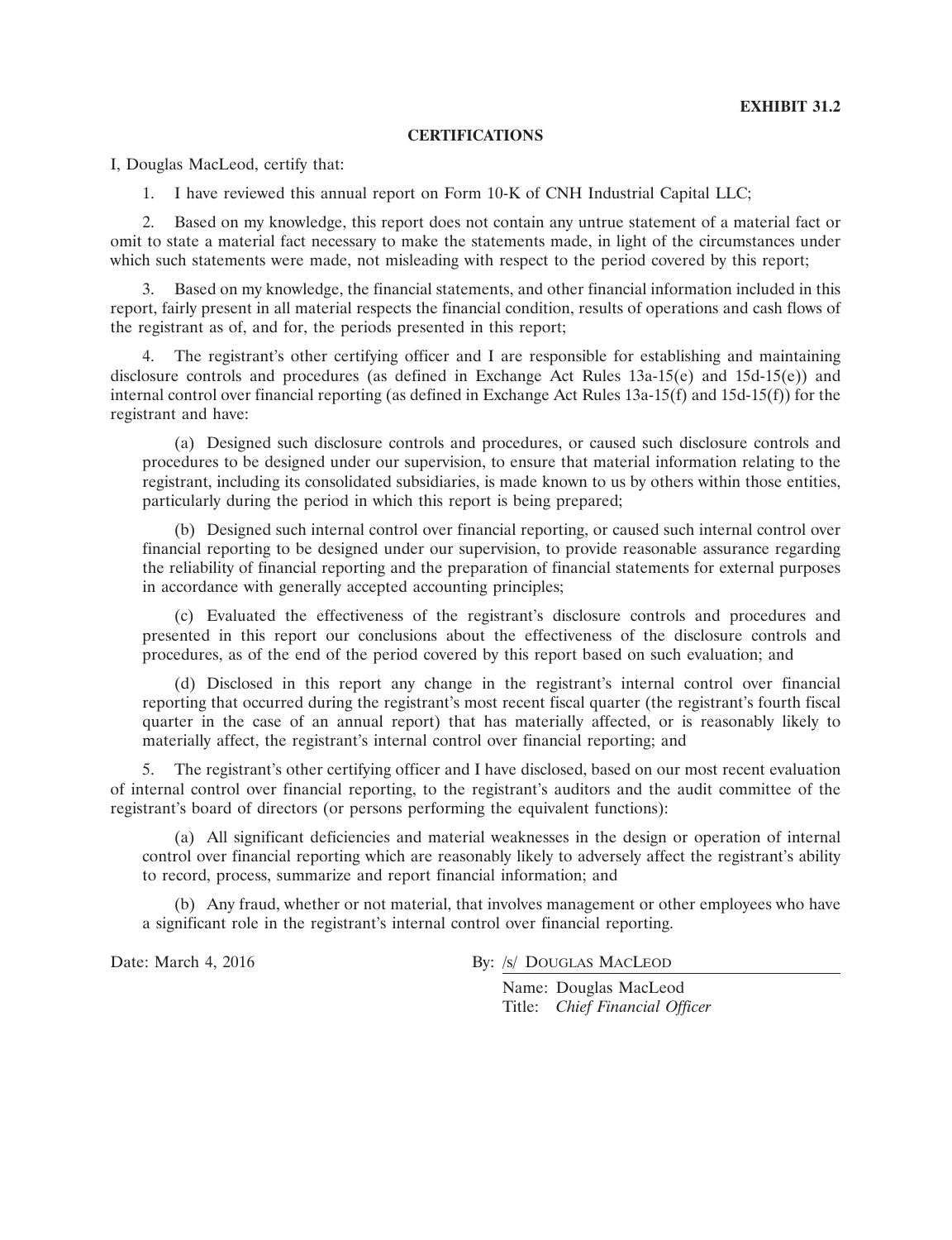#### **CERTIFICATIONS**

I, Douglas MacLeod, certify that:

1. I have reviewed this annual report on Form 10-K of CNH Industrial Capital LLC;

2. Based on my knowledge, this report does not contain any untrue statement of a material fact or omit to state a material fact necessary to make the statements made, in light of the circumstances under which such statements were made, not misleading with respect to the period covered by this report;

3. Based on my knowledge, the financial statements, and other financial information included in this report, fairly present in all material respects the financial condition, results of operations and cash flows of the registrant as of, and for, the periods presented in this report;

4. The registrant's other certifying officer and I are responsible for establishing and maintaining disclosure controls and procedures (as defined in Exchange Act Rules 13a-15(e) and 15d-15(e)) and internal control over financial reporting (as defined in Exchange Act Rules 13a-15(f) and 15d-15(f)) for the registrant and have:

(a) Designed such disclosure controls and procedures, or caused such disclosure controls and procedures to be designed under our supervision, to ensure that material information relating to the registrant, including its consolidated subsidiaries, is made known to us by others within those entities, particularly during the period in which this report is being prepared;

(b) Designed such internal control over financial reporting, or caused such internal control over financial reporting to be designed under our supervision, to provide reasonable assurance regarding the reliability of financial reporting and the preparation of financial statements for external purposes in accordance with generally accepted accounting principles;

(c) Evaluated the effectiveness of the registrant's disclosure controls and procedures and presented in this report our conclusions about the effectiveness of the disclosure controls and procedures, as of the end of the period covered by this report based on such evaluation; and

(d) Disclosed in this report any change in the registrant's internal control over financial reporting that occurred during the registrant's most recent fiscal quarter (the registrant's fourth fiscal quarter in the case of an annual report) that has materially affected, or is reasonably likely to materially affect, the registrant's internal control over financial reporting; and

5. The registrant's other certifying officer and I have disclosed, based on our most recent evaluation of internal control over financial reporting, to the registrant's auditors and the audit committee of the registrant's board of directors (or persons performing the equivalent functions):

(a) All significant deficiencies and material weaknesses in the design or operation of internal control over financial reporting which are reasonably likely to adversely affect the registrant's ability to record, process, summarize and report financial information; and

(b) Any fraud, whether or not material, that involves management or other employees who have a significant role in the registrant's internal control over financial reporting.

Date: March 4, 2016 By: /s/ DOUGLAS MACLEOD

Name: Douglas MacLeod Title: *Chief Financial Officer*